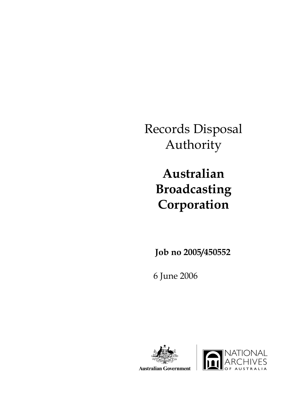Records Disposal Authority

> **Australian Broadcasting Corporation**

**Job no 2005/450552** 

6 June 2006





**Australian Government**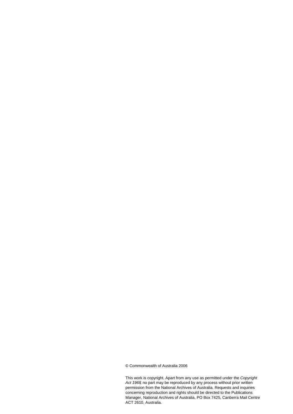© Commonwealth of Australia 2006

This work is copyright. Apart from any use as permitted under the *Copyright Act 1968,* no part may be reproduced by any process without prior written permission from the National Archives of Australia. Requests and inquiries concerning reproduction and rights should be directed to the Publications Manager, National Archives of Australia, PO Box 7425, Canberra Mail Centre ACT 2610, Australia.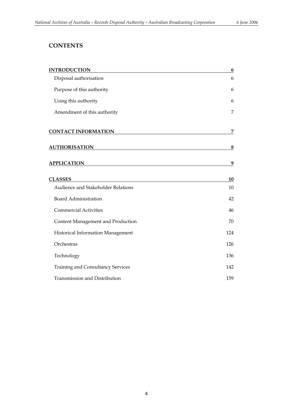## **CONTENTS**

| <b>INTRODUCTION</b>                | $6\phantom{1}$ |
|------------------------------------|----------------|
| Disposal authorisation             | 6              |
| Purpose of this authority          | 6              |
| Using this authority               | 6              |
| Amendment of this authority        | 7              |
| <b>CONTACT INFORMATION</b>         | 7              |
| <b>AUTHORISATION</b>               | 8              |
| <b>APPLICATION</b>                 | 9              |
| <b>CLASSES</b>                     | 10             |
| Audience and Stakeholder Relations | 10             |
| <b>Board Administration</b>        | 42             |
| <b>Commercial Activities</b>       | 46             |
| Content Management and Production  | 70             |
| Historical Information Management  | 124            |
| Orchestras                         | 126            |
| Technology                         | 136            |
| Training and Consultancy Services  | 142            |
| Transmission and Distribution      | 159            |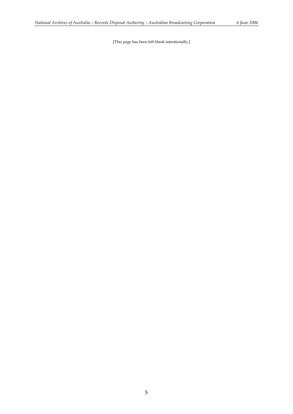[This page has been left blank intentionally.]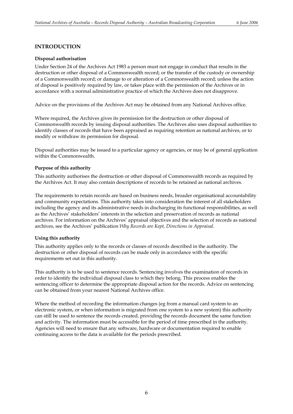### **INTRODUCTION**

### **Disposal authorisation**

Under Section 24 of the Archives Act 1983 a person must not engage in conduct that results in the destruction or other disposal of a Commonwealth record; or the transfer of the custody or ownership of a Commonwealth record; or damage to or alteration of a Commonwealth record; unless the action of disposal is positively required by law, or takes place with the permission of the Archives or in accordance with a normal administrative practice of which the Archives does not disapprove.

Advice on the provisions of the Archives Act may be obtained from any National Archives office.

Where required, the Archives gives its permission for the destruction or other disposal of Commonwealth records by issuing disposal authorities. The Archives also uses disposal authorities to identify classes of records that have been appraised as requiring retention as national archives, or to modify or withdraw its permission for disposal.

Disposal authorities may be issued to a particular agency or agencies, or may be of general application within the Commonwealth.

### **Purpose of this authority**

This authority authorises the destruction or other disposal of Commonwealth records as required by the Archives Act. It may also contain descriptions of records to be retained as national archives.

The requirements to retain records are based on business needs, broader organisational accountability and community expectations. This authority takes into consideration the interest of all stakeholders including the agency and its administrative needs in discharging its functional responsibilities, as well as the Archives' stakeholders' interests in the selection and preservation of records as national archives. For information on the Archives' appraisal objectives and the selection of records as national archives, see the Archives' publication *Why Records are Kept, Directions in Appraisal*.

#### **Using this authority**

This authority applies only to the records or classes of records described in the authority. The destruction or other disposal of records can be made only in accordance with the specific requirements set out in this authority.

This authority is to be used to sentence records. Sentencing involves the examination of records in order to identify the individual disposal class to which they belong. This process enables the sentencing officer to determine the appropriate disposal action for the records. Advice on sentencing can be obtained from your nearest National Archives office.

Where the method of recording the information changes (eg from a manual card system to an electronic system, or when information is migrated from one system to a new system) this authority can still be used to sentence the records created, providing the records document the same function and activity. The information must be accessible for the period of time prescribed in the authority. Agencies will need to ensure that any software, hardware or documentation required to enable continuing access to the data is available for the periods prescribed.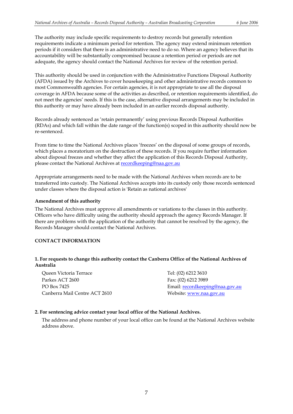The authority may include specific requirements to destroy records but generally retention requirements indicate a minimum period for retention. The agency may extend minimum retention periods if it considers that there is an administrative need to do so. Where an agency believes that its accountability will be substantially compromised because a retention period or periods are not adequate, the agency should contact the National Archives for review of the retention period.

This authority should be used in conjunction with the Administrative Functions Disposal Authority (AFDA) issued by the Archives to cover housekeeping and other administrative records common to most Commonwealth agencies. For certain agencies, it is not appropriate to use all the disposal coverage in AFDA because some of the activities as described, or retention requirements identified, do not meet the agencies' needs. If this is the case, alternative disposal arrangements may be included in this authority or may have already been included in an earlier records disposal authority.

Records already sentenced as 'retain permanently' using previous Records Disposal Authorities (RDAs) and which fall within the date range of the function(s) scoped in this authority should now be re-sentenced.

From time to time the National Archives places 'freezes' on the disposal of some groups of records, which places a moratorium on the destruction of these records. If you require further information about disposal freezes and whether they affect the application of this Records Disposal Authority, please contact the National Archives at **[recordkeeping@naa.gov.au](mailto:recordkeeping@naa.gov.au)** 

Appropriate arrangements need to be made with the National Archives when records are to be transferred into custody. The National Archives accepts into its custody only those records sentenced under classes where the disposal action is 'Retain as national archives'

#### **Amendment of this authority**

The National Archives must approve all amendments or variations to the classes in this authority. Officers who have difficulty using the authority should approach the agency Records Manager. If there are problems with the application of the authority that cannot be resolved by the agency, the Records Manager should contact the National Archives.

### **CONTACT INFORMATION**

### **1. For requests to change this authority contact the Canberra Office of the National Archives of Australia**

Queen Victoria Terrace Tel: (02) 6212 3610 Parkes ACT 2600 Fax: (02) 6212 3989 PO Box 7425 Email: [recordkeeping@naa.gov.au](mailto:recordkeeping@naa.gov.au) Canberra Mail Centre ACT 2610 Website: [www.naa.gov.au](http://www.naa.gov.au/)

#### **2. For sentencing advice contact your local office of the National Archives.**

The address and phone number of your local office can be found at the National Archives website address above.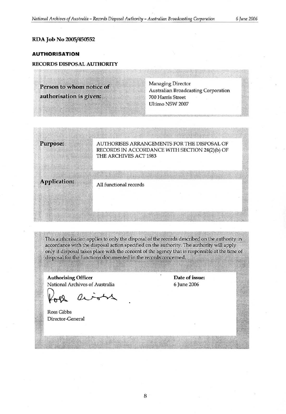#### RDA Job No 2005/450552

#### AUTHORISATION

#### RECORDS DISPOSAL AUTHORITY

**Person to whom notice of**  authorisation is given:

"

Managing Director Australian Broadcasting Corporation 700 Harris Street Ultimo NSW 2007



This authorisation applies to only the disposal of the records described on the authority in accordance with the disposal action specified on the authority. The authority will apply only if disposal takes place with the consent of the agency that is responsible at the time of disposal for the functions documented in the records concerned.

**Authorising** Officer National Archives of Australia

Authorising Officer<br>National Archives of Australia<br> $\sqrt{\frac{2}{\sqrt{3}}}}$ 

Ross Gibbs Director-GeneraI

**Date of issue:**  6 June 2006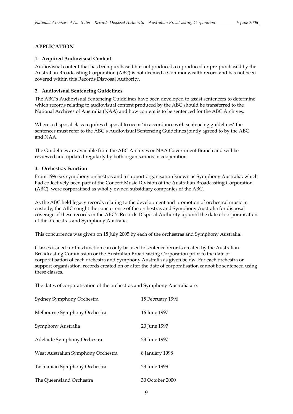### **APPLICATION**

#### **1. Acquired Audiovisual Content**

Audiovisual content that has been purchased but not produced, co-produced or pre-purchased by the Australian Broadcasting Corporation (ABC) is not deemed a Commonwealth record and has not been covered within this Records Disposal Authority.

#### **2. Audiovisual Sentencing Guidelines**

The ABC's Audiovisual Sentencing Guidelines have been developed to assist sentencers to determine which records relating to audiovisual content produced by the ABC should be transferred to the National Archives of Australia (NAA) and how content is to be sentenced for the ABC Archives.

Where a disposal class requires disposal to occur 'in accordance with sentencing guidelines' the sentencer must refer to the ABC's Audiovisual Sentencing Guidelines jointly agreed to by the ABC and NAA.

The Guidelines are available from the ABC Archives or NAA Government Branch and will be reviewed and updated regularly by both organisations in cooperation.

#### **3. Orchestras Function**

From 1996 six symphony orchestras and a support organisation known as Symphony Australia, which had collectively been part of the Concert Music Division of the Australian Broadcasting Corporation (ABC), were corporatised as wholly owned subsidiary companies of the ABC.

As the ABC held legacy records relating to the development and promotion of orchestral music in custody, the ABC sought the concurrence of the orchestras and Symphony Australia for disposal coverage of these records in the ABC's Records Disposal Authority up until the date of corporatisation of the orchestras and Symphony Australia.

This concurrence was given on 18 July 2005 by each of the orchestras and Symphony Australia.

Classes issued for this function can only be used to sentence records created by the Australian Broadcasting Commission or the Australian Broadcasting Corporation prior to the date of corporatisation of each orchestra and Symphony Australia as given below. For each orchestra or support organisation, records created on or after the date of corporatisation cannot be sentenced using these classes.

The dates of corporatisation of the orchestras and Symphony Australia are:

| Sydney Symphony Orchestra          | 15 February 1996 |
|------------------------------------|------------------|
| Melbourne Symphony Orchestra       | 16 June 1997     |
| Symphony Australia                 | 20 June 1997     |
| Adelaide Symphony Orchestra        | 23 June 1997     |
| West Australian Symphony Orchestra | 8 January 1998   |
| Tasmanian Symphony Orchestra       | 23 June 1999     |
| The Queensland Orchestra           | 30 October 2000  |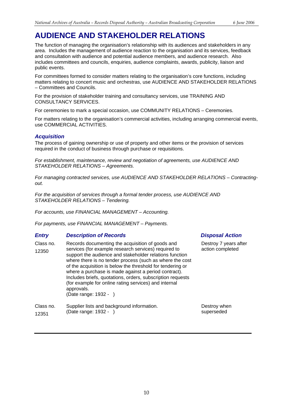The function of managing the organisation's relationship with its audiences and stakeholders in any area. Includes the management of audience reaction to the organisation and its services, feedback and consultation with audience and potential audience members, and audience research. Also includes committees and councils, enquiries, audience complaints, awards, publicity, liaison and public events.

For committees formed to consider matters relating to the organisation's core functions, including matters relating to concert music and orchestras, use AUDIENCE AND STAKEHOLDER RELATIONS – Committees and Councils.

For the provision of stakeholder training and consultancy services, use TRAINING AND CONSULTANCY SERVICES.

For ceremonies to mark a special occasion, use COMMUNITY RELATIONS – Ceremonies.

For matters relating to the organisation's commercial activities, including arranging commercial events, use COMMERCIAL ACTIVITIES.

#### *Acquisition*

The process of gaining ownership or use of property and other items or the provision of services required in the conduct of business through purchase or requisitions.

*For establishment, maintenance, review and negotiation of agreements, use AUDIENCE AND STAKEHOLDER RELATIONS – Agreements.* 

*For managing contracted services, use AUDIENCE AND STAKEHOLDER RELATIONS – Contractingout.* 

*For the acquisition of services through a formal tender process, use AUDIENCE AND STAKEHOLDER RELATIONS – Tendering.* 

*For accounts, use FINANCIAL MANAGEMENT – Accounting.* 

*For payments, use FINANCIAL MANAGEMENT – Payments.*

### *Entry Description of Records Disposal Action*

| Class no. | Records documenting the acquisition of goods and                                                                                                                                                                                                                                                                                                                                                                                                                |  |  |
|-----------|-----------------------------------------------------------------------------------------------------------------------------------------------------------------------------------------------------------------------------------------------------------------------------------------------------------------------------------------------------------------------------------------------------------------------------------------------------------------|--|--|
| 12350     | services (for example research services) required to<br>support the audience and stakeholder relations function<br>where there is no tender process (such as where the cost<br>of the acquisition is below the threshold for tendering or<br>where a purchase is made against a period contract).<br>Includes briefs, quotations, orders, subscription requests<br>(for example for online rating services) and internal<br>approvals.<br>(Date range: 1932 - ) |  |  |
|           |                                                                                                                                                                                                                                                                                                                                                                                                                                                                 |  |  |

Class no. 12351 Supplier lists and background information. (Date range: 1932 - )

Destroy 7 years after action completed

Destroy when superseded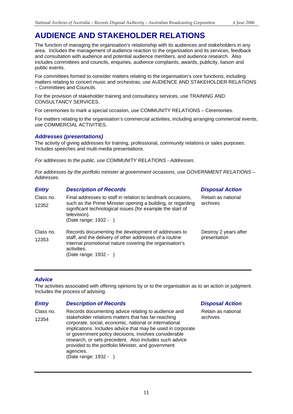The function of managing the organisation's relationship with its audiences and stakeholders in any area. Includes the management of audience reaction to the organisation and its services, feedback and consultation with audience and potential audience members, and audience research. Also includes committees and councils, enquiries, audience complaints, awards, publicity, liaison and public events.

For committees formed to consider matters relating to the organisation's core functions, including matters relating to concert music and orchestras, use AUDIENCE AND STAKEHOLDER RELATIONS – Committees and Councils.

For the provision of stakeholder training and consultancy services, use TRAINING AND CONSULTANCY SERVICES.

For ceremonies to mark a special occasion, use COMMUNITY RELATIONS – Ceremonies.

For matters relating to the organisation's commercial activities, including arranging commercial events, use COMMERCIAL ACTIVITIES.

#### *Addresses (presentations)*

The activity of giving addresses for training, professional, community relations or sales purposes. Includes speeches and multi-media presentations.

*For addresses to the public, use COMMUNITY RELATIONS - Addresses.* 

*For addresses by the portfolio minister at government occasions, use GOVERNMENT RELATIONS – Addresses.* 

| <b>Entry</b> | <b>Description of Records</b>                                                                                                                                      | <b>Disposal Action</b> |
|--------------|--------------------------------------------------------------------------------------------------------------------------------------------------------------------|------------------------|
| Class no.    | Final addresses to staff in relation to landmark occasions,                                                                                                        | Retain as national     |
| 12352        | such as the Prime Minister opening a building, or regarding<br>significant technological issues (for example the start of<br>television).<br>(Date range: 1932 - ) | archives               |
| Class no.    | Records documenting the development of addresses to                                                                                                                | Destroy 2 years after  |
| 12353        | staff, and the delivery of other addresses of a routine<br>internal promotional nature covering the organisation's<br>activities.<br>(Date range: 1932 - )         | presentation           |

### *Advice*

The activities associated with offering opinions by or to the organisation as to an action or judgment. Includes the process of advising.

#### *Entry Description of Records Disposal Action*

Class no. 12354 Records documenting advice relating to audience and stakeholder relations matters that has far-reaching corporate, social, economic, national or international implications. Includes advice that may be used in corporate or government policy decisions, involves considerable research, or sets precedent. Also includes such advice provided to the portfolio Minister, and government agencies. (Date range: 1932 - )

Retain as national archives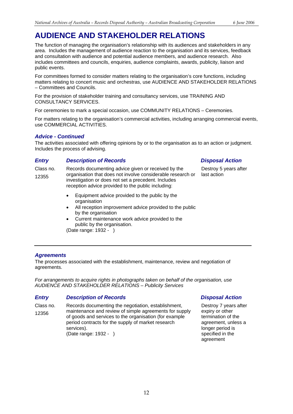The function of managing the organisation's relationship with its audiences and stakeholders in any area. Includes the management of audience reaction to the organisation and its services, feedback and consultation with audience and potential audience members, and audience research. Also includes committees and councils, enquiries, audience complaints, awards, publicity, liaison and public events.

For committees formed to consider matters relating to the organisation's core functions, including matters relating to concert music and orchestras, use AUDIENCE AND STAKEHOLDER RELATIONS – Committees and Councils.

For the provision of stakeholder training and consultancy services, use TRAINING AND CONSULTANCY SERVICES.

For ceremonies to mark a special occasion, use COMMUNITY RELATIONS – Ceremonies.

For matters relating to the organisation's commercial activities, including arranging commercial events, use COMMERCIAL ACTIVITIES.

### *Advice - Continued*

The activities associated with offering opinions by or to the organisation as to an action or judgment. Includes the process of advising.

### *Entry Description of Records Disposal Action*

Class no. 12355

- Records documenting advice given or received by the organisation that does not involve considerable research or investigation or does not set a precedent. Includes reception advice provided to the public including:
	- Equipment advice provided to the public by the organisation
	- All reception improvement advice provided to the public by the organisation
	- Current maintenance work advice provided to the public by the organisation.

(Date range: 1932 - )

Destroy 5 years after last action

### *Agreements*

The processes associated with the establishment, maintenance, review and negotiation of agreements.

*For arrangements to acquire rights in photographs taken on behalf of the organisation, use AUDIENCE AND STAKEHOLDER RELATIONS – Publicity Services*

### *Entry Description of Records Disposal Action*

Class no. 12356 Records documenting the negotiation, establishment, maintenance and review of simple agreements for supply of goods and services to the organisation (for example period contracts for the supply of market research services). (Date range: 1932 - )

Destroy 7 years after expiry or other termination of the agreement, unless a longer period is specified in the agreement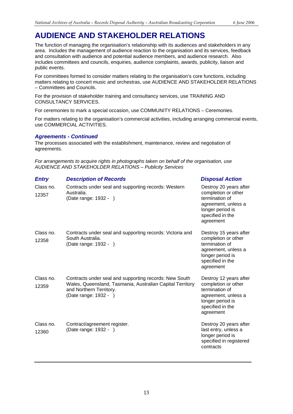The function of managing the organisation's relationship with its audiences and stakeholders in any area. Includes the management of audience reaction to the organisation and its services, feedback and consultation with audience and potential audience members, and audience research. Also includes committees and councils, enquiries, audience complaints, awards, publicity, liaison and public events.

For committees formed to consider matters relating to the organisation's core functions, including matters relating to concert music and orchestras, use AUDIENCE AND STAKEHOLDER RELATIONS – Committees and Councils.

For the provision of stakeholder training and consultancy services, use TRAINING AND CONSULTANCY SERVICES.

For ceremonies to mark a special occasion, use COMMUNITY RELATIONS – Ceremonies.

For matters relating to the organisation's commercial activities, including arranging commercial events, use COMMERCIAL ACTIVITIES.

#### *Agreements - Continued*

The processes associated with the establishment, maintenance, review and negotiation of agreements.

*For arrangements to acquire rights in photographs taken on behalf of the organisation, use AUDIENCE AND STAKEHOLDER RELATIONS – Publicity Services*

| <b>Entry</b>       | <b>Description of Records</b>                                                                                                                                           | <b>Disposal Action</b>                                                                                                                      |
|--------------------|-------------------------------------------------------------------------------------------------------------------------------------------------------------------------|---------------------------------------------------------------------------------------------------------------------------------------------|
| Class no.<br>12357 | Contracts under seal and supporting records: Western<br>Australia.<br>(Date range: 1932 - )                                                                             | Destroy 20 years after<br>completion or other<br>termination of<br>agreement, unless a<br>longer period is<br>specified in the<br>agreement |
| Class no.<br>12358 | Contracts under seal and supporting records: Victoria and<br>South Australia.<br>(Date range: 1932 - )                                                                  | Destroy 15 years after<br>completion or other<br>termination of<br>agreement, unless a<br>longer period is<br>specified in the<br>agreement |
| Class no.<br>12359 | Contracts under seal and supporting records: New South<br>Wales, Queensland, Tasmania, Australian Capital Territory<br>and Northern Territory.<br>(Date range: 1932 - ) | Destroy 12 years after<br>completion or other<br>termination of<br>agreement, unless a<br>longer period is<br>specified in the<br>agreement |
| Class no.<br>12360 | Contract/agreement register.<br>(Date range: 1932 - )                                                                                                                   | Destroy 20 years after<br>last entry, unless a<br>longer period is<br>specified in registered<br>contracts                                  |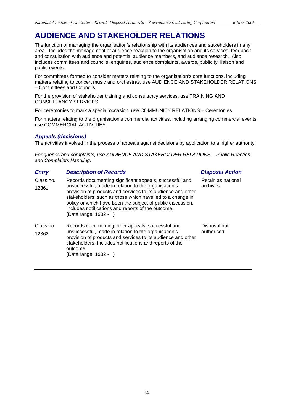The function of managing the organisation's relationship with its audiences and stakeholders in any area. Includes the management of audience reaction to the organisation and its services, feedback and consultation with audience and potential audience members, and audience research. Also includes committees and councils, enquiries, audience complaints, awards, publicity, liaison and public events.

For committees formed to consider matters relating to the organisation's core functions, including matters relating to concert music and orchestras, use AUDIENCE AND STAKEHOLDER RELATIONS – Committees and Councils.

For the provision of stakeholder training and consultancy services, use TRAINING AND CONSULTANCY SERVICES.

For ceremonies to mark a special occasion, use COMMUNITY RELATIONS – Ceremonies.

For matters relating to the organisation's commercial activities, including arranging commercial events, use COMMERCIAL ACTIVITIES.

#### *Appeals (decisions)*

The activities involved in the process of appeals against decisions by application to a higher authority.

*For queries and complaints, use AUDIENCE AND STAKEHOLDER RELATIONS – Public Reaction and Complaints Handling.*

| <b>Entry</b> | <b>Description of Records</b> |
|--------------|-------------------------------|
|--------------|-------------------------------|

Class no. 12361 Records documenting significant appeals, successful and unsuccessful, made in relation to the organisation's provision of products and services to its audience and other stakeholders, such as those which have led to a change in policy or which have been the subject of public discussion. Includes notifications and reports of the outcome. (Date range: 1932 - )

*Disposal Action* 

Retain as national archives

Class no. 12362 Records documenting other appeals, successful and unsuccessful, made in relation to the organisation's provision of products and services to its audience and other stakeholders. Includes notifications and reports of the outcome. (Date range: 1932 - )

Disposal not authorised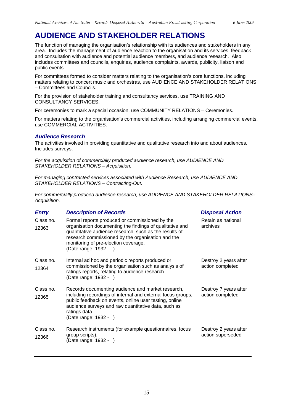The function of managing the organisation's relationship with its audiences and stakeholders in any area. Includes the management of audience reaction to the organisation and its services, feedback and consultation with audience and potential audience members, and audience research. Also includes committees and councils, enquiries, audience complaints, awards, publicity, liaison and public events.

For committees formed to consider matters relating to the organisation's core functions, including matters relating to concert music and orchestras, use AUDIENCE AND STAKEHOLDER RELATIONS – Committees and Councils.

For the provision of stakeholder training and consultancy services, use TRAINING AND CONSULTANCY SERVICES.

For ceremonies to mark a special occasion, use COMMUNITY RELATIONS – Ceremonies.

For matters relating to the organisation's commercial activities, including arranging commercial events, use COMMERCIAL ACTIVITIES.

#### *Audience Research*

The activities involved in providing quantitative and qualitative research into and about audiences. Includes surveys.

*For the acquisition of commercially produced audience research, use AUDIENCE AND STAKEHOLDER RELATIONS – Acquisition.* 

*For managing contracted services associated with Audience Research, use AUDIENCE AND STAKEHOLDER RELATIONS – Contracting-Out.* 

*For commercially produced audience research, use AUDIENCE AND STAKEHOLDER RELATIONS– Acquisition.* 

| <b>Entry</b>       | <b>Description of Records</b>                                                                                                                                                                                                                                                              | <b>Disposal Action</b>                     |
|--------------------|--------------------------------------------------------------------------------------------------------------------------------------------------------------------------------------------------------------------------------------------------------------------------------------------|--------------------------------------------|
| Class no.<br>12363 | Formal reports produced or commissioned by the<br>organisation documenting the findings of qualitative and<br>quantitative audience research, such as the results of<br>research commissioned by the organisation and the<br>monitoring of pre-election coverage.<br>(Date range: 1932 - ) | Retain as national<br>archives             |
| Class no.<br>12364 | Internal ad hoc and periodic reports produced or<br>commissioned by the organisation such as analysis of<br>ratings reports, relating to audience research.<br>(Date range: 1932 - )                                                                                                       | Destroy 2 years after<br>action completed  |
| Class no.<br>12365 | Records documenting audience and market research,<br>including recordings of internal and external focus groups,<br>public feedback on events, online user testing, online<br>audience surveys and raw quantitative data, such as<br>ratings data.<br>(Date range: 1932 - )                | Destroy 7 years after<br>action completed  |
| Class no.<br>12366 | Research instruments (for example questionnaires, focus<br>group scripts).<br>(Date range: 1932 - )                                                                                                                                                                                        | Destroy 2 years after<br>action superseded |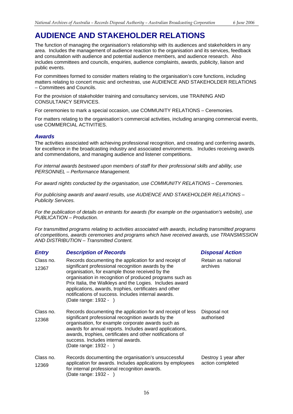The function of managing the organisation's relationship with its audiences and stakeholders in any area. Includes the management of audience reaction to the organisation and its services, feedback and consultation with audience and potential audience members, and audience research. Also includes committees and councils, enquiries, audience complaints, awards, publicity, liaison and public events.

For committees formed to consider matters relating to the organisation's core functions, including matters relating to concert music and orchestras, use AUDIENCE AND STAKEHOLDER RELATIONS – Committees and Councils.

For the provision of stakeholder training and consultancy services, use TRAINING AND CONSULTANCY SERVICES.

For ceremonies to mark a special occasion, use COMMUNITY RELATIONS – Ceremonies.

For matters relating to the organisation's commercial activities, including arranging commercial events, use COMMERCIAL ACTIVITIES.

#### *Awards*

The activities associated with achieving professional recognition, and creating and conferring awards, for excellence in the broadcasting industry and associated environments. Includes receiving awards and commendations, and managing audience and listener competitions.

*For internal awards bestowed upon members of staff for their professional skills and ability, use PERSONNEL – Performance Management.* 

*For award nights conducted by the organisation, use COMMUNITY RELATIONS – Ceremonies.* 

*For publicising awards and award results, use AUDIENCE AND STAKEHOLDER RELATIONS – Publicity Services.* 

*For the publication of details on entrants for awards (for example on the organisation's website), use PUBLICATION – Production.* 

*For transmitted programs relating to activities associated with awards, including transmitted programs of competitions, awards ceremonies and programs which have received awards, use TRANSMISSION AND DISTRIBUTION – Transmitted Content.*

#### *Entry Description of Records Disposal Action*

| Class no.<br>12367 | Records documenting the application for and receipt of<br>significant professional recognition awards by the<br>organisation, for example those received by the<br>organisation in recognition of produced programs such as<br>Prix Italia, the Walkleys and the Logies. Includes award<br>applications, awards, trophies, certificates and other<br>notifications of success. Includes internal awards.<br>(Date range: 1932 - ) | Retain as national<br>archives           |
|--------------------|-----------------------------------------------------------------------------------------------------------------------------------------------------------------------------------------------------------------------------------------------------------------------------------------------------------------------------------------------------------------------------------------------------------------------------------|------------------------------------------|
| Class no.<br>12368 | Records documenting the application for and receipt of less<br>significant professional recognition awards by the<br>organisation, for example corporate awards such as<br>awards for annual reports. Includes award applications,<br>awards, trophies, certificates and other notifications of<br>success. Includes internal awards.<br>(Date range: 1932 - )                                                                    | Disposal not<br>authorised               |
| Class no.<br>12369 | Records documenting the organisation's unsuccessful<br>application for awards. Includes applications by employees<br>for internal professional recognition awards.<br>(Date range: 1932 - )                                                                                                                                                                                                                                       | Destroy 1 year after<br>action completed |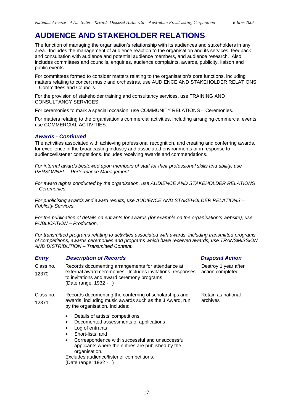The function of managing the organisation's relationship with its audiences and stakeholders in any area. Includes the management of audience reaction to the organisation and its services, feedback and consultation with audience and potential audience members, and audience research. Also includes committees and councils, enquiries, audience complaints, awards, publicity, liaison and public events.

For committees formed to consider matters relating to the organisation's core functions, including matters relating to concert music and orchestras, use AUDIENCE AND STAKEHOLDER RELATIONS – Committees and Councils.

For the provision of stakeholder training and consultancy services, use TRAINING AND CONSULTANCY SERVICES.

For ceremonies to mark a special occasion, use COMMUNITY RELATIONS – Ceremonies.

For matters relating to the organisation's commercial activities, including arranging commercial events, use COMMERCIAL ACTIVITIES.

#### *Awards - Continued*

The activities associated with achieving professional recognition, and creating and conferring awards, for excellence in the broadcasting industry and associated environments or in response to audience/listener competitions. Includes receiving awards and commendations.

*For internal awards bestowed upon members of staff for their professional skills and ability, use PERSONNEL – Performance Management.* 

*For award nights conducted by the organisation, use AUDIENCE AND STAKEHOLDER RELATIONS – Ceremonies.* 

*For publicising awards and award results, use AUDIENCE AND STAKEHOLDER RELATIONS – Publicity Services.* 

*For the publication of details on entrants for awards (for example on the organisation's website), use PUBLICATION – Production.* 

*For transmitted programs relating to activities associated with awards, including transmitted programs of competitions, awards ceremonies and programs which have received awards, use TRANSMISSION AND DISTRIBUTION – Transmitted Content.* 

#### *Entry Description of Records Disposal Action*

- Class no. 12370 Records documenting arrangements for attendance at external award ceremonies. Includes invitations, responses to invitations and award ceremony programs. (Date range: 1932 - )
- Class no. 12371 Records documenting the conferring of scholarships and awards, including music awards such as the J Award, run by the organisation. Includes:
	- Details of artists' competitions
	- Documented assessments of applications
	- Log of entrants
	- Short-lists, and
	- Correspondence with successful and unsuccessful applicants where the entries are published by the organisation.

Excludes audience/listener competitions. (Date range: 1932 - )

Destroy 1 year after action completed

Retain as national archives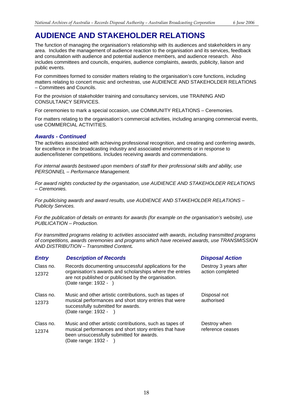The function of managing the organisation's relationship with its audiences and stakeholders in any area. Includes the management of audience reaction to the organisation and its services, feedback and consultation with audience and potential audience members, and audience research. Also includes committees and councils, enquiries, audience complaints, awards, publicity, liaison and public events.

For committees formed to consider matters relating to the organisation's core functions, including matters relating to concert music and orchestras, use AUDIENCE AND STAKEHOLDER RELATIONS – Committees and Councils.

For the provision of stakeholder training and consultancy services, use TRAINING AND CONSULTANCY SERVICES.

For ceremonies to mark a special occasion, use COMMUNITY RELATIONS – Ceremonies.

For matters relating to the organisation's commercial activities, including arranging commercial events, use COMMERCIAL ACTIVITIES.

#### *Awards - Continued*

The activities associated with achieving professional recognition, and creating and conferring awards, for excellence in the broadcasting industry and associated environments or in response to audience/listener competitions. Includes receiving awards and commendations.

*For internal awards bestowed upon members of staff for their professional skills and ability, use PERSONNEL – Performance Management.* 

*For award nights conducted by the organisation, use AUDIENCE AND STAKEHOLDER RELATIONS – Ceremonies.* 

*For publicising awards and award results, use AUDIENCE AND STAKEHOLDER RELATIONS – Publicity Services.* 

*For the publication of details on entrants for awards (for example on the organisation's website), use PUBLICATION – Production.* 

*For transmitted programs relating to activities associated with awards, including transmitted programs of competitions, awards ceremonies and programs which have received awards, use TRANSMISSION AND DISTRIBUTION – Transmitted Content.* 

#### *Entry Description of Records Disposal Action*

| Class no.<br>12372 | Records documenting unsuccessful applications for the<br>organisation's awards and scholarships where the entries<br>are not published or publicised by the organisation.<br>(Date range: 1932 - | Destroy 3 years after<br>action completed |
|--------------------|--------------------------------------------------------------------------------------------------------------------------------------------------------------------------------------------------|-------------------------------------------|
| Class no.<br>12373 | Music and other artistic contributions, such as tapes of<br>musical performances and short story entries that were<br>successfully submitted for awards.<br>(Date range: 1932 - )                | Disposal not<br>authorised                |
| Class no.<br>12374 | Music and other artistic contributions, such as tapes of<br>musical performances and short story entries that have<br>been unsuccessfully submitted for awards.<br>(Date range: 1932 -           | Destroy when<br>reference ceases          |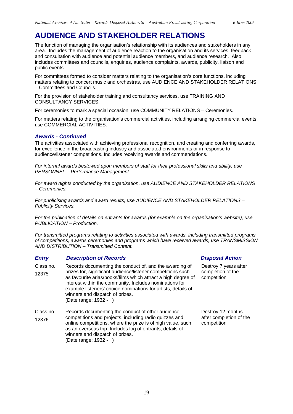The function of managing the organisation's relationship with its audiences and stakeholders in any area. Includes the management of audience reaction to the organisation and its services, feedback and consultation with audience and potential audience members, and audience research. Also includes committees and councils, enquiries, audience complaints, awards, publicity, liaison and public events.

For committees formed to consider matters relating to the organisation's core functions, including matters relating to concert music and orchestras, use AUDIENCE AND STAKEHOLDER RELATIONS – Committees and Councils.

For the provision of stakeholder training and consultancy services, use TRAINING AND CONSULTANCY SERVICES.

For ceremonies to mark a special occasion, use COMMUNITY RELATIONS – Ceremonies.

For matters relating to the organisation's commercial activities, including arranging commercial events, use COMMERCIAL ACTIVITIES.

#### *Awards - Continued*

The activities associated with achieving professional recognition, and creating and conferring awards, for excellence in the broadcasting industry and associated environments or in response to audience/listener competitions. Includes receiving awards and commendations.

*For internal awards bestowed upon members of staff for their professional skills and ability, use PERSONNEL – Performance Management.* 

*For award nights conducted by the organisation, use AUDIENCE AND STAKEHOLDER RELATIONS – Ceremonies.* 

*For publicising awards and award results, use AUDIENCE AND STAKEHOLDER RELATIONS – Publicity Services.* 

*For the publication of details on entrants for awards (for example on the organisation's website), use PUBLICATION – Production.* 

*For transmitted programs relating to activities associated with awards, including transmitted programs of competitions, awards ceremonies and programs which have received awards, use TRANSMISSION AND DISTRIBUTION – Transmitted Content.* 

#### *Entry Description of Records Disposal Action*

- Class no. 12375 Records documenting the conduct of, and the awarding of prizes for, significant audience/listener competitions such as favourite arias/books/films which attract a high degree of interest within the community. Includes nominations for example listeners' choice nominations for artists, details of winners and dispatch of prizes. (Date range: 1932 - )
- Class no. 12376 Records documenting the conduct of other audience competitions and projects, including radio quizzes and online competitions, where the prize is of high value, such as an overseas trip. Includes log of entrants, details of winners and dispatch of prizes. (Date range: 1932 - )

Destroy 7 years after completion of the competition

Destroy 12 months after completion of the competition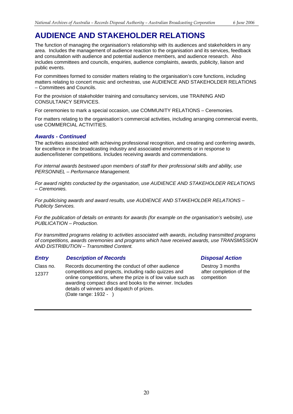The function of managing the organisation's relationship with its audiences and stakeholders in any area. Includes the management of audience reaction to the organisation and its services, feedback and consultation with audience and potential audience members, and audience research. Also includes committees and councils, enquiries, audience complaints, awards, publicity, liaison and public events.

For committees formed to consider matters relating to the organisation's core functions, including matters relating to concert music and orchestras, use AUDIENCE AND STAKEHOLDER RELATIONS – Committees and Councils.

For the provision of stakeholder training and consultancy services, use TRAINING AND CONSULTANCY SERVICES.

For ceremonies to mark a special occasion, use COMMUNITY RELATIONS – Ceremonies.

For matters relating to the organisation's commercial activities, including arranging commercial events, use COMMERCIAL ACTIVITIES.

#### *Awards - Continued*

The activities associated with achieving professional recognition, and creating and conferring awards, for excellence in the broadcasting industry and associated environments or in response to audience/listener competitions. Includes receiving awards and commendations.

*For internal awards bestowed upon members of staff for their professional skills and ability, use PERSONNEL – Performance Management.* 

*For award nights conducted by the organisation, use AUDIENCE AND STAKEHOLDER RELATIONS – Ceremonies.* 

*For publicising awards and award results, use AUDIENCE AND STAKEHOLDER RELATIONS – Publicity Services.* 

*For the publication of details on entrants for awards (for example on the organisation's website), use PUBLICATION – Production.* 

*For transmitted programs relating to activities associated with awards, including transmitted programs of competitions, awards ceremonies and programs which have received awards, use TRANSMISSION AND DISTRIBUTION – Transmitted Content.* 

#### *Entry Description of Records Disposal Action*

Class no. 12377 Records documenting the conduct of other audience competitions and projects, including radio quizzes and online competitions, where the prize is of low value such as awarding compact discs and books to the winner. Includes details of winners and dispatch of prizes. (Date range: 1932 - )

Destroy 3 months after completion of the competition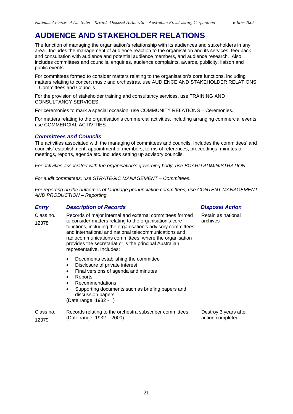The function of managing the organisation's relationship with its audiences and stakeholders in any area. Includes the management of audience reaction to the organisation and its services, feedback and consultation with audience and potential audience members, and audience research. Also includes committees and councils, enquiries, audience complaints, awards, publicity, liaison and public events.

For committees formed to consider matters relating to the organisation's core functions, including matters relating to concert music and orchestras, use AUDIENCE AND STAKEHOLDER RELATIONS – Committees and Councils.

For the provision of stakeholder training and consultancy services, use TRAINING AND CONSULTANCY SERVICES.

For ceremonies to mark a special occasion, use COMMUNITY RELATIONS – Ceremonies.

For matters relating to the organisation's commercial activities, including arranging commercial events, use COMMERCIAL ACTIVITIES.

#### *Committees and Councils*

The activities associated with the managing of committees and councils. Includes the committees' and councils' establishment, appointment of members, terms of references, proceedings, minutes of meetings, reports, agenda etc. Includes setting up advisory councils.

*For activities associated with the organisation's governing body, use BOARD ADMINISTRATION.* 

*For audit committees, use STRATEGIC MANAGEMENT – Committees.* 

*For reporting on the outcomes of language pronunciation committees, use CONTENT MANAGEMENT AND PRODUCTION – Reporting.*

### *Entry Description of Records Disposal Action*

Class no.

- 12378 Records of major internal and external committees formed to consider matters relating to the organisation's core functions, including the organisation's advisory committees and international and national telecommunications and radiocommunications committees, where the organisation provides the secretariat or is the principal Australian representative. Includes:
	- Documents establishing the committee
	- Disclosure of private interest
	- Final versions of agenda and minutes
	- **Reports**
	- Recommendations
	- Supporting documents such as briefing papers and discussion papers.

(Date range: 1932 - )

| Class no. | Records relating to the orchestra subscriber committees. | Destroy 3 years after |
|-----------|----------------------------------------------------------|-----------------------|
| 12379     | (Date range: 1932 – 2000)                                | action completed      |

Retain as national archives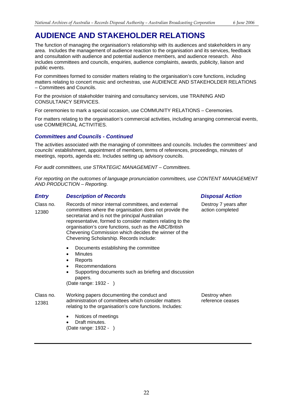The function of managing the organisation's relationship with its audiences and stakeholders in any area. Includes the management of audience reaction to the organisation and its services, feedback and consultation with audience and potential audience members, and audience research. Also includes committees and councils, enquiries, audience complaints, awards, publicity, liaison and public events.

For committees formed to consider matters relating to the organisation's core functions, including matters relating to concert music and orchestras, use AUDIENCE AND STAKEHOLDER RELATIONS – Committees and Councils.

For the provision of stakeholder training and consultancy services, use TRAINING AND CONSULTANCY SERVICES.

For ceremonies to mark a special occasion, use COMMUNITY RELATIONS – Ceremonies.

For matters relating to the organisation's commercial activities, including arranging commercial events, use COMMERCIAL ACTIVITIES.

#### *Committees and Councils - Continued*

The activities associated with the managing of committees and councils. Includes the committees' and councils' establishment, appointment of members, terms of references, proceedings, minutes of meetings, reports, agenda etc. Includes setting up advisory councils.

*For audit committees, use STRATEGIC MANAGEMENT – Committees.* 

*For reporting on the outcomes of language pronunciation committees, use CONTENT MANAGEMENT AND PRODUCTION – Reporting.*

#### *Entry Description of Records Disposal Action*

Class no. 12380 Records of minor internal committees, and external committees where the organisation does not provide the secretariat and is not the principal Australian representative, formed to consider matters relating to the organisation's core functions, such as the ABC/British Chevening Commission which decides the winner of the Chevening Scholarship. Records include:

- Documents establishing the committee
- **Minutes**
- **Reports**
- Recommendations
- Supporting documents such as briefing and discussion papers.

(Date range: 1932 - )

Class no. 12381 Working papers documenting the conduct and administration of committees which consider matters relating to the organisation's core functions. Includes:

- Notices of meetings
- Draft minutes.

(Date range: 1932 - )

Destroy 7 years after action completed

Destroy when reference ceases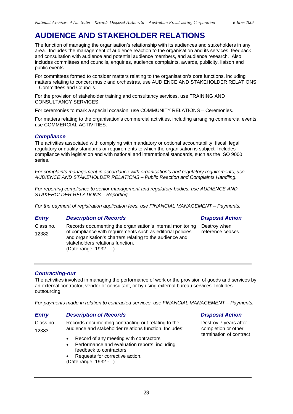The function of managing the organisation's relationship with its audiences and stakeholders in any area. Includes the management of audience reaction to the organisation and its services, feedback and consultation with audience and potential audience members, and audience research. Also includes committees and councils, enquiries, audience complaints, awards, publicity, liaison and public events.

For committees formed to consider matters relating to the organisation's core functions, including matters relating to concert music and orchestras, use AUDIENCE AND STAKEHOLDER RELATIONS – Committees and Councils.

For the provision of stakeholder training and consultancy services, use TRAINING AND CONSULTANCY SERVICES.

For ceremonies to mark a special occasion, use COMMUNITY RELATIONS – Ceremonies.

For matters relating to the organisation's commercial activities, including arranging commercial events, use COMMERCIAL ACTIVITIES.

#### *Compliance*

The activities associated with complying with mandatory or optional accountability, fiscal, legal, regulatory or quality standards or requirements to which the organisation is subject. Includes compliance with legislation and with national and international standards, such as the ISO 9000 series.

*For complaints management in accordance with organisation's and regulatory requirements, use AUDIENCE AND STAKEHOLDER RELATIONS – Public Reaction and Complaints Handling.* 

For reporting compliance to senior management and regulatory bodies, use AUDIENCE AND *STAKEHOLDER RELATIONS – Reporting.* 

*For the payment of registration application fees, use FINANCIAL MANAGEMENT – Payments.*

#### *Entry Description of Records Disposal Action*

Class no. 12382 Records documenting the organisation's internal monitoring of compliance with requirements such as editorial policies and organisation's charters relating to the audience and stakeholders relations function. (Date range: 1932 - ) Destroy when reference ceases

*Contracting-out*

The activities involved in managing the performance of work or the provision of goods and services by an external contractor, vendor or consultant, or by using external bureau services. Includes outsourcing.

*For payments made in relation to contracted services, use FINANCIAL MANAGEMENT – Payments.*

| <b>Entry</b> | <b>Description of Records</b> |
|--------------|-------------------------------|
|--------------|-------------------------------|

Class no. 12383 Records documenting contracting-out relating to the audience and stakeholder relations function. Includes:

- Record of any meeting with contractors
- Performance and evaluation reports, including feedback to contractors
- Requests for corrective action.

(Date range: 1932 - )

#### *Entry Description of Records Disposal Action*

Destroy 7 years after completion or other termination of contract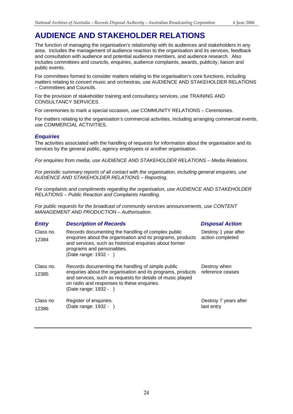The function of managing the organisation's relationship with its audiences and stakeholders in any area. Includes the management of audience reaction to the organisation and its services, feedback and consultation with audience and potential audience members, and audience research. Also includes committees and councils, enquiries, audience complaints, awards, publicity, liaison and public events.

For committees formed to consider matters relating to the organisation's core functions, including matters relating to concert music and orchestras, use AUDIENCE AND STAKEHOLDER RELATIONS – Committees and Councils.

For the provision of stakeholder training and consultancy services, use TRAINING AND CONSULTANCY SERVICES.

For ceremonies to mark a special occasion, use COMMUNITY RELATIONS – Ceremonies.

For matters relating to the organisation's commercial activities, including arranging commercial events, use COMMERCIAL ACTIVITIES.

#### *Enquiries*

The activities associated with the handling of requests for information about the organisation and its services by the general public, agency employees or another organisation.

*For enquiries from media, use AUDIENCE AND STAKEHOLDER RELATIONS – Media Relations.* 

*For periodic summary reports of all contact with the organisation, including general enquiries, use AUDIENCE AND STAKEHOLDER RELATIONS – Reporting.* 

*For complaints and compliments regarding the organisation, use AUDIENCE AND STAKEHOLDER RELATIONS – Public Reaction and Complaints Handling.* 

*For public requests for the broadcast of community services announcements, use CONTENT MANAGEMENT AND PRODUCTION – Authorisation.*

#### *Entry Description of Records Disposal Action*

#### Class no. 12384 Records documenting the handling of complex public enquiries about the organisation and its programs, products and services, such as historical enquiries about former programs and personalities. (Date range: 1932 - ) Destroy 1 year after action completed Class no. 12385 Records documenting the handling of simple public enquiries about the organisation and its programs, products and services, such as requests for details of music played on radio and responses to these enquiries. (Date range: 1932 - ) Destroy when reference ceases Class no 12386 Register of enquiries. (Date range: 1932 - ) Destroy 7 years after last entry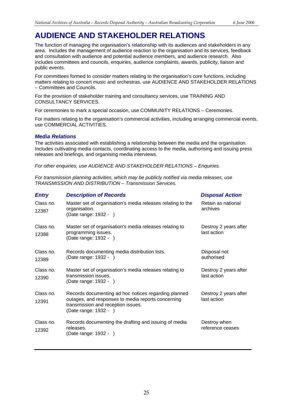The function of managing the organisation's relationship with its audiences and stakeholders in any area. Includes the management of audience reaction to the organisation and its services, feedback and consultation with audience and potential audience members, and audience research. Also includes committees and councils, enquiries, audience complaints, awards, publicity, liaison and public events.

For committees formed to consider matters relating to the organisation's core functions, including matters relating to concert music and orchestras, use AUDIENCE AND STAKEHOLDER RELATIONS – Committees and Councils.

For the provision of stakeholder training and consultancy services, use TRAINING AND CONSULTANCY SERVICES.

For ceremonies to mark a special occasion, use COMMUNITY RELATIONS – Ceremonies.

For matters relating to the organisation's commercial activities, including arranging commercial events, use COMMERCIAL ACTIVITIES.

#### *Media Relations*

The activities associated with establishing a relationship between the media and the organisation. Includes cultivating media contacts, coordinating access to the media, authorising and issuing press releases and briefings, and organising media interviews.

*For other enquiries, use AUDIENCE AND STAKEHOLDER RELATIONS – Enquiries.* 

*For transmission planning activities, which may be publicly notified via media releases, use TRANSMISSION AND DISTRIBUTION – Transmission Services.*

| <b>Entry</b>       | <b>Description of Records</b>                                                                                                                                             | <b>Disposal Action</b>               |
|--------------------|---------------------------------------------------------------------------------------------------------------------------------------------------------------------------|--------------------------------------|
| Class no.<br>12387 | Master set of organisation's media releases relating to the<br>organisation.<br>(Date range: 1932 - )                                                                     | Retain as national<br>archives       |
| Class no.<br>12388 | Master set of organisation's media releases relating to<br>programming issues.<br>(Date range: 1932 - )                                                                   | Destroy 2 years after<br>last action |
| Class no.<br>12389 | Records documenting media distribution lists.<br>(Date range: 1932 - )                                                                                                    | Disposal not<br>authorised           |
| Class no.<br>12390 | Master set of organisation's media releases relating to<br>transmission issues.<br>(Date range: 1932 - )                                                                  | Destroy 2 years after<br>last action |
| Class no.<br>12391 | Records documenting ad hoc notices regarding planned<br>outages, and responses to media reports concerning<br>transmission and reception issues.<br>(Date range: 1932 - ) | Destroy 2 years after<br>last action |
| Class no.<br>12392 | Records documenting the drafting and issuing of media<br>releases.<br>(Date range: 1932 - )                                                                               | Destroy when<br>reference ceases     |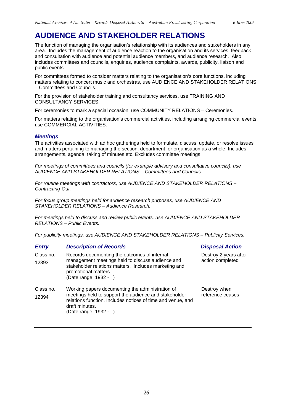The function of managing the organisation's relationship with its audiences and stakeholders in any area. Includes the management of audience reaction to the organisation and its services, feedback and consultation with audience and potential audience members, and audience research. Also includes committees and councils, enquiries, audience complaints, awards, publicity, liaison and public events.

For committees formed to consider matters relating to the organisation's core functions, including matters relating to concert music and orchestras, use AUDIENCE AND STAKEHOLDER RELATIONS – Committees and Councils.

For the provision of stakeholder training and consultancy services, use TRAINING AND CONSULTANCY SERVICES.

For ceremonies to mark a special occasion, use COMMUNITY RELATIONS – Ceremonies.

For matters relating to the organisation's commercial activities, including arranging commercial events, use COMMERCIAL ACTIVITIES.

#### *Meetings*

The activities associated with ad hoc gatherings held to formulate, discuss, update, or resolve issues and matters pertaining to managing the section, department, or organisation as a whole. Includes arrangements, agenda, taking of minutes etc. Excludes committee meetings.

*For meetings of committees and councils (for example advisory and consultative councils), use AUDIENCE AND STAKEHOLDER RELATIONS – Committees and Councils.* 

*For routine meetings with contractors, use AUDIENCE AND STAKEHOLDER RELATIONS – Contracting-Out.* 

*For focus group meetings held for audience research purposes, use AUDIENCE AND STAKEHOLDER RELATIONS – Audience Research.* 

*For meetings held to discuss and review public events, use AUDIENCE AND STAKEHOLDER RELATIONS – Public Events.* 

*For publicity meetings, use AUDIENCE AND STAKEHOLDER RELATIONS – Publicity Services.*

#### *Entry Description of Records Disposal Action*

| Class no.<br>12393 | Records documenting the outcomes of internal<br>management meetings held to discuss audience and<br>stakeholder relations matters. Includes marketing and<br>promotional matters.<br>(Date range: 1932 - )          | Destroy 2 years after<br>action completed |
|--------------------|---------------------------------------------------------------------------------------------------------------------------------------------------------------------------------------------------------------------|-------------------------------------------|
| Class no.<br>12394 | Working papers documenting the administration of<br>meetings held to support the audience and stakeholder<br>relations function. Includes notices of time and venue, and<br>draft minutes.<br>(Date range: 1932 - ) | Destroy when<br>reference ceases          |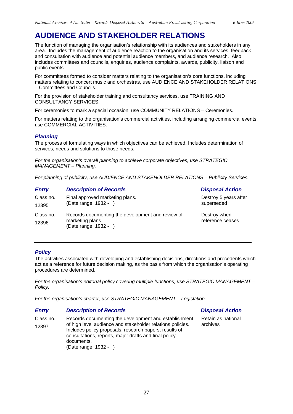The function of managing the organisation's relationship with its audiences and stakeholders in any area. Includes the management of audience reaction to the organisation and its services, feedback and consultation with audience and potential audience members, and audience research. Also includes committees and councils, enquiries, audience complaints, awards, publicity, liaison and public events.

For committees formed to consider matters relating to the organisation's core functions, including matters relating to concert music and orchestras, use AUDIENCE AND STAKEHOLDER RELATIONS – Committees and Councils.

For the provision of stakeholder training and consultancy services, use TRAINING AND CONSULTANCY SERVICES.

For ceremonies to mark a special occasion, use COMMUNITY RELATIONS – Ceremonies.

For matters relating to the organisation's commercial activities, including arranging commercial events, use COMMERCIAL ACTIVITIES.

#### *Planning*

The process of formulating ways in which objectives can be achieved. Includes determination of services, needs and solutions to those needs.

*For the organisation's overall planning to achieve corporate objectives, use STRATEGIC MANAGEMENT – Planning.* 

*For planning of publicity, use AUDIENCE AND STAKEHOLDER RELATIONS – Publicity Services.*

| <b>Entry</b>       | <b>Description of Records</b>                                                                  | <b>Disposal Action</b>              |
|--------------------|------------------------------------------------------------------------------------------------|-------------------------------------|
| Class no.<br>12395 | Final approved marketing plans.<br>(Date range: 1932 - )                                       | Destroy 5 years after<br>superseded |
| Class no.<br>12396 | Records documenting the development and review of<br>marketing plans.<br>(Date range: 1932 - ) | Destroy when<br>reference ceases    |

#### *Policy*

The activities associated with developing and establishing decisions, directions and precedents which act as a reference for future decision making, as the basis from which the organisation's operating procedures are determined.

*For the organisation's editorial policy covering multiple functions, use STRATEGIC MANAGEMENT – Policy.* 

*For the organisation's charter, use STRATEGIC MANAGEMENT – Legislation.*

#### *Entry Description of Records Disposal Action*

Class no. 12397 Records documenting the development and establishment of high level audience and stakeholder relations policies. Includes policy proposals, research papers, results of consultations, reports, major drafts and final policy documents. (Date range: 1932 - )

Retain as national archives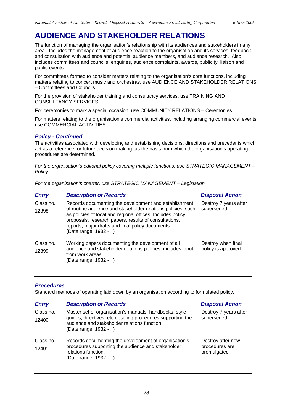The function of managing the organisation's relationship with its audiences and stakeholders in any area. Includes the management of audience reaction to the organisation and its services, feedback and consultation with audience and potential audience members, and audience research. Also includes committees and councils, enquiries, audience complaints, awards, publicity, liaison and public events.

For committees formed to consider matters relating to the organisation's core functions, including matters relating to concert music and orchestras, use AUDIENCE AND STAKEHOLDER RELATIONS – Committees and Councils.

For the provision of stakeholder training and consultancy services, use TRAINING AND CONSULTANCY SERVICES.

For ceremonies to mark a special occasion, use COMMUNITY RELATIONS – Ceremonies.

For matters relating to the organisation's commercial activities, including arranging commercial events, use COMMERCIAL ACTIVITIES.

#### *Policy - Continued*

The activities associated with developing and establishing decisions, directions and precedents which act as a reference for future decision making, as the basis from which the organisation's operating procedures are determined.

*For the organisation's editorial policy covering multiple functions, use STRATEGIC MANAGEMENT – Policy.* 

*For the organisation's charter, use STRATEGIC MANAGEMENT – Legislation.* 

#### *Entry Description of Records Disposal Action*

Class no. 12398 Records documenting the development and establishment of routine audience and stakeholder relations policies, such as policies of local and regional offices. Includes policy proposals, research papers, results of consultations, reports, major drafts and final policy documents. (Date range: 1932 - ) Destroy 7 years after superseded Class no. Working papers documenting the development of all

12399 audience and stakeholder relations policies, includes input from work areas. (Date range: 1932 - ) Destroy when final policy is approved

#### *Procedures*

Standard methods of operating laid down by an organisation according to formulated policy.

#### *Entry Description of Records Disposal Action*

| Class no.<br>12400 | Master set of organisation's manuals, handbooks, style<br>guides, directives, etc detailing procedures supporting the<br>audience and stakeholder relations function.<br>(Date range: 1932 - ) | Destroy 7 years after<br>superseded                |
|--------------------|------------------------------------------------------------------------------------------------------------------------------------------------------------------------------------------------|----------------------------------------------------|
| Class no.<br>12401 | Records documenting the development of organisation's<br>procedures supporting the audience and stakeholder<br>relations function.<br>(Date range: 1932 - )                                    | Destroy after new<br>procedures are<br>promulgated |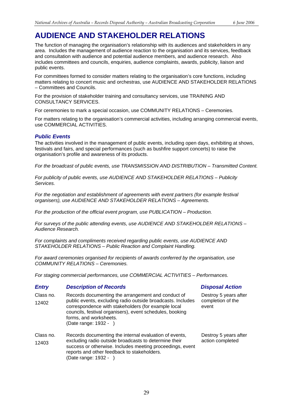The function of managing the organisation's relationship with its audiences and stakeholders in any area. Includes the management of audience reaction to the organisation and its services, feedback and consultation with audience and potential audience members, and audience research. Also includes committees and councils, enquiries, audience complaints, awards, publicity, liaison and public events.

For committees formed to consider matters relating to the organisation's core functions, including matters relating to concert music and orchestras, use AUDIENCE AND STAKEHOLDER RELATIONS – Committees and Councils.

For the provision of stakeholder training and consultancy services, use TRAINING AND CONSULTANCY SERVICES.

For ceremonies to mark a special occasion, use COMMUNITY RELATIONS – Ceremonies.

For matters relating to the organisation's commercial activities, including arranging commercial events, use COMMERCIAL ACTIVITIES.

#### *Public Events*

The activities involved in the management of public events, including open days, exhibiting at shows, festivals and fairs, and special performances (such as bushfire support concerts) to raise the organisation's profile and awareness of its products.

*For the broadcast of public events, use TRANSMISSION AND DISTRIBUTION – Transmitted Content.* 

*For publicity of public events, use AUDIENCE AND STAKEHOLDER RELATIONS – Publicity Services.* 

For the negotiation and establishment of agreements with event partners (for example festival *organisers), use AUDIENCE AND STAKEHOLDER RELATIONS – Agreements.* 

*For the production of the official event program, use PUBLICATION – Production.* 

*For surveys of the public attending events, use AUDIENCE AND STAKEHOLDER RELATIONS – Audience Research.* 

For complaints and compliments received regarding public events, use AUDIENCE AND *STAKEHOLDER RELATIONS – Public Reaction and Complaint Handling.* 

*For award ceremonies organised for recipients of awards conferred by the organisation, use COMMUNITY RELATIONS – Ceremonies.* 

*For staging commercial performances, use COMMERCIAL ACTIVITIES – Performances.* 

#### *Entry Description of Records Disposal Action*

- Class no. 12402 Records documenting the arrangement and conduct of public events, excluding radio outside broadcasts. Includes correspondence with stakeholders (for example local councils, festival organisers), event schedules, booking forms, and worksheets. (Date range: 1932 - )
- Class no. 12403 Records documenting the internal evaluation of events, excluding radio outside broadcasts to determine their success or otherwise. Includes meeting proceedings, event reports and other feedback to stakeholders. (Date range: 1932 - ) Destroy 5 years after action completed

Destroy 5 years after completion of the event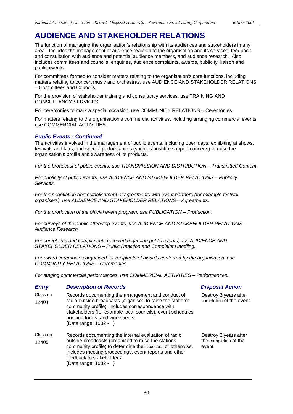The function of managing the organisation's relationship with its audiences and stakeholders in any area. Includes the management of audience reaction to the organisation and its services, feedback and consultation with audience and potential audience members, and audience research. Also includes committees and councils, enquiries, audience complaints, awards, publicity, liaison and public events.

For committees formed to consider matters relating to the organisation's core functions, including matters relating to concert music and orchestras, use AUDIENCE AND STAKEHOLDER RELATIONS – Committees and Councils.

For the provision of stakeholder training and consultancy services, use TRAINING AND CONSULTANCY SERVICES.

For ceremonies to mark a special occasion, use COMMUNITY RELATIONS – Ceremonies.

For matters relating to the organisation's commercial activities, including arranging commercial events, use COMMERCIAL ACTIVITIES.

#### *Public Events - Continued*

The activities involved in the management of public events, including open days, exhibiting at shows, festivals and fairs, and special performances (such as bushfire support concerts) to raise the organisation's profile and awareness of its products.

*For the broadcast of public events, use TRANSMISSION AND DISTRIBUTION – Transmitted Content.* 

*For publicity of public events, use AUDIENCE AND STAKEHOLDER RELATIONS – Publicity Services.* 

For the negotiation and establishment of agreements with event partners (for example festival *organisers), use AUDIENCE AND STAKEHOLDER RELATIONS – Agreements.* 

*For the production of the official event program, use PUBLICATION – Production.* 

*For surveys of the public attending events, use AUDIENCE AND STAKEHOLDER RELATIONS – Audience Research.* 

For complaints and compliments received regarding public events, use AUDIENCE AND *STAKEHOLDER RELATIONS – Public Reaction and Complaint Handling.* 

*For award ceremonies organised for recipients of awards conferred by the organisation, use COMMUNITY RELATIONS – Ceremonies.* 

*For staging commercial performances, use COMMERCIAL ACTIVITIES – Performances.* 

#### *Entry Description of Records Disposal Action*

- Class no. 12404 Records documenting the arrangement and conduct of radio outside broadcasts (organised to raise the station's community profile). Includes correspondence with stakeholders (for example local councils), event schedules, booking forms, and worksheets. (Date range: 1932 - ) Class no. Records documenting the internal evaluation of radio
- 12405. outside broadcasts (organised to raise the stations community profile) to determine their success or otherwise. Includes meeting proceedings, event reports and other feedback to stakeholders. (Date range: 1932 - )

Destroy 2 years after completion of the event

Destroy 2 years after the completion of the event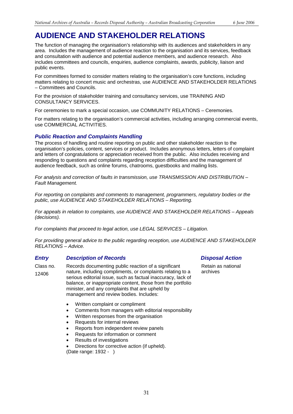The function of managing the organisation's relationship with its audiences and stakeholders in any area. Includes the management of audience reaction to the organisation and its services, feedback and consultation with audience and potential audience members, and audience research. Also includes committees and councils, enquiries, audience complaints, awards, publicity, liaison and public events.

For committees formed to consider matters relating to the organisation's core functions, including matters relating to concert music and orchestras, use AUDIENCE AND STAKEHOLDER RELATIONS – Committees and Councils.

For the provision of stakeholder training and consultancy services, use TRAINING AND CONSULTANCY SERVICES.

For ceremonies to mark a special occasion, use COMMUNITY RELATIONS – Ceremonies.

For matters relating to the organisation's commercial activities, including arranging commercial events, use COMMERCIAL ACTIVITIES.

#### *Public Reaction and Complaints Handling*

The process of handling and routine reporting on public and other stakeholder reaction to the organisation's policies, content, services or product. Includes anonymous letters, letters of complaint and letters of congratulations or appreciation received from the public. Also includes receiving and responding to questions and complaints regarding reception difficulties and the management of audience feedback, such as online forums, chatrooms, guestbooks and mailing lists.

*For analysis and correction of faults in transmission, use TRANSMISSION AND DISTRIBUTION – Fault Management.* 

*For reporting on complaints and comments to management, programmers, regulatory bodies or the public, use AUDIENCE AND STAKEHOLDER RELATIONS – Reporting.* 

*For appeals in relation to complaints, use AUDIENCE AND STAKEHOLDER RELATIONS – Appeals (decisions).* 

*For complaints that proceed to legal action, use LEGAL SERVICES – Litigation.* 

*For providing general advice to the public regarding reception, use AUDIENCE AND STAKEHOLDER RELATIONS – Advice.* 

#### *Entry Description of Records Disposal Action*

Class no.

12406

Records documenting public reaction of a significant nature, including compliments, or complaints relating to a serious editorial issue, such as factual inaccuracy, lack of balance, or inappropriate content, those from the portfolio minister, and any complaints that are upheld by management and review bodies. Includes:

- Written complaint or compliment
- Comments from managers with editorial responsibility
- Written responses from the organisation
- Requests for internal reviews
- Reports from independent review panels
- Requests for information or comment
- Results of investigations
- Directions for corrective action (if upheld).

(Date range: 1932 - )

Retain as national archives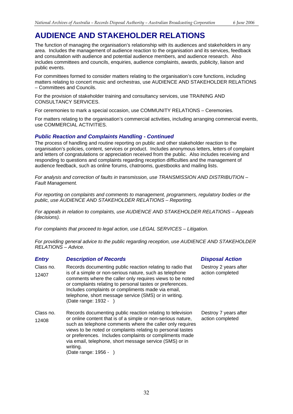The function of managing the organisation's relationship with its audiences and stakeholders in any area. Includes the management of audience reaction to the organisation and its services, feedback and consultation with audience and potential audience members, and audience research. Also includes committees and councils, enquiries, audience complaints, awards, publicity, liaison and public events.

For committees formed to consider matters relating to the organisation's core functions, including matters relating to concert music and orchestras, use AUDIENCE AND STAKEHOLDER RELATIONS – Committees and Councils.

For the provision of stakeholder training and consultancy services, use TRAINING AND CONSULTANCY SERVICES.

For ceremonies to mark a special occasion, use COMMUNITY RELATIONS – Ceremonies.

For matters relating to the organisation's commercial activities, including arranging commercial events, use COMMERCIAL ACTIVITIES.

#### *Public Reaction and Complaints Handling - Continued*

The process of handling and routine reporting on public and other stakeholder reaction to the organisation's policies, content, services or product. Includes anonymous letters, letters of complaint and letters of congratulations or appreciation received from the public. Also includes receiving and responding to questions and complaints regarding reception difficulties and the management of audience feedback, such as online forums, chatrooms, guestbooks and mailing lists.

*For analysis and correction of faults in transmission, use TRANSMISSION AND DISTRIBUTION – Fault Management.* 

*For reporting on complaints and comments to management, programmers, regulatory bodies or the public, use AUDIENCE AND STAKEHOLDER RELATIONS – Reporting.* 

*For appeals in relation to complaints, use AUDIENCE AND STAKEHOLDER RELATIONS – Appeals (decisions).* 

*For complaints that proceed to legal action, use LEGAL SERVICES – Litigation.* 

*For providing general advice to the public regarding reception, use AUDIENCE AND STAKEHOLDER RELATIONS – Advice.* 

#### *Entry Description of Records Disposal Action*

- Class no. 12407 Records documenting public reaction relating to radio that is of a simple or non-serious nature, such as telephone comments where the caller only requires views to be noted or complaints relating to personal tastes or preferences. Includes complaints or compliments made via email, telephone, short message service (SMS) or in writing. (Date range: 1932 - )
- Class no. 12408 Records documenting public reaction relating to television or online content that is of a simple or non-serious nature, such as telephone comments where the caller only requires views to be noted or complaints relating to personal tastes or preferences. Includes complaints or compliments made via email, telephone, short message service (SMS) or in writing. (Date range: 1956 - )

Destroy 2 years after action completed

Destroy 7 years after action completed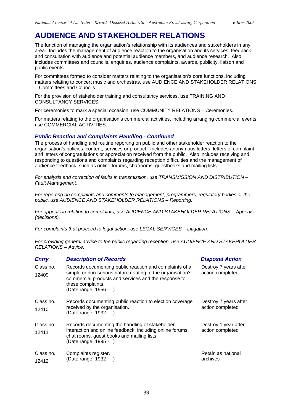The function of managing the organisation's relationship with its audiences and stakeholders in any area. Includes the management of audience reaction to the organisation and its services, feedback and consultation with audience and potential audience members, and audience research. Also includes committees and councils, enquiries, audience complaints, awards, publicity, liaison and public events.

For committees formed to consider matters relating to the organisation's core functions, including matters relating to concert music and orchestras, use AUDIENCE AND STAKEHOLDER RELATIONS – Committees and Councils.

For the provision of stakeholder training and consultancy services, use TRAINING AND CONSULTANCY SERVICES.

For ceremonies to mark a special occasion, use COMMUNITY RELATIONS – Ceremonies.

For matters relating to the organisation's commercial activities, including arranging commercial events, use COMMERCIAL ACTIVITIES.

#### *Public Reaction and Complaints Handling - Continued*

The process of handling and routine reporting on public and other stakeholder reaction to the organisation's policies, content, services or product. Includes anonymous letters, letters of complaint and letters of congratulations or appreciation received from the public. Also includes receiving and responding to questions and complaints regarding reception difficulties and the management of audience feedback, such as online forums, chatrooms, guestbooks and mailing lists.

*For analysis and correction of faults in transmission, use TRANSMISSION AND DISTRIBUTION – Fault Management.* 

*For reporting on complaints and comments to management, programmers, regulatory bodies or the public, use AUDIENCE AND STAKEHOLDER RELATIONS – Reporting.* 

*For appeals in relation to complaints, use AUDIENCE AND STAKEHOLDER RELATIONS – Appeals (decisions).* 

*For complaints that proceed to legal action, use LEGAL SERVICES – Litigation.* 

*For providing general advice to the public regarding reception, use AUDIENCE AND STAKEHOLDER RELATIONS – Advice.* 

| <b>Entry</b>       | <b>Description of Records</b>                                                                                                                                                                                                | <b>Disposal Action</b>                    |
|--------------------|------------------------------------------------------------------------------------------------------------------------------------------------------------------------------------------------------------------------------|-------------------------------------------|
| Class no.          | Records documenting public reaction and complaints of a<br>simple or non-serious nature relating to the organisation's<br>commercial products and services and the response to<br>these complaints.<br>(Date range: 1956 - ) | Destroy 7 years after<br>action completed |
| 12409              |                                                                                                                                                                                                                              |                                           |
| Class no.          | Records documenting public reaction to election coverage                                                                                                                                                                     | Destroy 7 years after                     |
| 12410              | received by the organisation.<br>(Date range: 1932 - )                                                                                                                                                                       | action completed                          |
| Class no.<br>12411 | Records documenting the handling of stakeholder<br>interaction and online feedback, including online forums,<br>chat rooms, guest books and mailing lists.<br>(Date range: 1995 - )                                          | Destroy 1 year after<br>action completed  |
| Class no.<br>12412 | Complaints register.<br>(Date range: 1932 - )                                                                                                                                                                                | Retain as national<br>archives            |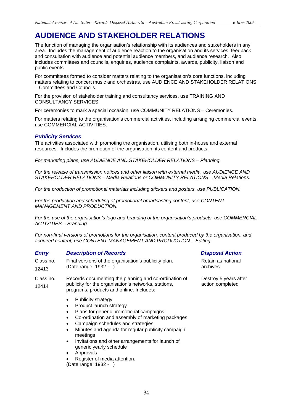The function of managing the organisation's relationship with its audiences and stakeholders in any area. Includes the management of audience reaction to the organisation and its services, feedback and consultation with audience and potential audience members, and audience research. Also includes committees and councils, enquiries, audience complaints, awards, publicity, liaison and public events.

For committees formed to consider matters relating to the organisation's core functions, including matters relating to concert music and orchestras, use AUDIENCE AND STAKEHOLDER RELATIONS – Committees and Councils.

For the provision of stakeholder training and consultancy services, use TRAINING AND CONSULTANCY SERVICES.

For ceremonies to mark a special occasion, use COMMUNITY RELATIONS – Ceremonies.

For matters relating to the organisation's commercial activities, including arranging commercial events, use COMMERCIAL ACTIVITIES.

#### *Publicity Services*

The activities associated with promoting the organisation, utilising both in-house and external resources. Includes the promotion of the organisation, its content and products.

*For marketing plans, use AUDIENCE AND STAKEHOLDER RELATIONS – Planning.* 

*For the release of transmission notices and other liaison with external media, use AUDIENCE AND STAKEHOLDER RELATIONS – Media Relations or COMMUNITY RELATIONS – Media Relations.* 

*For the production of promotional materials including stickers and posters, use PUBLICATION.* 

*For the production and scheduling of promotional broadcasting content, use CONTENT MANAGEMENT AND PRODUCTION.* 

*For the use of the organisation's logo and branding of the organisation's products, use COMMERCIAL ACTIVITIES – Branding.* 

*For non-final versions of promotions for the organisation, content produced by the organisation, and acquired content, use CONTENT MANAGEMENT AND PRODUCTION – Editing.*

#### *Entry Description of Records Disposal Action*

| Class no. | Final versions of the organisation's publicity plan. |
|-----------|------------------------------------------------------|
| 12413     | (Date range: 1932 -                                  |

Class no. 12414 Records documenting the planning and co-ordination of publicity for the organisation's networks, stations, programs, products and online. Includes:

- Publicity strategy
- Product launch strategy
- Plans for generic promotional campaigns
- Co-ordination and assembly of marketing packages
- Campaign schedules and strategies
- Minutes and agenda for regular publicity campaign meetings
- Invitations and other arrangements for launch of generic yearly schedule
- **Approvals**
- Register of media attention.

(Date range: 1932 - )

Retain as national archives

Destroy 5 years after action completed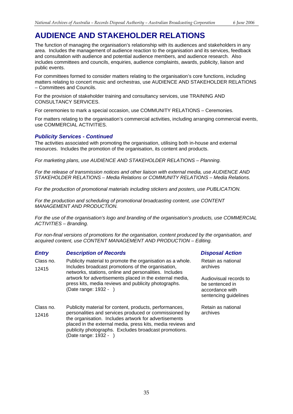The function of managing the organisation's relationship with its audiences and stakeholders in any area. Includes the management of audience reaction to the organisation and its services, feedback and consultation with audience and potential audience members, and audience research. Also includes committees and councils, enquiries, audience complaints, awards, publicity, liaison and public events.

For committees formed to consider matters relating to the organisation's core functions, including matters relating to concert music and orchestras, use AUDIENCE AND STAKEHOLDER RELATIONS – Committees and Councils.

For the provision of stakeholder training and consultancy services, use TRAINING AND CONSULTANCY SERVICES.

For ceremonies to mark a special occasion, use COMMUNITY RELATIONS – Ceremonies.

For matters relating to the organisation's commercial activities, including arranging commercial events, use COMMERCIAL ACTIVITIES.

#### *Publicity Services - Continued*

The activities associated with promoting the organisation, utilising both in-house and external resources. Includes the promotion of the organisation, its content and products.

*For marketing plans, use AUDIENCE AND STAKEHOLDER RELATIONS – Planning.* 

*For the release of transmission notices and other liaison with external media, use AUDIENCE AND STAKEHOLDER RELATIONS – Media Relations or COMMUNITY RELATIONS – Media Relations.* 

*For the production of promotional materials including stickers and posters, use PUBLICATION.* 

*For the production and scheduling of promotional broadcasting content, use CONTENT MANAGEMENT AND PRODUCTION.* 

*For the use of the organisation's logo and branding of the organisation's products, use COMMERCIAL ACTIVITIES – Branding.* 

*For non-final versions of promotions for the organisation, content produced by the organisation, and acquired content, use CONTENT MANAGEMENT AND PRODUCTION – Editing.*

### *Entry Description of Records Disposal Action*

- Class no. 12415 Publicity material to promote the organisation as a whole. Includes broadcast promotions of the organisation, networks, stations, online and personalities. Includes artwork for advertisements placed in the external media, press kits, media reviews and publicity photographs. (Date range: 1932 - )
- Class no. 12416 Publicity material for content, products, performances, personalities and services produced or commissioned by the organisation. Includes artwork for advertisements placed in the external media, press kits, media reviews and publicity photographs. Excludes broadcast promotions. (Date range: 1932 - )

Retain as national archives

Audiovisual records to be sentenced in accordance with sentencing guidelines

Retain as national archives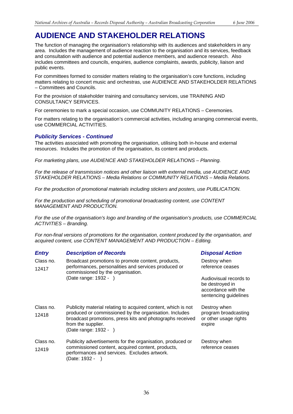The function of managing the organisation's relationship with its audiences and stakeholders in any area. Includes the management of audience reaction to the organisation and its services, feedback and consultation with audience and potential audience members, and audience research. Also includes committees and councils, enquiries, audience complaints, awards, publicity, liaison and public events.

For committees formed to consider matters relating to the organisation's core functions, including matters relating to concert music and orchestras, use AUDIENCE AND STAKEHOLDER RELATIONS – Committees and Councils.

For the provision of stakeholder training and consultancy services, use TRAINING AND CONSULTANCY SERVICES.

For ceremonies to mark a special occasion, use COMMUNITY RELATIONS – Ceremonies.

For matters relating to the organisation's commercial activities, including arranging commercial events, use COMMERCIAL ACTIVITIES.

#### *Publicity Services - Continued*

The activities associated with promoting the organisation, utilising both in-house and external resources. Includes the promotion of the organisation, its content and products.

*For marketing plans, use AUDIENCE AND STAKEHOLDER RELATIONS – Planning.* 

*For the release of transmission notices and other liaison with external media, use AUDIENCE AND STAKEHOLDER RELATIONS – Media Relations or COMMUNITY RELATIONS – Media Relations.* 

*For the production of promotional materials including stickers and posters, use PUBLICATION.* 

*For the production and scheduling of promotional broadcasting content, use CONTENT MANAGEMENT AND PRODUCTION.* 

*For the use of the organisation's logo and branding of the organisation's products, use COMMERCIAL ACTIVITIES – Branding.* 

*For non-final versions of promotions for the organisation, content produced by the organisation, and acquired content, use CONTENT MANAGEMENT AND PRODUCTION – Editing.*

#### *Entry Description of Records Disposal Action*

| Class no. | Broadcast promotions to promote content, products,                                                                                                                 | Destroy when                                                                              |
|-----------|--------------------------------------------------------------------------------------------------------------------------------------------------------------------|-------------------------------------------------------------------------------------------|
| 12417     | performances, personalities and services produced or<br>commissioned by the organisation.<br>(Date range: 1932 - )                                                 | reference ceases                                                                          |
|           |                                                                                                                                                                    | Audiovisual records to<br>be destroyed in<br>accordance with the<br>sentencing guidelines |
| Class no. | Publicity material relating to acquired content, which is not                                                                                                      | Destroy when                                                                              |
| 12418     | produced or commissioned by the organisation. Includes<br>broadcast promotions, press kits and photographs received<br>from the supplier.<br>(Date range: 1932 - ) | program broadcasting<br>or other usage rights<br>expire                                   |
| Class no. | Publicity advertisements for the organisation, produced or                                                                                                         | Destroy when                                                                              |
| 12419     | commissioned content, acquired content, products,<br>performances and services. Excludes artwork.<br>(Date: 1932 -                                                 | reference ceases                                                                          |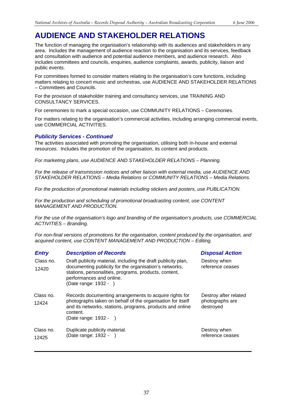The function of managing the organisation's relationship with its audiences and stakeholders in any area. Includes the management of audience reaction to the organisation and its services, feedback and consultation with audience and potential audience members, and audience research. Also includes committees and councils, enquiries, audience complaints, awards, publicity, liaison and public events.

For committees formed to consider matters relating to the organisation's core functions, including matters relating to concert music and orchestras, use AUDIENCE AND STAKEHOLDER RELATIONS – Committees and Councils.

For the provision of stakeholder training and consultancy services, use TRAINING AND CONSULTANCY SERVICES.

For ceremonies to mark a special occasion, use COMMUNITY RELATIONS – Ceremonies.

For matters relating to the organisation's commercial activities, including arranging commercial events, use COMMERCIAL ACTIVITIES.

## *Publicity Services - Continued*

The activities associated with promoting the organisation, utilising both in-house and external resources. Includes the promotion of the organisation, its content and products.

*For marketing plans, use AUDIENCE AND STAKEHOLDER RELATIONS – Planning.* 

*For the release of transmission notices and other liaison with external media, use AUDIENCE AND STAKEHOLDER RELATIONS – Media Relations or COMMUNITY RELATIONS – Media Relations.* 

*For the production of promotional materials including stickers and posters, use PUBLICATION.* 

*For the production and scheduling of promotional broadcasting content, use CONTENT MANAGEMENT AND PRODUCTION.* 

*For the use of the organisation's logo and branding of the organisation's products, use COMMERCIAL ACTIVITIES – Branding.* 

*For non-final versions of promotions for the organisation, content produced by the organisation, and acquired content, use CONTENT MANAGEMENT AND PRODUCTION – Editing.*

| <b>Entry</b>       | <b>Description of Records</b>                                                                                                                                                                                                         | <b>Disposal Action</b>                                |
|--------------------|---------------------------------------------------------------------------------------------------------------------------------------------------------------------------------------------------------------------------------------|-------------------------------------------------------|
| Class no.<br>12420 | Draft publicity material, including the draft publicity plan,<br>documenting publicity for the organisation's networks,<br>stations, personalities, programs, products, content,<br>performances and online.<br>(Date range: 1932 - ) | Destroy when<br>reference ceases                      |
| Class no.<br>12424 | Records documenting arrangements to acquire rights for<br>photographs taken on behalf of the organisation for itself<br>and its networks, stations, programs, products and online<br>content.<br>(Date range: 1932 - )                | Destroy after related<br>photographs are<br>destroyed |
| Class no.<br>12425 | Duplicate publicity material.<br>(Date range: 1932 - )                                                                                                                                                                                | Destroy when<br>reference ceases                      |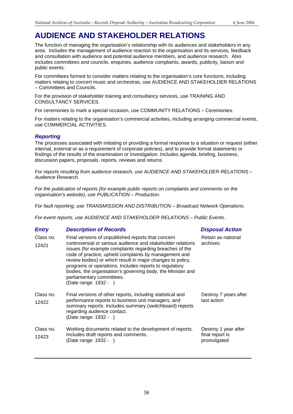The function of managing the organisation's relationship with its audiences and stakeholders in any area. Includes the management of audience reaction to the organisation and its services, feedback and consultation with audience and potential audience members, and audience research. Also includes committees and councils, enquiries, audience complaints, awards, publicity, liaison and public events.

For committees formed to consider matters relating to the organisation's core functions, including matters relating to concert music and orchestras, use AUDIENCE AND STAKEHOLDER RELATIONS – Committees and Councils.

For the provision of stakeholder training and consultancy services, use TRAINING AND CONSULTANCY SERVICES.

For ceremonies to mark a special occasion, use COMMUNITY RELATIONS – Ceremonies.

For matters relating to the organisation's commercial activities, including arranging commercial events, use COMMERCIAL ACTIVITIES.

## *Reporting*

The processes associated with initiating or providing a formal response to a situation or request (either internal, external or as a requirement of corporate policies), and to provide formal statements or findings of the results of the examination or investigation. Includes agenda, briefing, business, discussion papers, proposals, reports, reviews and returns.

*For reports resulting from audience research, use AUDIENCE AND STAKEHOLDER RELATIONS – Audience Research.* 

*For the publication of reports (for example public reports on complaints and comments on the organisation's website), use PUBLICATION – Production.* 

*For fault reporting, use TRANSMISSION AND DISTRIBUTION – Broadcast Network Operations.* 

*For event reports, use AUDIENCE AND STAKEHOLDER RELATIONS – Public Events.* 

## *Entry Description of Records Disposal Action*

| Class no.<br>12421 | Final versions of unpublished reports that concern<br>controversial or serious audience and stakeholder relations<br>issues (for example complaints regarding breaches of the<br>code of practice, upheld complaints by management and<br>review bodies) or which result in major changes to policy,<br>programs or operations. Includes reports to regulatory<br>bodies, the organisation's governing body, the Minister and<br>parliamentary committees.<br>(Date range: 1932 - ) | Retain as national<br>archives                         |
|--------------------|-------------------------------------------------------------------------------------------------------------------------------------------------------------------------------------------------------------------------------------------------------------------------------------------------------------------------------------------------------------------------------------------------------------------------------------------------------------------------------------|--------------------------------------------------------|
| Class no.<br>12422 | Final versions of other reports, including statistical and<br>performance reports to business unit managers, and<br>summary reports. Includes summary (switchboard) reports<br>regarding audience contact.<br>(Date range: 1932 - )                                                                                                                                                                                                                                                 | Destroy 7 years after<br>last action                   |
| Class no.<br>12423 | Working documents related to the development of reports.<br>Includes draft reports and comments.<br>(Date range: 1932 - )                                                                                                                                                                                                                                                                                                                                                           | Destroy 1 year after<br>final report is<br>promulgated |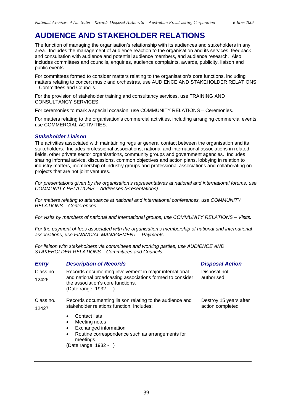The function of managing the organisation's relationship with its audiences and stakeholders in any area. Includes the management of audience reaction to the organisation and its services, feedback and consultation with audience and potential audience members, and audience research. Also includes committees and councils, enquiries, audience complaints, awards, publicity, liaison and public events.

For committees formed to consider matters relating to the organisation's core functions, including matters relating to concert music and orchestras, use AUDIENCE AND STAKEHOLDER RELATIONS – Committees and Councils.

For the provision of stakeholder training and consultancy services, use TRAINING AND CONSULTANCY SERVICES.

For ceremonies to mark a special occasion, use COMMUNITY RELATIONS – Ceremonies.

For matters relating to the organisation's commercial activities, including arranging commercial events, use COMMERCIAL ACTIVITIES.

## *Stakeholder Liaison*

The activities associated with maintaining regular general contact between the organisation and its stakeholders. Includes professional associations, national and international associations in related fields, other private sector organisations, community groups and government agencies. Includes sharing informal advice, discussions, common objectives and action plans, lobbying in relation to industry matters, membership of industry groups and professional associations and collaborating on projects that are not joint ventures.

*For presentations given by the organisation's representatives at national and international forums, use COMMUNITY RELATIONS – Addresses (Presentations).* 

*For matters relating to attendance at national and international conferences, use COMMUNITY RELATIONS – Conferences.* 

*For visits by members of national and international groups, use COMMUNITY RELATIONS – Visits.* 

*For the payment of fees associated with the organisation's membership of national and international associations, use FINANCIAL MANAGEMENT – Payments.* 

*For liaison with stakeholders via committees and working parties, use AUDIENCE AND STAKEHOLDER RELATIONS – Committees and Councils.* 

## *Entry Description of Records Disposal Action*

| Class no. | Records documenting involvement in major international    | Disposal n |
|-----------|-----------------------------------------------------------|------------|
| 12426     | and national broadcasting associations formed to consider | authorised |
|           | the association's core functions.                         |            |
|           | $(Date range; 1932 - )$                                   |            |
|           |                                                           |            |

- Class no. 12427 Records documenting liaison relating to the audience and stakeholder relations function. Includes:
	- Contact lists
	- **Meeting notes**
	- Exchanged information
	- Routine correspondence such as arrangements for meetings.

(Date range: 1932 - )

not authorised

Destroy 15 years after action completed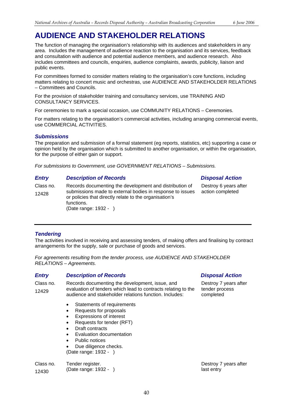The function of managing the organisation's relationship with its audiences and stakeholders in any area. Includes the management of audience reaction to the organisation and its services, feedback and consultation with audience and potential audience members, and audience research. Also includes committees and councils, enquiries, audience complaints, awards, publicity, liaison and public events.

For committees formed to consider matters relating to the organisation's core functions, including matters relating to concert music and orchestras, use AUDIENCE AND STAKEHOLDER RELATIONS – Committees and Councils.

For the provision of stakeholder training and consultancy services, use TRAINING AND CONSULTANCY SERVICES.

For ceremonies to mark a special occasion, use COMMUNITY RELATIONS – Ceremonies.

For matters relating to the organisation's commercial activities, including arranging commercial events, use COMMERCIAL ACTIVITIES.

## *Submissions*

The preparation and submission of a formal statement (eg reports, statistics, etc) supporting a case or opinion held by the organisation which is submitted to another organisation, or within the organisation, for the purpose of either gain or support.

*For submissions to Government, use GOVERNMENT RELATIONS – Submissions.* 

## *Entry Description of Records Disposal Action*

Class no. 12428 Records documenting the development and distribution of submissions made to external bodies in response to issues or policies that directly relate to the organisation's functions. (Date range: 1932 - )

Destroy 6 years after action completed

## *Tendering*

The activities involved in receiving and assessing tenders, of making offers and finalising by contract arrangements for the supply, sale or purchase of goods and services.

*For agreements resulting from the tender process, use AUDIENCE AND STAKEHOLDER RELATIONS – Agreements.* 

## *Entry Description of Records Disposal Action*

Class no. 12429 Records documenting the development, issue, and evaluation of tenders which lead to contracts relating to the audience and stakeholder relations function. Includes:

- Statements of requirements
- Requests for proposals
- Expressions of interest
- Requests for tender (RFT)
- Draft contracts
- Evaluation documentation
- Public notices
- Due diligence checks.
- (Date range: 1932 )

Class no. Tender register.

12430 (Date range: 1932 - )

Destroy 7 years after tender process completed

Destroy 7 years after last entry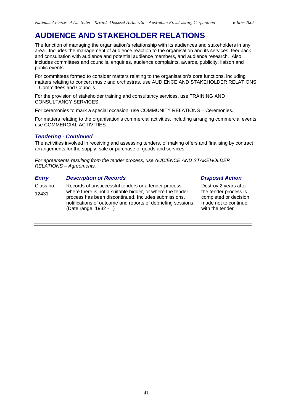The function of managing the organisation's relationship with its audiences and stakeholders in any area. Includes the management of audience reaction to the organisation and its services, feedback and consultation with audience and potential audience members, and audience research. Also includes committees and councils, enquiries, audience complaints, awards, publicity, liaison and public events.

For committees formed to consider matters relating to the organisation's core functions, including matters relating to concert music and orchestras, use AUDIENCE AND STAKEHOLDER RELATIONS – Committees and Councils.

For the provision of stakeholder training and consultancy services, use TRAINING AND CONSULTANCY SERVICES.

For ceremonies to mark a special occasion, use COMMUNITY RELATIONS – Ceremonies.

For matters relating to the organisation's commercial activities, including arranging commercial events, use COMMERCIAL ACTIVITIES.

## *Tendering - Continued*

The activities involved in receiving and assessing tenders, of making offers and finalising by contract arrangements for the supply, sale or purchase of goods and services.

*For agreements resulting from the tender process, use AUDIENCE AND STAKEHOLDER RELATIONS – Agreements.* 

## *Entry Description of Records Disposal Action*

Class no. 12431 Records of unsuccessful tenders or a tender process where there is not a suitable bidder, or where the tender process has been discontinued. Includes submissions, notifications of outcome and reports of debriefing sessions. (Date range: 1932 - )

Destroy 2 years after the tender process is completed or decision made not to continue with the tender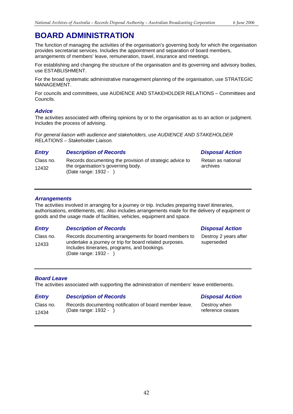The function of managing the activities of the organisation's governing body for which the organisation provides secretariat services. Includes the appointment and separation of board members, arrangements of members' leave, remuneration, travel, insurance and meetings.

For establishing and changing the structure of the organisation and its governing and advisory bodies, use ESTABLISHMENT.

For the broad systematic administrative management planning of the organisation, use STRATEGIC MANAGEMENT.

For councils and committees, use AUDIENCE AND STAKEHOLDER RELATIONS – Committees and Councils.

## *Advice*

The activities associated with offering opinions by or to the organisation as to an action or judgment. Includes the process of advising.

*For general liaison with audience and stakeholders, use AUDIENCE AND STAKEHOLDER RELATIONS – Stakeholder Liaison.*

## *Entry Description of Records Disposal Action*

Class no. 12432 Records documenting the provision of strategic advice to the organisation's governing body. (Date range: 1932 - )

Retain as national archives

## *Arrangements*

The activities involved in arranging for a journey or trip. Includes preparing travel itineraries, authorisations, entitlements, etc. Also includes arrangements made for the delivery of equipment or goods and the usage made of facilities, vehicles, equipment and space.

## *Entry Description of Records Disposal Action*

Class no. 12433 Records documenting arrangements for board members to undertake a journey or trip for board related purposes. Includes itineraries, programs, and bookings. (Date range: 1932 - )

Destroy 2 years after superseded

### *Board Leave*

The activities associated with supporting the administration of members' leave entitlements.

## *Entry Description of Records Disposal Action*

Class no. 12434 Records documenting notification of board member leave. (Date range: 1932 - )

Destroy when reference ceases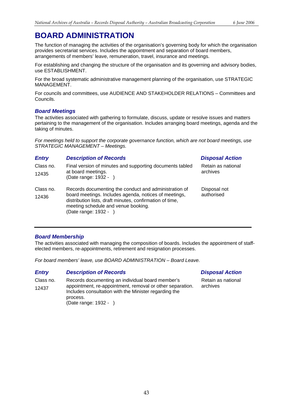The function of managing the activities of the organisation's governing body for which the organisation provides secretariat services. Includes the appointment and separation of board members, arrangements of members' leave, remuneration, travel, insurance and meetings.

For establishing and changing the structure of the organisation and its governing and advisory bodies, use ESTABLISHMENT.

For the broad systematic administrative management planning of the organisation, use STRATEGIC MANAGEMENT.

For councils and committees, use AUDIENCE AND STAKEHOLDER RELATIONS – Committees and Councils.

## *Board Meetings*

The activities associated with gathering to formulate, discuss, update or resolve issues and matters pertaining to the management of the organisation. Includes arranging board meetings, agenda and the taking of minutes.

*For meetings held to support the corporate governance function, which are not board meetings, use STRATEGIC MANAGEMENT – Meetings.*

## *Entry Description of Records Disposal Action*

| Class no.<br>12435 | Final version of minutes and supporting documents tabled<br>at board meetings.<br>(Date range: 1932 - )                                                                                                                                    | Retain as national<br>archives |
|--------------------|--------------------------------------------------------------------------------------------------------------------------------------------------------------------------------------------------------------------------------------------|--------------------------------|
| Class no.<br>12436 | Records documenting the conduct and administration of<br>board meetings. Includes agenda, notices of meetings,<br>distribution lists, draft minutes, confirmation of time,<br>meeting schedule and venue booking.<br>(Date range: 1932 - ) | Disposal not<br>authorised     |

## *Board Membership*

The activities associated with managing the composition of boards. Includes the appointment of staffelected members, re-appointments, retirement and resignation processes.

*For board members' leave, use BOARD ADMINISTRATION – Board Leave.*

## *Entry Description of Records Disposal Action*

| Class no. | Records documenting an individual board member's                                                                   |
|-----------|--------------------------------------------------------------------------------------------------------------------|
| 12437     | appointment, re-appointment, removal or other separation.<br>Includes consultation with the Minister regarding the |
|           | process.                                                                                                           |
|           | (Date range: 1932 - )                                                                                              |

Retain as national archives

43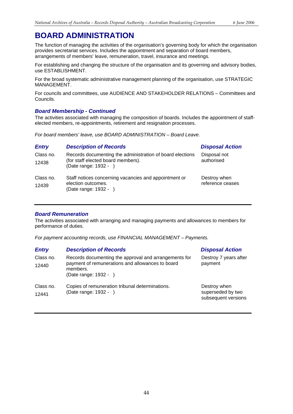The function of managing the activities of the organisation's governing body for which the organisation provides secretariat services. Includes the appointment and separation of board members, arrangements of members' leave, remuneration, travel, insurance and meetings.

For establishing and changing the structure of the organisation and its governing and advisory bodies, use ESTABLISHMENT.

For the broad systematic administrative management planning of the organisation, use STRATEGIC MANAGEMENT.

For councils and committees, use AUDIENCE AND STAKEHOLDER RELATIONS – Committees and Councils.

## *Board Membership - Continued*

The activities associated with managing the composition of boards. Includes the appointment of staffelected members, re-appointments, retirement and resignation processes.

*For board members' leave, use BOARD ADMINISTRATION – Board Leave.* 

## *Entry Description of Records Disposal Action*

| Class no.<br>12438 | Records documenting the administration of board elections<br>(for staff elected board members).<br>(Date range: 1932 - ) | Disposal not<br>authorised       |
|--------------------|--------------------------------------------------------------------------------------------------------------------------|----------------------------------|
| Class no.<br>12439 | Staff notices concerning vacancies and appointment or<br>election outcomes.<br>(Date range: 1932 - )                     | Destroy when<br>reference ceases |

## *Board Remuneration*

The activities associated with arranging and managing payments and allowances to members for performance of duties.

*For payment accounting records, use FINANCIAL MANAGEMENT – Payments.*

| <b>Entry</b> | <b>Description of Records</b>                                                                                                                  | <b>Disposal Action</b>                   |  |
|--------------|------------------------------------------------------------------------------------------------------------------------------------------------|------------------------------------------|--|
| Class no.    | Records documenting the approval and arrangements for<br>payment of remunerations and allowances to board<br>members.<br>(Date range: 1932 - ) | Destroy 7 years after                    |  |
| 12440        |                                                                                                                                                | payment                                  |  |
| Class no.    | Copies of remuneration tribunal determinations.                                                                                                | Destroy when                             |  |
| 12441        | (Date range: 1932 - )                                                                                                                          | superseded by two<br>subsequent versions |  |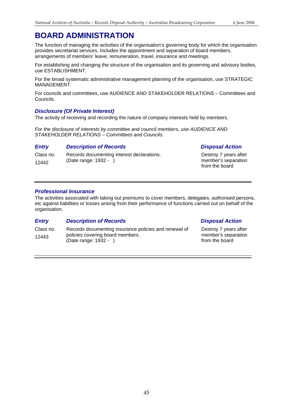The function of managing the activities of the organisation's governing body for which the organisation provides secretariat services. Includes the appointment and separation of board members, arrangements of members' leave, remuneration, travel, insurance and meetings.

For establishing and changing the structure of the organisation and its governing and advisory bodies, use ESTABLISHMENT.

For the broad systematic administrative management planning of the organisation, use STRATEGIC MANAGEMENT.

For councils and committees, use AUDIENCE AND STAKEHOLDER RELATIONS – Committees and Councils.

## *Disclosure (Of Private Interest)*

The activity of receiving and recording the nature of company interests held by members.

For the disclosure of interests by committee and council members, use AUDIENCE AND *STAKEHOLDER RELATIONS – Committees and Councils.*

## *Entry Description of Records Disposal Action*

Class no. 12442 Records documenting interest declarations. (Date range: 1932 - )

Destroy 7 years after member's separation from the board

## *Professional Insurance*

The activities associated with taking out premiums to cover members, delegates, authorised persons, etc against liabilities or losses arising from their performance of functions carried out on behalf of the organisation.

## *Entry Description of Records Disposal Action*

Class no. 12443 Records documenting insurance policies and renewal of policies covering board members. (Date range: 1932 - )

Destroy 7 years after member's separation from the board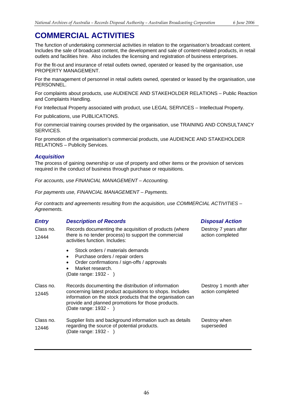The function of undertaking commercial activities in relation to the organisation's broadcast content. Includes the sale of broadcast content, the development and sale of content-related products, in retail outlets and facilities hire. Also includes the licensing and registration of business enterprises.

For the fit-out and insurance of retail outlets owned, operated or leased by the organisation, use PROPERTY MANAGEMENT.

For the management of personnel in retail outlets owned, operated or leased by the organisation, use PERSONNEL.

For complaints about products, use AUDIENCE AND STAKEHOLDER RELATIONS – Public Reaction and Complaints Handling.

For Intellectual Property associated with product, use LEGAL SERVICES – Intellectual Property.

For publications, use PUBLICATIONS.

For commercial training courses provided by the organisation, use TRAINING AND CONSULTANCY SERVICES.

For promotion of the organisation's commercial products, use AUDIENCE AND STAKEHOLDER RELATIONS – Publicity Services.

## *Acquisition*

The process of gaining ownership or use of property and other items or the provision of services required in the conduct of business through purchase or requisitions.

*For accounts, use FINANCIAL MANAGEMENT – Accounting.* 

*For payments use, FINANCIAL MANAGEMENT – Payments.* 

*For contracts and agreements resulting from the acquisition, use COMMERCIAL ACTIVITIES – Agreements.*

## *Entry Description of Records Disposal Action*

| Class no.<br>12444 | Records documenting the acquisition of products (where<br>there is no tender process) to support the commercial<br>activities function. Includes:                                                                                                            | Destroy 7 years after<br>action completed |
|--------------------|--------------------------------------------------------------------------------------------------------------------------------------------------------------------------------------------------------------------------------------------------------------|-------------------------------------------|
|                    | Stock orders / materials demands<br>$\bullet$<br>Purchase orders / repair orders<br>$\bullet$<br>Order confirmations / sign-offs / approvals<br>Market research.<br>(Date range: 1932 - )                                                                    |                                           |
| Class no.<br>12445 | Records documenting the distribution of information<br>concerning latest product acquisitions to shops. Includes<br>information on the stock products that the organisation can<br>provide and planned promotions for those products.<br>(Date range: 1932 - | Destroy 1 month after<br>action completed |
| Class no.<br>12446 | Supplier lists and background information such as details<br>regarding the source of potential products.<br>(Date range: 1932 - )                                                                                                                            | Destroy when<br>superseded                |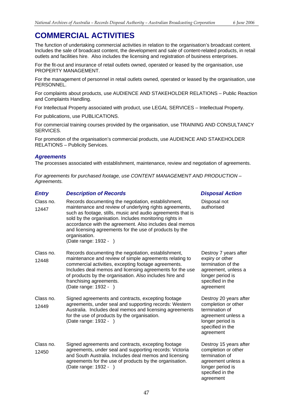The function of undertaking commercial activities in relation to the organisation's broadcast content. Includes the sale of broadcast content, the development and sale of content-related products, in retail outlets and facilities hire. Also includes the licensing and registration of business enterprises.

For the fit-out and insurance of retail outlets owned, operated or leased by the organisation, use PROPERTY MANAGEMENT.

For the management of personnel in retail outlets owned, operated or leased by the organisation, use PERSONNEL.

For complaints about products, use AUDIENCE AND STAKEHOLDER RELATIONS – Public Reaction and Complaints Handling.

For Intellectual Property associated with product, use LEGAL SERVICES – Intellectual Property.

For publications, use PUBLICATIONS.

For commercial training courses provided by the organisation, use TRAINING AND CONSULTANCY SERVICES.

For promotion of the organisation's commercial products, use AUDIENCE AND STAKEHOLDER RELATIONS – Publicity Services.

## *Agreements*

The processes associated with establishment, maintenance, review and negotiation of agreements.

*For agreements for purchased footage, use CONTENT MANAGEMENT AND PRODUCTION – Agreements.* 

## *Entry Description of Records Disposal Action*

- Class no. 12447 Records documenting the negotiation, establishment, maintenance and review of underlying rights agreements, such as footage, stills, music and audio agreements that is sold by the organisation. Includes monitoring rights in accordance with the agreement. Also includes deal memos and licensing agreements for the use of products by the organisation. (Date range: 1932 - )
- Class no. 12448 Records documenting the negotiation, establishment, maintenance and review of simple agreements relating to commercial activities, excepting footage agreements. Includes deal memos and licensing agreements for the use of products by the organisation. Also includes hire and franchising agreements. (Date range: 1932 - )
- Class no. 12449 Signed agreements and contracts, excepting footage agreements, under seal and supporting records: Western Australia. Includes deal memos and licensing agreements for the use of products by the organisation. (Date range: 1932 - )
- Class no. 12450 Signed agreements and contracts, excepting footage agreements, under seal and supporting records: Victoria and South Australia. Includes deal memos and licensing agreements for the use of products by the organisation. (Date range: 1932 - )

Disposal not authorised

Destroy 7 years after expiry or other termination of the agreement, unless a longer period is specified in the agreement

Destroy 20 years after completion or other termination of agreement unless a longer period is specified in the agreement

Destroy 15 years after completion or other termination of agreement unless a longer period is specified in the agreement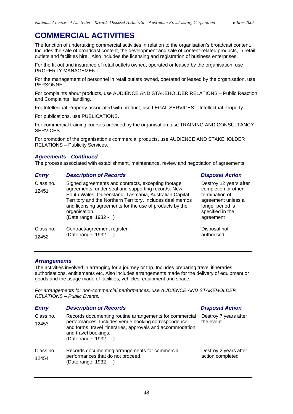The function of undertaking commercial activities in relation to the organisation's broadcast content. Includes the sale of broadcast content, the development and sale of content-related products, in retail outlets and facilities hire. Also includes the licensing and registration of business enterprises.

For the fit-out and insurance of retail outlets owned, operated or leased by the organisation, use PROPERTY MANAGEMENT.

For the management of personnel in retail outlets owned, operated or leased by the organisation, use PERSONNEL.

For complaints about products, use AUDIENCE AND STAKEHOLDER RELATIONS – Public Reaction and Complaints Handling.

For Intellectual Property associated with product, use LEGAL SERVICES – Intellectual Property.

For publications, use PUBLICATIONS.

For commercial training courses provided by the organisation, use TRAINING AND CONSULTANCY SERVICES.

For promotion of the organisation's commercial products, use AUDIENCE AND STAKEHOLDER RELATIONS – Publicity Services.

## *Agreements - Continued*

The process associated with establishment, maintenance, review and negotiation of agreements.

| <b>Entry</b> | <b>Description of Records</b> |  |  |
|--------------|-------------------------------|--|--|
|--------------|-------------------------------|--|--|

Class no. 12451 Signed agreements and contracts, excepting footage agreements, under seal and supporting records: New South Wales, Queensland, Tasmania, Australian Capital Territory and the Northern Territory. Includes deal memos and licensing agreements for the use of products by the organisation. (Date range: 1932 - )

> Contract/agreement register. (Date range: 1932 - )

*Disposal Action* 

Destroy 12 years after completion or other termination of agreement unless a longer period is specified in the agreement

Disposal not authorised

### *Arrangements*

Class no. 12452

The activities involved in arranging for a journey or trip. Includes preparing travel itineraries, authorisations, entitlements etc. Also includes arrangements made for the delivery of equipment or goods and the usage made of facilities, vehicles, equipment and space.

*For arrangements for non-commercial performances, use AUDIENCE AND STAKEHOLDER RELATIONS – Public Events.* 

| <b>Entry</b>       | <b>Description of Records</b>                                                                                                                                                                                                 | <b>Disposal Action</b>                    |
|--------------------|-------------------------------------------------------------------------------------------------------------------------------------------------------------------------------------------------------------------------------|-------------------------------------------|
| Class no.          | Records documenting routine arrangements for commercial<br>performances. Includes venue booking correspondence<br>and forms, travel itineraries, approvals and accommodation<br>and travel bookings.<br>(Date range: 1932 - ) | Destroy 7 years after<br>the event        |
| 12453              |                                                                                                                                                                                                                               |                                           |
| Class no.<br>12454 | Records documenting arrangements for commercial<br>performances that do not proceed.<br>(Date range: 1932 - )                                                                                                                 | Destroy 2 years after<br>action completed |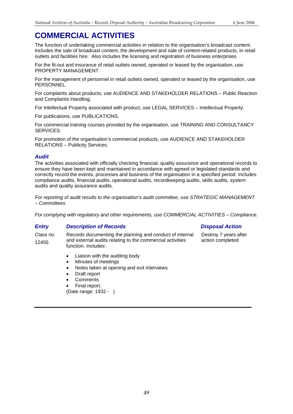The function of undertaking commercial activities in relation to the organisation's broadcast content. Includes the sale of broadcast content, the development and sale of content-related products, in retail outlets and facilities hire. Also includes the licensing and registration of business enterprises.

For the fit-out and insurance of retail outlets owned, operated or leased by the organisation, use PROPERTY MANAGEMENT.

For the management of personnel in retail outlets owned, operated or leased by the organisation, use PERSONNEL.

For complaints about products, use AUDIENCE AND STAKEHOLDER RELATIONS – Public Reaction and Complaints Handling.

For Intellectual Property associated with product, use LEGAL SERVICES – Intellectual Property.

For publications, use PUBLICATIONS.

For commercial training courses provided by the organisation, use TRAINING AND CONSULTANCY SERVICES.

For promotion of the organisation's commercial products, use AUDIENCE AND STAKEHOLDER RELATIONS – Publicity Services.

## *Audit*

The activities associated with officially checking financial, quality assurance and operational records to ensure they have been kept and maintained in accordance with agreed or legislated standards and correctly record the events, processes and business of the organisation in a specified period. Includes compliance audits, financial audits, operational audits, recordkeeping audits, skills audits, system audits and quality assurance audits.

*For reporting of audit results to the organisation's audit committee, use STRATEGIC MANAGEMENT – Committees.* 

*For complying with regulatory and other requirements, use COMMERCIAL ACTIVITIES – Compliance.* 

## *Entry Description of Records Disposal Action*

Class no. 12455 Records documenting the planning and conduct of internal and external audits relating to the commercial activities function. Includes:

Destroy 7 years after action completed

- Liaison with the auditing body
- Minutes of meetings
- Notes taken at opening and exit interviews
- Draft report
- **Comments**
- Final report.
- (Date range: 1932 )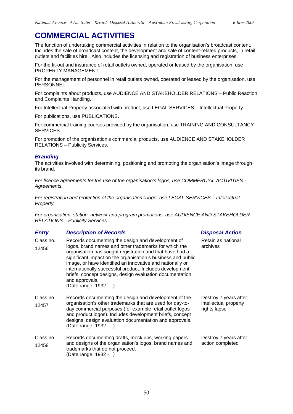The function of undertaking commercial activities in relation to the organisation's broadcast content. Includes the sale of broadcast content, the development and sale of content-related products, in retail outlets and facilities hire. Also includes the licensing and registration of business enterprises.

For the fit-out and insurance of retail outlets owned, operated or leased by the organisation, use PROPERTY MANAGEMENT.

For the management of personnel in retail outlets owned, operated or leased by the organisation, use PERSONNEL.

For complaints about products, use AUDIENCE AND STAKEHOLDER RELATIONS – Public Reaction and Complaints Handling.

For Intellectual Property associated with product, use LEGAL SERVICES – Intellectual Property.

For publications, use PUBLICATIONS.

For commercial training courses provided by the organisation, use TRAINING AND CONSULTANCY SERVICES.

For promotion of the organisation's commercial products, use AUDIENCE AND STAKEHOLDER RELATIONS – Publicity Services.

## *Branding*

The activities involved with determining, positioning and promoting the organisation's image through its brand.

*For licence agreements for the use of the organisation's logos, use COMMERCIAL ACTIVITIES - Agreements.* 

*For registration and protection of the organisation's logo, use LEGAL SERVICES – Intellectual Property.* 

*For organisation, station, network and program promotions, use AUDIENCE AND STAKEHOLDER RELATIONS – Publicity Services.* 

## *Entry Description of Records Disposal Action*

(Date range: 1932 - )

| Class no.<br>12456 | Records documenting the design and development of<br>logos, brand names and other trademarks for which the<br>organisation has sought registration and that have had a<br>significant impact on the organisation's business and public<br>image, or have identified an innovative and nationally or<br>internationally successful product. Includes development<br>briefs, concept designs, design evaluation documentation<br>and approvals.<br>(Date range: 1932 - ) | Retain as national<br>archives                                 |
|--------------------|------------------------------------------------------------------------------------------------------------------------------------------------------------------------------------------------------------------------------------------------------------------------------------------------------------------------------------------------------------------------------------------------------------------------------------------------------------------------|----------------------------------------------------------------|
| Class no.<br>12457 | Records documenting the design and development of the<br>organisation's other trademarks that are used for day-to-<br>day commercial purposes (for example retail outlet logos<br>and product logos). Includes development briefs, concept<br>designs, design evaluation documentation and approvals.<br>(Date range: 1932 - )                                                                                                                                         | Destroy 7 years after<br>intellectual property<br>rights lapse |
| Class no.<br>12458 | Records documenting drafts, mock ups, working papers<br>and designs of the organisation's logos, brand names and<br>trademarks that do not proceed.                                                                                                                                                                                                                                                                                                                    | Destroy 7 years after<br>action completed                      |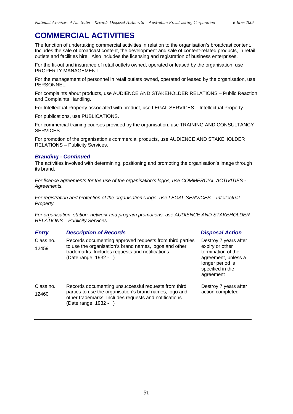The function of undertaking commercial activities in relation to the organisation's broadcast content. Includes the sale of broadcast content, the development and sale of content-related products, in retail outlets and facilities hire. Also includes the licensing and registration of business enterprises.

For the fit-out and insurance of retail outlets owned, operated or leased by the organisation, use PROPERTY MANAGEMENT.

For the management of personnel in retail outlets owned, operated or leased by the organisation, use PERSONNEL.

For complaints about products, use AUDIENCE AND STAKEHOLDER RELATIONS – Public Reaction and Complaints Handling.

For Intellectual Property associated with product, use LEGAL SERVICES – Intellectual Property.

For publications, use PUBLICATIONS.

For commercial training courses provided by the organisation, use TRAINING AND CONSULTANCY SERVICES.

For promotion of the organisation's commercial products, use AUDIENCE AND STAKEHOLDER RELATIONS – Publicity Services.

## *Branding - Continued*

The activities involved with determining, positioning and promoting the organisation's image through its brand.

*For licence agreements for the use of the organisation's logos, use COMMERCIAL ACTIVITIES - Agreements.* 

*For registration and protection of the organisation's logo, use LEGAL SERVICES – Intellectual Property.* 

*For organisation, station, network and program promotions, use AUDIENCE AND STAKEHOLDER RELATIONS – Publicity Services.* 

## *Entry Description of Records Disposal Action*

| Class no.<br>12459 | Records documenting approved requests from third parties<br>to use the organisation's brand names, logos and other<br>trademarks. Includes requests and notifications. | Destroy 7<br>expiry or of<br>termination |
|--------------------|------------------------------------------------------------------------------------------------------------------------------------------------------------------------|------------------------------------------|
|                    | (Date range: 1932 - )                                                                                                                                                  | agreement<br>longer peri<br>concified in |

Class no. 12460 Records documenting unsuccessful requests from third parties to use the organisation's brand names, logo and other trademarks. Includes requests and notifications. (Date range: 1932 - )

ears after ther of the aunless a ad is specified in the agreement

Destroy 7 years after action completed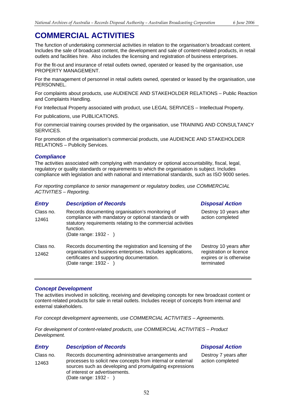The function of undertaking commercial activities in relation to the organisation's broadcast content. Includes the sale of broadcast content, the development and sale of content-related products, in retail outlets and facilities hire. Also includes the licensing and registration of business enterprises.

For the fit-out and insurance of retail outlets owned, operated or leased by the organisation, use PROPERTY MANAGEMENT.

For the management of personnel in retail outlets owned, operated or leased by the organisation, use PERSONNEL.

For complaints about products, use AUDIENCE AND STAKEHOLDER RELATIONS – Public Reaction and Complaints Handling.

For Intellectual Property associated with product, use LEGAL SERVICES – Intellectual Property.

For publications, use PUBLICATIONS.

For commercial training courses provided by the organisation, use TRAINING AND CONSULTANCY SERVICES.

For promotion of the organisation's commercial products, use AUDIENCE AND STAKEHOLDER RELATIONS – Publicity Services.

## *Compliance*

The activities associated with complying with mandatory or optional accountability, fiscal, legal, regulatory or quality standards or requirements to which the organisation is subject. Includes compliance with legislation and with national and international standards, such as ISO 9000 series.

*For reporting compliance to senior management or regulatory bodies, use COMMERCIAL ACTIVITIES – Reporting.* 

## *Entry Description of Records Disposal Action*

| Class no.<br>12461 | Records documenting organisation's monitoring of<br>compliance with mandatory or optional standards or with<br>statutory requirements relating to the commercial activities<br>function.<br>(Date range: 1932 - ) | Destroy 10 years after<br>action completed                                                 |
|--------------------|-------------------------------------------------------------------------------------------------------------------------------------------------------------------------------------------------------------------|--------------------------------------------------------------------------------------------|
| Class no.<br>12462 | Records documenting the registration and licensing of the<br>organisation's business enterprises. Includes applications,<br>certificates and supporting documentation.<br>(Date range: 1932 - )                   | Destroy 10 years after<br>registration or licence<br>expires or is otherwise<br>terminated |

## *Concept Development*

The activities involved in soliciting, receiving and developing concepts for new broadcast content or content-related products for sale in retail outlets. Includes receipt of concepts from internal and external stakeholders.

*For concept development agreements, use COMMERCIAL ACTIVITIES – Agreements.* 

*For development of content-related products, use COMMERCIAL ACTIVITIES – Product Development.* 

## *Entry Description of Records Disposal Action*

Class no. 12463 Records documenting administrative arrangements and processes to solicit new concepts from internal or external sources such as developing and promulgating expressions of interest or advertisements. (Date range: 1932 - )

Destroy 7 years after action completed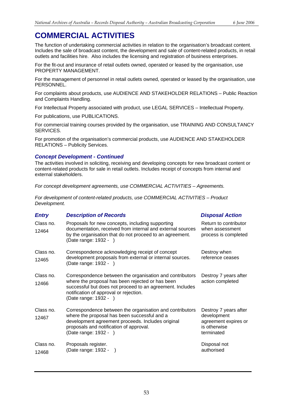The function of undertaking commercial activities in relation to the organisation's broadcast content. Includes the sale of broadcast content, the development and sale of content-related products, in retail outlets and facilities hire. Also includes the licensing and registration of business enterprises.

For the fit-out and insurance of retail outlets owned, operated or leased by the organisation, use PROPERTY MANAGEMENT.

For the management of personnel in retail outlets owned, operated or leased by the organisation, use PERSONNEL.

For complaints about products, use AUDIENCE AND STAKEHOLDER RELATIONS – Public Reaction and Complaints Handling.

For Intellectual Property associated with product, use LEGAL SERVICES – Intellectual Property.

For publications, use PUBLICATIONS.

For commercial training courses provided by the organisation, use TRAINING AND CONSULTANCY SERVICES.

For promotion of the organisation's commercial products, use AUDIENCE AND STAKEHOLDER RELATIONS – Publicity Services.

## *Concept Development - Continued*

The activities involved in soliciting, receiving and developing concepts for new broadcast content or content-related products for sale in retail outlets. Includes receipt of concepts from internal and external stakeholders.

*For concept development agreements, use COMMERCIAL ACTIVITIES – Agreements.* 

*For development of content-related products, use COMMERCIAL ACTIVITIES – Product Development.* 

## *Entry Description of Records Disposal Action*

| Class no.          | Proposals for new concepts, including supporting                                                                                                                                                                                             | Return to contributor                                             |
|--------------------|----------------------------------------------------------------------------------------------------------------------------------------------------------------------------------------------------------------------------------------------|-------------------------------------------------------------------|
| 12464              | documentation, received from internal and external sources<br>by the organisation that do not proceed to an agreement.<br>(Date range: 1932 - )                                                                                              | when assessment<br>process is completed                           |
| Class no.<br>12465 | Correspondence acknowledging receipt of concept<br>development proposals from external or internal sources.<br>(Date range: 1932 - )                                                                                                         | Destroy when<br>reference ceases                                  |
| Class no.<br>12466 | Correspondence between the organisation and contributors<br>where the proposal has been rejected or has been<br>successful but does not proceed to an agreement. Includes<br>notification of approval or rejection.<br>(Date range: 1932 - ) | Destroy 7 years after<br>action completed                         |
| Class no.          | Correspondence between the organisation and contributors                                                                                                                                                                                     | Destroy 7 years after                                             |
| 12467              | where the proposal has been successful and a<br>development agreement proceeds. Includes original<br>proposals and notification of approval.<br>(Date range: 1932 - )                                                                        | development<br>agreement expires or<br>is otherwise<br>terminated |
| Class no.<br>12468 | Proposals register.<br>(Date range: 1932 - )                                                                                                                                                                                                 | Disposal not<br>authorised                                        |
|                    |                                                                                                                                                                                                                                              |                                                                   |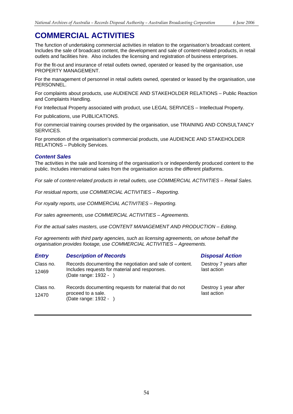The function of undertaking commercial activities in relation to the organisation's broadcast content. Includes the sale of broadcast content, the development and sale of content-related products, in retail outlets and facilities hire. Also includes the licensing and registration of business enterprises.

For the fit-out and insurance of retail outlets owned, operated or leased by the organisation, use PROPERTY MANAGEMENT.

For the management of personnel in retail outlets owned, operated or leased by the organisation, use PERSONNEL.

For complaints about products, use AUDIENCE AND STAKEHOLDER RELATIONS – Public Reaction and Complaints Handling.

For Intellectual Property associated with product, use LEGAL SERVICES – Intellectual Property.

For publications, use PUBLICATIONS.

For commercial training courses provided by the organisation, use TRAINING AND CONSULTANCY SERVICES.

For promotion of the organisation's commercial products, use AUDIENCE AND STAKEHOLDER RELATIONS – Publicity Services.

## *Content Sales*

The activities in the sale and licensing of the organisation's or independently produced content to the public. Includes international sales from the organisation across the different platforms.

*For sale of content-related products in retail outlets, use COMMERCIAL ACTIVITIES – Retail Sales.* 

*For residual reports, use COMMERCIAL ACTIVITIES – Reporting.* 

*For royalty reports, use COMMERCIAL ACTIVITIES – Reporting.* 

*For sales agreements, use COMMERCIAL ACTIVITIES – Agreements.* 

*For the actual sales masters, use CONTENT MANAGEMENT AND PRODUCTION – Editing.* 

*For agreements with third party agencies, such as licensing agreements, on whose behalf the organisation provides footage, use COMMERCIAL ACTIVITIES – Agreements.* 

| <b>Entry</b>       | <b>Description of Records</b>                                                                                                      | <b>Disposal Action</b>               |
|--------------------|------------------------------------------------------------------------------------------------------------------------------------|--------------------------------------|
| Class no.<br>12469 | Records documenting the negotiation and sale of content.<br>Includes requests for material and responses.<br>(Date range: 1932 - ) | Destroy 7 years after<br>last action |
| Class no.<br>12470 | Records documenting requests for material that do not<br>proceed to a sale.<br>(Date range: 1932 - )                               | Destroy 1 year after<br>last action  |
|                    |                                                                                                                                    |                                      |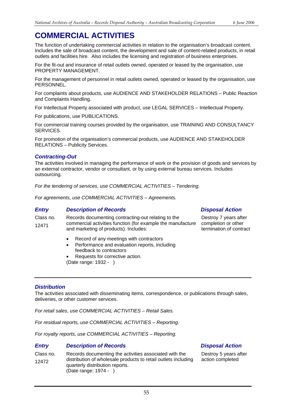The function of undertaking commercial activities in relation to the organisation's broadcast content. Includes the sale of broadcast content, the development and sale of content-related products, in retail outlets and facilities hire. Also includes the licensing and registration of business enterprises.

For the fit-out and insurance of retail outlets owned, operated or leased by the organisation, use PROPERTY MANAGEMENT.

For the management of personnel in retail outlets owned, operated or leased by the organisation, use PERSONNEL.

For complaints about products, use AUDIENCE AND STAKEHOLDER RELATIONS – Public Reaction and Complaints Handling.

For Intellectual Property associated with product, use LEGAL SERVICES – Intellectual Property.

For publications, use PUBLICATIONS.

For commercial training courses provided by the organisation, use TRAINING AND CONSULTANCY SERVICES.

For promotion of the organisation's commercial products, use AUDIENCE AND STAKEHOLDER RELATIONS – Publicity Services.

## *Contracting-Out*

The activities involved in managing the performance of work or the provision of goods and services by an external contractor, vendor or consultant, or by using external bureau services. Includes outsourcing.

*For the tendering of services, use COMMERCIAL ACTIVITIES – Tendering.* 

*For agreements, use COMMERCIAL ACTIVITIES – Agreements.* 

## *Entry Description of Records Disposal Action*

Class no. 12471

Records documenting contracting-out relating to the commercial activities function (for example the manufacture and marketing of products). Includes:

- Record of any meetings with contractors
- Performance and evaluation reports, including feedback to contractors
- Requests for corrective action. (Date range: 1932 - )

Destroy 7 years after completion or other termination of contract

## *Distribution*

The activities associated with disseminating items, correspondence, or publications through sales, deliveries, or other customer services.

*For retail sales, use COMMERCIAL ACTIVITIES – Retail Sales.* 

*For residual reports, use COMMERCIAL ACTIVITIES – Reporting.* 

*For royalty reports, use COMMERCIAL ACTIVITIES – Reporting.* 

## *Entry Description of Records Disposal Action*

Class no. 12472 Records documenting the activities associated with the distribution of wholesale products to retail outlets including quarterly distribution reports. (Date range: 1974 - )

Destroy 5 years after action completed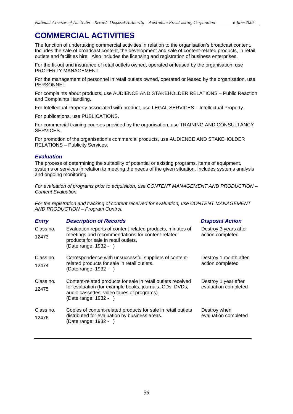The function of undertaking commercial activities in relation to the organisation's broadcast content. Includes the sale of broadcast content, the development and sale of content-related products, in retail outlets and facilities hire. Also includes the licensing and registration of business enterprises.

For the fit-out and insurance of retail outlets owned, operated or leased by the organisation, use PROPERTY MANAGEMENT.

For the management of personnel in retail outlets owned, operated or leased by the organisation, use PERSONNEL.

For complaints about products, use AUDIENCE AND STAKEHOLDER RELATIONS – Public Reaction and Complaints Handling.

For Intellectual Property associated with product, use LEGAL SERVICES – Intellectual Property.

For publications, use PUBLICATIONS.

For commercial training courses provided by the organisation, use TRAINING AND CONSULTANCY SERVICES.

For promotion of the organisation's commercial products, use AUDIENCE AND STAKEHOLDER RELATIONS – Publicity Services.

## *Evaluation*

The process of determining the suitability of potential or existing programs, items of equipment, systems or services in relation to meeting the needs of the given situation. Includes systems analysis and ongoing monitoring.

*For evaluation of programs prior to acquisition, use CONTENT MANAGEMENT AND PRODUCTION – Content Evaluation.* 

*For the registration and tracking of content received for evaluation, use CONTENT MANAGEMENT AND PRODUCTION – Program Control.* 

### *Entry Description of Records Disposal Action*  Class no. 12473 Evaluation reports of content-related products, minutes of meetings and recommendations for content-related products for sale in retail outlets. (Date range: 1932 - ) Destroy 3 years after action completed Class no. 12474 Correspondence with unsuccessful suppliers of contentrelated products for sale in retail outlets. (Date range: 1932 - ) Destroy 1 month after action completed Class no. 12475 Content-related products for sale in retail outlets received for evaluation (for example books, journals, CDs, DVDs, audio cassettes, video tapes of programs). (Date range: 1932 - ) Destroy 1 year after evaluation completed Class no. 12476 Copies of content-related products for sale in retail outlets distributed for evaluation by business areas. (Date range: 1932 - ) Destroy when evaluation completed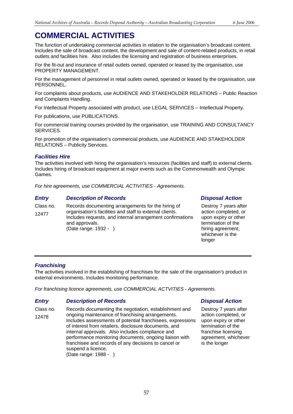The function of undertaking commercial activities in relation to the organisation's broadcast content. Includes the sale of broadcast content, the development and sale of content-related products, in retail outlets and facilities hire. Also includes the licensing and registration of business enterprises.

For the fit-out and insurance of retail outlets owned, operated or leased by the organisation, use PROPERTY MANAGEMENT.

For the management of personnel in retail outlets owned, operated or leased by the organisation, use PERSONNEL.

For complaints about products, use AUDIENCE AND STAKEHOLDER RELATIONS – Public Reaction and Complaints Handling.

For Intellectual Property associated with product, use LEGAL SERVICES – Intellectual Property.

For publications, use PUBLICATIONS.

For commercial training courses provided by the organisation, use TRAINING AND CONSULTANCY SERVICES.

For promotion of the organisation's commercial products, use AUDIENCE AND STAKEHOLDER RELATIONS – Publicity Services.

## *Facilities Hire*

The activities involved with hiring the organisation's resources (facilities and staff) to external clients. Includes hiring of broadcast equipment at major events such as the Commonwealth and Olympic Games.

*For hire agreements, use COMMERCIAL ACTIVITIES - Agreements.* 

## *Entry Description of Records Disposal Action*

Class no. 12477 Records documenting arrangements for the hiring of organisation's facilities and staff to external clients. Includes requests, and internal arrangement confirmations and approvals. (Date range: 1932 - )

Destroy 7 years after action completed, or upon expiry or other termination of the hiring agreement, whichever is the longer

## *Franchising*

The activities involved in the establishing of franchises for the sale of the organisation's product in external environments. Includes monitoring performance.

*For franchising licence agreements, use COMMERCIAL ACTVITIES - Agreements.* 

## *Entry Description of Records Disposal Action*

Class no. 12478 Records documenting the negotiation, establishment and ongoing maintenance of franchising arrangements. Includes assessments of potential franchisees, expressions of interest from retailers, disclosure documents, and internal approvals. Also includes compliance and performance monitoring documents, ongoing liaison with franchisee and records of any decisions to cancel or suspend a licence. (Date range: 1988 - )

Destroy 7 years after action completed, or upon expiry or other termination of the franchise licensing agreement, whichever is the longer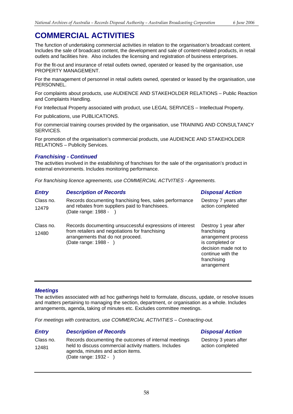The function of undertaking commercial activities in relation to the organisation's broadcast content. Includes the sale of broadcast content, the development and sale of content-related products, in retail outlets and facilities hire. Also includes the licensing and registration of business enterprises.

For the fit-out and insurance of retail outlets owned, operated or leased by the organisation, use PROPERTY MANAGEMENT.

For the management of personnel in retail outlets owned, operated or leased by the organisation, use PERSONNEL.

For complaints about products, use AUDIENCE AND STAKEHOLDER RELATIONS – Public Reaction and Complaints Handling.

For Intellectual Property associated with product, use LEGAL SERVICES – Intellectual Property.

For publications, use PUBLICATIONS.

For commercial training courses provided by the organisation, use TRAINING AND CONSULTANCY SERVICES.

For promotion of the organisation's commercial products, use AUDIENCE AND STAKEHOLDER RELATIONS – Publicity Services.

## *Franchising - Continued*

The activities involved in the establishing of franchises for the sale of the organisation's product in external environments. Includes monitoring performance.

*For franchising licence agreements, use COMMERCIAL ACTVITIES - Agreements.* 

| <b>Entry</b>       | <b>Description of Records</b>                                                                                                                                             | <b>Disposal Action</b>                                                                                                                                   |
|--------------------|---------------------------------------------------------------------------------------------------------------------------------------------------------------------------|----------------------------------------------------------------------------------------------------------------------------------------------------------|
| Class no.<br>12479 | Records documenting franchising fees, sales performance<br>and rebates from suppliers paid to franchisees.<br>(Date range: 1988 -                                         | Destroy 7 years after<br>action completed                                                                                                                |
| Class no.<br>12480 | Records documenting unsuccessful expressions of interest<br>from retailers and negotiations for franchising<br>arrangements that do not proceed.<br>(Date range: 1988 - ) | Destroy 1 year after<br>franchising<br>arrangement process<br>is completed or<br>decision made not to<br>continue with the<br>franchising<br>arrangement |

### *Meetings*

The activities associated with ad hoc gatherings held to formulate, discuss, update, or resolve issues and matters pertaining to managing the section, department, or organisation as a whole. Includes arrangements, agenda, taking of minutes etc. Excludes committee meetings.

*For meetings with contractors, use COMMERCIAL ACTIVITIES – Contracting-out.* 

## *Entry Description of Records Disposal Action*

Class no. 12481 Records documenting the outcomes of internal meetings held to discuss commercial activity matters. Includes agenda, minutes and action items. (Date range: 1932 - )

Destroy 3 years after action completed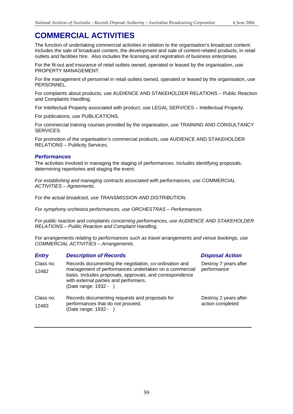The function of undertaking commercial activities in relation to the organisation's broadcast content. Includes the sale of broadcast content, the development and sale of content-related products, in retail outlets and facilities hire. Also includes the licensing and registration of business enterprises.

For the fit-out and insurance of retail outlets owned, operated or leased by the organisation, use PROPERTY MANAGEMENT.

For the management of personnel in retail outlets owned, operated or leased by the organisation, use PERSONNEL.

For complaints about products, use AUDIENCE AND STAKEHOLDER RELATIONS – Public Reaction and Complaints Handling.

For Intellectual Property associated with product, use LEGAL SERVICES – Intellectual Property.

For publications, use PUBLICATIONS.

For commercial training courses provided by the organisation, use TRAINING AND CONSULTANCY SERVICES.

For promotion of the organisation's commercial products, use AUDIENCE AND STAKEHOLDER RELATIONS – Publicity Services.

## *Performances*

The activities involved in managing the staging of performances. Includes identifying proposals, determining repertories and staging the event.

*For establishing and managing contracts associated with performances, use COMMERCIAL ACTIVITIES – Agreements.* 

*For the actual broadcast, use TRANSMISSION AND DISTRIBUTION.* 

*For symphony orchestra performances, use ORCHESTRAS – Performances.* 

*For public reaction and complaints concerning performances, use AUDIENCE AND STAKEHOLDER RELATIONS – Public Reaction and Complaint Handling.* 

*For arrangements relating to performances such as travel arrangements and venue bookings, use COMMERCIAL ACTIVITIES – Arrangements.* 

### *Entry Description of Records Disposal Action*

| Class no. | Records documenting the negotiation, co-ordination and                                                                                                                                  |
|-----------|-----------------------------------------------------------------------------------------------------------------------------------------------------------------------------------------|
| 12482     | management of performances undertaken on a commercial<br>basis. Includes proposals, approvals, and correspondence<br>with external parties and performers.<br>(Date range: $1932 - 1$ ) |
|           |                                                                                                                                                                                         |

Class no. 12483 Records documenting requests and proposals for performances that do not proceed. (Date range: 1932 - )

Destroy 7 years after performance

Destroy 2 years after action completed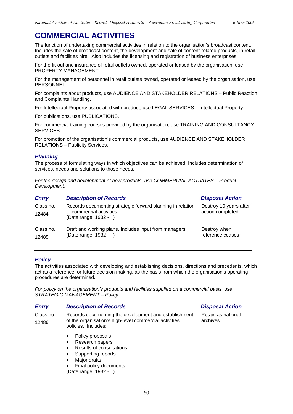The function of undertaking commercial activities in relation to the organisation's broadcast content. Includes the sale of broadcast content, the development and sale of content-related products, in retail outlets and facilities hire. Also includes the licensing and registration of business enterprises.

For the fit-out and insurance of retail outlets owned, operated or leased by the organisation, use PROPERTY MANAGEMENT.

For the management of personnel in retail outlets owned, operated or leased by the organisation, use PERSONNEL.

For complaints about products, use AUDIENCE AND STAKEHOLDER RELATIONS – Public Reaction and Complaints Handling.

For Intellectual Property associated with product, use LEGAL SERVICES – Intellectual Property.

For publications, use PUBLICATIONS.

For commercial training courses provided by the organisation, use TRAINING AND CONSULTANCY SERVICES.

For promotion of the organisation's commercial products, use AUDIENCE AND STAKEHOLDER RELATIONS – Publicity Services.

## *Planning*

The process of formulating ways in which objectives can be achieved. Includes determination of services, needs and solutions to those needs.

*For the design and development of new products, use COMMERCIAL ACTIVITES – Product Development.* 

| <b>Entry</b>       | <b>Description of Records</b>                                                                                    | <b>Disposal Action</b>                     |
|--------------------|------------------------------------------------------------------------------------------------------------------|--------------------------------------------|
| Class no.<br>12484 | Records documenting strategic forward planning in relation<br>to commercial activities.<br>(Date range: 1932 - ) | Destroy 10 years after<br>action completed |
| Class no.<br>12485 | Draft and working plans. Includes input from managers.<br>(Date range: 1932 - )                                  | Destroy when<br>reference ceases           |

## *Policy*

The activities associated with developing and establishing decisions, directions and precedents, which act as a reference for future decision making, as the basis from which the organisation's operating procedures are determined.

*For policy on the organisation's products and facilities supplied on a commercial basis, use STRATEGIC MANAGEMENT – Policy.* 

## *Entry Description of Records Disposal Action*

Class no. 12486 Records documenting the development and establishment of the organisation's high-level commercial activities policies. Includes:

- Policy proposals
- Research papers
- Results of consultations
- Supporting reports
- **Major drafts**
- Final policy documents. (Date range: 1932 - )

Retain as national archives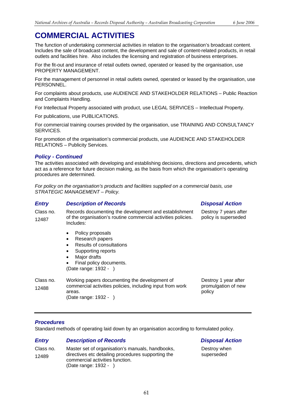The function of undertaking commercial activities in relation to the organisation's broadcast content. Includes the sale of broadcast content, the development and sale of content-related products, in retail outlets and facilities hire. Also includes the licensing and registration of business enterprises.

For the fit-out and insurance of retail outlets owned, operated or leased by the organisation, use PROPERTY MANAGEMENT.

For the management of personnel in retail outlets owned, operated or leased by the organisation, use PERSONNEL.

For complaints about products, use AUDIENCE AND STAKEHOLDER RELATIONS – Public Reaction and Complaints Handling.

For Intellectual Property associated with product, use LEGAL SERVICES – Intellectual Property.

For publications, use PUBLICATIONS.

For commercial training courses provided by the organisation, use TRAINING AND CONSULTANCY SERVICES.

For promotion of the organisation's commercial products, use AUDIENCE AND STAKEHOLDER RELATIONS – Publicity Services.

## *Policy - Continued*

The activities associated with developing and establishing decisions, directions and precedents, which act as a reference for future decision making, as the basis from which the organisation's operating procedures are determined.

*For policy on the organisation's products and facilities supplied on a commercial basis, use STRATEGIC MANAGEMENT – Policy.* 

## *Entry Description of Records Disposal Action*

Class no. 12487 Records documenting the development and establishment of the organisation's routine commercial activities policies. Includes: Destroy 7 years after policy is superseded

- Policy proposals
- Research papers
- Results of consultations
- Supporting reports
- **Major drafts**
- Final policy documents.

(Date range: 1932 - )

### Class no. 12488 Working papers documenting the development of commercial activities policies, including input from work areas. (Date range: 1932 - )

Destroy 1 year after promulgation of new policy

### *Procedures*

Standard methods of operating laid down by an organisation according to formulated policy.

### *Entry Description of Records Disposal Action*

### Class no. 12489 Master set of organisation's manuals, handbooks, directives etc detailing procedures supporting the commercial activities function. (Date range: 1932 - )

Destroy when superseded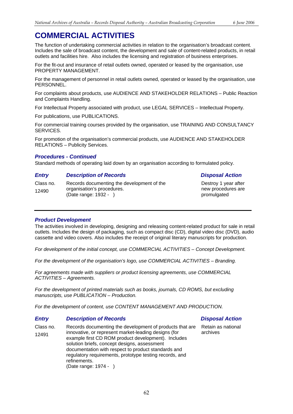The function of undertaking commercial activities in relation to the organisation's broadcast content. Includes the sale of broadcast content, the development and sale of content-related products, in retail outlets and facilities hire. Also includes the licensing and registration of business enterprises.

For the fit-out and insurance of retail outlets owned, operated or leased by the organisation, use PROPERTY MANAGEMENT.

For the management of personnel in retail outlets owned, operated or leased by the organisation, use PERSONNEL.

For complaints about products, use AUDIENCE AND STAKEHOLDER RELATIONS – Public Reaction and Complaints Handling.

For Intellectual Property associated with product, use LEGAL SERVICES – Intellectual Property.

For publications, use PUBLICATIONS.

For commercial training courses provided by the organisation, use TRAINING AND CONSULTANCY SERVICES.

For promotion of the organisation's commercial products, use AUDIENCE AND STAKEHOLDER RELATIONS – Publicity Services.

## *Procedures - Continued*

Standard methods of operating laid down by an organisation according to formulated policy.

| <b>Entry</b> | <b>Description of Records</b>              | <b>Disposal Action</b> |
|--------------|--------------------------------------------|------------------------|
| Class no.    | Records documenting the development of the | Destroy 1 year afte    |
| 12490        | organisation's procedures.                 | new procedures are     |

(Date range: 1932 - )

Destroy 1 year after new procedures are promulgated

## *Product Development*

The activities involved in developing, designing and releasing content-related product for sale in retail outlets. Includes the design of packaging, such as compact disc (CD), digital video disc (DVD), audio cassette and video covers. Also includes the receipt of original literary manuscripts for production.

*For development of the initial concept, use COMMERCIAL ACTIVITIES – Concept Development.* 

*For the development of the organisation's logo, use COMMERCIAL ACTIVITIES – Branding.* 

*For agreements made with suppliers or product licensing agreements, use COMMERCIAL ACTIVITIES – Agreements.* 

*For the development of printed materials such as books, journals, CD ROMS, but excluding manuscripts, use PUBLICATION – Production.* 

*For the development of content, use CONTENT MANAGEMENT AND PRODUCTION.* 

## *Entry Description of Records Disposal Action*

Class no. 12491 Records documenting the development of products that are innovative, or represent market-leading designs (for example first CD ROM product development). Includes solution briefs, concept designs, assessment documentation with respect to product standards and regulatory requirements, prototype testing records, and refinements. (Date range: 1974 - )

Retain as national archives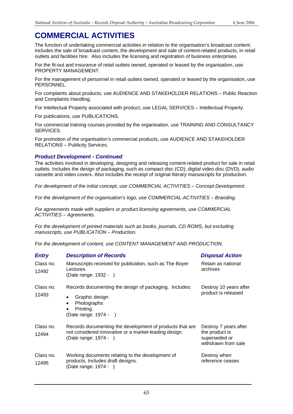The function of undertaking commercial activities in relation to the organisation's broadcast content. Includes the sale of broadcast content, the development and sale of content-related products, in retail outlets and facilities hire. Also includes the licensing and registration of business enterprises.

For the fit-out and insurance of retail outlets owned, operated or leased by the organisation, use PROPERTY MANAGEMENT.

For the management of personnel in retail outlets owned, operated or leased by the organisation, use PERSONNEL.

For complaints about products, use AUDIENCE AND STAKEHOLDER RELATIONS – Public Reaction and Complaints Handling.

For Intellectual Property associated with product, use LEGAL SERVICES – Intellectual Property.

For publications, use PUBLICATIONS.

For commercial training courses provided by the organisation, use TRAINING AND CONSULTANCY SERVICES.

For promotion of the organisation's commercial products, use AUDIENCE AND STAKEHOLDER RELATIONS – Publicity Services.

## *Product Development - Continued*

The activities involved in developing, designing and releasing content-related product for sale in retail outlets. Includes the design of packaging, such as compact disc (CD), digital video disc (DVD), audio cassette and video covers. Also includes the receipt of original literary manuscripts for production.

*For development of the initial concept, use COMMERCIAL ACTIVITIES – Concept Development.* 

*For the development of the organisation's logo, use COMMERCIAL ACTIVITIES – Branding.* 

*For agreements made with suppliers or product licensing agreements, use COMMERCIAL ACTIVITIES – Agreements.* 

*For the development of printed materials such as books, journals, CD ROMS, but excluding manuscripts, use PUBLICATION – Production.* 

*For the development of content, use CONTENT MANAGEMENT AND PRODUCTION.* 

| <b>Entry</b>       | <b>Description of Records</b>                                                                                                              | <b>Disposal Action</b>                                                          |
|--------------------|--------------------------------------------------------------------------------------------------------------------------------------------|---------------------------------------------------------------------------------|
| Class no.<br>12492 | Manuscripts received for publication, such as The Boyer<br>Lectures.<br>(Date range: 1932 - )                                              | Retain as national<br>archives                                                  |
| Class no.<br>12493 | Records documenting the design of packaging. Includes:<br>Graphic design<br>Photographs<br>٠<br>Printing.<br>(Date range: 1974 - )         | Destroy 10 years after<br>product is released                                   |
| Class no.<br>12494 | Records documenting the development of products that are<br>not considered innovative or a market-leading design.<br>(Date range: 1974 - ) | Destroy 7 years after<br>the product is<br>superseded or<br>withdrawn from sale |
| Class no.<br>12495 | Working documents relating to the development of<br>products. Includes draft designs.<br>(Date range: 1974 - )                             | Destroy when<br>reference ceases                                                |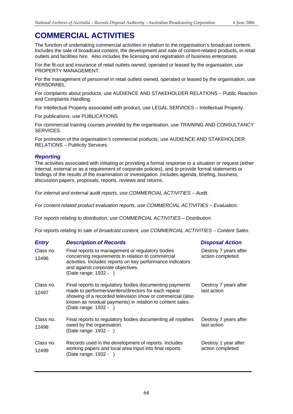The function of undertaking commercial activities in relation to the organisation's broadcast content. Includes the sale of broadcast content, the development and sale of content-related products, in retail outlets and facilities hire. Also includes the licensing and registration of business enterprises.

For the fit-out and insurance of retail outlets owned, operated or leased by the organisation, use PROPERTY MANAGEMENT.

For the management of personnel in retail outlets owned, operated or leased by the organisation, use PERSONNEL.

For complaints about products, use AUDIENCE AND STAKEHOLDER RELATIONS – Public Reaction and Complaints Handling.

For Intellectual Property associated with product, use LEGAL SERVICES – Intellectual Property.

For publications, use PUBLICATIONS.

For commercial training courses provided by the organisation, use TRAINING AND CONSULTANCY SERVICES.

For promotion of the organisation's commercial products, use AUDIENCE AND STAKEHOLDER RELATIONS – Publicity Services.

## *Reporting*

The activities associated with initiating or providing a formal response to a situation or request (either internal, external or as a requirement of corporate policies), and to provide formal statements or findings of the results of the examination or investigation. Includes agenda, briefing, business, discussion papers, proposals, reports, reviews and returns.

*For internal and external audit reports, use COMMERCIAL ACTIVITIES – Audit.* 

*For content-related product evaluation reports, use COMMERCIAL ACTIVITIES – Evaluation.* 

*For reports relating to distribution, use COMMERCIAL ACTIVITIES – Distribution.* 

*For reports relating to sale of broadcast content, use COMMERCIAL ACTIVITIES – Content Sales.*

| <b>Entry</b>       | <b>Description of Records</b>                                                                                                                                                                                                                                      | <b>Disposal Action</b>                    |
|--------------------|--------------------------------------------------------------------------------------------------------------------------------------------------------------------------------------------------------------------------------------------------------------------|-------------------------------------------|
| Class no.<br>12496 | Final reports to management or regulatory bodies<br>concerning requirements in relation to commercial<br>activities. Includes reports on key performance indicators<br>and against corporate objectives.<br>(Date range: 1932 - )                                  | Destroy 7 years after<br>action completed |
| Class no.<br>12497 | Final reports to regulatory bodies documenting payments<br>made to performers/writers/directors for each repeat<br>showing of a recorded television show or commercial (also<br>known as residual payments) in relation to content sales.<br>(Date range: 1932 - ) | Destroy 7 years after<br>last action      |
| Class no.<br>12498 | Final reports to regulatory bodies documenting all royalties<br>owed by the organisation.<br>(Date range: 1932 - )                                                                                                                                                 | Destroy 7 years after<br>last action      |
| Class no.<br>12499 | Records used in the development of reports. Includes<br>working papers and local area input into final reports.<br>(Date range: 1932 - )                                                                                                                           | Destroy 1 year after<br>action completed  |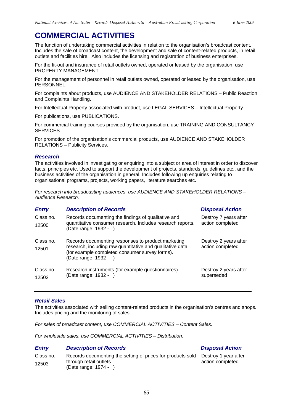The function of undertaking commercial activities in relation to the organisation's broadcast content. Includes the sale of broadcast content, the development and sale of content-related products, in retail outlets and facilities hire. Also includes the licensing and registration of business enterprises.

For the fit-out and insurance of retail outlets owned, operated or leased by the organisation, use PROPERTY MANAGEMENT.

For the management of personnel in retail outlets owned, operated or leased by the organisation, use PERSONNEL.

For complaints about products, use AUDIENCE AND STAKEHOLDER RELATIONS – Public Reaction and Complaints Handling.

For Intellectual Property associated with product, use LEGAL SERVICES – Intellectual Property.

For publications, use PUBLICATIONS.

For commercial training courses provided by the organisation, use TRAINING AND CONSULTANCY SERVICES.

For promotion of the organisation's commercial products, use AUDIENCE AND STAKEHOLDER RELATIONS – Publicity Services.

## *Research*

The activities involved in investigating or enquiring into a subject or area of interest in order to discover facts, principles etc. Used to support the development of projects, standards, guidelines etc., and the business activities of the organisation in general. Includes following up enquiries relating to organisational programs, projects, working papers, literature searches etc.

*For research into broadcasting audiences, use AUDIENCE AND STAKEHOLDER RELATIONS – Audience Research.* 

| <b>Entry</b>       | <b>Description of Records</b>                                                                                                                                                              | <b>Disposal Action</b>                    |
|--------------------|--------------------------------------------------------------------------------------------------------------------------------------------------------------------------------------------|-------------------------------------------|
| Class no.<br>12500 | Records documenting the findings of qualitative and<br>quantitative consumer research. Includes research reports.<br>(Date range: 1932 -                                                   | Destroy 7 years after<br>action completed |
| Class no.<br>12501 | Records documenting responses to product marketing<br>research, including raw quantitative and qualitative data<br>(for example completed consumer survey forms).<br>(Date range: 1932 - ) | Destroy 2 years after<br>action completed |
| Class no.<br>12502 | Research instruments (for example questionnaires).<br>(Date range: 1932 -                                                                                                                  | Destroy 2 years after<br>superseded       |

## *Retail Sales*

The activities associated with selling content-related products in the organisation's centres and shops. Includes pricing and the monitoring of sales.

*For sales of broadcast content, use COMMERCIAL ACTIVITIES – Content Sales.* 

*For wholesale sales, use COMMERCIAL ACTIVITIES – Distribution.* 

## *Entry Description of Records Disposal Action*

Class no. 12503 Records documenting the setting of prices for products sold through retail outlets. (Date range: 1974 - )

Destroy 1 year after action completed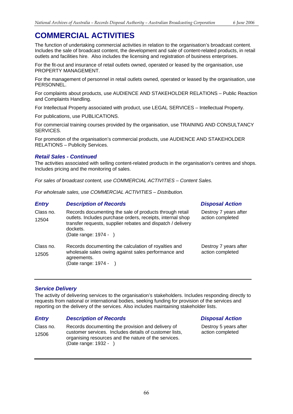The function of undertaking commercial activities in relation to the organisation's broadcast content. Includes the sale of broadcast content, the development and sale of content-related products, in retail outlets and facilities hire. Also includes the licensing and registration of business enterprises.

For the fit-out and insurance of retail outlets owned, operated or leased by the organisation, use PROPERTY MANAGEMENT.

For the management of personnel in retail outlets owned, operated or leased by the organisation, use PERSONNEL.

For complaints about products, use AUDIENCE AND STAKEHOLDER RELATIONS – Public Reaction and Complaints Handling.

For Intellectual Property associated with product, use LEGAL SERVICES – Intellectual Property.

For publications, use PUBLICATIONS.

For commercial training courses provided by the organisation, use TRAINING AND CONSULTANCY SERVICES.

For promotion of the organisation's commercial products, use AUDIENCE AND STAKEHOLDER RELATIONS – Publicity Services.

## *Retail Sales - Continued*

The activities associated with selling content-related products in the organisation's centres and shops. Includes pricing and the monitoring of sales.

*For sales of broadcast content, use COMMERCIAL ACTIVITIES – Content Sales.* 

*For wholesale sales, use COMMERCIAL ACTIVITIES – Distribution.* 

## *Entry Description of Records Disposal Action*

Class no. 12504 Records documenting the sale of products through retail outlets. Includes purchase orders, receipts, internal shop transfer requests, supplier rebates and dispatch / delivery dockets. (Date range: 1974 - ) Class no. 12505 Records documenting the calculation of royalties and wholesale sales owing against sales performance and agreements. (Date range: 1974 - )

Destroy 7 years after action completed

Destroy 7 years after action completed

## *Service Delivery*

The activity of delivering services to the organisation's stakeholders. Includes responding directly to requests from national or international bodies, seeking funding for provision of the services and reporting on the delivery of the services. Also includes maintaining stakeholder lists.

## *Entry Description of Records Disposal Action*

Class no. 12506 Records documenting the provision and delivery of customer services. Includes details of customer lists, organising resources and the nature of the services. (Date range: 1932 - )

Destroy 5 years after action completed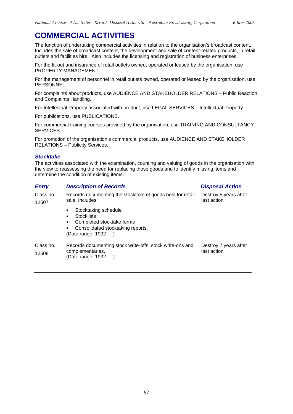The function of undertaking commercial activities in relation to the organisation's broadcast content. Includes the sale of broadcast content, the development and sale of content-related products, in retail outlets and facilities hire. Also includes the licensing and registration of business enterprises.

For the fit-out and insurance of retail outlets owned, operated or leased by the organisation, use PROPERTY MANAGEMENT.

For the management of personnel in retail outlets owned, operated or leased by the organisation, use PERSONNEL.

For complaints about products, use AUDIENCE AND STAKEHOLDER RELATIONS – Public Reaction and Complaints Handling.

For Intellectual Property associated with product, use LEGAL SERVICES – Intellectual Property.

For publications, use PUBLICATIONS.

For commercial training courses provided by the organisation, use TRAINING AND CONSULTANCY SERVICES.

For promotion of the organisation's commercial products, use AUDIENCE AND STAKEHOLDER RELATIONS – Publicity Services.

## *Stocktake*

The activities associated with the examination, counting and valuing of goods in the organisation with the view to reassessing the need for replacing those goods and to identify missing items and determine the condition of existing items.

## *Entry Description of Records Disposal Action*

Class no. 12507 Records documenting the stocktake of goods held for retail sale. Includes: Destroy 5 years after last action

- Stocktaking schedule
- **Stocklists**
- Completed stocktake forms
- Consolidated stocktaking reports. (Date range: 1932 - )
- Class no. 12508 Records documenting stock write-offs, stock write-ons and complementaries. (Date range: 1932 - ) Destroy 7 years after last action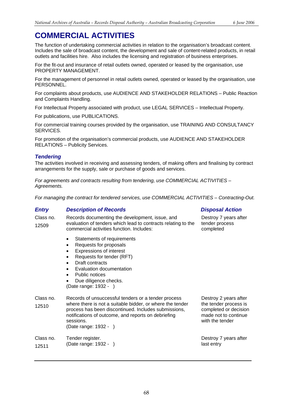The function of undertaking commercial activities in relation to the organisation's broadcast content. Includes the sale of broadcast content, the development and sale of content-related products, in retail outlets and facilities hire. Also includes the licensing and registration of business enterprises.

For the fit-out and insurance of retail outlets owned, operated or leased by the organisation, use PROPERTY MANAGEMENT.

For the management of personnel in retail outlets owned, operated or leased by the organisation, use PERSONNEL.

For complaints about products, use AUDIENCE AND STAKEHOLDER RELATIONS – Public Reaction and Complaints Handling.

For Intellectual Property associated with product, use LEGAL SERVICES – Intellectual Property.

For publications, use PUBLICATIONS.

For commercial training courses provided by the organisation, use TRAINING AND CONSULTANCY SERVICES.

For promotion of the organisation's commercial products, use AUDIENCE AND STAKEHOLDER RELATIONS – Publicity Services.

## *Tendering*

The activities involved in receiving and assessing tenders, of making offers and finalising by contract arrangements for the supply, sale or purchase of goods and services.

*For agreements and contracts resulting from tendering, use COMMERCIAL ACTIVITIES – Agreements.* 

*For managing the contract for tendered services, use COMMERCIAL ACTIVITIES – Contracting-Out.* 

## *Entry Description of Records Disposal Action*

### Class no. 12509 Records documenting the development, issue, and evaluation of tenders which lead to contracts relating to the commercial activities function. Includes: • Statements of requirements • Requests for proposals • Expressions of interest • Requests for tender (RFT) • Draft contracts • Evaluation documentation Public notices Due diligence checks. (Date range: 1932 - ) Destroy 7 years after tender process completed Class no. 12510 Records of unsuccessful tenders or a tender process where there is not a suitable bidder, or where the tender process has been discontinued. Includes submissions, notifications of outcome, and reports on debriefing sessions. (Date range: 1932 - ) Destroy 2 years after the tender process is completed or decision made not to continue with the tender Class no. 12511 Tender register. (Date range: 1932 - ) Destroy 7 years after last entry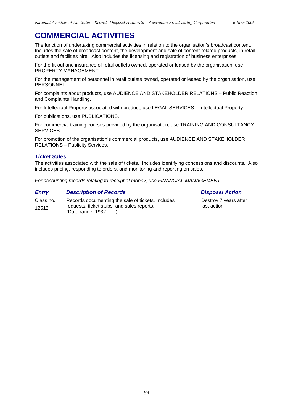The function of undertaking commercial activities in relation to the organisation's broadcast content. Includes the sale of broadcast content, the development and sale of content-related products, in retail outlets and facilities hire. Also includes the licensing and registration of business enterprises.

For the fit-out and insurance of retail outlets owned, operated or leased by the organisation, use PROPERTY MANAGEMENT.

For the management of personnel in retail outlets owned, operated or leased by the organisation, use PERSONNEL.

For complaints about products, use AUDIENCE AND STAKEHOLDER RELATIONS – Public Reaction and Complaints Handling.

For Intellectual Property associated with product, use LEGAL SERVICES – Intellectual Property.

For publications, use PUBLICATIONS.

For commercial training courses provided by the organisation, use TRAINING AND CONSULTANCY SERVICES.

For promotion of the organisation's commercial products, use AUDIENCE AND STAKEHOLDER RELATIONS – Publicity Services.

## *Ticket Sales*

The activities associated with the sale of tickets. Includes identifying concessions and discounts. Also includes pricing, responding to orders, and monitoring and reporting on sales.

*For accounting records relating to receipt of money, use FINANCIAL MANAGEMENT.* 

## *Entry Description of Records Disposal Action*

Class no. 12512 Records documenting the sale of tickets. Includes requests, ticket stubs, and sales reports. (Date range: 1932 - )

Destroy 7 years after last action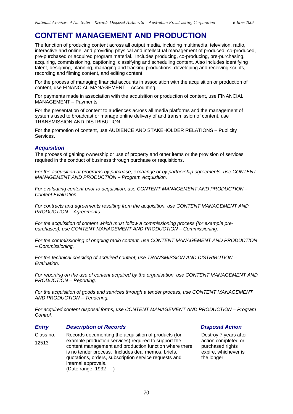# **CONTENT MANAGEMENT AND PRODUCTION**

The function of producing content across all output media, including multimedia, television, radio, interactive and online, and providing physical and intellectual management of produced, co-produced, pre-purchased or acquired program material. Includes producing, co-producing, pre-purchasing, acquiring, commissioning, captioning, classifying and scheduling content. Also includes identifying talent, designing, planning, managing and tracking productions, developing and receiving scripts, recording and filming content, and editing content.

For the process of managing financial accounts in association with the acquisition or production of content, use FINANCIAL MANAGEMENT – Accounting.

For payments made in association with the acquisition or production of content, use FINANCIAL MANAGEMENT – Payments.

For the presentation of content to audiences across all media platforms and the management of systems used to broadcast or manage online delivery of and transmission of content, use TRANSMISSION AND DISTRIBUTION.

For the promotion of content, use AUDIENCE AND STAKEHOLDER RELATIONS – Publicity Services.

## *Acquisition*

The process of gaining ownership or use of property and other items or the provision of services required in the conduct of business through purchase or requisitions.

*For the acquisition of programs by purchase, exchange or by partnership agreements, use CONTENT MANAGEMENT AND PRODUCTION – Program Acquisition.* 

*For evaluating content prior to acquisition, use CONTENT MANAGEMENT AND PRODUCTION – Content Evaluation.* 

*For contracts and agreements resulting from the acquisition, use CONTENT MANAGEMENT AND PRODUCTION – Agreements.* 

*For the acquisition of content which must follow a commissioning process (for example prepurchases), use CONTENT MANAGEMENT AND PRODUCTION – Commissioning.* 

*For the commissioning of ongoing radio content, use CONTENT MANAGEMENT AND PRODUCTION – Commissioning.* 

*For the technical checking of acquired content, use TRANSMISSION AND DISTRIBUTION – Evaluation.* 

*For reporting on the use of content acquired by the organisation, use CONTENT MANAGEMENT AND PRODUCTION – Reporting.* 

*For the acquisition of goods and services through a tender process, use CONTENT MANAGEMENT AND PRODUCTION – Tendering.* 

*For acquired content disposal forms, use CONTENT MANAGEMENT AND PRODUCTION – Program Control.* 

## *Entry Description of Records Disposal Action*

Class no. Records documenting the acquisition of products (for example production services) required to support the

12513 content management and production function where there is no tender process. Includes deal memos, briefs, quotations, orders, subscription service requests and internal approvals. (Date range: 1932 - )

Destroy 7 years after action completed or purchased rights expire, whichever is the longer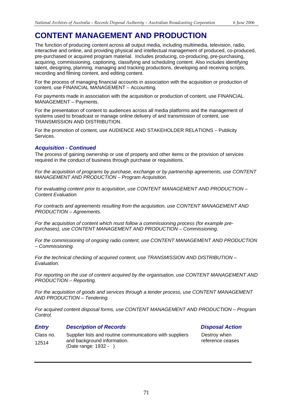# **CONTENT MANAGEMENT AND PRODUCTION**

The function of producing content across all output media, including multimedia, television, radio, interactive and online, and providing physical and intellectual management of produced, co-produced, pre-purchased or acquired program material. Includes producing, co-producing, pre-purchasing, acquiring, commissioning, captioning, classifying and scheduling content. Also includes identifying talent, designing, planning, managing and tracking productions, developing and receiving scripts, recording and filming content, and editing content.

For the process of managing financial accounts in association with the acquisition or production of content, use FINANCIAL MANAGEMENT – Accounting.

For payments made in association with the acquisition or production of content, use FINANCIAL MANAGEMENT – Payments.

For the presentation of content to audiences across all media platforms and the management of systems used to broadcast or manage online delivery of and transmission of content, use TRANSMISSION AND DISTRIBUTION.

For the promotion of content, use AUDIENCE AND STAKEHOLDER RELATIONS – Publicity Services.

## *Acquisition - Continued*

The process of gaining ownership or use of property and other items or the provision of services required in the conduct of business through purchase or requisitions.

*For the acquisition of programs by purchase, exchange or by partnership agreements, use CONTENT MANAGEMENT AND PRODUCTION – Program Acquisition.* 

*For evaluating content prior to acquisition, use CONTENT MANAGEMENT AND PRODUCTION – Content Evaluation.* 

*For contracts and agreements resulting from the acquisition, use CONTENT MANAGEMENT AND PRODUCTION – Agreements.* 

*For the acquisition of content which must follow a commissioning process (for example prepurchases), use CONTENT MANAGEMENT AND PRODUCTION – Commissioning.* 

*For the commissioning of ongoing radio content, use CONTENT MANAGEMENT AND PRODUCTION – Commissioning.* 

*For the technical checking of acquired content, use TRANSMISSION AND DISTRIBUTION – Evaluation.* 

*For reporting on the use of content acquired by the organisation, use CONTENT MANAGEMENT AND PRODUCTION – Reporting.* 

*For the acquisition of goods and services through a tender process, use CONTENT MANAGEMENT AND PRODUCTION – Tendering.* 

*For acquired content disposal forms, use CONTENT MANAGEMENT AND PRODUCTION – Program Control.* 

## *Entry Description of Records Disposal Action*

Class no. 12514 Supplier lists and routine communications with suppliers and background information. (Date range: 1932 - )

Destroy when reference ceases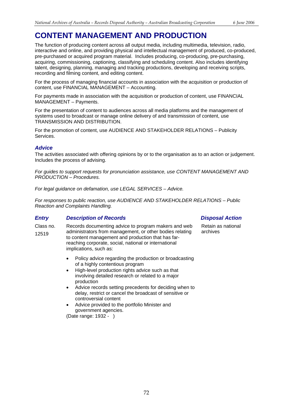# **CONTENT MANAGEMENT AND PRODUCTION**

The function of producing content across all output media, including multimedia, television, radio, interactive and online, and providing physical and intellectual management of produced, co-produced, pre-purchased or acquired program material. Includes producing, co-producing, pre-purchasing, acquiring, commissioning, captioning, classifying and scheduling content. Also includes identifying talent, designing, planning, managing and tracking productions, developing and receiving scripts, recording and filming content, and editing content.

For the process of managing financial accounts in association with the acquisition or production of content, use FINANCIAL MANAGEMENT – Accounting.

For payments made in association with the acquisition or production of content, use FINANCIAL MANAGEMENT – Payments.

For the presentation of content to audiences across all media platforms and the management of systems used to broadcast or manage online delivery of and transmission of content, use TRANSMISSION AND DISTRIBUTION.

For the promotion of content, use AUDIENCE AND STAKEHOLDER RELATIONS – Publicity Services.

## *Advice*

The activities associated with offering opinions by or to the organisation as to an action or judgement. Includes the process of advising.

*For guides to support requests for pronunciation assistance, use CONTENT MANAGEMENT AND PRODUCTION – Procedures.* 

*For legal guidance on defamation, use LEGAL SERVICES – Advice.* 

*For responses to public reaction, use AUDIENCE AND STAKEHOLDER RELATIONS – Public Reaction and Complaints Handling.* 

## *Entry Description of Records Disposal Action*

- Class no. 12519 Records documenting advice to program makers and web administrators from management, or other bodies relating to content management and production that has farreaching corporate, social, national or international implications, such as:
	- Policy advice regarding the production or broadcasting of a highly contentious program
	- High-level production rights advice such as that involving detailed research or related to a major production
	- Advice records setting precedents for deciding when to delay, restrict or cancel the broadcast of sensitive or controversial content
	- Advice provided to the portfolio Minister and government agencies.

(Date range: 1932 - )

Retain as national archives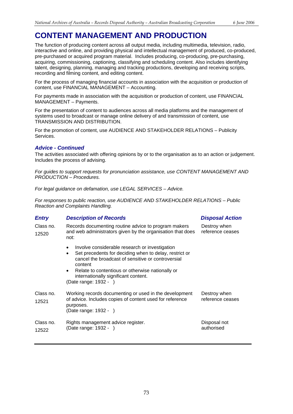The function of producing content across all output media, including multimedia, television, radio, interactive and online, and providing physical and intellectual management of produced, co-produced, pre-purchased or acquired program material. Includes producing, co-producing, pre-purchasing, acquiring, commissioning, captioning, classifying and scheduling content. Also includes identifying talent, designing, planning, managing and tracking productions, developing and receiving scripts, recording and filming content, and editing content.

For the process of managing financial accounts in association with the acquisition or production of content, use FINANCIAL MANAGEMENT – Accounting.

For payments made in association with the acquisition or production of content, use FINANCIAL MANAGEMENT – Payments.

For the presentation of content to audiences across all media platforms and the management of systems used to broadcast or manage online delivery of and transmission of content, use TRANSMISSION AND DISTRIBUTION.

For the promotion of content, use AUDIENCE AND STAKEHOLDER RELATIONS – Publicity Services.

### *Advice - Continued*

The activities associated with offering opinions by or to the organisation as to an action or judgement. Includes the process of advising.

*For guides to support requests for pronunciation assistance, use CONTENT MANAGEMENT AND PRODUCTION – Procedures.* 

*For legal guidance on defamation, use LEGAL SERVICES – Advice.* 

*For responses to public reaction, use AUDIENCE AND STAKEHOLDER RELATIONS – Public Reaction and Complaints Handling.* 

#### *Entry Description of Records Disposal Action*

#### Class no. 12520 Records documenting routine advice to program makers and web administrators given by the organisation that does not: • Involve considerable research or investigation Set precedents for deciding when to delay, restrict or cancel the broadcast of sensitive or controversial content • Relate to contentious or otherwise nationally or internationally significant content. (Date range: 1932 - ) Destroy when reference ceases Class no. 12521 Working records documenting or used in the development of advice. Includes copies of content used for reference purposes. (Date range: 1932 - ) Destroy when reference ceases Class no. 12522 Rights management advice register. (Date range: 1932 - ) Disposal not authorised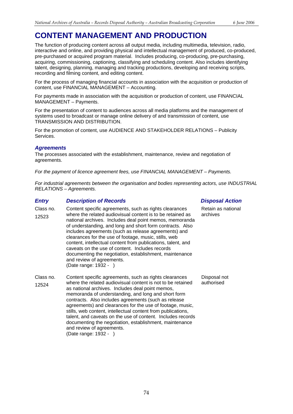The function of producing content across all output media, including multimedia, television, radio, interactive and online, and providing physical and intellectual management of produced, co-produced, pre-purchased or acquired program material. Includes producing, co-producing, pre-purchasing, acquiring, commissioning, captioning, classifying and scheduling content. Also includes identifying talent, designing, planning, managing and tracking productions, developing and receiving scripts, recording and filming content, and editing content.

For the process of managing financial accounts in association with the acquisition or production of content, use FINANCIAL MANAGEMENT – Accounting.

For payments made in association with the acquisition or production of content, use FINANCIAL MANAGEMENT – Payments.

For the presentation of content to audiences across all media platforms and the management of systems used to broadcast or manage online delivery of and transmission of content, use TRANSMISSION AND DISTRIBUTION.

For the promotion of content, use AUDIENCE AND STAKEHOLDER RELATIONS – Publicity Services.

#### *Agreements*

The processes associated with the establishment, maintenance, review and negotiation of agreements.

*For the payment of licence agreement fees, use FINANCIAL MANAGEMENT – Payments.* 

*For industrial agreements between the organisation and bodies representing actors, use INDUSTRIAL RELATIONS – Agreements.* 

#### *Entry Description of Records Disposal Action*

- Class no. 12523 Content specific agreements, such as rights clearances where the related audiovisual content is to be retained as national archives. Includes deal point memos, memoranda of understanding, and long and short form contracts. Also includes agreements (such as release agreements) and clearances for the use of footage, music, stills, web content, intellectual content from publications, talent, and caveats on the use of content. Includes records documenting the negotiation, establishment, maintenance and review of agreements. (Date range: 1932 - )
- Class no. 12524 Content specific agreements, such as rights clearances where the related audiovisual content is not to be retained as national archives. Includes deal point memos, memoranda of understanding, and long and short form contracts. Also includes agreements (such as release agreements) and clearances for the use of footage, music, stills, web content, intellectual content from publications, talent, and caveats on the use of content. Includes records documenting the negotiation, establishment, maintenance and review of agreements. (Date range: 1932 - )

Retain as national archives

Disposal not authorised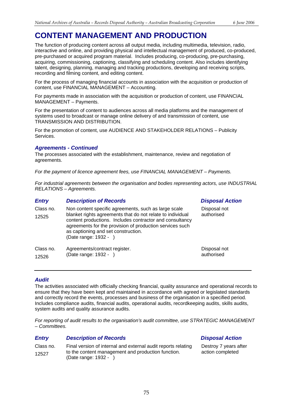The function of producing content across all output media, including multimedia, television, radio, interactive and online, and providing physical and intellectual management of produced, co-produced, pre-purchased or acquired program material. Includes producing, co-producing, pre-purchasing, acquiring, commissioning, captioning, classifying and scheduling content. Also includes identifying talent, designing, planning, managing and tracking productions, developing and receiving scripts, recording and filming content, and editing content.

For the process of managing financial accounts in association with the acquisition or production of content, use FINANCIAL MANAGEMENT – Accounting.

For payments made in association with the acquisition or production of content, use FINANCIAL MANAGEMENT – Payments.

For the presentation of content to audiences across all media platforms and the management of systems used to broadcast or manage online delivery of and transmission of content, use TRANSMISSION AND DISTRIBUTION.

For the promotion of content, use AUDIENCE AND STAKEHOLDER RELATIONS – Publicity Services.

#### *Agreements - Continued*

The processes associated with the establishment, maintenance, review and negotiation of agreements.

*For the payment of licence agreement fees, use FINANCIAL MANAGEMENT – Payments.* 

*For industrial agreements between the organisation and bodies representing actors, use INDUSTRIAL RELATIONS – Agreements.* 

| <b>Entry</b>       | <b>Description of Records</b>                                                                                                                                                                                                                                                                              | <b>Disposal Action</b>     |
|--------------------|------------------------------------------------------------------------------------------------------------------------------------------------------------------------------------------------------------------------------------------------------------------------------------------------------------|----------------------------|
| Class no.<br>12525 | Non content specific agreements, such as large scale<br>blanket rights agreements that do not relate to individual<br>content productions. Includes contractor and consultancy<br>agreements for the provision of production services such<br>as captioning and set construction.<br>(Date range: 1932 - ) | Disposal not<br>authorised |
| Class no.<br>12526 | Agreements/contract register.<br>(Date range: 1932 - )                                                                                                                                                                                                                                                     | Disposal not<br>authorised |

### *Audit*

The activities associated with officially checking financial, quality assurance and operational records to ensure that they have been kept and maintained in accordance with agreed or legislated standards and correctly record the events, processes and business of the organisation in a specified period. Includes compliance audits, financial audits, operational audits, recordkeeping audits, skills audits, system audits and quality assurance audits.

*For reporting of audit results to the organisation's audit committee, use STRATEGIC MANAGEMENT – Committees.* 

### *Entry Description of Records Disposal Action*

| Class no. | Final version of internal and external audit reports relating |
|-----------|---------------------------------------------------------------|
| 12527     | to the content management and production function.            |
|           | (Date range: 1932 - )                                         |

Destroy 7 years after action completed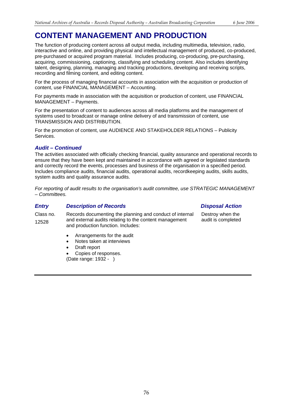The function of producing content across all output media, including multimedia, television, radio, interactive and online, and providing physical and intellectual management of produced, co-produced, pre-purchased or acquired program material. Includes producing, co-producing, pre-purchasing, acquiring, commissioning, captioning, classifying and scheduling content. Also includes identifying talent, designing, planning, managing and tracking productions, developing and receiving scripts, recording and filming content, and editing content.

For the process of managing financial accounts in association with the acquisition or production of content, use FINANCIAL MANAGEMENT – Accounting.

For payments made in association with the acquisition or production of content, use FINANCIAL MANAGEMENT – Payments.

For the presentation of content to audiences across all media platforms and the management of systems used to broadcast or manage online delivery of and transmission of content, use TRANSMISSION AND DISTRIBUTION.

For the promotion of content, use AUDIENCE AND STAKEHOLDER RELATIONS – Publicity Services.

#### *Audit – Continued*

The activities associated with officially checking financial, quality assurance and operational records to ensure that they have been kept and maintained in accordance with agreed or legislated standards and correctly record the events, processes and business of the organisation in a specified period. Includes compliance audits, financial audits, operational audits, recordkeeping audits, skills audits, system audits and quality assurance audits.

*For reporting of audit results to the organisation's audit committee, use STRATEGIC MANAGEMENT – Committees.* 

#### *Entry Description of Records Disposal Action*

Class no. 12528

Records documenting the planning and conduct of internal and external audits relating to the content management and production function. Includes:

- Arrangements for the audit
- Notes taken at interviews
- Draft report
- Copies of responses.
- (Date range: 1932 )

Destroy when the audit is completed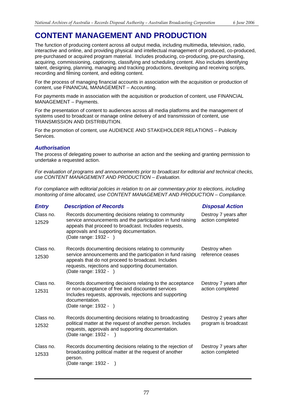The function of producing content across all output media, including multimedia, television, radio, interactive and online, and providing physical and intellectual management of produced, co-produced, pre-purchased or acquired program material. Includes producing, co-producing, pre-purchasing, acquiring, commissioning, captioning, classifying and scheduling content. Also includes identifying talent, designing, planning, managing and tracking productions, developing and receiving scripts, recording and filming content, and editing content.

For the process of managing financial accounts in association with the acquisition or production of content, use FINANCIAL MANAGEMENT – Accounting.

For payments made in association with the acquisition or production of content, use FINANCIAL MANAGEMENT – Payments.

For the presentation of content to audiences across all media platforms and the management of systems used to broadcast or manage online delivery of and transmission of content, use TRANSMISSION AND DISTRIBUTION.

For the promotion of content, use AUDIENCE AND STAKEHOLDER RELATIONS – Publicity Services.

### *Authorisation*

The process of delegating power to authorise an action and the seeking and granting permission to undertake a requested action.

*For evaluation of programs and announcements prior to broadcast for editorial and technical checks, use CONTENT MANAGEMENT AND PRODUCTION – Evaluation.* 

*For compliance with editorial policies in relation to on air commentary prior to elections, including monitoring of time allocated, use CONTENT MANAGEMENT AND PRODUCTION – Compliance.* 

| Class no.<br>12529 | Records documenting decisions relating to community<br>service announcements and the participation in fund raising<br>appeals that proceed to broadcast. Includes requests,<br>approvals and supporting documentation.<br>(Date range: 1932 - )         | Destroy 7 years after<br>action completed     |
|--------------------|---------------------------------------------------------------------------------------------------------------------------------------------------------------------------------------------------------------------------------------------------------|-----------------------------------------------|
| Class no.<br>12530 | Records documenting decisions relating to community<br>service announcements and the participation in fund raising<br>appeals that do not proceed to broadcast. Includes<br>requests, rejections and supporting documentation.<br>(Date range: 1932 - ) | Destroy when<br>reference ceases              |
| Class no.<br>12531 | Records documenting decisions relating to the acceptance<br>or non-acceptance of free and discounted services<br>Includes requests, approvals, rejections and supporting<br>documentation.<br>(Date range: 1932 - )                                     | Destroy 7 years after<br>action completed     |
| Class no.<br>12532 | Records documenting decisions relating to broadcasting<br>political matter at the request of another person. Includes<br>requests, approvals and supporting documentation.<br>(Date range: 1932 - )                                                     | Destroy 2 years after<br>program is broadcast |
| Class no.<br>12533 | Records documenting decisions relating to the rejection of<br>broadcasting political matter at the request of another<br>person.<br>(Date range: 1932 - )                                                                                               | Destroy 7 years after<br>action completed     |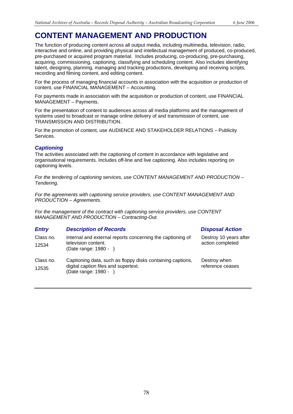The function of producing content across all output media, including multimedia, television, radio, interactive and online, and providing physical and intellectual management of produced, co-produced, pre-purchased or acquired program material. Includes producing, co-producing, pre-purchasing, acquiring, commissioning, captioning, classifying and scheduling content. Also includes identifying talent, designing, planning, managing and tracking productions, developing and receiving scripts, recording and filming content, and editing content.

For the process of managing financial accounts in association with the acquisition or production of content, use FINANCIAL MANAGEMENT – Accounting.

For payments made in association with the acquisition or production of content, use FINANCIAL MANAGEMENT – Payments.

For the presentation of content to audiences across all media platforms and the management of systems used to broadcast or manage online delivery of and transmission of content, use TRANSMISSION AND DISTRIBUTION.

For the promotion of content, use AUDIENCE AND STAKEHOLDER RELATIONS – Publicity Services.

### *Captioning*

The activities associated with the captioning of content in accordance with legislative and organisational requirements. Includes off-line and live captioning. Also includes reporting on captioning levels.

*For the tendering of captioning services, use CONTENT MANAGEMENT AND PRODUCTION – Tendering.* 

For the agreements with captioning service providers, use CONTENT MANAGEMENT AND *PRODUCTION – Agreements.* 

*For the management of the contract with captioning service providers, use CONTENT MANAGEMENT AND PRODUCTION – Contracting-Out.* 

#### *Entry Description of Records Disposal Action*

#### Class no. 12534 Internal and external reports concerning the captioning of television content. (Date range: 1980 - ) Destroy 10 years after action completed Class no. 12535 Captioning data, such as floppy disks containing captions, digital caption files and supertext. (Date range: 1980 - ) Destroy when reference ceases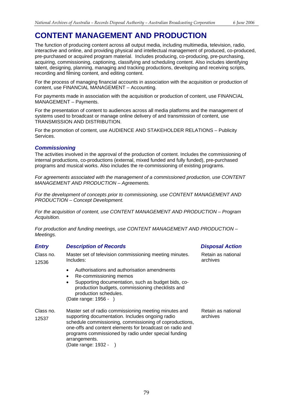The function of producing content across all output media, including multimedia, television, radio, interactive and online, and providing physical and intellectual management of produced, co-produced, pre-purchased or acquired program material. Includes producing, co-producing, pre-purchasing, acquiring, commissioning, captioning, classifying and scheduling content. Also includes identifying talent, designing, planning, managing and tracking productions, developing and receiving scripts, recording and filming content, and editing content.

For the process of managing financial accounts in association with the acquisition or production of content, use FINANCIAL MANAGEMENT – Accounting.

For payments made in association with the acquisition or production of content, use FINANCIAL MANAGEMENT – Payments.

For the presentation of content to audiences across all media platforms and the management of systems used to broadcast or manage online delivery of and transmission of content, use TRANSMISSION AND DISTRIBUTION.

For the promotion of content, use AUDIENCE AND STAKEHOLDER RELATIONS – Publicity Services.

### *Commissioning*

The activities involved in the approval of the production of content. Includes the commissioning of internal productions, co-productions (external, mixed funded and fully funded), pre-purchased programs and musical works. Also includes the re-commissioning of existing programs.

*For agreements associated with the management of a commissioned production, use CONTENT MANAGEMENT AND PRODUCTION – Agreements.* 

For the development of concepts prior to commissioning, use CONTENT MANAGEMENT AND *PRODUCTION – Concept Development.* 

*For the acquisition of content, use CONTENT MANAGEMENT AND PRODUCTION – Program Acquisition.* 

*For production and funding meetings, use CONTENT MANAGEMENT AND PRODUCTION – Meetings.* 

#### *Entry Description of Records Disposal Action*

Class no. 12536 Master set of television commissioning meeting minutes. Includes:

- Authorisations and authorisation amendments
- Re-commissioning memos
- Supporting documentation, such as budget bids, coproduction budgets, commissioning checklists and production schedules.
- (Date range: 1956 )
- Class no. 12537 Master set of radio commissioning meeting minutes and supporting documentation. Includes ongoing radio schedule commissioning, commissioning of coproductions, one-offs and content elements for broadcast on radio and programs commissioned by radio under special funding arrangements. (Date range: 1932 - )

Retain as national archives

Retain as national archives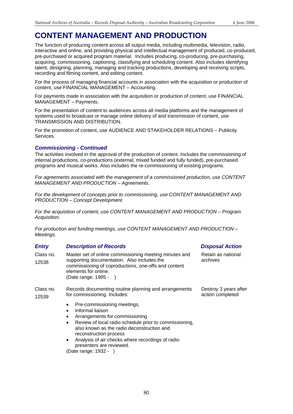The function of producing content across all output media, including multimedia, television, radio, interactive and online, and providing physical and intellectual management of produced, co-produced, pre-purchased or acquired program material. Includes producing, co-producing, pre-purchasing, acquiring, commissioning, captioning, classifying and scheduling content. Also includes identifying talent, designing, planning, managing and tracking productions, developing and receiving scripts, recording and filming content, and editing content.

For the process of managing financial accounts in association with the acquisition or production of content, use FINANCIAL MANAGEMENT – Accounting.

For payments made in association with the acquisition or production of content, use FINANCIAL MANAGEMENT – Payments.

For the presentation of content to audiences across all media platforms and the management of systems used to broadcast or manage online delivery of and transmission of content, use TRANSMISSION AND DISTRIBUTION.

For the promotion of content, use AUDIENCE AND STAKEHOLDER RELATIONS – Publicity Services.

### *Commissioning - Continued*

The activities involved in the approval of the production of content. Includes the commissioning of internal productions, co-productions (external, mixed funded and fully funded), pre-purchased programs and musical works. Also includes the re-commissioning of existing programs.

*For agreements associated with the management of a commissioned production, use CONTENT MANAGEMENT AND PRODUCTION – Agreements.* 

For the development of concepts prior to commissioning, use CONTENT MANAGEMENT AND *PRODUCTION – Concept Development.* 

*For the acquisition of content, use CONTENT MANAGEMENT AND PRODUCTION – Program Acquisition.* 

*For production and funding meetings, use CONTENT MANAGEMENT AND PRODUCTION – Meetings.* 

| Class no.          | Master set of online commissioning meeting minutes and                                                                                                                                                                                                                                                                                                               | Retain as national                        |
|--------------------|----------------------------------------------------------------------------------------------------------------------------------------------------------------------------------------------------------------------------------------------------------------------------------------------------------------------------------------------------------------------|-------------------------------------------|
| 12538              | supporting documentation. Also includes the<br>commissioning of coproductions, one-offs and content<br>elements for online.<br>(Date range: 1995 - )                                                                                                                                                                                                                 | archives                                  |
| Class no.<br>12539 | Records documenting routine planning and arrangements<br>for commissioning. Includes:                                                                                                                                                                                                                                                                                | Destroy 3 years after<br>action completed |
|                    | Pre-commissioning meetings,<br>$\bullet$<br>Informal liaison<br>$\bullet$<br>Arrangements for commissioning<br>$\bullet$<br>Review of local radio schedule prior to commissioning,<br>$\bullet$<br>also known as the radio deconstruction and<br>reconstruction process<br>Analysis of air checks where recordings of radio<br>$\bullet$<br>presenters are reviewed. |                                           |
|                    | (Date range: 1932 - )                                                                                                                                                                                                                                                                                                                                                |                                           |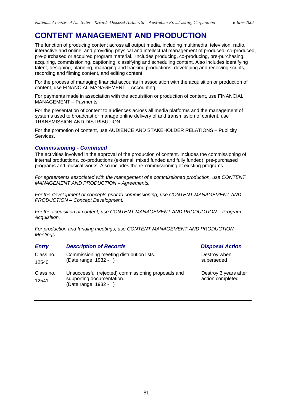The function of producing content across all output media, including multimedia, television, radio, interactive and online, and providing physical and intellectual management of produced, co-produced, pre-purchased or acquired program material. Includes producing, co-producing, pre-purchasing, acquiring, commissioning, captioning, classifying and scheduling content. Also includes identifying talent, designing, planning, managing and tracking productions, developing and receiving scripts, recording and filming content, and editing content.

For the process of managing financial accounts in association with the acquisition or production of content, use FINANCIAL MANAGEMENT – Accounting.

For payments made in association with the acquisition or production of content, use FINANCIAL MANAGEMENT – Payments.

For the presentation of content to audiences across all media platforms and the management of systems used to broadcast or manage online delivery of and transmission of content, use TRANSMISSION AND DISTRIBUTION.

For the promotion of content, use AUDIENCE AND STAKEHOLDER RELATIONS – Publicity Services.

#### *Commissioning - Continued*

The activities involved in the approval of the production of content. Includes the commissioning of internal productions, co-productions (external, mixed funded and fully funded), pre-purchased programs and musical works. Also includes the re-commissioning of existing programs.

*For agreements associated with the management of a commissioned production, use CONTENT MANAGEMENT AND PRODUCTION – Agreements.* 

For the development of concepts prior to commissioning, use CONTENT MANAGEMENT AND *PRODUCTION – Concept Development.* 

*For the acquisition of content, use CONTENT MANAGEMENT AND PRODUCTION – Program Acquisition.* 

*For production and funding meetings, use CONTENT MANAGEMENT AND PRODUCTION – Meetings.* 

Unsuccessful (rejected) commissioning proposals and

#### *Entry Description of Records Disposal Action*

Class no. 12541

Class no. 12540 Commissioning meeting distribution lists. (Date range: 1932 - )

> supporting documentation. (Date range: 1932 - )

Destroy when superseded

Destroy 3 years after action completed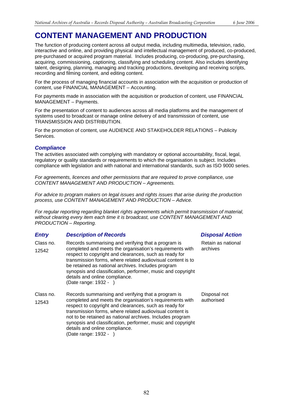The function of producing content across all output media, including multimedia, television, radio, interactive and online, and providing physical and intellectual management of produced, co-produced, pre-purchased or acquired program material. Includes producing, co-producing, pre-purchasing, acquiring, commissioning, captioning, classifying and scheduling content. Also includes identifying talent, designing, planning, managing and tracking productions, developing and receiving scripts, recording and filming content, and editing content.

For the process of managing financial accounts in association with the acquisition or production of content, use FINANCIAL MANAGEMENT – Accounting.

For payments made in association with the acquisition or production of content, use FINANCIAL MANAGEMENT – Payments.

For the presentation of content to audiences across all media platforms and the management of systems used to broadcast or manage online delivery of and transmission of content, use TRANSMISSION AND DISTRIBUTION.

For the promotion of content, use AUDIENCE AND STAKEHOLDER RELATIONS – Publicity Services.

#### *Compliance*

The activities associated with complying with mandatory or optional accountability, fiscal, legal, regulatory or quality standards or requirements to which the organisation is subject. Includes compliance with legislation and with national and international standards, such as ISO 9000 series.

*For agreements, licences and other permissions that are required to prove compliance, use CONTENT MANAGEMENT AND PRODUCTION – Agreements.* 

*For advice to program makers on legal issues and rights issues that arise during the production process, use CONTENT MANAGEMENT AND PRODUCTION – Advice.* 

*For regular reporting regarding blanket rights agreements which permit transmission of material, without clearing every item each time it is broadcast, use CONTENT MANAGEMENT AND PRODUCTION – Reporting.* 

### *Entry Description of Records Disposal Action*

- Class no. 12542 Records summarising and verifying that a program is completed and meets the organisation's requirements with respect to copyright and clearances, such as ready for transmission forms, where related audiovisual content is to be retained as national archives. Includes program synopsis and classification, performer, music and copyright details and online compliance. (Date range: 1932 - )
- Class no. 12543 Records summarising and verifying that a program is completed and meets the organisation's requirements with respect to copyright and clearances, such as ready for transmission forms, where related audiovisual content is not to be retained as national archives. Includes program synopsis and classification, performer, music and copyright details and online compliance. (Date range: 1932 - )

Retain as national archives

Disposal not authorised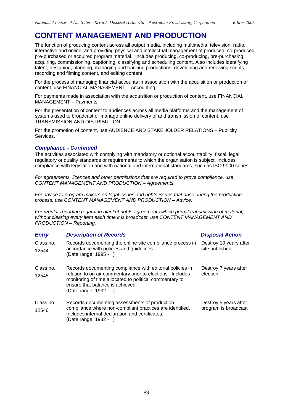The function of producing content across all output media, including multimedia, television, radio, interactive and online, and providing physical and intellectual management of produced, co-produced, pre-purchased or acquired program material. Includes producing, co-producing, pre-purchasing, acquiring, commissioning, captioning, classifying and scheduling content. Also includes identifying talent, designing, planning, managing and tracking productions, developing and receiving scripts, recording and filming content, and editing content.

For the process of managing financial accounts in association with the acquisition or production of content, use FINANCIAL MANAGEMENT – Accounting.

For payments made in association with the acquisition or production of content, use FINANCIAL MANAGEMENT – Payments.

For the presentation of content to audiences across all media platforms and the management of systems used to broadcast or manage online delivery of and transmission of content, use TRANSMISSION AND DISTRIBUTION.

For the promotion of content, use AUDIENCE AND STAKEHOLDER RELATIONS – Publicity Services.

#### *Compliance - Continued*

The activities associated with complying with mandatory or optional accountability, fiscal, legal, regulatory or quality standards or requirements to which the organisation is subject. Includes compliance with legislation and with national and international standards, such as ISO 9000 series.

*For agreements, licences and other permissions that are required to prove compliance, use CONTENT MANAGEMENT AND PRODUCTION – Agreements.* 

*For advice to program makers on legal issues and rights issues that arise during the production process, use CONTENT MANAGEMENT AND PRODUCTION – Advice.* 

*For regular reporting regarding blanket rights agreements which permit transmission of material, without clearing every item each time it is broadcast, use CONTENT MANAGEMENT AND PRODUCTION – Reporting.* 

| Class no.<br>12544 | Records documenting the online site compliance process in<br>accordance with policies and guidelines.<br>(Date range: 1995 - )                                                                                                                  | Destroy 10 years after<br>site published      |
|--------------------|-------------------------------------------------------------------------------------------------------------------------------------------------------------------------------------------------------------------------------------------------|-----------------------------------------------|
| Class no.<br>12545 | Records documenting compliance with editorial policies in<br>relation to on air commentary prior to elections. Includes<br>monitoring of time allocated to political commentary to<br>ensure that balance is achieved.<br>(Date range: 1932 - ) | Destroy 7 years after<br>election             |
| Class no.<br>12546 | Records documenting assessments of production<br>compliance where non-compliant practices are identified.<br>Includes internal declaration and certificates.<br>(Date range: 1932 - )                                                           | Destroy 5 years after<br>program is broadcast |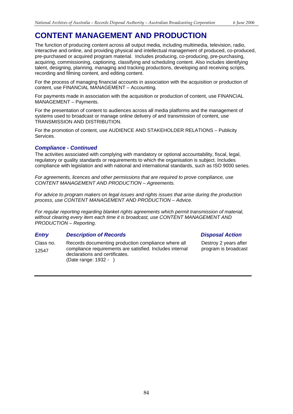The function of producing content across all output media, including multimedia, television, radio, interactive and online, and providing physical and intellectual management of produced, co-produced, pre-purchased or acquired program material. Includes producing, co-producing, pre-purchasing, acquiring, commissioning, captioning, classifying and scheduling content. Also includes identifying talent, designing, planning, managing and tracking productions, developing and receiving scripts, recording and filming content, and editing content.

For the process of managing financial accounts in association with the acquisition or production of content, use FINANCIAL MANAGEMENT – Accounting.

For payments made in association with the acquisition or production of content, use FINANCIAL MANAGEMENT – Payments.

For the presentation of content to audiences across all media platforms and the management of systems used to broadcast or manage online delivery of and transmission of content, use TRANSMISSION AND DISTRIBUTION.

For the promotion of content, use AUDIENCE AND STAKEHOLDER RELATIONS – Publicity Services.

#### *Compliance - Continued*

The activities associated with complying with mandatory or optional accountability, fiscal, legal, regulatory or quality standards or requirements to which the organisation is subject. Includes compliance with legislation and with national and international standards, such as ISO 9000 series.

*For agreements, licences and other permissions that are required to prove compliance, use CONTENT MANAGEMENT AND PRODUCTION – Agreements.* 

*For advice to program makers on legal issues and rights issues that arise during the production process, use CONTENT MANAGEMENT AND PRODUCTION – Advice.* 

*For regular reporting regarding blanket rights agreements which permit transmission of material, without clearing every item each time it is broadcast, use CONTENT MANAGEMENT AND PRODUCTION – Reporting.* 

### *Entry Description of Records Disposal Action*

Class no. 12547 Records documenting production compliance where all compliance requirements are satisfied. Includes internal declarations and certificates. (Date range: 1932 - )

Destroy 2 years after program is broadcast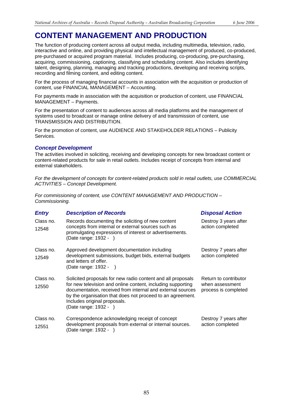The function of producing content across all output media, including multimedia, television, radio, interactive and online, and providing physical and intellectual management of produced, co-produced, pre-purchased or acquired program material. Includes producing, co-producing, pre-purchasing, acquiring, commissioning, captioning, classifying and scheduling content. Also includes identifying talent, designing, planning, managing and tracking productions, developing and receiving scripts, recording and filming content, and editing content.

For the process of managing financial accounts in association with the acquisition or production of content, use FINANCIAL MANAGEMENT – Accounting.

For payments made in association with the acquisition or production of content, use FINANCIAL MANAGEMENT – Payments.

For the presentation of content to audiences across all media platforms and the management of systems used to broadcast or manage online delivery of and transmission of content, use TRANSMISSION AND DISTRIBUTION.

For the promotion of content, use AUDIENCE AND STAKEHOLDER RELATIONS – Publicity Services.

#### *Concept Development*

The activities involved in soliciting, receiving and developing concepts for new broadcast content or content-related products for sale in retail outlets. Includes receipt of concepts from internal and external stakeholders.

*For the development of concepts for content-related products sold in retail outlets, use COMMERCIAL ACTIVITIES – Concept Development.* 

*For commissioning of content, use CONTENT MANAGEMENT AND PRODUCTION – Commissioning.* 

| <b>Entry</b>       | <b>Description of Records</b>                                                                                                                                                                                                                                                                                   | <b>Disposal Action</b>                                           |
|--------------------|-----------------------------------------------------------------------------------------------------------------------------------------------------------------------------------------------------------------------------------------------------------------------------------------------------------------|------------------------------------------------------------------|
| Class no.<br>12548 | Records documenting the soliciting of new content<br>concepts from internal or external sources such as<br>promulgating expressions of interest or advertisements.<br>(Date range: 1932 - )                                                                                                                     | Destroy 3 years after<br>action completed                        |
| Class no.<br>12549 | Approved development documentation including<br>development submissions, budget bids, external budgets<br>and letters of offer.<br>(Date range: 1932 - )                                                                                                                                                        | Destroy 7 years after<br>action completed                        |
| Class no.<br>12550 | Solicited proposals for new radio content and all proposals<br>for new television and online content, including supporting<br>documentation, received from internal and external sources<br>by the organisation that does not proceed to an agreement.<br>Includes original proposals.<br>(Date range: 1932 - ) | Return to contributor<br>when assessment<br>process is completed |
| Class no.<br>12551 | Correspondence acknowledging receipt of concept<br>development proposals from external or internal sources.<br>(Date range: 1932 -                                                                                                                                                                              | Destroy 7 years after<br>action completed                        |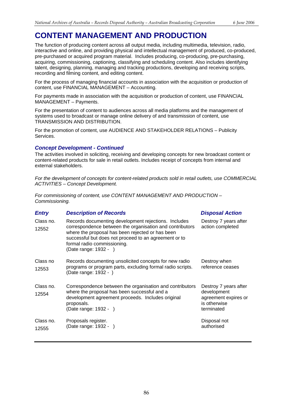The function of producing content across all output media, including multimedia, television, radio, interactive and online, and providing physical and intellectual management of produced, co-produced, pre-purchased or acquired program material. Includes producing, co-producing, pre-purchasing, acquiring, commissioning, captioning, classifying and scheduling content. Also includes identifying talent, designing, planning, managing and tracking productions, developing and receiving scripts, recording and filming content, and editing content.

For the process of managing financial accounts in association with the acquisition or production of content, use FINANCIAL MANAGEMENT – Accounting.

For payments made in association with the acquisition or production of content, use FINANCIAL MANAGEMENT – Payments.

For the presentation of content to audiences across all media platforms and the management of systems used to broadcast or manage online delivery of and transmission of content, use TRANSMISSION AND DISTRIBUTION.

For the promotion of content, use AUDIENCE AND STAKEHOLDER RELATIONS – Publicity Services.

#### *Concept Development - Continued*

The activities involved in soliciting, receiving and developing concepts for new broadcast content or content-related products for sale in retail outlets. Includes receipt of concepts from internal and external stakeholders.

*For the development of concepts for content-related products sold in retail outlets, use COMMERCIAL ACTIVITIES – Concept Development.* 

*For commissioning of content, use CONTENT MANAGEMENT AND PRODUCTION – Commissioning.* 

| Class no.<br>12552 | Records documenting development rejections. Includes<br>correspondence between the organisation and contributors<br>where the proposal has been rejected or has been<br>successful but does not proceed to an agreement or to<br>formal radio commissioning.<br>(Date range: 1932 - ) | Destroy 7 years after<br>action completed                                                  |
|--------------------|---------------------------------------------------------------------------------------------------------------------------------------------------------------------------------------------------------------------------------------------------------------------------------------|--------------------------------------------------------------------------------------------|
| Class no<br>12553  | Records documenting unsolicited concepts for new radio<br>programs or program parts, excluding formal radio scripts.<br>(Date range: 1932 - )                                                                                                                                         | Destroy when<br>reference ceases                                                           |
| Class no.<br>12554 | Correspondence between the organisation and contributors<br>where the proposal has been successful and a<br>development agreement proceeds. Includes original<br>proposals.<br>(Date range: 1932 - )                                                                                  | Destroy 7 years after<br>development<br>agreement expires or<br>is otherwise<br>terminated |
| Class no.<br>12555 | Proposals register.<br>(Date range: 1932 - )                                                                                                                                                                                                                                          | Disposal not<br>authorised                                                                 |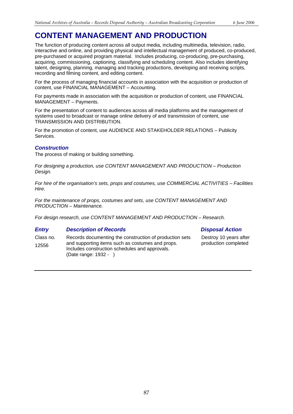The function of producing content across all output media, including multimedia, television, radio, interactive and online, and providing physical and intellectual management of produced, co-produced, pre-purchased or acquired program material. Includes producing, co-producing, pre-purchasing, acquiring, commissioning, captioning, classifying and scheduling content. Also includes identifying talent, designing, planning, managing and tracking productions, developing and receiving scripts, recording and filming content, and editing content.

For the process of managing financial accounts in association with the acquisition or production of content, use FINANCIAL MANAGEMENT – Accounting.

For payments made in association with the acquisition or production of content, use FINANCIAL MANAGEMENT – Payments.

For the presentation of content to audiences across all media platforms and the management of systems used to broadcast or manage online delivery of and transmission of content, use TRANSMISSION AND DISTRIBUTION.

For the promotion of content, use AUDIENCE AND STAKEHOLDER RELATIONS – Publicity Services.

### *Construction*

The process of making or building something.

*For designing a production, use CONTENT MANAGEMENT AND PRODUCTION – Production Design.* 

*For hire of the organisation's sets, props and costumes, use COMMERCIAL ACTIVITIES – Facilities Hire.* 

For the maintenance of props, costumes and sets, use CONTENT MANAGEMENT AND *PRODUCTION – Maintenance.* 

*For design research, use CONTENT MANAGEMENT AND PRODUCTION – Research.* 

### *Entry Description of Records Disposal Action*

Class no. 12556 Records documenting the construction of production sets and supporting items such as costumes and props. Includes construction schedules and approvals. (Date range: 1932 - )

Destroy 10 years after production completed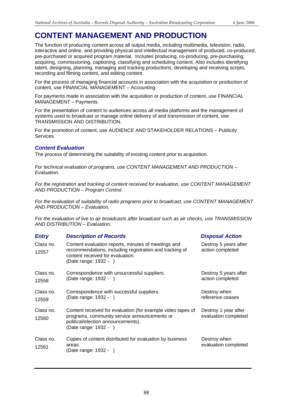The function of producing content across all output media, including multimedia, television, radio, interactive and online, and providing physical and intellectual management of produced, co-produced, pre-purchased or acquired program material. Includes producing, co-producing, pre-purchasing, acquiring, commissioning, captioning, classifying and scheduling content. Also includes identifying talent, designing, planning, managing and tracking productions, developing and receiving scripts, recording and filming content, and editing content.

For the process of managing financial accounts in association with the acquisition or production of content, use FINANCIAL MANAGEMENT – Accounting.

For payments made in association with the acquisition or production of content, use FINANCIAL MANAGEMENT – Payments.

For the presentation of content to audiences across all media platforms and the management of systems used to broadcast or manage online delivery of and transmission of content, use TRANSMISSION AND DISTRIBUTION.

For the promotion of content, use AUDIENCE AND STAKEHOLDER RELATIONS – Publicity Services.

### *Content Evaluation*

The process of determining the suitability of existing content prior to acquisition.

*For technical evaluation of programs, use CONTENT MANAGEMENT AND PRODUCTION – Evaluation.* 

*For the registration and tracking of content received for evaluation, use CONTENT MANAGEMENT AND PRODUCTION – Program Control.* 

*For the evaluation of suitability of radio programs prior to broadcast, use CONTENT MANAGEMENT AND PRODUCTION – Evaluation.* 

*For the evaluation of live to air broadcasts after broadcast such as air checks, use TRANSMISSION AND DISTRIBUTION – Evaluation.* 

| Class no.<br>12557 | Content evaluation reports, minutes of meetings and<br>recommendations, including registration and tracking of<br>content received for evaluation.<br>(Date range: 1932 - ) | Destroy 5 years after<br>action completed    |
|--------------------|-----------------------------------------------------------------------------------------------------------------------------------------------------------------------------|----------------------------------------------|
| Class no.<br>12558 | Correspondence with unsuccessful suppliers.<br>(Date range: 1932 - )                                                                                                        | Destroy 5 years after<br>action completed    |
| Class no.<br>12559 | Correspondence with successful suppliers.<br>(Date range: 1932 - )                                                                                                          | Destroy when<br>reference ceases             |
| Class no.<br>12560 | Content received for evaluation (for example video tapes of<br>programs, community service announcements or<br>political/election announcements).<br>(Date range: 1932 - )  | Destroy 1 year after<br>evaluation completed |
| Class no.<br>12561 | Copies of content distributed for evaluation by business<br>areas.<br>(Date range: 1932 - )                                                                                 | Destroy when<br>evaluation completed         |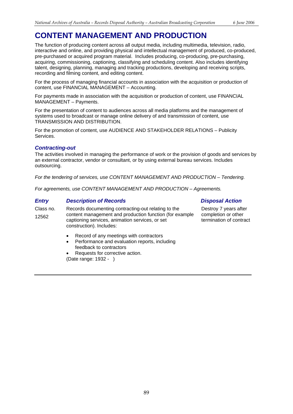The function of producing content across all output media, including multimedia, television, radio, interactive and online, and providing physical and intellectual management of produced, co-produced, pre-purchased or acquired program material. Includes producing, co-producing, pre-purchasing, acquiring, commissioning, captioning, classifying and scheduling content. Also includes identifying talent, designing, planning, managing and tracking productions, developing and receiving scripts, recording and filming content, and editing content.

For the process of managing financial accounts in association with the acquisition or production of content, use FINANCIAL MANAGEMENT – Accounting.

For payments made in association with the acquisition or production of content, use FINANCIAL MANAGEMENT – Payments.

For the presentation of content to audiences across all media platforms and the management of systems used to broadcast or manage online delivery of and transmission of content, use TRANSMISSION AND DISTRIBUTION.

For the promotion of content, use AUDIENCE AND STAKEHOLDER RELATIONS – Publicity Services.

#### *Contracting-out*

The activities involved in managing the performance of work or the provision of goods and services by an external contractor, vendor or consultant, or by using external bureau services. Includes outsourcing.

*For the tendering of services, use CONTENT MANAGEMENT AND PRODUCTION – Tendering.* 

*For agreements, use CONTENT MANAGEMENT AND PRODUCTION – Agreements.* 

#### *Entry Description of Records Disposal Action*

Class no. 12562 Records documenting contracting-out relating to the content management and production function (for example captioning services, animation services, or set construction). Includes:

- Record of any meetings with contractors
- Performance and evaluation reports, including feedback to contractors
- Requests for corrective action.

(Date range: 1932 - )

Destroy 7 years after completion or other termination of contract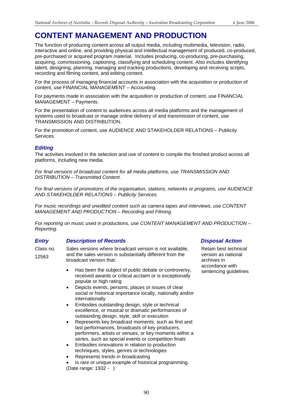The function of producing content across all output media, including multimedia, television, radio, interactive and online, and providing physical and intellectual management of produced, co-produced, pre-purchased or acquired program material. Includes producing, co-producing, pre-purchasing, acquiring, commissioning, captioning, classifying and scheduling content. Also includes identifying talent, designing, planning, managing and tracking productions, developing and receiving scripts, recording and filming content, and editing content.

For the process of managing financial accounts in association with the acquisition or production of content, use FINANCIAL MANAGEMENT – Accounting.

For payments made in association with the acquisition or production of content, use FINANCIAL MANAGEMENT – Payments.

For the presentation of content to audiences across all media platforms and the management of systems used to broadcast or manage online delivery of and transmission of content, use TRANSMISSION AND DISTRIBUTION.

For the promotion of content, use AUDIENCE AND STAKEHOLDER RELATIONS – Publicity Services.

#### *Editing*

The activities involved in the selection and use of content to compile the finished product across all platforms, including new media.

*For final versions of broadcast content for all media platforms, use TRANSMISSION AND DISTRIBUTION – Transmitted Content.* 

*For final versions of promotions of the organisation, stations, networks or programs, use AUDIENCE AND STAKEHOLDER RELATIONS – Publicity Services.* 

*For music recordings and unedited content such as camera tapes and interviews, use CONTENT MANAGEMENT AND PRODUCTION – Recording and Filming.* 

*For reporting on music used in productions, use CONTENT MANAGEMENT AND PRODUCTION – Reporting.* 

#### *Entry Description of Records Disposal Action*

Class no. 12563

Sales versions where broadcast version is not available, and the sales version is substantially different from the broadcast version that:

- Has been the subject of public debate or controversy, received awards or critical acclaim or is exceptionally popular or high rating
- Depicts events, persons, places or issues of clear social or historical importance locally, nationally and/or internationally
- Embodies outstanding design, style or technical excellence, or musical or dramatic performances of outstanding design, style, skill or execution
- Represents key broadcast moments, such as first and last performances, broadcasts of key producers, performers, artists or venues, or key moments within a series, such as special events or competition finals
- Embodies innovations in relation to production techniques, styles, genres or technologies
- Represents trends in broadcasting
- Is rare or unique example of historical programming.

(Date range: 1932 - )

Retain best technical version as national archives in accordance with sentencing guidelines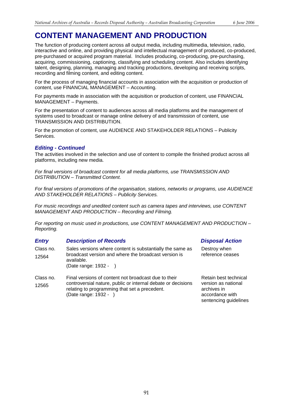The function of producing content across all output media, including multimedia, television, radio, interactive and online, and providing physical and intellectual management of produced, co-produced, pre-purchased or acquired program material. Includes producing, co-producing, pre-purchasing, acquiring, commissioning, captioning, classifying and scheduling content. Also includes identifying talent, designing, planning, managing and tracking productions, developing and receiving scripts, recording and filming content, and editing content.

For the process of managing financial accounts in association with the acquisition or production of content, use FINANCIAL MANAGEMENT – Accounting.

For payments made in association with the acquisition or production of content, use FINANCIAL MANAGEMENT – Payments.

For the presentation of content to audiences across all media platforms and the management of systems used to broadcast or manage online delivery of and transmission of content, use TRANSMISSION AND DISTRIBUTION.

For the promotion of content, use AUDIENCE AND STAKEHOLDER RELATIONS – Publicity Services.

### *Editing - Continued*

The activities involved in the selection and use of content to compile the finished product across all platforms, including new media.

*For final versions of broadcast content for all media platforms, use TRANSMISSION AND DISTRIBUTION – Transmitted Content.* 

*For final versions of promotions of the organisation, stations, networks or programs, use AUDIENCE AND STAKEHOLDER RELATIONS – Publicity Services.* 

*For music recordings and unedited content such as camera tapes and interviews, use CONTENT MANAGEMENT AND PRODUCTION – Recording and Filming.* 

*For reporting on music used in productions, use CONTENT MANAGEMENT AND PRODUCTION – Reporting.* 

#### *Entry Description of Records Disposal Action*

| Class no. | Sales versions where content is substantially the same as                                   |  |  |
|-----------|---------------------------------------------------------------------------------------------|--|--|
| 12564     | broadcast version and where the broadcast version is<br>available.<br>(Date range: 1932 - ) |  |  |
|           |                                                                                             |  |  |

Class no. 12565 Final versions of content not broadcast due to their controversial nature, public or internal debate or decisions relating to programming that set a precedent. (Date range: 1932 - )

Destroy when reference ceases

Retain best technical version as national archives in accordance with sentencing guidelines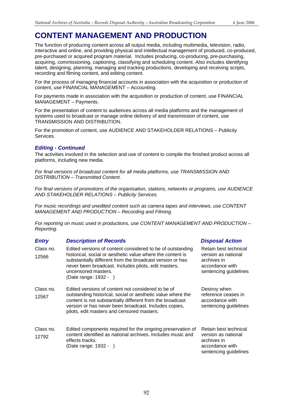The function of producing content across all output media, including multimedia, television, radio, interactive and online, and providing physical and intellectual management of produced, co-produced, pre-purchased or acquired program material. Includes producing, co-producing, pre-purchasing, acquiring, commissioning, captioning, classifying and scheduling content. Also includes identifying talent, designing, planning, managing and tracking productions, developing and receiving scripts, recording and filming content, and editing content.

For the process of managing financial accounts in association with the acquisition or production of content, use FINANCIAL MANAGEMENT – Accounting.

For payments made in association with the acquisition or production of content, use FINANCIAL MANAGEMENT – Payments.

For the presentation of content to audiences across all media platforms and the management of systems used to broadcast or manage online delivery of and transmission of content, use TRANSMISSION AND DISTRIBUTION.

For the promotion of content, use AUDIENCE AND STAKEHOLDER RELATIONS – Publicity Services.

### *Editing - Continued*

The activities involved in the selection and use of content to compile the finished product across all platforms, including new media.

*For final versions of broadcast content for all media platforms, use TRANSMISSION AND DISTRIBUTION – Transmitted Content.* 

*For final versions of promotions of the organisation, stations, networks or programs, use AUDIENCE AND STAKEHOLDER RELATIONS – Publicity Services.* 

*For music recordings and unedited content such as camera tapes and interviews, use CONTENT MANAGEMENT AND PRODUCTION – Recording and Filming.* 

*For reporting on music used in productions, use CONTENT MANAGEMENT AND PRODUCTION – Reporting.* 

| Class no.<br>12566 | Edited versions of content considered to be of outstanding<br>historical, social or aesthetic value where the content is<br>substantially different from the broadcast version or has<br>never been broadcast. Includes pilots, edit masters,<br>uncensored masters.<br>(Date range: 1932 - ) | Retain best technical<br>version as national<br>archives in<br>accordance with<br>sentencing guidelines |
|--------------------|-----------------------------------------------------------------------------------------------------------------------------------------------------------------------------------------------------------------------------------------------------------------------------------------------|---------------------------------------------------------------------------------------------------------|
| Class no.<br>12567 | Edited versions of content not considered to be of<br>outstanding historical, social or aesthetic value where the<br>content is not substantially different from the broadcast<br>version or has never been broadcast. Includes copies,<br>pilots, edit masters and censored masters.         | Destroy when<br>reference ceases in<br>accordance with<br>sentencing guidelines                         |
| Class no.<br>12792 | Edited components required for the ongoing preservation of<br>content identified as national archives. Includes music and<br>effects tracks.<br>(Date range: 1932 - )                                                                                                                         | Retain best technical<br>version as national<br>archives in<br>accordance with<br>sentencing guidelines |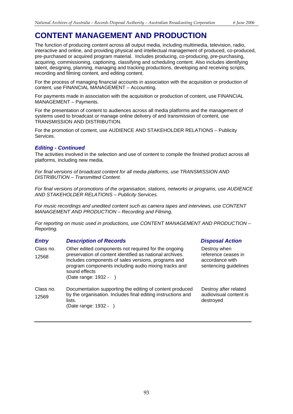The function of producing content across all output media, including multimedia, television, radio, interactive and online, and providing physical and intellectual management of produced, co-produced, pre-purchased or acquired program material. Includes producing, co-producing, pre-purchasing, acquiring, commissioning, captioning, classifying and scheduling content. Also includes identifying talent, designing, planning, managing and tracking productions, developing and receiving scripts, recording and filming content, and editing content.

For the process of managing financial accounts in association with the acquisition or production of content, use FINANCIAL MANAGEMENT – Accounting.

For payments made in association with the acquisition or production of content, use FINANCIAL MANAGEMENT – Payments.

For the presentation of content to audiences across all media platforms and the management of systems used to broadcast or manage online delivery of and transmission of content, use TRANSMISSION AND DISTRIBUTION.

For the promotion of content, use AUDIENCE AND STAKEHOLDER RELATIONS – Publicity Services.

### *Editing - Continued*

The activities involved in the selection and use of content to compile the finished product across all platforms, including new media.

*For final versions of broadcast content for all media platforms, use TRANSMISSION AND DISTRIBUTION – Transmitted Content.* 

*For final versions of promotions of the organisation, stations, networks or programs, use AUDIENCE AND STAKEHOLDER RELATIONS – Publicity Services.* 

*For music recordings and unedited content such as camera tapes and interviews, use CONTENT MANAGEMENT AND PRODUCTION – Recording and Filming.* 

*For reporting on music used in productions, use CONTENT MANAGEMENT AND PRODUCTION – Reporting.* 

| Class no.          | Other edited components not required for the ongoing                                                                                                                                                              | Destroy when                                                    |
|--------------------|-------------------------------------------------------------------------------------------------------------------------------------------------------------------------------------------------------------------|-----------------------------------------------------------------|
| 12568              | preservation of content identified as national archives.<br>Includes components of sales versions, programs and<br>program components including audio mixing tracks and<br>sound effects<br>(Date range: 1932 - ) | reference ceases in<br>accordance with<br>sentencing guidelines |
| Class no.<br>12569 | Documentation supporting the editing of content produced<br>by the organisation. Includes final editing instructions and<br>lists.<br>(Date range: 1932 - )                                                       | Destroy after related<br>audiovisual content is<br>destroved    |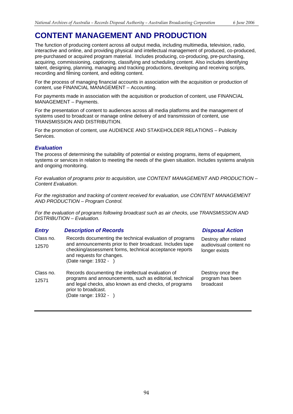The function of producing content across all output media, including multimedia, television, radio, interactive and online, and providing physical and intellectual management of produced, co-produced, pre-purchased or acquired program material. Includes producing, co-producing, pre-purchasing, acquiring, commissioning, captioning, classifying and scheduling content. Also includes identifying talent, designing, planning, managing and tracking productions, developing and receiving scripts, recording and filming content, and editing content.

For the process of managing financial accounts in association with the acquisition or production of content, use FINANCIAL MANAGEMENT – Accounting.

For payments made in association with the acquisition or production of content, use FINANCIAL MANAGEMENT – Payments.

For the presentation of content to audiences across all media platforms and the management of systems used to broadcast or manage online delivery of and transmission of content, use TRANSMISSION AND DISTRIBUTION.

For the promotion of content, use AUDIENCE AND STAKEHOLDER RELATIONS – Publicity Services.

### *Evaluation*

The process of determining the suitability of potential or existing programs, items of equipment, systems or services in relation to meeting the needs of the given situation. Includes systems analysis and ongoing monitoring.

*For evaluation of programs prior to acquisition, use CONTENT MANAGEMENT AND PRODUCTION – Content Evaluation.* 

*For the registration and tracking of content received for evaluation, use CONTENT MANAGEMENT AND PRODUCTION – Program Control.* 

*For the evaluation of programs following broadcast such as air checks, use TRANSMISSION AND DISTRIBUTION – Evaluation.* 

### *Entry Description of Records Disposal Action*

- Class no. 12570 Records documenting the technical evaluation of programs and announcements prior to their broadcast. Includes tape checking/assessment forms, technical acceptance reports and requests for changes. (Date range: 1932 - )
- Class no. 12571 Records documenting the intellectual evaluation of programs and announcements, such as editorial, technical and legal checks, also known as end checks, of programs prior to broadcast. (Date range: 1932 - )

Destroy after related audiovisual content no longer exists

Destroy once the program has been broadcast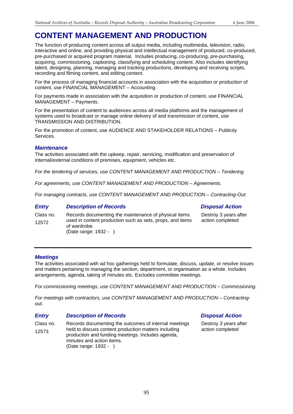The function of producing content across all output media, including multimedia, television, radio, interactive and online, and providing physical and intellectual management of produced, co-produced, pre-purchased or acquired program material. Includes producing, co-producing, pre-purchasing, acquiring, commissioning, captioning, classifying and scheduling content. Also includes identifying talent, designing, planning, managing and tracking productions, developing and receiving scripts, recording and filming content, and editing content.

For the process of managing financial accounts in association with the acquisition or production of content, use FINANCIAL MANAGEMENT – Accounting.

For payments made in association with the acquisition or production of content, use FINANCIAL MANAGEMENT – Payments.

For the presentation of content to audiences across all media platforms and the management of systems used to broadcast or manage online delivery of and transmission of content, use TRANSMISSION AND DISTRIBUTION.

For the promotion of content, use AUDIENCE AND STAKEHOLDER RELATIONS – Publicity Services.

#### *Maintenance*

The activities associated with the upkeep, repair, servicing, modification and preservation of internal/external conditions of premises, equipment, vehicles etc.

For the tendering of services, use CONTENT MANAGEMENT AND PRODUCTION – Tendering,

*For agreements, use CONTENT MANAGEMENT AND PRODUCTION – Agreements.* 

*For managing contracts, use CONTENT MANAGEMENT AND PRODUCTION – Contracting-Out.* 

#### *Entry Description of Records Disposal Action*

of wardrobe.

(Date range: 1932 - )

Records documenting the maintenance of physical items used in content production such as sets, props, and items Destroy 3 years after action completed

#### *Meetings*

Class no. 12572

The activities associated with ad hoc gatherings held to formulate, discuss, update, or resolve issues and matters pertaining to managing the section, department, or organisation as a whole. Includes arrangements, agenda, taking of minutes etc. Excludes committee meetings.

*For commissioning meetings, use CONTENT MANAGEMENT AND PRODUCTION – Commissioning.* 

*For meetings with contractors, use CONTENT MANAGEMENT AND PRODUCTION – Contractingout.* 

#### *Entry Description of Records Disposal Action*

Class no. 12573 Records documenting the outcomes of internal meetings held to discuss content production matters including production and funding meetings. Includes agenda, minutes and action items. (Date range: 1932 - )

Destroy 3 years after action completed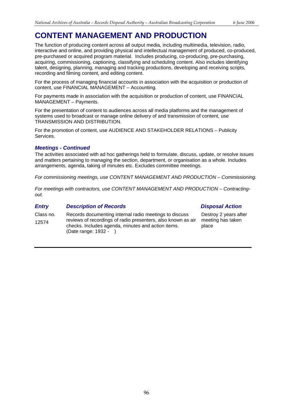The function of producing content across all output media, including multimedia, television, radio, interactive and online, and providing physical and intellectual management of produced, co-produced, pre-purchased or acquired program material. Includes producing, co-producing, pre-purchasing, acquiring, commissioning, captioning, classifying and scheduling content. Also includes identifying talent, designing, planning, managing and tracking productions, developing and receiving scripts, recording and filming content, and editing content.

For the process of managing financial accounts in association with the acquisition or production of content, use FINANCIAL MANAGEMENT – Accounting.

For payments made in association with the acquisition or production of content, use FINANCIAL MANAGEMENT – Payments.

For the presentation of content to audiences across all media platforms and the management of systems used to broadcast or manage online delivery of and transmission of content, use TRANSMISSION AND DISTRIBUTION.

For the promotion of content, use AUDIENCE AND STAKEHOLDER RELATIONS – Publicity Services.

#### *Meetings - Continued*

The activities associated with ad hoc gatherings held to formulate, discuss, update, or resolve issues and matters pertaining to managing the section, department, or organisation as a whole. Includes arrangements, agenda, taking of minutes etc. Excludes committee meetings.

*For commissioning meetings, use CONTENT MANAGEMENT AND PRODUCTION – Commissioning.* 

*For meetings with contractors, use CONTENT MANAGEMENT AND PRODUCTION – Contractingout.* 

#### *Entry Description of Records Disposal Action*

Class no. 12574 Records documenting internal radio meetings to discuss reviews of recordings of radio presenters, also known as air checks. Includes agenda, minutes and action items. (Date range: 1932 - )

Destroy 2 years after meeting has taken

place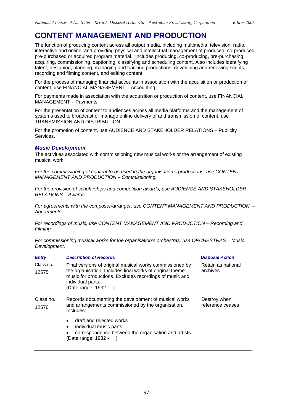The function of producing content across all output media, including multimedia, television, radio, interactive and online, and providing physical and intellectual management of produced, co-produced, pre-purchased or acquired program material. Includes producing, co-producing, pre-purchasing, acquiring, commissioning, captioning, classifying and scheduling content. Also includes identifying talent, designing, planning, managing and tracking productions, developing and receiving scripts, recording and filming content, and editing content.

For the process of managing financial accounts in association with the acquisition or production of content, use FINANCIAL MANAGEMENT – Accounting.

For payments made in association with the acquisition or production of content, use FINANCIAL MANAGEMENT – Payments.

For the presentation of content to audiences across all media platforms and the management of systems used to broadcast or manage online delivery of and transmission of content, use TRANSMISSION AND DISTRIBUTION.

For the promotion of content, use AUDIENCE AND STAKEHOLDER RELATIONS – Publicity Services.

#### *Music Development*

The activities associated with commissioning new musical works or the arrangement of existing musical work.

*For the commissioning of content to be used in the organisation's productions, use CONTENT MANAGEMENT AND PRODUCTION – Commissioning.* 

*For the provision of scholarships and competition awards, use AUDIENCE AND STAKEHOLDER RELATIONS – Awards.* 

*For agreements with the composer/arranger, use CONTENT MANAGEMENT AND PRODUCTION – Agreements.* 

*For recordings of music, use CONTENT MANAGEMENT AND PRODUCTION – Recording and Filming.* 

*For commissioning musical works for the organisation's orchestras, use ORCHESTRAS – Music Development.* 

| <b>Entry</b>       | <b>Description of Records</b>                                                                                                                                                                                                 | <b>Disposal Action</b>           |
|--------------------|-------------------------------------------------------------------------------------------------------------------------------------------------------------------------------------------------------------------------------|----------------------------------|
| Class no.<br>12575 | Final versions of original musical works commissioned by<br>the organisation. Includes final works of original theme<br>music for productions. Excludes recordings of music and<br>individual parts.<br>(Date range: 1932 - ) | Retain as national<br>archives   |
| Class no.<br>12576 | Records documenting the development of musical works<br>and arrangements commissioned by the organisation.<br>Includes:                                                                                                       | Destroy when<br>reference ceases |
|                    | draft and rejected works<br>$\bullet$<br>individual music parts<br>$\bullet$<br>correspondence between the organisation and artists.<br>$\bullet$<br>(Date range: 1932 -                                                      |                                  |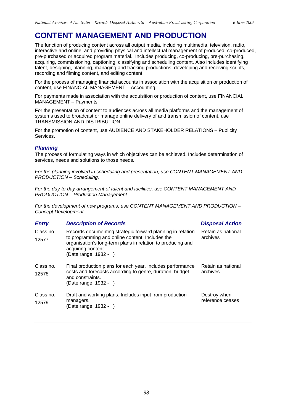The function of producing content across all output media, including multimedia, television, radio, interactive and online, and providing physical and intellectual management of produced, co-produced, pre-purchased or acquired program material. Includes producing, co-producing, pre-purchasing, acquiring, commissioning, captioning, classifying and scheduling content. Also includes identifying talent, designing, planning, managing and tracking productions, developing and receiving scripts, recording and filming content, and editing content.

For the process of managing financial accounts in association with the acquisition or production of content, use FINANCIAL MANAGEMENT – Accounting.

For payments made in association with the acquisition or production of content, use FINANCIAL MANAGEMENT – Payments.

For the presentation of content to audiences across all media platforms and the management of systems used to broadcast or manage online delivery of and transmission of content, use TRANSMISSION AND DISTRIBUTION.

For the promotion of content, use AUDIENCE AND STAKEHOLDER RELATIONS – Publicity Services.

### *Planning*

The process of formulating ways in which objectives can be achieved. Includes determination of services, needs and solutions to those needs.

For the planning involved in scheduling and presentation, use CONTENT MANAGEMENT AND *PRODUCTION – Scheduling.* 

For the day-to-day arrangement of talent and facilities, use CONTENT MANAGEMENT AND *PRODUCTION – Production Management.* 

*For the development of new programs, use CONTENT MANAGEMENT AND PRODUCTION – Concept Development.* 

| Class no.<br>12577 | Records documenting strategic forward planning in relation<br>to programming and online content. Includes the<br>organisation's long-term plans in relation to producing and<br>acquiring content.<br>(Date range: 1932 - ) | Retain as national<br>archives   |
|--------------------|-----------------------------------------------------------------------------------------------------------------------------------------------------------------------------------------------------------------------------|----------------------------------|
| Class no.<br>12578 | Final production plans for each year. Includes performance<br>costs and forecasts according to genre, duration, budget<br>and constraints.<br>(Date range: 1932 - )                                                         | Retain as national<br>archives   |
| Class no.<br>12579 | Draft and working plans. Includes input from production<br>managers.<br>(Date range: 1932 - )                                                                                                                               | Destroy when<br>reference ceases |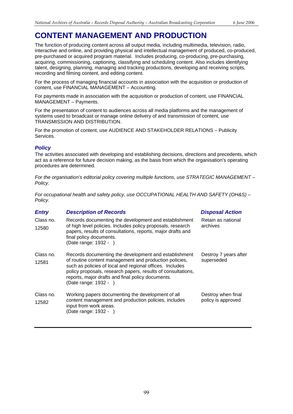The function of producing content across all output media, including multimedia, television, radio, interactive and online, and providing physical and intellectual management of produced, co-produced, pre-purchased or acquired program material. Includes producing, co-producing, pre-purchasing, acquiring, commissioning, captioning, classifying and scheduling content. Also includes identifying talent, designing, planning, managing and tracking productions, developing and receiving scripts, recording and filming content, and editing content.

For the process of managing financial accounts in association with the acquisition or production of content, use FINANCIAL MANAGEMENT – Accounting.

For payments made in association with the acquisition or production of content, use FINANCIAL MANAGEMENT – Payments.

For the presentation of content to audiences across all media platforms and the management of systems used to broadcast or manage online delivery of and transmission of content, use TRANSMISSION AND DISTRIBUTION.

For the promotion of content, use AUDIENCE AND STAKEHOLDER RELATIONS – Publicity Services.

### *Policy*

The activities associated with developing and establishing decisions, directions and precedents, which act as a reference for future decision making, as the basis from which the organisation's operating procedures are determined.

*For the organisation's editorial policy covering multiple functions, use STRATEGIC MANAGEMENT – Policy.* 

*For occupational health and safety policy, use OCCUPATIONAL HEALTH AND SAFETY (OH&S) – Policy.* 

| Class no.<br>12580 | Records documenting the development and establishment<br>of high level policies. Includes policy proposals, research<br>papers, results of consultations, reports, major drafts and<br>final policy documents.<br>(Date range: 1932 - )                                                                                   | Retain as national<br>archives           |
|--------------------|---------------------------------------------------------------------------------------------------------------------------------------------------------------------------------------------------------------------------------------------------------------------------------------------------------------------------|------------------------------------------|
| Class no.<br>12581 | Records documenting the development and establishment<br>of routine content management and production policies,<br>such as policies of local and regional offices. Includes<br>policy proposals, research papers, results of consultations,<br>reports, major drafts and final policy documents.<br>(Date range: 1932 - ) | Destroy 7 years after<br>superseded      |
| Class no.<br>12582 | Working papers documenting the development of all<br>content management and production policies, includes<br>input from work areas.<br>(Date range: 1932 - )                                                                                                                                                              | Destroy when final<br>policy is approved |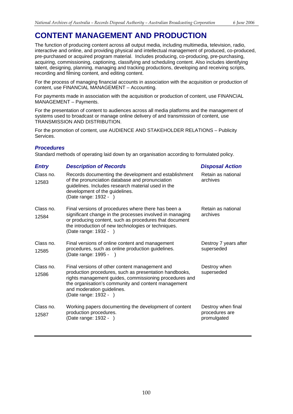The function of producing content across all output media, including multimedia, television, radio, interactive and online, and providing physical and intellectual management of produced, co-produced, pre-purchased or acquired program material. Includes producing, co-producing, pre-purchasing, acquiring, commissioning, captioning, classifying and scheduling content. Also includes identifying talent, designing, planning, managing and tracking productions, developing and receiving scripts, recording and filming content, and editing content.

For the process of managing financial accounts in association with the acquisition or production of content, use FINANCIAL MANAGEMENT – Accounting.

For payments made in association with the acquisition or production of content, use FINANCIAL MANAGEMENT – Payments.

For the presentation of content to audiences across all media platforms and the management of systems used to broadcast or manage online delivery of and transmission of content, use TRANSMISSION AND DISTRIBUTION.

For the promotion of content, use AUDIENCE AND STAKEHOLDER RELATIONS – Publicity Services.

#### *Procedures*

Standard methods of operating laid down by an organisation according to formulated policy.

| <b>Entry</b>       | <b>Description of Records</b>                                                                                                                                                                                                                                                    | <b>Disposal Action</b>                              |
|--------------------|----------------------------------------------------------------------------------------------------------------------------------------------------------------------------------------------------------------------------------------------------------------------------------|-----------------------------------------------------|
| Class no.<br>12583 | Records documenting the development and establishment<br>of the pronunciation database and pronunciation<br>guidelines. Includes research material used in the<br>development of the guidelines.<br>(Date range: 1932 - )                                                        | Retain as national<br>archives                      |
| Class no.<br>12584 | Final versions of procedures where there has been a<br>significant change in the processes involved in managing<br>or producing content, such as procedures that document<br>the introduction of new technologies or techniques.<br>(Date range: 1932 - )                        | Retain as national<br>archives                      |
| Class no.<br>12585 | Final versions of online content and management<br>procedures, such as online production guidelines.<br>(Date range: 1995 - )                                                                                                                                                    | Destroy 7 years after<br>superseded                 |
| Class no.<br>12586 | Final versions of other content management and<br>production procedures, such as presentation handbooks,<br>rights management guides, commissioning procedures and<br>the organisation's community and content management<br>and moderation guidelines.<br>(Date range: 1932 - ) | Destroy when<br>superseded                          |
| Class no.<br>12587 | Working papers documenting the development of content<br>production procedures.<br>(Date range: 1932 - )                                                                                                                                                                         | Destroy when final<br>procedures are<br>promulgated |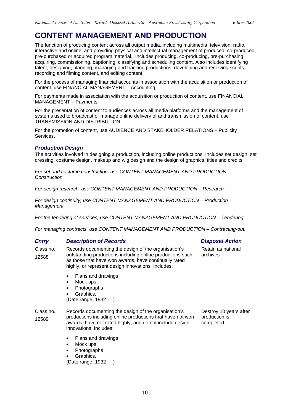The function of producing content across all output media, including multimedia, television, radio, interactive and online, and providing physical and intellectual management of produced, co-produced, pre-purchased or acquired program material. Includes producing, co-producing, pre-purchasing, acquiring, commissioning, captioning, classifying and scheduling content. Also includes identifying talent, designing, planning, managing and tracking productions, developing and receiving scripts, recording and filming content, and editing content.

For the process of managing financial accounts in association with the acquisition or production of content, use FINANCIAL MANAGEMENT – Accounting.

For payments made in association with the acquisition or production of content, use FINANCIAL MANAGEMENT – Payments.

For the presentation of content to audiences across all media platforms and the management of systems used to broadcast or manage online delivery of and transmission of content, use TRANSMISSION AND DISTRIBUTION.

For the promotion of content, use AUDIENCE AND STAKEHOLDER RELATIONS – Publicity Services.

### *Production Design*

The activities involved in designing a production, including online productions. Includes set design, set dressing, costume design, makeup and wig design and the design of graphics, titles and credits.

*For set and costume construction, use CONTENT MANAGEMENT AND PRODUCTION – Construction.* 

*For design research, use CONTENT MANAGEMENT AND PRODUCTION – Research.* 

*For design continuity, use CONTENT MANAGEMENT AND PRODUCTION – Production Management.* 

For the tendering of services, use CONTENT MANAGEMENT AND PRODUCTION - Tendering.

*For managing contracts, use CONTENT MANAGEMENT AND PRODUCTION – Contracting-out.* 

#### *Entry Description of Records Disposal Action*

Class no.

- 12588 Records documenting the design of the organisation's outstanding productions including online productions such as those that have won awards, have continually rated highly, or represent design innovations. Includes:
	- Plans and drawings
	- Mock ups
	- Photographs
	- Graphics.
	- (Date range: 1932 )

Class no. 12589 Records documenting the design of the organisation's productions including online productions that have not won awards, have not rated highly, and do not include design innovations. Includes:

- Plans and drawings
- Mock ups
- Photographs
- Graphics.

(Date range: 1932 - )

Retain as national

archives

Destroy 10 years after production is completed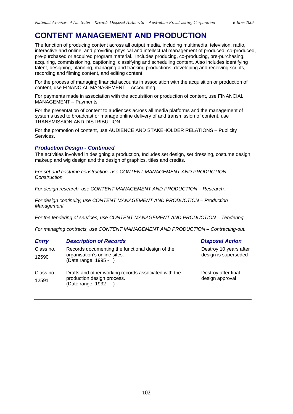The function of producing content across all output media, including multimedia, television, radio, interactive and online, and providing physical and intellectual management of produced, co-produced, pre-purchased or acquired program material. Includes producing, co-producing, pre-purchasing, acquiring, commissioning, captioning, classifying and scheduling content. Also includes identifying talent, designing, planning, managing and tracking productions, developing and receiving scripts, recording and filming content, and editing content.

For the process of managing financial accounts in association with the acquisition or production of content, use FINANCIAL MANAGEMENT – Accounting.

For payments made in association with the acquisition or production of content, use FINANCIAL MANAGEMENT – Payments.

For the presentation of content to audiences across all media platforms and the management of systems used to broadcast or manage online delivery of and transmission of content, use TRANSMISSION AND DISTRIBUTION.

For the promotion of content, use AUDIENCE AND STAKEHOLDER RELATIONS – Publicity Services.

### *Production Design - Continued*

The activities involved in designing a production, Includes set design, set dressing, costume design, makeup and wig design and the design of graphics, titles and credits.

*For set and costume construction, use CONTENT MANAGEMENT AND PRODUCTION – Construction.* 

*For design research, use CONTENT MANAGEMENT AND PRODUCTION – Research.* 

*For design continuity, use CONTENT MANAGEMENT AND PRODUCTION – Production Management.* 

For the tendering of services, use CONTENT MANAGEMENT AND PRODUCTION - Tendering.

*For managing contracts, use CONTENT MANAGEMENT AND PRODUCTION – Contracting-out.* 

| <b>Entry</b>       | <b>Description of Records</b>                                                                             | <b>Disposal Action</b>                         |
|--------------------|-----------------------------------------------------------------------------------------------------------|------------------------------------------------|
| Class no.<br>12590 | Records documenting the functional design of the<br>organisation's online sites.<br>(Date range: 1995 - ) | Destroy 10 years after<br>design is superseded |
| Class no.<br>12591 | Drafts and other working records associated with the<br>production design process.<br>(Date range: 1932 - | Destroy after final<br>design approval         |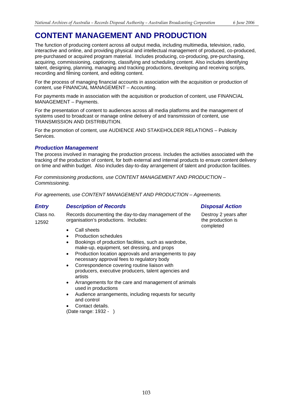The function of producing content across all output media, including multimedia, television, radio, interactive and online, and providing physical and intellectual management of produced, co-produced, pre-purchased or acquired program material. Includes producing, co-producing, pre-purchasing, acquiring, commissioning, captioning, classifying and scheduling content. Also includes identifying talent, designing, planning, managing and tracking productions, developing and receiving scripts, recording and filming content, and editing content.

For the process of managing financial accounts in association with the acquisition or production of content, use FINANCIAL MANAGEMENT – Accounting.

For payments made in association with the acquisition or production of content, use FINANCIAL MANAGEMENT – Payments.

For the presentation of content to audiences across all media platforms and the management of systems used to broadcast or manage online delivery of and transmission of content, use TRANSMISSION AND DISTRIBUTION.

For the promotion of content, use AUDIENCE AND STAKEHOLDER RELATIONS – Publicity Services.

#### *Production Management*

The process involved in managing the production process. Includes the activities associated with the tracking of the production of content, for both external and internal products to ensure content delivery on time and within budget. Also includes day-to-day arrangement of talent and production facilities.

*For commissioning productions, use CONTENT MANAGEMENT AND PRODUCTION – Commissioning.* 

*For agreements, use CONTENT MANAGEMENT AND PRODUCTION – Agreements.* 

### *Entry Description of Records Disposal Action*

Class no. 12592

Records documenting the day-to-day management of the organisation's productions. Includes:

- Call sheets
- Production schedules
- Bookings of production facilities, such as wardrobe, make-up, equipment, set dressing, and props
- Production location approvals and arrangements to pay necessary approval fees to regulatory body
- Correspondence covering routine liaison with producers, executive producers, talent agencies and artists
- Arrangements for the care and management of animals used in productions
- Audience arrangements, including requests for security and control
- Contact details.

(Date range: 1932 - )

Destroy 2 years after the production is completed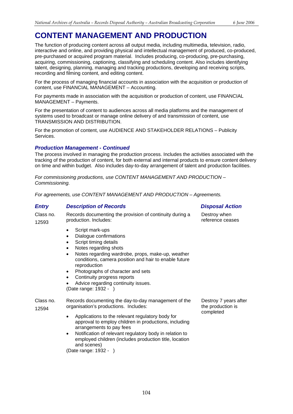The function of producing content across all output media, including multimedia, television, radio, interactive and online, and providing physical and intellectual management of produced, co-produced, pre-purchased or acquired program material. Includes producing, co-producing, pre-purchasing, acquiring, commissioning, captioning, classifying and scheduling content. Also includes identifying talent, designing, planning, managing and tracking productions, developing and receiving scripts, recording and filming content, and editing content.

For the process of managing financial accounts in association with the acquisition or production of content, use FINANCIAL MANAGEMENT – Accounting.

For payments made in association with the acquisition or production of content, use FINANCIAL MANAGEMENT – Payments.

For the presentation of content to audiences across all media platforms and the management of systems used to broadcast or manage online delivery of and transmission of content, use TRANSMISSION AND DISTRIBUTION.

For the promotion of content, use AUDIENCE AND STAKEHOLDER RELATIONS – Publicity Services.

### *Production Management - Continued*

The process involved in managing the production process. Includes the activities associated with the tracking of the production of content, for both external and internal products to ensure content delivery on time and within budget. Also includes day-to-day arrangement of talent and production facilities.

*For commissioning productions, use CONTENT MANAGEMENT AND PRODUCTION – Commissioning.* 

*For agreements, use CONTENT MANAGEMENT AND PRODUCTION – Agreements.* 

#### *Entry Description of Records Disposal Action*

Class no. 12593 Records documenting the provision of continuity during a production. Includes:

- Script mark-ups
- Dialogue confirmations
- Script timing details
- Notes regarding shots
- Notes regarding wardrobe, props, make-up, weather conditions, camera position and hair to enable future reproduction
- Photographs of character and sets
- Continuity progress reports
- Advice regarding continuity issues. (Date range: 1932 - )

Class no. 12594 Records documenting the day-to-day management of the organisation's productions. Includes:

- Applications to the relevant regulatory body for approval to employ children in productions, including arrangements to pay fees
- Notification of relevant regulatory body in relation to employed children (includes production title, location and scenes)

(Date range: 1932 - )

reference ceases

Destroy when

Destroy 7 years after the production is completed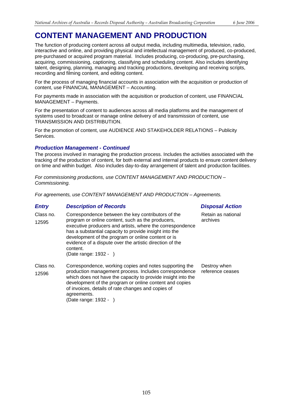The function of producing content across all output media, including multimedia, television, radio, interactive and online, and providing physical and intellectual management of produced, co-produced, pre-purchased or acquired program material. Includes producing, co-producing, pre-purchasing, acquiring, commissioning, captioning, classifying and scheduling content. Also includes identifying talent, designing, planning, managing and tracking productions, developing and receiving scripts, recording and filming content, and editing content.

For the process of managing financial accounts in association with the acquisition or production of content, use FINANCIAL MANAGEMENT – Accounting.

For payments made in association with the acquisition or production of content, use FINANCIAL MANAGEMENT – Payments.

For the presentation of content to audiences across all media platforms and the management of systems used to broadcast or manage online delivery of and transmission of content, use TRANSMISSION AND DISTRIBUTION.

For the promotion of content, use AUDIENCE AND STAKEHOLDER RELATIONS – Publicity Services.

#### *Production Management - Continued*

The process involved in managing the production process. Includes the activities associated with the tracking of the production of content, for both external and internal products to ensure content delivery on time and within budget. Also includes day-to-day arrangement of talent and production facilities.

*For commissioning productions, use CONTENT MANAGEMENT AND PRODUCTION – Commissioning.* 

*For agreements, use CONTENT MANAGEMENT AND PRODUCTION – Agreements.* 

#### *Entry Description of Records Disposal Action*

- Class no. 12595 Correspondence between the key contributors of the program or online content, such as the producers, executive producers and artists, where the correspondence has a substantial capacity to provide insight into the development of the program or online content or is evidence of a dispute over the artistic direction of the content. (Date range: 1932 - )
- Class no. 12596 Correspondence, working copies and notes supporting the production management process. Includes correspondence which does not have the capacity to provide insight into the development of the program or online content and copies of invoices, details of rate changes and copies of agreements. (Date range: 1932 - )

Retain as national archives

Destroy when reference ceases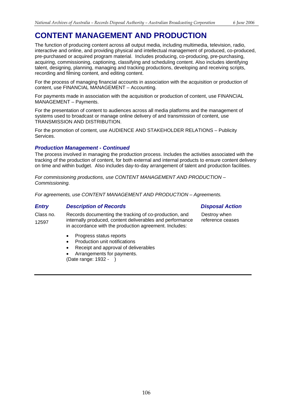The function of producing content across all output media, including multimedia, television, radio, interactive and online, and providing physical and intellectual management of produced, co-produced, pre-purchased or acquired program material. Includes producing, co-producing, pre-purchasing, acquiring, commissioning, captioning, classifying and scheduling content. Also includes identifying talent, designing, planning, managing and tracking productions, developing and receiving scripts, recording and filming content, and editing content.

For the process of managing financial accounts in association with the acquisition or production of content, use FINANCIAL MANAGEMENT – Accounting.

For payments made in association with the acquisition or production of content, use FINANCIAL MANAGEMENT – Payments.

For the presentation of content to audiences across all media platforms and the management of systems used to broadcast or manage online delivery of and transmission of content, use TRANSMISSION AND DISTRIBUTION.

For the promotion of content, use AUDIENCE AND STAKEHOLDER RELATIONS – Publicity Services.

### *Production Management - Continued*

The process involved in managing the production process. Includes the activities associated with the tracking of the production of content, for both external and internal products to ensure content delivery on time and within budget. Also includes day-to-day arrangement of talent and production facilities.

*For commissioning productions, use CONTENT MANAGEMENT AND PRODUCTION – Commissioning.* 

*For agreements, use CONTENT MANAGEMENT AND PRODUCTION – Agreements.* 

#### *Entry Description of Records Disposal Action*

Class no. 12597 Records documenting the tracking of co-production, and internally produced, content deliverables and performance in accordance with the production agreement. Includes:

Destroy when

reference ceases

- Progress status reports
- Production unit notifications
- Receipt and approval of deliverables
- Arrangements for payments.

(Date range: 1932 - )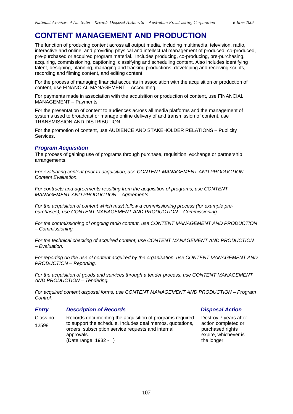The function of producing content across all output media, including multimedia, television, radio, interactive and online, and providing physical and intellectual management of produced, co-produced, pre-purchased or acquired program material. Includes producing, co-producing, pre-purchasing, acquiring, commissioning, captioning, classifying and scheduling content. Also includes identifying talent, designing, planning, managing and tracking productions, developing and receiving scripts, recording and filming content, and editing content.

For the process of managing financial accounts in association with the acquisition or production of content, use FINANCIAL MANAGEMENT – Accounting.

For payments made in association with the acquisition or production of content, use FINANCIAL MANAGEMENT – Payments.

For the presentation of content to audiences across all media platforms and the management of systems used to broadcast or manage online delivery of and transmission of content, use TRANSMISSION AND DISTRIBUTION.

For the promotion of content, use AUDIENCE AND STAKEHOLDER RELATIONS – Publicity Services.

### *Program Acquisition*

The process of gaining use of programs through purchase, requisition, exchange or partnership arrangements.

*For evaluating content prior to acquisition, use CONTENT MANAGEMENT AND PRODUCTION – Content Evaluation.* 

*For contracts and agreements resulting from the acquisition of programs, use CONTENT MANAGEMENT AND PRODUCTION – Agreements.* 

*For the acquisition of content which must follow a commissioning process (for example prepurchases), use CONTENT MANAGEMENT AND PRODUCTION – Commissioning.* 

*For the commissioning of ongoing radio content, use CONTENT MANAGEMENT AND PRODUCTION – Commissioning.* 

*For the technical checking of acquired content, use CONTENT MANAGEMENT AND PRODUCTION – Evaluation.* 

*For reporting on the use of content acquired by the organisation, use CONTENT MANAGEMENT AND PRODUCTION – Reporting.* 

*For the acquisition of goods and services through a tender process, use CONTENT MANAGEMENT AND PRODUCTION – Tendering.* 

*For acquired content disposal forms, use CONTENT MANAGEMENT AND PRODUCTION – Program Control.* 

## *Entry Description of Records Disposal Action*

Class no. 12598 Records documenting the acquisition of programs required to support the schedule. Includes deal memos, quotations, orders, subscription service requests and internal approvals. (Date range: 1932 - )

Destroy 7 years after action completed or purchased rights expire, whichever is the longer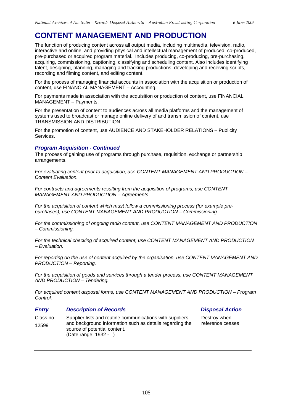The function of producing content across all output media, including multimedia, television, radio, interactive and online, and providing physical and intellectual management of produced, co-produced, pre-purchased or acquired program material. Includes producing, co-producing, pre-purchasing, acquiring, commissioning, captioning, classifying and scheduling content. Also includes identifying talent, designing, planning, managing and tracking productions, developing and receiving scripts, recording and filming content, and editing content.

For the process of managing financial accounts in association with the acquisition or production of content, use FINANCIAL MANAGEMENT – Accounting.

For payments made in association with the acquisition or production of content, use FINANCIAL MANAGEMENT – Payments.

For the presentation of content to audiences across all media platforms and the management of systems used to broadcast or manage online delivery of and transmission of content, use TRANSMISSION AND DISTRIBUTION.

For the promotion of content, use AUDIENCE AND STAKEHOLDER RELATIONS – Publicity Services.

### *Program Acquisition - Continued*

The process of gaining use of programs through purchase, requisition, exchange or partnership arrangements.

*For evaluating content prior to acquisition, use CONTENT MANAGEMENT AND PRODUCTION – Content Evaluation.* 

*For contracts and agreements resulting from the acquisition of programs, use CONTENT MANAGEMENT AND PRODUCTION – Agreements.* 

*For the acquisition of content which must follow a commissioning process (for example prepurchases), use CONTENT MANAGEMENT AND PRODUCTION – Commissioning.* 

*For the commissioning of ongoing radio content, use CONTENT MANAGEMENT AND PRODUCTION – Commissioning.* 

*For the technical checking of acquired content, use CONTENT MANAGEMENT AND PRODUCTION – Evaluation.* 

*For reporting on the use of content acquired by the organisation, use CONTENT MANAGEMENT AND PRODUCTION – Reporting.* 

*For the acquisition of goods and services through a tender process, use CONTENT MANAGEMENT AND PRODUCTION – Tendering.* 

*For acquired content disposal forms, use CONTENT MANAGEMENT AND PRODUCTION – Program Control.* 

## *Entry Description of Records Disposal Action*

Class no. 12599 Supplier lists and routine communications with suppliers and background information such as details regarding the source of potential content. (Date range: 1932 - )

Destroy when reference ceases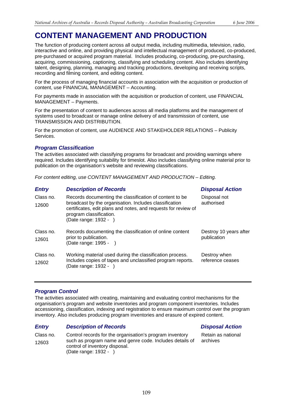The function of producing content across all output media, including multimedia, television, radio, interactive and online, and providing physical and intellectual management of produced, co-produced, pre-purchased or acquired program material. Includes producing, co-producing, pre-purchasing, acquiring, commissioning, captioning, classifying and scheduling content. Also includes identifying talent, designing, planning, managing and tracking productions, developing and receiving scripts, recording and filming content, and editing content.

For the process of managing financial accounts in association with the acquisition or production of content, use FINANCIAL MANAGEMENT – Accounting.

For payments made in association with the acquisition or production of content, use FINANCIAL MANAGEMENT – Payments.

For the presentation of content to audiences across all media platforms and the management of systems used to broadcast or manage online delivery of and transmission of content, use TRANSMISSION AND DISTRIBUTION.

For the promotion of content, use AUDIENCE AND STAKEHOLDER RELATIONS – Publicity Services.

## *Program Classification*

The activities associated with classifying programs for broadcast and providing warnings where required. Includes identifying suitability for timeslot. Also includes classifying online material prior to publication on the organisation's website and reviewing classifications.

*For content editing, use CONTENT MANAGEMENT AND PRODUCTION – Editing.* 

| <b>Entry</b>       | <b>Description of Records</b>                                                                                                                                                                                                           | <b>Disposal Action</b>                |
|--------------------|-----------------------------------------------------------------------------------------------------------------------------------------------------------------------------------------------------------------------------------------|---------------------------------------|
| Class no.<br>12600 | Records documenting the classification of content to be<br>broadcast by the organisation. Includes classification<br>certificates, edit plans and notes, and requests for review of<br>program classification.<br>(Date range: 1932 - ) | Disposal not<br>authorised            |
| Class no.<br>12601 | Records documenting the classification of online content<br>prior to publication.<br>(Date range: 1995 - )                                                                                                                              | Destroy 10 years after<br>publication |
| Class no.<br>12602 | Working material used during the classification process.<br>Includes copies of tapes and unclassified program reports.<br>(Date range: 1932 - )                                                                                         | Destroy when<br>reference ceases      |

## *Program Control*

The activities associated with creating, maintaining and evaluating control mechanisms for the organisation's program and website inventories and program component inventories. Includes accessioning, classification, indexing and registration to ensure maximum control over the program inventory. Also includes producing program inventories and erasure of expired content.

## *Entry Description of Records Disposal Action*

Class no. 12603 Control records for the organisation's program inventory such as program name and genre code. Includes details of control of inventory disposal. (Date range: 1932 - )

Retain as national archives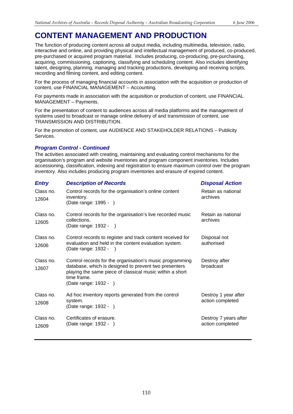The function of producing content across all output media, including multimedia, television, radio, interactive and online, and providing physical and intellectual management of produced, co-produced, pre-purchased or acquired program material. Includes producing, co-producing, pre-purchasing, acquiring, commissioning, captioning, classifying and scheduling content. Also includes identifying talent, designing, planning, managing and tracking productions, developing and receiving scripts, recording and filming content, and editing content.

For the process of managing financial accounts in association with the acquisition or production of content, use FINANCIAL MANAGEMENT – Accounting.

For payments made in association with the acquisition or production of content, use FINANCIAL MANAGEMENT – Payments.

For the presentation of content to audiences across all media platforms and the management of systems used to broadcast or manage online delivery of and transmission of content, use TRANSMISSION AND DISTRIBUTION.

For the promotion of content, use AUDIENCE AND STAKEHOLDER RELATIONS – Publicity Services.

## *Program Control - Continued*

The activities associated with creating, maintaining and evaluating control mechanisms for the organisation's program and website inventories and program component inventories. Includes accessioning, classification, indexing and registration to ensure maximum control over the program inventory. Also includes producing program inventories and erasure of expired content.

| <b>Entry</b>       | <b>Description of Records</b>                                                                                                                                                                                         | <b>Disposal Action</b>                    |
|--------------------|-----------------------------------------------------------------------------------------------------------------------------------------------------------------------------------------------------------------------|-------------------------------------------|
| Class no.<br>12604 | Control records for the organisation's online content<br>inventory.<br>(Date range: 1995 - )                                                                                                                          | Retain as national<br>archives            |
| Class no.<br>12605 | Control records for the organisation's live recorded music<br>collections.<br>(Date range: 1932 - )                                                                                                                   | Retain as national<br>archives            |
| Class no.<br>12606 | Control records to register and track content received for<br>evaluation and held in the content evaluation system.<br>(Date range: 1932 - )                                                                          | Disposal not<br>authorised                |
| Class no.<br>12607 | Control records for the organisation's music programming<br>database, which is designed to prevent two presenters<br>playing the same piece of classical music within a short<br>time frame.<br>(Date range: 1932 - ) | Destroy after<br>broadcast                |
| Class no.<br>12608 | Ad hoc inventory reports generated from the control<br>system.<br>(Date range: 1932 - )                                                                                                                               | Destroy 1 year after<br>action completed  |
| Class no.<br>12609 | Certificates of erasure.<br>(Date range: 1932 - )                                                                                                                                                                     | Destroy 7 years after<br>action completed |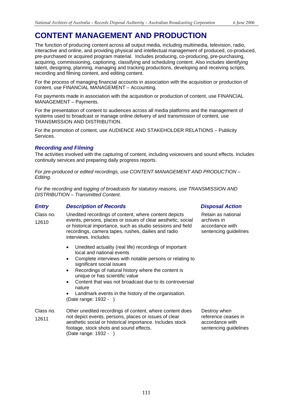The function of producing content across all output media, including multimedia, television, radio, interactive and online, and providing physical and intellectual management of produced, co-produced, pre-purchased or acquired program material. Includes producing, co-producing, pre-purchasing, acquiring, commissioning, captioning, classifying and scheduling content. Also includes identifying talent, designing, planning, managing and tracking productions, developing and receiving scripts, recording and filming content, and editing content.

For the process of managing financial accounts in association with the acquisition or production of content, use FINANCIAL MANAGEMENT – Accounting.

For payments made in association with the acquisition or production of content, use FINANCIAL MANAGEMENT – Payments.

For the presentation of content to audiences across all media platforms and the management of systems used to broadcast or manage online delivery of and transmission of content, use TRANSMISSION AND DISTRIBUTION.

For the promotion of content, use AUDIENCE AND STAKEHOLDER RELATIONS – Publicity Services.

## *Recording and Filming*

The activities involved with the capturing of content, including voiceovers and sound effects. Includes continuity services and preparing daily progress reports.

*For pre-produced or edited recordings, use CONTENT MANAGEMENT AND PRODUCTION – Editing.* 

*For the recording and logging of broadcasts for statutory reasons, use TRANSMISSION AND DISTRIBUTION – Transmitted Content.* 

## *Entry Description of Records Disposal Action*

Class no.

12610

Unedited recordings of content, where content depicts events, persons, places or issues of clear aesthetic, social or historical importance, such as studio sessions and field recordings, camera tapes, rushes, dailies and radio interviews. Includes:

- Unedited actuality (real life) recordings of important local and national events
- Complete interviews with notable persons or relating to significant social issues
- Recordings of natural history where the content is unique or has scientific value
- Content that was not broadcast due to its controversial nature

Landmark events in the history of the organisation. (Date range: 1932 - )

Class no. 12611 Other unedited recordings of content, where content does not depict events, persons, places or issues of clear aesthetic social or historical importance. Includes stock footage, stock shots and sound effects. (Date range: 1932 - )

Retain as national archives in accordance with sentencing guidelines

Destroy when reference ceases in accordance with sentencing guidelines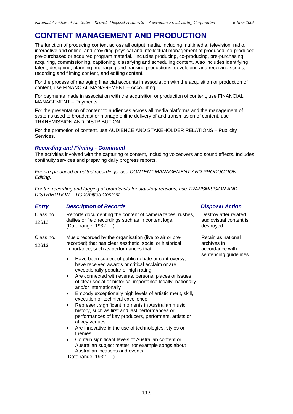The function of producing content across all output media, including multimedia, television, radio, interactive and online, and providing physical and intellectual management of produced, co-produced, pre-purchased or acquired program material. Includes producing, co-producing, pre-purchasing, acquiring, commissioning, captioning, classifying and scheduling content. Also includes identifying talent, designing, planning, managing and tracking productions, developing and receiving scripts, recording and filming content, and editing content.

For the process of managing financial accounts in association with the acquisition or production of content, use FINANCIAL MANAGEMENT – Accounting.

For payments made in association with the acquisition or production of content, use FINANCIAL MANAGEMENT – Payments.

For the presentation of content to audiences across all media platforms and the management of systems used to broadcast or manage online delivery of and transmission of content, use TRANSMISSION AND DISTRIBUTION.

For the promotion of content, use AUDIENCE AND STAKEHOLDER RELATIONS – Publicity Services.

## *Recording and Filming - Continued*

The activities involved with the capturing of content, including voiceovers and sound effects. Includes continuity services and preparing daily progress reports.

*For pre-produced or edited recordings, use CONTENT MANAGEMENT AND PRODUCTION – Editing.* 

*For the recording and logging of broadcasts for statutory reasons, use TRANSMISSION AND DISTRIBUTION – Transmitted Content.* 

## *Entry Description of Records Disposal Action*

| Class no. | Reports documenting the content of camera tapes, rushes,                      |
|-----------|-------------------------------------------------------------------------------|
| 12612     | dailies or field recordings such as in content logs.<br>(Date range: 1932 - ) |

#### Class no. 12613 Music recorded by the organisation (live to air or prerecorded) that has clear aesthetic, social or historical importance, such as performances that:

- Have been subject of public debate or controversy, have received awards or critical acclaim or are exceptionally popular or high rating
- Are connected with events, persons, places or issues of clear social or historical importance locally, nationally and/or internationally
- Embody exceptionally high levels of artistic merit, skill, execution or technical excellence
- Represent significant moments in Australian music history, such as first and last performances or performances of key producers, performers, artists or at key venues
- Are innovative in the use of technologies, styles or themes
- Contain significant levels of Australian content or Australian subject matter, for example songs about Australian locations and events.

(Date range: 1932 - )

| Destroy after related  |
|------------------------|
| audiovisual content is |
| destroyed              |

Retain as national archives in accordance with sentencing guidelines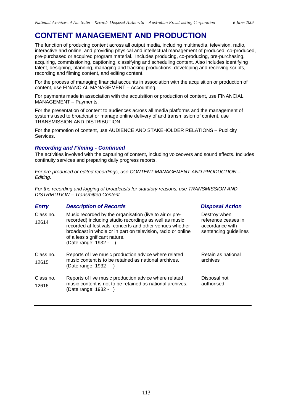The function of producing content across all output media, including multimedia, television, radio, interactive and online, and providing physical and intellectual management of produced, co-produced, pre-purchased or acquired program material. Includes producing, co-producing, pre-purchasing, acquiring, commissioning, captioning, classifying and scheduling content. Also includes identifying talent, designing, planning, managing and tracking productions, developing and receiving scripts, recording and filming content, and editing content.

For the process of managing financial accounts in association with the acquisition or production of content, use FINANCIAL MANAGEMENT – Accounting.

For payments made in association with the acquisition or production of content, use FINANCIAL MANAGEMENT – Payments.

For the presentation of content to audiences across all media platforms and the management of systems used to broadcast or manage online delivery of and transmission of content, use TRANSMISSION AND DISTRIBUTION.

For the promotion of content, use AUDIENCE AND STAKEHOLDER RELATIONS – Publicity Services.

## *Recording and Filming - Continued*

The activities involved with the capturing of content, including voiceovers and sound effects. Includes continuity services and preparing daily progress reports.

*For pre-produced or edited recordings, use CONTENT MANAGEMENT AND PRODUCTION – Editing.* 

*For the recording and logging of broadcasts for statutory reasons, use TRANSMISSION AND DISTRIBUTION – Transmitted Content.* 

## *Entry Description of Records Disposal Action*

| Class no.<br>12614 | Music recorded by the organisation (live to air or pre-<br>recorded) including studio recordings as well as music<br>recorded at festivals, concerts and other venues whether<br>broadcast in whole or in part on television, radio or online<br>of a less significant nature.<br>(Date range: 1932 - ) | Destroy when<br>reference ceases in<br>accordance with<br>sentencing guidelines |
|--------------------|---------------------------------------------------------------------------------------------------------------------------------------------------------------------------------------------------------------------------------------------------------------------------------------------------------|---------------------------------------------------------------------------------|
| Class no.<br>12615 | Reports of live music production advice where related<br>music content is to be retained as national archives.<br>(Date range: 1932 - )                                                                                                                                                                 | Retain as national<br>archives                                                  |
| Class no.<br>12616 | Reports of live music production advice where related<br>music content is not to be retained as national archives.<br>(Date range: 1932 - )                                                                                                                                                             | Disposal not<br>authorised                                                      |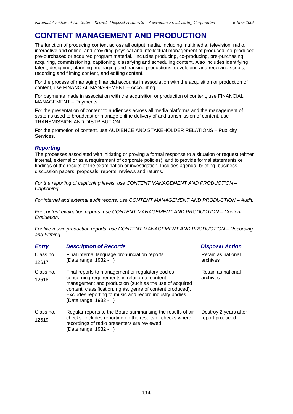The function of producing content across all output media, including multimedia, television, radio, interactive and online, and providing physical and intellectual management of produced, co-produced, pre-purchased or acquired program material. Includes producing, co-producing, pre-purchasing, acquiring, commissioning, captioning, classifying and scheduling content. Also includes identifying talent, designing, planning, managing and tracking productions, developing and receiving scripts, recording and filming content, and editing content.

For the process of managing financial accounts in association with the acquisition or production of content, use FINANCIAL MANAGEMENT – Accounting.

For payments made in association with the acquisition or production of content, use FINANCIAL MANAGEMENT – Payments.

For the presentation of content to audiences across all media platforms and the management of systems used to broadcast or manage online delivery of and transmission of content, use TRANSMISSION AND DISTRIBUTION.

For the promotion of content, use AUDIENCE AND STAKEHOLDER RELATIONS – Publicity Services.

## *Reporting*

The processes associated with initiating or proving a formal response to a situation or request (either internal, external or as a requirement of corporate policies), and to provide formal statements or findings of the results of the examination or investigation. Includes agenda, briefing, business, discussion papers, proposals, reports, reviews and returns.

*For the reporting of captioning levels, use CONTENT MANAGEMENT AND PRODUCTION – Captioning.* 

*For internal and external audit reports, use CONTENT MANAGEMENT AND PRODUCTION – Audit.* 

*For content evaluation reports, use CONTENT MANAGEMENT AND PRODUCTION – Content Evaluation.* 

For live music production reports, use CONTENT MANAGEMENT AND PRODUCTION – Recording *and Filming.* 

| <b>Entry</b>       | <b>Description of Records</b>                                                                                                                                                                                                                                                                                    | <b>Disposal Action</b>                   |
|--------------------|------------------------------------------------------------------------------------------------------------------------------------------------------------------------------------------------------------------------------------------------------------------------------------------------------------------|------------------------------------------|
| Class no.<br>12617 | Final internal language pronunciation reports.<br>(Date range: 1932 - )                                                                                                                                                                                                                                          | Retain as national<br>archives           |
| Class no.<br>12618 | Final reports to management or regulatory bodies<br>concerning requirements in relation to content<br>management and production (such as the use of acquired<br>content, classification, rights, genre of content produced).<br>Excludes reporting to music and record industry bodies.<br>(Date range: 1932 - ) | Retain as national<br>archives           |
| Class no.<br>12619 | Regular reports to the Board summarising the results of air<br>checks. Includes reporting on the results of checks where<br>recordings of radio presenters are reviewed.<br>(Date range: 1932 - )                                                                                                                | Destroy 2 years after<br>report produced |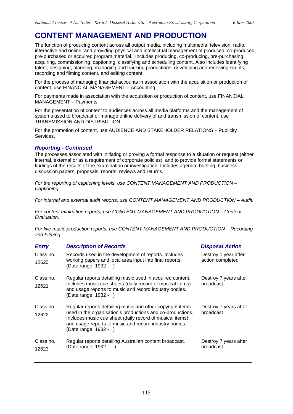The function of producing content across all output media, including multimedia, television, radio, interactive and online, and providing physical and intellectual management of produced, co-produced, pre-purchased or acquired program material. Includes producing, co-producing, pre-purchasing, acquiring, commissioning, captioning, classifying and scheduling content. Also includes identifying talent, designing, planning, managing and tracking productions, developing and receiving scripts, recording and filming content, and editing content.

For the process of managing financial accounts in association with the acquisition or production of content, use FINANCIAL MANAGEMENT – Accounting.

For payments made in association with the acquisition or production of content, use FINANCIAL MANAGEMENT – Payments.

For the presentation of content to audiences across all media platforms and the management of systems used to broadcast or manage online delivery of and transmission of content, use TRANSMISSION AND DISTRIBUTION.

For the promotion of content, use AUDIENCE AND STAKEHOLDER RELATIONS – Publicity Services.

## *Reporting - Continued*

The processes associated with initiating or proving a formal response to a situation or request (either internal, external or as a requirement of corporate policies), and to provide formal statements or findings of the results of the examination or investigation. Includes agenda, briefing, business, discussion papers, proposals, reports, reviews and returns.

*For the reporting of captioning levels, use CONTENT MANAGEMENT AND PRODUCTION – Captioning.* 

*For internal and external audit reports, use CONTENT MANAGEMENT AND PRODUCTION – Audit.* 

*For content evaluation reports, use CONTENT MANAGEMENT AND PRODUCTION – Content Evaluation.* 

For live music production reports, use CONTENT MANAGEMENT AND PRODUCTION – Recording *and Filming.* 

| <b>Entry</b>       | <b>Description of Records</b>                                                                                                                                                                                                                                          | <b>Disposal Action</b>                   |
|--------------------|------------------------------------------------------------------------------------------------------------------------------------------------------------------------------------------------------------------------------------------------------------------------|------------------------------------------|
| Class no.<br>12620 | Records used in the development of reports. Includes<br>working papers and local area input into final reports.<br>(Date range: 1932 - )                                                                                                                               | Destroy 1 year after<br>action completed |
| Class no.<br>12621 | Regular reports detailing music used in acquired content.<br>Includes music cue sheets (daily record of musical items)<br>and usage reports to music and record industry bodies.<br>(Date range: 1932 - )                                                              | Destroy 7 years after<br>broadcast       |
| Class no.<br>12622 | Regular reports detailing music and other copyright items<br>used in the organisation's productions and co-productions.<br>Includes music cue sheet (daily record of musical items)<br>and usage reports to music and record industry bodies.<br>(Date range: 1932 - ) | Destroy 7 years after<br>broadcast       |
| Class no.<br>12623 | Regular reports detailing Australian content broadcast.<br>(Date range: 1932 -                                                                                                                                                                                         | Destroy 7 years after<br>broadcast       |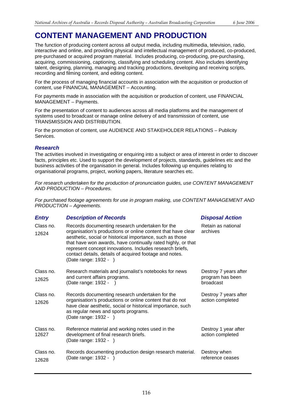The function of producing content across all output media, including multimedia, television, radio, interactive and online, and providing physical and intellectual management of produced, co-produced, pre-purchased or acquired program material. Includes producing, co-producing, pre-purchasing, acquiring, commissioning, captioning, classifying and scheduling content. Also includes identifying talent, designing, planning, managing and tracking productions, developing and receiving scripts, recording and filming content, and editing content.

For the process of managing financial accounts in association with the acquisition or production of content, use FINANCIAL MANAGEMENT – Accounting.

For payments made in association with the acquisition or production of content, use FINANCIAL MANAGEMENT – Payments.

For the presentation of content to audiences across all media platforms and the management of systems used to broadcast or manage online delivery of and transmission of content, use TRANSMISSION AND DISTRIBUTION.

For the promotion of content, use AUDIENCE AND STAKEHOLDER RELATIONS – Publicity Services.

## *Research*

The activities involved in investigating or enquiring into a subject or area of interest in order to discover facts, principles etc. Used to support the development of projects, standards, guidelines etc and the business activities of the organisation in general. Includes following up enquiries relating to organisational programs, project, working papers, literature searches etc.

*For research undertaken for the production of pronunciation guides, use CONTENT MANAGEMENT AND PRODUCTION – Procedures.* 

*For purchased footage agreements for use in program making, use CONTENT MANAGEMENT AND PRODUCTION – Agreements.* 

#### *Entry Description of Records Disposal Action*  Class no. 12624 Records documenting research undertaken for the organisation's productions or online content that have clear aesthetic, social or historical importance, such as those that have won awards, have continually rated highly, or that represent concept innovations. Includes research briefs, contact details, details of acquired footage and notes. (Date range: 1932 - ) Retain as national archives Class no. 12625 Research materials and journalist's notebooks for news and current affairs programs. (Date range: 1932 - ) Destroy 7 years after program has been broadcast Class no. 12626 Records documenting research undertaken for the organisation's productions or online content that do not have clear aesthetic, social or historical importance, such as regular news and sports programs. (Date range: 1932 - ) Destroy 7 years after action completed Class no. 12627 Reference material and working notes used in the development of final research briefs. (Date range: 1932 - ) Destroy 1 year after action completed Class no. 12628 Records documenting production design research material. (Date range: 1932 - ) Destroy when reference ceases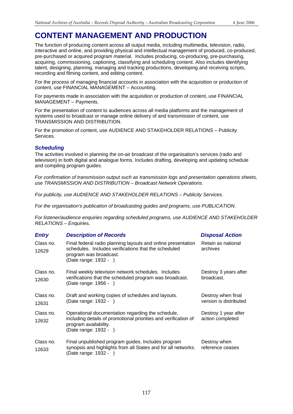The function of producing content across all output media, including multimedia, television, radio, interactive and online, and providing physical and intellectual management of produced, co-produced, pre-purchased or acquired program material. Includes producing, co-producing, pre-purchasing, acquiring, commissioning, captioning, classifying and scheduling content. Also includes identifying talent, designing, planning, managing and tracking productions, developing and receiving scripts, recording and filming content, and editing content.

For the process of managing financial accounts in association with the acquisition or production of content, use FINANCIAL MANAGEMENT – Accounting.

For payments made in association with the acquisition or production of content, use FINANCIAL MANAGEMENT – Payments.

For the presentation of content to audiences across all media platforms and the management of systems used to broadcast or manage online delivery of and transmission of content, use TRANSMISSION AND DISTRIBUTION.

For the promotion of content, use AUDIENCE AND STAKEHOLDER RELATIONS – Publicity Services.

## *Scheduling*

The activities involved in planning the on-air broadcast of the organisation's services (radio and television) in both digital and analogue forms. Includes drafting, developing and updating schedule and compiling program guides.

*For confirmation of transmission output such as transmission logs and presentation operations sheets, use TRANSMISSION AND DISTRIBUTION – Broadcast Network Operations.* 

*For publicity, use AUDIENCE AND STAKEHOLDER RELATIONS – Publicity Services.* 

*For the organisation's publication of broadcasting guides and programs, use PUBLICATION.* 

*For listener/audience enquiries regarding scheduled programs, use AUDIENCE AND STAKEHOLDER RELATIONS – Enquiries.* 

| <b>Entry</b>       | <b>Description of Records</b>                                                                                                                                           | <b>Disposal Action</b>                       |
|--------------------|-------------------------------------------------------------------------------------------------------------------------------------------------------------------------|----------------------------------------------|
| Class no.<br>12629 | Final federal radio planning layouts and online presentation<br>schedules. Includes verifications that the scheduled<br>program was broadcast.<br>(Date range: 1932 - ) | Retain as national<br>archives               |
| Class no.<br>12630 | Final weekly television network schedules. Includes<br>verifications that the scheduled program was broadcast.<br>(Date range: 1956 - )                                 | Destroy 3 years after<br>broadcast.          |
| Class no.<br>12631 | Draft and working copies of schedules and layouts.<br>(Date range: 1932 - )                                                                                             | Destroy when final<br>version is distributed |
| Class no.<br>12632 | Operational documentation regarding the schedule,<br>including details of promotional priorities and verification of<br>program availability.<br>(Date range: 1932 - )  | Destroy 1 year after<br>action completed     |
| Class no.<br>12633 | Final unpublished program guides. Includes program<br>synopsis and highlights from all States and for all networks.<br>(Date range: 1932 -                              | Destroy when<br>reference ceases             |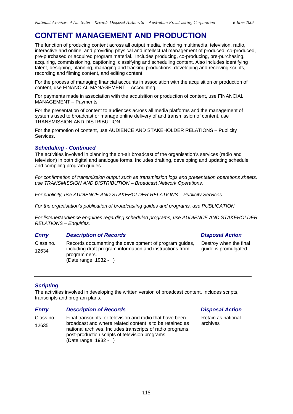The function of producing content across all output media, including multimedia, television, radio, interactive and online, and providing physical and intellectual management of produced, co-produced, pre-purchased or acquired program material. Includes producing, co-producing, pre-purchasing, acquiring, commissioning, captioning, classifying and scheduling content. Also includes identifying talent, designing, planning, managing and tracking productions, developing and receiving scripts, recording and filming content, and editing content.

For the process of managing financial accounts in association with the acquisition or production of content, use FINANCIAL MANAGEMENT – Accounting.

For payments made in association with the acquisition or production of content, use FINANCIAL MANAGEMENT – Payments.

For the presentation of content to audiences across all media platforms and the management of systems used to broadcast or manage online delivery of and transmission of content, use TRANSMISSION AND DISTRIBUTION.

For the promotion of content, use AUDIENCE AND STAKEHOLDER RELATIONS – Publicity Services.

## *Scheduling - Continued*

The activities involved in planning the on-air broadcast of the organisation's services (radio and television) in both digital and analogue forms. Includes drafting, developing and updating schedule and compiling program guides.

*For confirmation of transmission output such as transmission logs and presentation operations sheets, use TRANSMISSION AND DISTRIBUTION – Broadcast Network Operations.* 

*For publicity, use AUDIENCE AND STAKEHOLDER RELATIONS – Publicity Services.* 

*For the organisation's publication of broadcasting guides and programs, use PUBLICATION.* 

*For listener/audience enquiries regarding scheduled programs, use AUDIENCE AND STAKEHOLDER RELATIONS – Enquiries.* 

## *Entry Description of Records Disposal Action*

Class no. 12634 Records documenting the development of program guides, including draft program information and instructions from programmers. (Date range: 1932 - )

Destroy when the final guide is promulgated

## *Scripting*

The activities involved in developing the written version of broadcast content. Includes scripts, transcripts and program plans.

## *Entry Description of Records Disposal Action*

Class no. 12635 Final transcripts for television and radio that have been broadcast and where related content is to be retained as national archives. Includes transcripts of radio programs, post-production scripts of television programs. (Date range: 1932 - )

Retain as national archives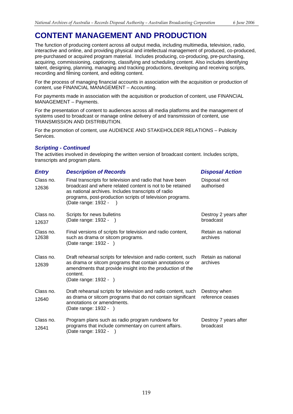The function of producing content across all output media, including multimedia, television, radio, interactive and online, and providing physical and intellectual management of produced, co-produced, pre-purchased or acquired program material. Includes producing, co-producing, pre-purchasing, acquiring, commissioning, captioning, classifying and scheduling content. Also includes identifying talent, designing, planning, managing and tracking productions, developing and receiving scripts, recording and filming content, and editing content.

For the process of managing financial accounts in association with the acquisition or production of content, use FINANCIAL MANAGEMENT – Accounting.

For payments made in association with the acquisition or production of content, use FINANCIAL MANAGEMENT – Payments.

For the presentation of content to audiences across all media platforms and the management of systems used to broadcast or manage online delivery of and transmission of content, use TRANSMISSION AND DISTRIBUTION.

For the promotion of content, use AUDIENCE AND STAKEHOLDER RELATIONS – Publicity Services.

## *Scripting - Continued*

The activities involved in developing the written version of broadcast content. Includes scripts, transcripts and program plans.

| <b>Entry</b>       | <b>Description of Records</b>                                                                                                                                                                                                                                     | <b>Disposal Action</b>             |
|--------------------|-------------------------------------------------------------------------------------------------------------------------------------------------------------------------------------------------------------------------------------------------------------------|------------------------------------|
| Class no.<br>12636 | Final transcripts for television and radio that have been<br>broadcast and where related content is not to be retained<br>as national archives. Includes transcripts of radio<br>programs, post-production scripts of television programs.<br>(Date range: 1932 - | Disposal not<br>authorised         |
| Class no.<br>12637 | Scripts for news bulletins<br>(Date range: 1932 - )                                                                                                                                                                                                               | Destroy 2 years after<br>broadcast |
| Class no.<br>12638 | Final versions of scripts for television and radio content,<br>such as drama or sitcom programs.<br>(Date range: 1932 - )                                                                                                                                         | Retain as national<br>archives     |
| Class no.<br>12639 | Draft rehearsal scripts for television and radio content, such<br>as drama or sitcom programs that contain annotations or<br>amendments that provide insight into the production of the<br>content.<br>(Date range: 1932 - )                                      | Retain as national<br>archives     |
| Class no.<br>12640 | Draft rehearsal scripts for television and radio content, such<br>as drama or sitcom programs that do not contain significant<br>annotations or amendments.<br>(Date range: 1932 - )                                                                              | Destroy when<br>reference ceases   |
| Class no.<br>12641 | Program plans such as radio program rundowns for<br>programs that include commentary on current affairs.<br>(Date range: 1932 -                                                                                                                                   | Destroy 7 years after<br>broadcast |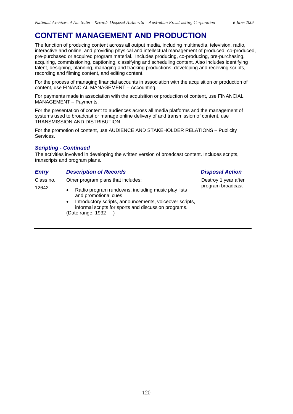The function of producing content across all output media, including multimedia, television, radio, interactive and online, and providing physical and intellectual management of produced, co-produced, pre-purchased or acquired program material. Includes producing, co-producing, pre-purchasing, acquiring, commissioning, captioning, classifying and scheduling content. Also includes identifying talent, designing, planning, managing and tracking productions, developing and receiving scripts, recording and filming content, and editing content.

For the process of managing financial accounts in association with the acquisition or production of content, use FINANCIAL MANAGEMENT – Accounting.

For payments made in association with the acquisition or production of content, use FINANCIAL MANAGEMENT – Payments.

For the presentation of content to audiences across all media platforms and the management of systems used to broadcast or manage online delivery of and transmission of content, use TRANSMISSION AND DISTRIBUTION.

For the promotion of content, use AUDIENCE AND STAKEHOLDER RELATIONS – Publicity Services.

## *Scripting - Continued*

The activities involved in developing the written version of broadcast content. Includes scripts, transcripts and program plans.

## *Entry Description of Records Disposal Action*

Other program plans that includes:

Class no.

12642

- Radio program rundowns, including music play lists and promotional cues
- Introductory scripts, announcements, voiceover scripts, informal scripts for sports and discussion programs. (Date range: 1932 - )

Destroy 1 year after program broadcast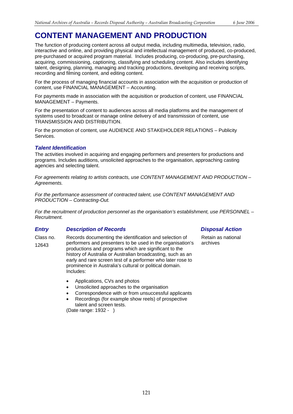The function of producing content across all output media, including multimedia, television, radio, interactive and online, and providing physical and intellectual management of produced, co-produced, pre-purchased or acquired program material. Includes producing, co-producing, pre-purchasing, acquiring, commissioning, captioning, classifying and scheduling content. Also includes identifying talent, designing, planning, managing and tracking productions, developing and receiving scripts, recording and filming content, and editing content.

For the process of managing financial accounts in association with the acquisition or production of content, use FINANCIAL MANAGEMENT – Accounting.

For payments made in association with the acquisition or production of content, use FINANCIAL MANAGEMENT – Payments.

For the presentation of content to audiences across all media platforms and the management of systems used to broadcast or manage online delivery of and transmission of content, use TRANSMISSION AND DISTRIBUTION.

For the promotion of content, use AUDIENCE AND STAKEHOLDER RELATIONS – Publicity Services.

## *Talent Identification*

The activities involved in acquiring and engaging performers and presenters for productions and programs. Includes auditions, unsolicited approaches to the organisation, approaching casting agencies and selecting talent.

*For agreements relating to artists contracts, use CONTENT MANAGEMENT AND PRODUCTION – Agreements.* 

For the performance assessment of contracted talent, use CONTENT MANAGEMENT AND *PRODUCTION – Contracting-Out.* 

*For the recruitment of production personnel as the organisation's establishment, use PERSONNEL – Recruitment.* 

## *Entry Description of Records Disposal Action*

Class no. 12643

Records documenting the identification and selection of performers and presenters to be used in the organisation's productions and programs which are significant to the history of Australia or Australian broadcasting, such as an early and rare screen test of a performer who later rose to prominence in Australia's cultural or political domain. Includes:

- Applications, CVs and photos
- Unsolicited approaches to the organisation
- Correspondence with or from unsuccessful applicants
- Recordings (for example show reels) of prospective talent and screen tests.

(Date range: 1932 - )

Retain as national archives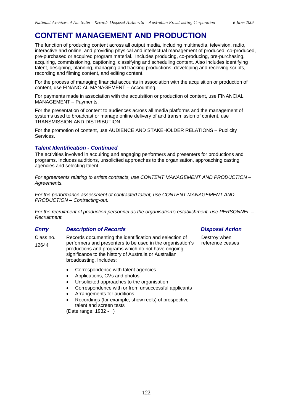The function of producing content across all output media, including multimedia, television, radio, interactive and online, and providing physical and intellectual management of produced, co-produced, pre-purchased or acquired program material. Includes producing, co-producing, pre-purchasing, acquiring, commissioning, captioning, classifying and scheduling content. Also includes identifying talent, designing, planning, managing and tracking productions, developing and receiving scripts, recording and filming content, and editing content.

For the process of managing financial accounts in association with the acquisition or production of content, use FINANCIAL MANAGEMENT – Accounting.

For payments made in association with the acquisition or production of content, use FINANCIAL MANAGEMENT – Payments.

For the presentation of content to audiences across all media platforms and the management of systems used to broadcast or manage online delivery of and transmission of content, use TRANSMISSION AND DISTRIBUTION.

For the promotion of content, use AUDIENCE AND STAKEHOLDER RELATIONS – Publicity Services.

## *Talent Identification - Continued*

The activities involved in acquiring and engaging performers and presenters for productions and programs. Includes auditions, unsolicited approaches to the organisation, approaching casting agencies and selecting talent.

*For agreements relating to artists contracts, use CONTENT MANAGEMENT AND PRODUCTION – Agreements.* 

For the performance assessment of contracted talent, use CONTENT MANAGEMENT AND *PRODUCTION – Contracting-out.* 

*For the recruitment of production personnel as the organisation's establishment, use PERSONNEL – Recruitment.* 

## *Entry Description of Records Disposal Action*

Class no. 12644

Records documenting the identification and selection of performers and presenters to be used in the organisation's productions and programs which do not have ongoing significance to the history of Australia or Australian broadcasting. Includes:

- Correspondence with talent agencies
- Applications, CVs and photos
- Unsolicited approaches to the organisation
- Correspondence with or from unsuccessful applicants
- Arrangements for auditions
- Recordings (for example, show reels) of prospective talent and screen tests

(Date range: 1932 - )

Destroy when reference ceases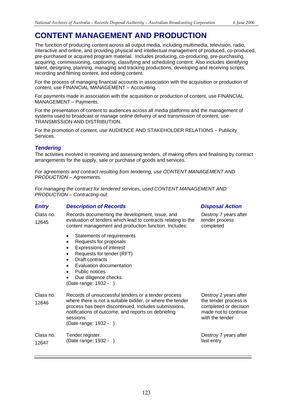The function of producing content across all output media, including multimedia, television, radio, interactive and online, and providing physical and intellectual management of produced, co-produced, pre-purchased or acquired program material. Includes producing, co-producing, pre-purchasing, acquiring, commissioning, captioning, classifying and scheduling content. Also includes identifying talent, designing, planning, managing and tracking productions, developing and receiving scripts, recording and filming content, and editing content.

For the process of managing financial accounts in association with the acquisition or production of content, use FINANCIAL MANAGEMENT – Accounting.

For payments made in association with the acquisition or production of content, use FINANCIAL MANAGEMENT – Payments.

For the presentation of content to audiences across all media platforms and the management of systems used to broadcast or manage online delivery of and transmission of content, use TRANSMISSION AND DISTRIBUTION.

For the promotion of content, use AUDIENCE AND STAKEHOLDER RELATIONS – Publicity Services.

## *Tendering*

The activities involved in receiving and assessing tenders, of making offers and finalising by contract arrangements for the supply, sale or purchase of goods and services.

*For agreements and contract resulting from tendering, use CONTENT MANAGEMENT AND PRODUCTION – Agreements.* 

*For managing the contract for tendered services, used CONTENT MANAGEMENT AND PRODUCTION – Contracting-out.* 

## *Entry Description of Records Disposal Action*

| Class no.<br>12645 | Records documenting the development, issue, and<br>evaluation of tenders which lead to contracts relating to the<br>content management and production function. Includes:<br>Statements of requirements<br>$\bullet$<br>Requests for proposals<br>$\bullet$<br>Expressions of interest<br>٠<br>Requests for tender (RFT)<br>٠<br>Draft contracts<br>$\bullet$<br>Evaluation documentation<br>Public notices<br>$\bullet$<br>Due diligence checks.<br>(Date range: 1932 - ) | Destroy 7 years after<br>tender process<br>completed                                                               |
|--------------------|----------------------------------------------------------------------------------------------------------------------------------------------------------------------------------------------------------------------------------------------------------------------------------------------------------------------------------------------------------------------------------------------------------------------------------------------------------------------------|--------------------------------------------------------------------------------------------------------------------|
| Class no.<br>12646 | Records of unsuccessful tenders or a tender process<br>where there is not a suitable bidder, or where the tender<br>process has been discontinued. Includes submissions,<br>notifications of outcome, and reports on debriefing<br>sessions.<br>(Date range: 1932 - )                                                                                                                                                                                                      | Destroy 2 years after<br>the tender process is<br>completed or decision<br>made not to continue<br>with the tender |
| Class no.<br>12647 | Tender register.<br>(Date range: 1932 - )                                                                                                                                                                                                                                                                                                                                                                                                                                  | Destroy 7 years after<br>last entry                                                                                |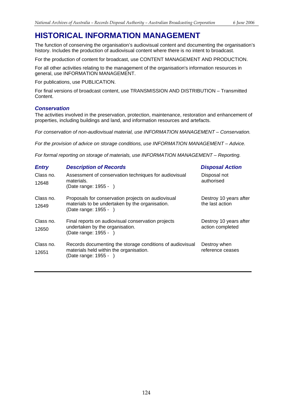## **HISTORICAL INFORMATION MANAGEMENT**

The function of conserving the organisation's audiovisual content and documenting the organisation's history. Includes the production of audiovisual content where there is no intent to broadcast.

For the production of content for broadcast, use CONTENT MANAGEMENT AND PRODUCTION.

For all other activities relating to the management of the organisation's information resources in general, use INFORMATION MANAGEMENT.

For publications, use PUBLICATION.

For final versions of broadcast content, use TRANSMISSION AND DISTRIBUTION – Transmitted Content.

## *Conservation*

The activities involved in the preservation, protection, maintenance, restoration and enhancement of properties, including buildings and land, and information resources and artefacts.

*For conservation of non-audiovisual material, use INFORMATION MANAGEMENT – Conservation.* 

*For the provision of advice on storage conditions, use INFORMATION MANAGEMENT – Advice.* 

*For formal reporting on storage of materials, use INFORMATION MANAGEMENT – Reporting.* 

| <b>Entry</b>       | <b>Description of Records</b>                                                                                                  | <b>Disposal Action</b>                     |
|--------------------|--------------------------------------------------------------------------------------------------------------------------------|--------------------------------------------|
| Class no.<br>12648 | Assessment of conservation techniques for audiovisual<br>materials.<br>(Date range: 1955 - )                                   | Disposal not<br>authorised                 |
| Class no.<br>12649 | Proposals for conservation projects on audiovisual<br>materials to be undertaken by the organisation.<br>(Date range: 1955 - ) | Destroy 10 years after<br>the last action  |
| Class no.<br>12650 | Final reports on audiovisual conservation projects<br>undertaken by the organisation.<br>(Date range: 1955 -                   | Destroy 10 years after<br>action completed |
| Class no.<br>12651 | Records documenting the storage conditions of audiovisual<br>materials held within the organisation.<br>(Date range: 1955 - )  | Destroy when<br>reference ceases           |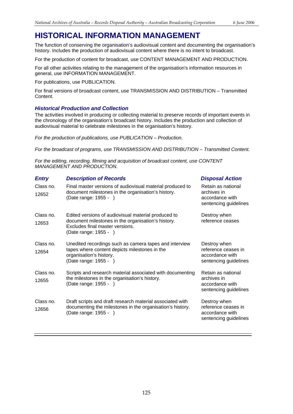## **HISTORICAL INFORMATION MANAGEMENT**

The function of conserving the organisation's audiovisual content and documenting the organisation's history. Includes the production of audiovisual content where there is no intent to broadcast.

For the production of content for broadcast, use CONTENT MANAGEMENT AND PRODUCTION.

For all other activities relating to the management of the organisation's information resources in general, use INFORMATION MANAGEMENT.

For publications, use PUBLICATION.

For final versions of broadcast content, use TRANSMISSION AND DISTRIBUTION – Transmitted Content.

## *Historical Production and Collection*

The activities involved in producing or collecting material to preserve records of important events in the chronology of the organisation's broadcast history. Includes the production and collection of audiovisual material to celebrate milestones in the organisation's history.

*For the production of publications, use PUBLICATION – Production.* 

*For the broadcast of programs, use TRANSMISSION AND DISTRIBUTION – Transmitted Content.* 

*For the editing, recording, filming and acquisition of broadcast content, use CONTENT MANAGEMENT AND PRODUCTION.* 

| <b>Entry</b>       | <b>Description of Records</b>                                                                                                                                         | <b>Disposal Action</b>                                                          |
|--------------------|-----------------------------------------------------------------------------------------------------------------------------------------------------------------------|---------------------------------------------------------------------------------|
| Class no.<br>12652 | Final master versions of audiovisual material produced to<br>document milestones in the organisation's history.<br>(Date range: 1955 - )                              | Retain as national<br>archives in<br>accordance with<br>sentencing guidelines   |
| Class no.<br>12653 | Edited versions of audiovisual material produced to<br>document milestones in the organisation's history.<br>Excludes final master versions.<br>(Date range: 1955 - ) | Destroy when<br>reference ceases                                                |
| Class no.<br>12654 | Unedited recordings such as camera tapes and interview<br>tapes where content depicts milestones in the<br>organisation's history.<br>(Date range: 1955 - )           | Destroy when<br>reference ceases in<br>accordance with<br>sentencing guidelines |
| Class no.<br>12655 | Scripts and research material associated with documenting<br>the milestones in the organisation's history.<br>(Date range: 1955 - )                                   | Retain as national<br>archives in<br>accordance with<br>sentencing guidelines   |
| Class no.<br>12656 | Draft scripts and draft research material associated with<br>documenting the milestones in the organisation's history.<br>(Date range: 1955 - )                       | Destroy when<br>reference ceases in<br>accordance with<br>sentencing guidelines |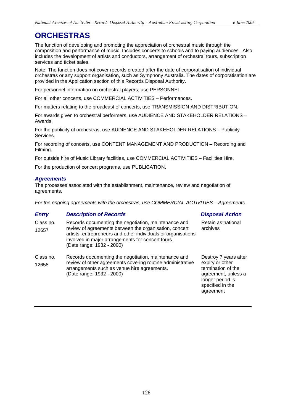The function of developing and promoting the appreciation of orchestral music through the composition and performance of music. Includes concerts to schools and to paying audiences. Also includes the development of artists and conductors, arrangement of orchestral tours, subscription services and ticket sales.

Note: The function does not cover records created after the date of corporatisation of individual orchestras or any support organisation, such as Symphony Australia. The dates of corporatisation are provided in the Application section of this Records Disposal Authority.

For personnel information on orchestral players, use PERSONNEL.

For all other concerts, use COMMERCIAL ACTIVITIES – Performances.

For matters relating to the broadcast of concerts, use TRANSMISSION AND DISTRIBUTION.

For awards given to orchestral performers, use AUDIENCE AND STAKEHOLDER RELATIONS – Awards.

For the publicity of orchestras, use AUDIENCE AND STAKEHOLDER RELATIONS – Publicity Services.

For recording of concerts, use CONTENT MANAGEMENT AND PRODUCTION – Recording and Filming.

For outside hire of Music Library facilities, use COMMERCIAL ACTIVITIES – Facilities Hire.

For the production of concert programs, use PUBLICATION.

#### *Agreements*

The processes associated with the establishment, maintenance, review and negotiation of agreements.

*For the ongoing agreements with the orchestras, use COMMERCIAL ACTIVITIES – Agreements.* 

#### *Entry Description of Records Disposal Action*

| Class no. | Records documenting the negotiation, maintenance and<br>review of agreements between the organisation, concert<br>artists, entrepreneurs and other individuals or organisations<br>involved in major arrangements for concert tours.<br>(Date range: 1932 - 2000) | Retain as national<br>archives                                                                                    |
|-----------|-------------------------------------------------------------------------------------------------------------------------------------------------------------------------------------------------------------------------------------------------------------------|-------------------------------------------------------------------------------------------------------------------|
| 12657     |                                                                                                                                                                                                                                                                   |                                                                                                                   |
| Class no. | Records documenting the negotiation, maintenance and<br>review of other agreements covering routine administrative<br>arrangements such as venue hire agreements.<br>(Date range: 1932 - 2000)                                                                    | Destroy 7 years after                                                                                             |
| 12658     |                                                                                                                                                                                                                                                                   | expiry or other<br>termination of the<br>agreement, unless a<br>longer period is<br>specified in the<br>agreement |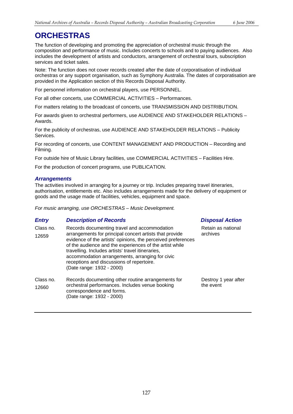The function of developing and promoting the appreciation of orchestral music through the composition and performance of music. Includes concerts to schools and to paying audiences. Also includes the development of artists and conductors, arrangement of orchestral tours, subscription services and ticket sales.

Note: The function does not cover records created after the date of corporatisation of individual orchestras or any support organisation, such as Symphony Australia. The dates of corporatisation are provided in the Application section of this Records Disposal Authority.

For personnel information on orchestral players, use PERSONNEL.

For all other concerts, use COMMERCIAL ACTIVITIES – Performances.

For matters relating to the broadcast of concerts, use TRANSMISSION AND DISTRIBUTION.

For awards given to orchestral performers, use AUDIENCE AND STAKEHOLDER RELATIONS – Awards.

For the publicity of orchestras, use AUDIENCE AND STAKEHOLDER RELATIONS – Publicity Services.

For recording of concerts, use CONTENT MANAGEMENT AND PRODUCTION – Recording and Filming.

For outside hire of Music Library facilities, use COMMERCIAL ACTIVITIES – Facilities Hire.

For the production of concert programs, use PUBLICATION.

#### *Arrangements*

The activities involved in arranging for a journey or trip. Includes preparing travel itineraries, authorisation, entitlements etc. Also includes arrangements made for the delivery of equipment or goods and the usage made of facilities, vehicles, equipment and space.

*For music arranging, use ORCHESTRAS – Music Development.* 

## *Entry Description of Records Disposal Action*

| Class no.<br>Records documenting travel and accommodation<br>arrangements for principal concert artists that provide<br>12659<br>evidence of the artists' opinions, the perceived preferences<br>of the audience and the experiences of the artist while<br>travelling. Includes artists' travel itineraries,<br>accommodation arrangements, arranging for civic |                                                                        | a |
|------------------------------------------------------------------------------------------------------------------------------------------------------------------------------------------------------------------------------------------------------------------------------------------------------------------------------------------------------------------|------------------------------------------------------------------------|---|
|                                                                                                                                                                                                                                                                                                                                                                  | receptions and discussions of repertoire.<br>(Date range: 1932 - 2000) |   |
| Class no.                                                                                                                                                                                                                                                                                                                                                        | Records documenting other routine arrangements for                     |   |

12660 orchestral performances. Includes venue booking correspondence and forms. (Date range: 1932 - 2000)

Retain as national archives

Destroy 1 year after the event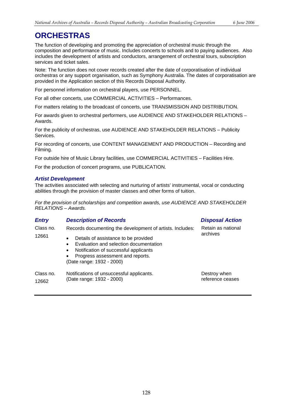The function of developing and promoting the appreciation of orchestral music through the composition and performance of music. Includes concerts to schools and to paying audiences. Also includes the development of artists and conductors, arrangement of orchestral tours, subscription services and ticket sales.

Note: The function does not cover records created after the date of corporatisation of individual orchestras or any support organisation, such as Symphony Australia. The dates of corporatisation are provided in the Application section of this Records Disposal Authority.

For personnel information on orchestral players, use PERSONNEL.

For all other concerts, use COMMERCIAL ACTIVITIES – Performances.

For matters relating to the broadcast of concerts, use TRANSMISSION AND DISTRIBUTION.

For awards given to orchestral performers, use AUDIENCE AND STAKEHOLDER RELATIONS – Awards.

For the publicity of orchestras, use AUDIENCE AND STAKEHOLDER RELATIONS – Publicity Services.

For recording of concerts, use CONTENT MANAGEMENT AND PRODUCTION – Recording and Filming.

For outside hire of Music Library facilities, use COMMERCIAL ACTIVITIES – Facilities Hire.

For the production of concert programs, use PUBLICATION.

#### *Artist Development*

The activities associated with selecting and nurturing of artists' instrumental, vocal or conducting abilities through the provision of master classes and other forms of tuition.

*For the provision of scholarships and competition awards, use AUDIENCE AND STAKEHOLDER RELATIONS – Awards.* 

## *Entry Description of Records Disposal Action*

# Retain as national

archives

Class no. 12661 Records documenting the development of artists. Includes: • Details of assistance to be provided

- Evaluation and selection documentation
- Notification of successful applicants
- Progress assessment and reports. (Date range: 1932 - 2000)

Class no. 12662 Notifications of unsuccessful applicants. (Date range: 1932 - 2000)

Destroy when reference ceases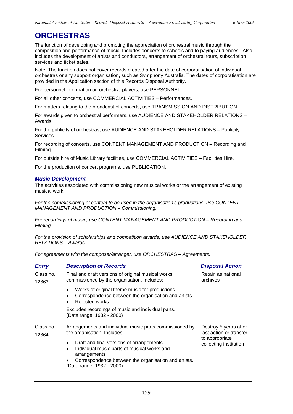The function of developing and promoting the appreciation of orchestral music through the composition and performance of music. Includes concerts to schools and to paying audiences. Also includes the development of artists and conductors, arrangement of orchestral tours, subscription services and ticket sales.

Note: The function does not cover records created after the date of corporatisation of individual orchestras or any support organisation, such as Symphony Australia. The dates of corporatisation are provided in the Application section of this Records Disposal Authority.

For personnel information on orchestral players, use PERSONNEL.

For all other concerts, use COMMERCIAL ACTIVITIES – Performances.

For matters relating to the broadcast of concerts, use TRANSMISSION AND DISTRIBUTION.

For awards given to orchestral performers, use AUDIENCE AND STAKEHOLDER RELATIONS – Awards.

For the publicity of orchestras, use AUDIENCE AND STAKEHOLDER RELATIONS – Publicity Services.

For recording of concerts, use CONTENT MANAGEMENT AND PRODUCTION – Recording and Filming.

For outside hire of Music Library facilities, use COMMERCIAL ACTIVITIES – Facilities Hire.

For the production of concert programs, use PUBLICATION.

#### *Music Development*

The activities associated with commissioning new musical works or the arrangement of existing musical work.

*For the commissioning of content to be used in the organisation's productions, use CONTENT MANAGEMENT AND PRODUCTION – Commissioning.* 

*For recordings of music, use CONTENT MANAGEMENT AND PRODUCTION – Recording and Filming.* 

*For the provision of scholarships and competition awards, use AUDIENCE AND STAKEHOLDER RELATIONS – Awards.* 

*For agreements with the composer/arranger, use ORCHESTRAS – Agreements.* 

| <b>Entry</b>       | <b>Description of Records</b>                                                                                                     | <b>Disposal Action</b>                                                                       |
|--------------------|-----------------------------------------------------------------------------------------------------------------------------------|----------------------------------------------------------------------------------------------|
| Class no.<br>12663 | Final and draft versions of original musical works<br>commissioned by the organisation. Includes:                                 | Retain as national<br>archives                                                               |
|                    | Works of original theme music for productions<br>Correspondence between the organisation and artists<br>Rejected works<br>٠       |                                                                                              |
|                    | Excludes recordings of music and individual parts.<br>(Date range: 1932 - 2000)                                                   |                                                                                              |
| Class no.<br>12664 | Arrangements and individual music parts commissioned by<br>the organisation. Includes:                                            | Destroy 5 years after<br>last action or transfer<br>to appropriate<br>collecting institution |
|                    | Draft and final versions of arrangements<br>$\bullet$<br>Individual music parts of musical works and<br>$\bullet$<br>arrangements |                                                                                              |
|                    | Correspondence between the organisation and artists.<br>(Date range: 1932 - 2000)                                                 |                                                                                              |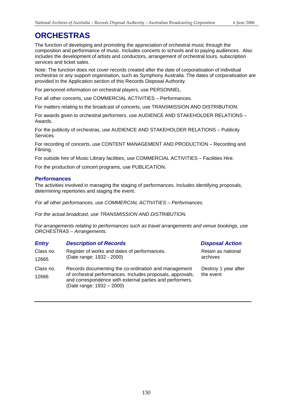The function of developing and promoting the appreciation of orchestral music through the composition and performance of music. Includes concerts to schools and to paying audiences. Also includes the development of artists and conductors, arrangement of orchestral tours, subscription services and ticket sales.

Note: The function does not cover records created after the date of corporatisation of individual orchestras or any support organisation, such as Symphony Australia. The dates of corporatisation are provided in the Application section of this Records Disposal Authority.

For personnel information on orchestral players, use PERSONNEL.

For all other concerts, use COMMERCIAL ACTIVITIES – Performances.

For matters relating to the broadcast of concerts, use TRANSMISSION AND DISTRIBUTION.

For awards given to orchestral performers, use AUDIENCE AND STAKEHOLDER RELATIONS – Awards.

For the publicity of orchestras, use AUDIENCE AND STAKEHOLDER RELATIONS – Publicity Services.

For recording of concerts, use CONTENT MANAGEMENT AND PRODUCTION – Recording and Filming.

For outside hire of Music Library facilities, use COMMERCIAL ACTIVITIES – Facilities Hire.

For the production of concert programs, use PUBLICATION.

#### *Performances*

The activities involved in managing the staging of performances. Includes identifying proposals, determining repertories and staging the event.

*For all other performances, use COMMERCIAL ACTIVITIES – Performances.* 

*For the actual broadcast, use TRANSMISSION AND DISTRIBUTION.* 

*For arrangements relating to performances such as travel arrangements and venue bookings, use ORCHESTRAS – Arrangements.* 

| <b>Entry</b> | <b>Description of Records</b>                                                                                                                                                                               | <b>Disposal Action</b>            |
|--------------|-------------------------------------------------------------------------------------------------------------------------------------------------------------------------------------------------------------|-----------------------------------|
| Class no.    | Register of works and dates of performances.                                                                                                                                                                | Retain as national                |
| 12665        | (Date range: 1932 - 2000)                                                                                                                                                                                   | archives                          |
| Class no.    | Records documenting the co-ordination and management<br>of orchestral performances. Includes proposals, approvals,<br>and correspondence with external parties and performers.<br>(Date range: 1932 - 2000) | Destroy 1 year after<br>the event |
| 12666        |                                                                                                                                                                                                             |                                   |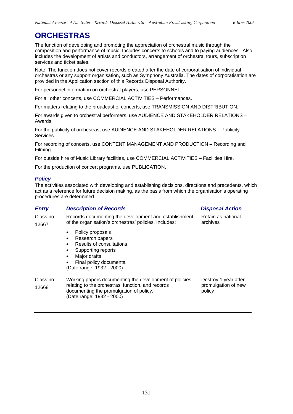The function of developing and promoting the appreciation of orchestral music through the composition and performance of music. Includes concerts to schools and to paying audiences. Also includes the development of artists and conductors, arrangement of orchestral tours, subscription services and ticket sales.

Note: The function does not cover records created after the date of corporatisation of individual orchestras or any support organisation, such as Symphony Australia. The dates of corporatisation are provided in the Application section of this Records Disposal Authority.

For personnel information on orchestral players, use PERSONNEL.

For all other concerts, use COMMERCIAL ACTIVITIES – Performances.

For matters relating to the broadcast of concerts, use TRANSMISSION AND DISTRIBUTION.

For awards given to orchestral performers, use AUDIENCE AND STAKEHOLDER RELATIONS – Awards.

For the publicity of orchestras, use AUDIENCE AND STAKEHOLDER RELATIONS – Publicity Services.

For recording of concerts, use CONTENT MANAGEMENT AND PRODUCTION – Recording and Filming.

For outside hire of Music Library facilities, use COMMERCIAL ACTIVITIES – Facilities Hire.

For the production of concert programs, use PUBLICATION.

## *Policy*

The activities associated with developing and establishing decisions, directions and precedents, which act as a reference for future decision making, as the basis from which the organisation's operating procedures are determined.

#### *Entry Description of Records Disposal Action*

Retain as national

archives

Class no. 12667 Records documenting the development and establishment of the organisation's orchestras' policies. Includes:

- 
- Policy proposals
- Research papers
- Results of consultations
- Supporting reports
- Major drafts
- Final policy documents. (Date range: 1932 - 2000)

(Date range: 1932 - 2000)

Class no. 12668 Working papers documenting the development of policies relating to the orchestras' function, and records documenting the promulgation of policy.

Destroy 1 year after promulgation of new policy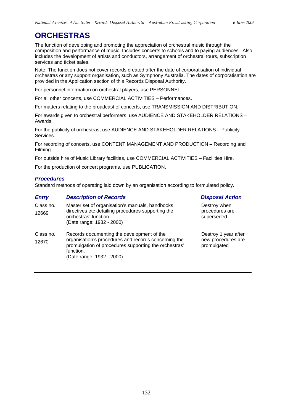The function of developing and promoting the appreciation of orchestral music through the composition and performance of music. Includes concerts to schools and to paying audiences. Also includes the development of artists and conductors, arrangement of orchestral tours, subscription services and ticket sales.

Note: The function does not cover records created after the date of corporatisation of individual orchestras or any support organisation, such as Symphony Australia. The dates of corporatisation are provided in the Application section of this Records Disposal Authority.

For personnel information on orchestral players, use PERSONNEL.

For all other concerts, use COMMERCIAL ACTIVITIES – Performances.

For matters relating to the broadcast of concerts, use TRANSMISSION AND DISTRIBUTION.

For awards given to orchestral performers, use AUDIENCE AND STAKEHOLDER RELATIONS – Awards.

For the publicity of orchestras, use AUDIENCE AND STAKEHOLDER RELATIONS – Publicity Services.

For recording of concerts, use CONTENT MANAGEMENT AND PRODUCTION – Recording and Filming.

For outside hire of Music Library facilities, use COMMERCIAL ACTIVITIES – Facilities Hire.

For the production of concert programs, use PUBLICATION.

## *Procedures*

Standard methods of operating laid down by an organisation according to formulated policy.

| <b>Entry</b>       | <b>Description of Records</b>                                                                                                                                                                         | <b>Disposal Action</b>                                    |
|--------------------|-------------------------------------------------------------------------------------------------------------------------------------------------------------------------------------------------------|-----------------------------------------------------------|
| Class no.<br>12669 | Master set of organisation's manuals, handbooks,<br>directives etc detailing procedures supporting the<br>orchestras' function.<br>(Date range: 1932 - 2000)                                          | Destroy when<br>procedures are<br>superseded              |
| Class no.<br>12670 | Records documenting the development of the<br>organisation's procedures and records concerning the<br>promulgation of procedures supporting the orchestras'<br>function.<br>(Date range: 1932 - 2000) | Destroy 1 year after<br>new procedures are<br>promulgated |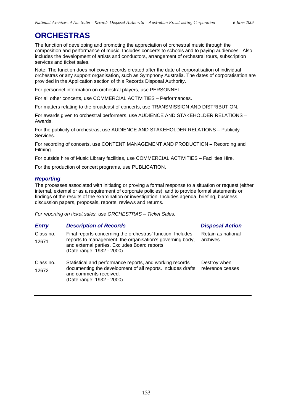The function of developing and promoting the appreciation of orchestral music through the composition and performance of music. Includes concerts to schools and to paying audiences. Also includes the development of artists and conductors, arrangement of orchestral tours, subscription services and ticket sales.

Note: The function does not cover records created after the date of corporatisation of individual orchestras or any support organisation, such as Symphony Australia. The dates of corporatisation are provided in the Application section of this Records Disposal Authority.

For personnel information on orchestral players, use PERSONNEL.

For all other concerts, use COMMERCIAL ACTIVITIES – Performances.

For matters relating to the broadcast of concerts, use TRANSMISSION AND DISTRIBUTION.

For awards given to orchestral performers, use AUDIENCE AND STAKEHOLDER RELATIONS – Awards.

For the publicity of orchestras, use AUDIENCE AND STAKEHOLDER RELATIONS – Publicity Services.

For recording of concerts, use CONTENT MANAGEMENT AND PRODUCTION – Recording and Filming.

For outside hire of Music Library facilities, use COMMERCIAL ACTIVITIES – Facilities Hire.

For the production of concert programs, use PUBLICATION.

## *Reporting*

The processes associated with initiating or proving a formal response to a situation or request (either internal, external or as a requirement of corporate policies), and to provide formal statements or findings of the results of the examination or investigation. Includes agenda, briefing, business, discussion papers, proposals, reports, reviews and returns.

*For reporting on ticket sales, use ORCHESTRAS – Ticket Sales.* 

## *Entry Description of Records Disposal Action*

#### Class no. 12671 Final reports concerning the orchestras' function. Includes reports to management, the organisation's governing body, and external parties. Excludes Board reports. (Date range: 1932 - 2000) Retain as national archives Class no. 12672 Statistical and performance reports, and working records documenting the development of all reports. Includes drafts and comments received. (Date range: 1932 - 2000) Destroy when reference ceases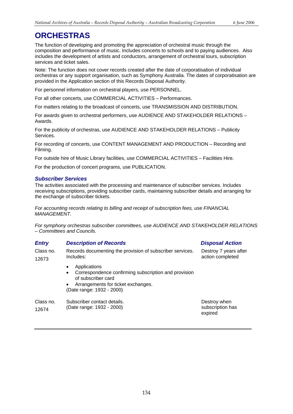The function of developing and promoting the appreciation of orchestral music through the composition and performance of music. Includes concerts to schools and to paying audiences. Also includes the development of artists and conductors, arrangement of orchestral tours, subscription services and ticket sales.

Note: The function does not cover records created after the date of corporatisation of individual orchestras or any support organisation, such as Symphony Australia. The dates of corporatisation are provided in the Application section of this Records Disposal Authority.

For personnel information on orchestral players, use PERSONNEL.

For all other concerts, use COMMERCIAL ACTIVITIES – Performances.

For matters relating to the broadcast of concerts, use TRANSMISSION AND DISTRIBUTION.

For awards given to orchestral performers, use AUDIENCE AND STAKEHOLDER RELATIONS – Awards.

For the publicity of orchestras, use AUDIENCE AND STAKEHOLDER RELATIONS – Publicity Services.

For recording of concerts, use CONTENT MANAGEMENT AND PRODUCTION – Recording and Filming.

For outside hire of Music Library facilities, use COMMERCIAL ACTIVITIES – Facilities Hire.

For the production of concert programs, use PUBLICATION.

#### *Subscriber Services*

The activities associated with the processing and maintenance of subscriber services. Includes receiving subscriptions, providing subscriber cards, maintaining subscriber details and arranging for the exchange of subscriber tickets.

*For accounting records relating to billing and receipt of subscription fees, use FINANCIAL MANAGEMENT.* 

*For symphony orchestras subscriber committees, use AUDIENCE AND STAKEHOLDER RELATIONS – Committees and Councils.* 

| <b>Entry</b>       | <b>Description of Records</b>                                                                                                                                              | <b>Disposal Action</b>                      |
|--------------------|----------------------------------------------------------------------------------------------------------------------------------------------------------------------------|---------------------------------------------|
| Class no.<br>12673 | Records documenting the provision of subscriber services.<br>Includes:                                                                                                     | Destroy 7 years after<br>action completed   |
|                    | Applications<br>Correspondence confirming subscription and provision<br>$\bullet$<br>of subscriber card<br>Arrangements for ticket exchanges.<br>(Date range: 1932 - 2000) |                                             |
| Class no.<br>12674 | Subscriber contact details.<br>(Date range: 1932 - 2000)                                                                                                                   | Destroy when<br>subscription has<br>expired |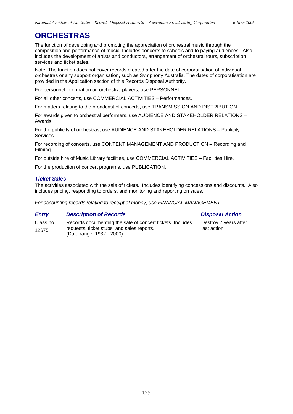The function of developing and promoting the appreciation of orchestral music through the composition and performance of music. Includes concerts to schools and to paying audiences. Also includes the development of artists and conductors, arrangement of orchestral tours, subscription services and ticket sales.

Note: The function does not cover records created after the date of corporatisation of individual orchestras or any support organisation, such as Symphony Australia. The dates of corporatisation are provided in the Application section of this Records Disposal Authority.

For personnel information on orchestral players, use PERSONNEL.

For all other concerts, use COMMERCIAL ACTIVITIES – Performances.

For matters relating to the broadcast of concerts, use TRANSMISSION AND DISTRIBUTION.

For awards given to orchestral performers, use AUDIENCE AND STAKEHOLDER RELATIONS – Awards.

For the publicity of orchestras, use AUDIENCE AND STAKEHOLDER RELATIONS – Publicity Services.

For recording of concerts, use CONTENT MANAGEMENT AND PRODUCTION – Recording and Filming.

For outside hire of Music Library facilities, use COMMERCIAL ACTIVITIES – Facilities Hire.

For the production of concert programs, use PUBLICATION.

## *Ticket Sales*

The activities associated with the sale of tickets. Includes identifying concessions and discounts. Also includes pricing, responding to orders, and monitoring and reporting on sales.

*For accounting records relating to receipt of money, use FINANCIAL MANAGEMENT.* 

#### *Entry Description of Records Disposal Action*

| Class no. | Records documenting the sale of concert tickets. Includes | Destroy 7 years after |
|-----------|-----------------------------------------------------------|-----------------------|
| 12675     | requests, ticket stubs, and sales reports.                | last action           |
|           | (Date range: 1932 - 2000)                                 |                       |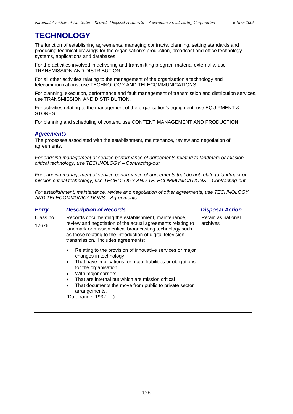The function of establishing agreements, managing contracts, planning, setting standards and producing technical drawings for the organisation's production, broadcast and office technology systems, applications and databases.

For the activities involved in delivering and transmitting program material externally, use TRANSMISSION AND DISTRIBUTION.

For all other activities relating to the management of the organisation's technology and telecommunications, use TECHNOLOGY AND TELECOMMUNICATIONS.

For planning, execution, performance and fault management of transmission and distribution services, use TRANSMISSION AND DISTRIBUTION.

For activities relating to the management of the organisation's equipment, use EQUIPMENT & STORES.

For planning and scheduling of content, use CONTENT MANAGEMENT AND PRODUCTION.

## *Agreements*

The processes associated with the establishment, maintenance, review and negotiation of agreements.

*For ongoing management of service performance of agreements relating to landmark or mission critical technology, use TECHNOLOGY – Contracting-out.* 

*For ongoing management of service performance of agreements that do not relate to landmark or mission critical technology, use TECHOLOGY AND TELECOMMUNICATIONS – Contracting-out.* 

*For establishment, maintenance, review and negotiation of other agreements, use TECHNOLOGY AND TELECOMMUNICATIONS – Agreements.* 

## *Entry Description of Records Disposal Action*

- Class no. 12676 Records documenting the establishment, maintenance, review and negotiation of the actual agreements relating to landmark or mission critical broadcasting technology such as those relating to the introduction of digital television transmission. Includes agreements:
	- Relating to the provision of innovative services or major changes in technology
	- That have implications for major liabilities or obligations for the organisation
	- With major carriers
	- That are internal but which are mission critical
	- That documents the move from public to private sector arrangements.

(Date range: 1932 - )

Retain as national archives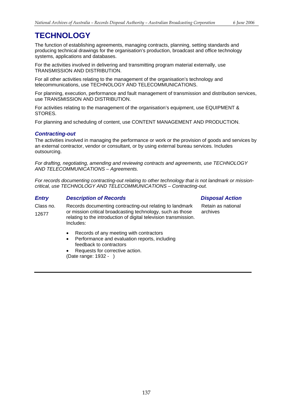The function of establishing agreements, managing contracts, planning, setting standards and producing technical drawings for the organisation's production, broadcast and office technology systems, applications and databases.

For the activities involved in delivering and transmitting program material externally, use TRANSMISSION AND DISTRIBUTION.

For all other activities relating to the management of the organisation's technology and telecommunications, use TECHNOLOGY AND TELECOMMUNICATIONS.

For planning, execution, performance and fault management of transmission and distribution services, use TRANSMISSION AND DISTRIBUTION.

For activities relating to the management of the organisation's equipment, use EQUIPMENT & STORES.

For planning and scheduling of content, use CONTENT MANAGEMENT AND PRODUCTION.

## *Contracting-out*

The activities involved in managing the performance or work or the provision of goods and services by an external contractor, vendor or consultant, or by using external bureau services. Includes outsourcing.

*For drafting, negotiating, amending and reviewing contracts and agreements, use TECHNOLOGY AND TELECOMMUNICATIONS – Agreements.* 

*For records documenting contracting-out relating to other technology that is not landmark or missioncritical, use TECHNOLOGY AND TELECOMMUNICATIONS – Contracting-out.* 

## *Entry Description of Records Disposal Action*

Class no.

12677

Records documenting contracting-out relating to landmark or mission critical broadcasting technology, such as those relating to the introduction of digital television transmission. Includes:

Retain as national archives

- Records of any meeting with contractors
- Performance and evaluation reports, including feedback to contractors
- Requests for corrective action.

(Date range: 1932 - )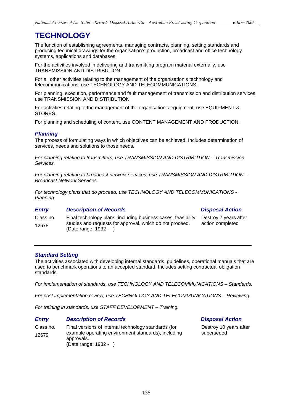The function of establishing agreements, managing contracts, planning, setting standards and producing technical drawings for the organisation's production, broadcast and office technology systems, applications and databases.

For the activities involved in delivering and transmitting program material externally, use TRANSMISSION AND DISTRIBUTION.

For all other activities relating to the management of the organisation's technology and telecommunications, use TECHNOLOGY AND TELECOMMUNICATIONS.

For planning, execution, performance and fault management of transmission and distribution services, use TRANSMISSION AND DISTRIBUTION.

For activities relating to the management of the organisation's equipment, use EQUIPMENT & STORES.

For planning and scheduling of content, use CONTENT MANAGEMENT AND PRODUCTION.

## *Planning*

Class no. 12678

The process of formulating ways in which objectives can be achieved. Includes determination of services, needs and solutions to those needs.

*For planning relating to transmitters, use TRANSMISSION AND DISTRIBUTION – Transmission Services.* 

*For planning relating to broadcast network services, use TRANSMISSION AND DISTRIBUTION – Broadcast Network Services.* 

*For technology plans that do proceed, use TECHNOLOGY AND TELECOMMUNICATIONS - Planning.* 

## *Entry Description of Records Disposal Action*

(Date range: 1932 - )

Final technology plans, including business cases, feasibility studies and requests for approval, which do not proceed. Destroy 7 years after action completed

## *Standard Setting*

The activities associated with developing internal standards, guidelines, operational manuals that are used to benchmark operations to an accepted standard. Includes setting contractual obligation standards.

*For implementation of standards, use TECHNOLOGY AND TELECOMMUNICATIONS – Standards.* 

*For post implementation review, use TECHNOLOGY AND TELECOMMUNICATIONS – Reviewing.* 

*For training in standards, use STAFF DEVELOPMENT – Training.* 

#### *Entry Description of Records Disposal Action*

Class no. 12679 Final versions of internal technology standards (for example operating environment standards), including approvals. (Date range: 1932 - )

Destroy 10 years after superseded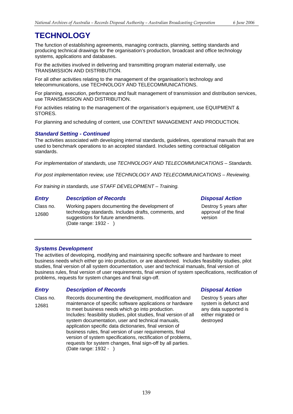The function of establishing agreements, managing contracts, planning, setting standards and producing technical drawings for the organisation's production, broadcast and office technology systems, applications and databases.

For the activities involved in delivering and transmitting program material externally, use TRANSMISSION AND DISTRIBUTION.

For all other activities relating to the management of the organisation's technology and telecommunications, use TECHNOLOGY AND TELECOMMUNICATIONS.

For planning, execution, performance and fault management of transmission and distribution services, use TRANSMISSION AND DISTRIBUTION.

For activities relating to the management of the organisation's equipment, use EQUIPMENT & STORES.

For planning and scheduling of content, use CONTENT MANAGEMENT AND PRODUCTION.

## *Standard Setting - Continued*

The activities associated with developing internal standards, guidelines, operational manuals that are used to benchmark operations to an accepted standard. Includes setting contractual obligation standards.

*For implementation of standards, use TECHNOLOGY AND TELECOMMUNICATIONS – Standards.* 

*For post implementation review, use TECHNOLOGY AND TELECOMMUNICATIONS – Reviewing.* 

*For training in standards, use STAFF DEVELOPMENT – Training.* 

## *Entry Description of Records Disposal Action*

Class no. 12680 Working papers documenting the development of technology standards. Includes drafts, comments, and suggestions for future amendments. (Date range: 1932 - )

Destroy 5 years after approval of the final version

## *Systems Development*

The activities of developing, modifying and maintaining specific software and hardware to meet business needs which either go into production, or are abandoned. Includes feasibility studies, pilot studies, final version of all system documentation, user and technical manuals, final version of business rules, final version of user requirements, final version of system specifications, rectification of problems, requests for system changes and final sign-off.

## *Entry Description of Records Disposal Action*

Class no.

12681 Records documenting the development, modification and maintenance of specific software applications or hardware to meet business needs which go into production. Includes: feasibility studies, pilot studies, final version of all system documentation, user and technical manuals, application specific data dictionaries, final version of business rules, final version of user requirements, final version of system specifications, rectification of problems, requests for system changes, final sign-off by all parties. (Date range: 1932 - )

Destroy 5 years after system is defunct and any data supported is either migrated or destroyed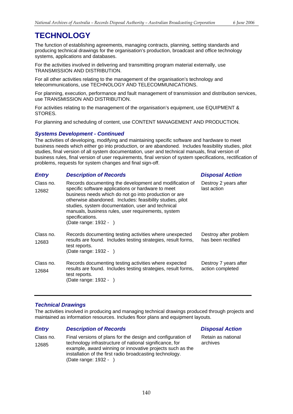The function of establishing agreements, managing contracts, planning, setting standards and producing technical drawings for the organisation's production, broadcast and office technology systems, applications and databases.

For the activities involved in delivering and transmitting program material externally, use TRANSMISSION AND DISTRIBUTION.

For all other activities relating to the management of the organisation's technology and telecommunications, use TECHNOLOGY AND TELECOMMUNICATIONS.

For planning, execution, performance and fault management of transmission and distribution services, use TRANSMISSION AND DISTRIBUTION.

For activities relating to the management of the organisation's equipment, use EQUIPMENT & STORES.

For planning and scheduling of content, use CONTENT MANAGEMENT AND PRODUCTION.

## *Systems Development - Continued*

The activities of developing, modifying and maintaining specific software and hardware to meet business needs which either go into production, or are abandoned. Includes feasibility studies, pilot studies, final version of all system documentation, user and technical manuals, final version of business rules, final version of user requirements, final version of system specifications, rectification of problems, requests for system changes and final sign-off.

| <b>Entry</b>       | <b>Description of Records</b>                                                                                                                                                                                                                                                                                                                                                              | <b>Disposal Action</b>                      |
|--------------------|--------------------------------------------------------------------------------------------------------------------------------------------------------------------------------------------------------------------------------------------------------------------------------------------------------------------------------------------------------------------------------------------|---------------------------------------------|
| Class no.<br>12682 | Records documenting the development and modification of<br>specific software applications or hardware to meet<br>business needs which do not go into production or are<br>otherwise abandoned. Includes: feasibility studies, pilot<br>studies, system documentation, user and technical<br>manuals, business rules, user requirements, system<br>specifications.<br>(Date range: 1932 - ) | Destroy 2 years after<br>last action        |
| Class no.<br>12683 | Records documenting testing activities where unexpected<br>results are found. Includes testing strategies, result forms,<br>test reports.<br>(Date range: 1932 - )                                                                                                                                                                                                                         | Destroy after problem<br>has been rectified |
| Class no.<br>12684 | Records documenting testing activities where expected<br>results are found. Includes testing strategies, result forms,<br>test reports.<br>(Date range: 1932 - )                                                                                                                                                                                                                           | Destroy 7 years after<br>action completed   |

## *Technical Drawings*

The activities involved in producing and managing technical drawings produced through projects and maintained as information resources. Includes floor plans and equipment layouts.

## *Entry Description of Records Disposal Action*

Class no. 12685 Final versions of plans for the design and configuration of technology infrastructure of national significance, for example, award winning or innovative projects such as the installation of the first radio broadcasting technology. (Date range: 1932 - )

Retain as national archives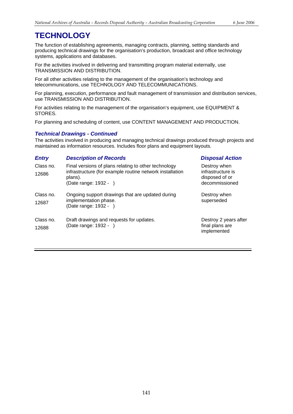The function of establishing agreements, managing contracts, planning, setting standards and producing technical drawings for the organisation's production, broadcast and office technology systems, applications and databases.

For the activities involved in delivering and transmitting program material externally, use TRANSMISSION AND DISTRIBUTION.

For all other activities relating to the management of the organisation's technology and telecommunications, use TECHNOLOGY AND TELECOMMUNICATIONS.

For planning, execution, performance and fault management of transmission and distribution services, use TRANSMISSION AND DISTRIBUTION.

For activities relating to the management of the organisation's equipment, use EQUIPMENT & STORES.

For planning and scheduling of content, use CONTENT MANAGEMENT AND PRODUCTION.

## *Technical Drawings - Continued*

The activities involved in producing and managing technical drawings produced through projects and maintained as information resources. Includes floor plans and equipment layouts.

| <b>Entry</b>       | <b>Description of Records</b>                                                                                                                        | <b>Disposal Action</b>                                                |
|--------------------|------------------------------------------------------------------------------------------------------------------------------------------------------|-----------------------------------------------------------------------|
| Class no.<br>12686 | Final versions of plans relating to other technology<br>infrastructure (for example routine network installation<br>plans).<br>(Date range: 1932 - ) | Destroy when<br>infrastructure is<br>disposed of or<br>decommissioned |
| Class no.<br>12687 | Ongoing support drawings that are updated during<br>implementation phase.<br>(Date range: 1932 - )                                                   | Destroy when<br>superseded                                            |
| Class no.<br>12688 | Draft drawings and requests for updates.<br>(Date range: 1932 - )                                                                                    | Destroy 2 years after<br>final plans are<br>implemented               |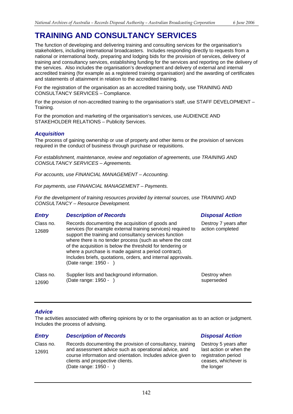## **TRAINING AND CONSULTANCY SERVICES**

The function of developing and delivering training and consulting services for the organisation's stakeholders, including international broadcasters. Includes responding directly to requests from a national or international body, preparing and lodging bids for the provision of services, delivery of training and consultancy services, establishing funding for the services and reporting on the delivery of the services. Also includes the organisation's development and delivery of external and internal accredited training (for example as a registered training organisation) and the awarding of certificates and statements of attainment in relation to the accredited training.

For the registration of the organisation as an accredited training body, use TRAINING AND CONSULTANCY SERVICES – Compliance.

For the provision of non-accredited training to the organisation's staff, use STAFF DEVELOPMENT – Training.

For the promotion and marketing of the organisation's services, use AUDIENCE AND STAKEHOLDER RELATIONS – Publicity Services.

## *Acquisition*

The process of gaining ownership or use of property and other items or the provision of services required in the conduct of business through purchase or requisitions.

*For establishment, maintenance, review and negotiation of agreements, use TRAINING AND CONSULTANCY SERVICES – Agreements.* 

*For accounts, use FINANCIAL MANAGEMENT – Accounting.* 

*For payments, use FINANCIAL MANAGEMENT – Payments.* 

For the development of training resources provided by internal sources, use TRAINING AND *CONSULTANCY – Resource Development.* 

## *Entry Description of Records Disposal Action*

| Class no. | Records documenting the acquisition of goods and                                                                                                                                                                                                                                                                                                                                                   |
|-----------|----------------------------------------------------------------------------------------------------------------------------------------------------------------------------------------------------------------------------------------------------------------------------------------------------------------------------------------------------------------------------------------------------|
| 12689     | services (for example external training services) required to<br>support the training and consultancy services function<br>where there is no tender process (such as where the cost<br>of the acquisition is below the threshold for tendering or<br>where a purchase is made against a period contract).<br>Includes briefs, quotations, orders, and internal approvals.<br>(Date range: 1950 - ) |

Class no. 12690 Supplier lists and background information. (Date range: 1950 - )

Destroy 7 years after action completed

Destroy when superseded

## *Advice*

The activities associated with offering opinions by or to the organisation as to an action or judgment. Includes the process of advising.

## *Entry Description of Records Disposal Action*

Class no. 12691 Records documenting the provision of consultancy, training and assessment advice such as operational advice, and course information and orientation. Includes advice given to clients and prospective clients. (Date range: 1950 - )

Destroy 5 years after last action or when the registration period ceases, whichever is the longer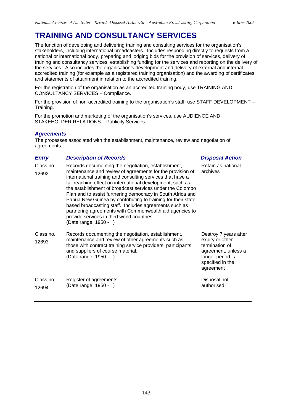## **TRAINING AND CONSULTANCY SERVICES**

The function of developing and delivering training and consulting services for the organisation's stakeholders, including international broadcasters. Includes responding directly to requests from a national or international body, preparing and lodging bids for the provision of services, delivery of training and consultancy services, establishing funding for the services and reporting on the delivery of the services. Also includes the organisation's development and delivery of external and internal accredited training (for example as a registered training organisation) and the awarding of certificates and statements of attainment in relation to the accredited training.

For the registration of the organisation as an accredited training body, use TRAINING AND CONSULTANCY SERVICES – Compliance.

For the provision of non-accredited training to the organisation's staff, use STAFF DEVELOPMENT – Training.

For the promotion and marketing of the organisation's services, use AUDIENCE AND STAKEHOLDER RELATIONS – Publicity Services.

## *Agreements*

The processes associated with the establishment, maintenance, review and negotiation of agreements.

## *Entry Description of Records Disposal Action*

| Class no.<br>12692 | Records documenting the negotiation, establishment,<br>maintenance and review of agreements for the provision of<br>international training and consulting services that have a<br>far-reaching effect on international development, such as<br>the establishment of broadcast services under the Colombo<br>Plan and to assist furthering democracy in South Africa and<br>Papua New Guinea by contributing to training for their state<br>based broadcasting staff. Includes agreements such as<br>partnering agreements with Commonwealth aid agencies to<br>provide services in third world countries. | Reta<br>arch |
|--------------------|-----------------------------------------------------------------------------------------------------------------------------------------------------------------------------------------------------------------------------------------------------------------------------------------------------------------------------------------------------------------------------------------------------------------------------------------------------------------------------------------------------------------------------------------------------------------------------------------------------------|--------------|
|                    | (Date range: 1950 - )                                                                                                                                                                                                                                                                                                                                                                                                                                                                                                                                                                                     |              |

Class no. 12693 Records documenting the negotiation, establishment, maintenance and review of other agreements such as those with contract training service providers, participants and suppliers of course material. (Date range: 1950 - )

Class no. 12694 Register of agreements. (Date range: 1950 - )

ain as national hives

Destroy 7 years after expiry or other termination of agreement, unless a longer period is specified in the agreement

Disposal not authorised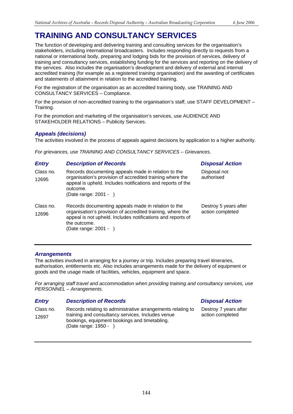## **TRAINING AND CONSULTANCY SERVICES**

The function of developing and delivering training and consulting services for the organisation's stakeholders, including international broadcasters. Includes responding directly to requests from a national or international body, preparing and lodging bids for the provision of services, delivery of training and consultancy services, establishing funding for the services and reporting on the delivery of the services. Also includes the organisation's development and delivery of external and internal accredited training (for example as a registered training organisation) and the awarding of certificates and statements of attainment in relation to the accredited training.

For the registration of the organisation as an accredited training body, use TRAINING AND CONSULTANCY SERVICES – Compliance.

For the provision of non-accredited training to the organisation's staff, use STAFF DEVELOPMENT – Training.

For the promotion and marketing of the organisation's services, use AUDIENCE AND STAKEHOLDER RELATIONS – Publicity Services.

## *Appeals (decisions)*

The activities involved in the process of appeals against decisions by application to a higher authority.

*For grievances, use TRAINING AND CONSULTANCY SERVICES – Grievances.* 

| <b>Entry</b>       | <b>Description of Records</b>                                                                                                                                                                                             | <b>Disposal Action</b>                    |
|--------------------|---------------------------------------------------------------------------------------------------------------------------------------------------------------------------------------------------------------------------|-------------------------------------------|
| Class no.<br>12695 | Records documenting appeals made in relation to the<br>organisation's provision of accredited training where the<br>appeal is upheld. Includes notifications and reports of the<br>outcome.<br>(Date range: 2001 - )      | Disposal not<br>authorised                |
| Class no.<br>12696 | Records documenting appeals made in relation to the<br>organisation's provision of accredited training, where the<br>appeal is not upheld. Includes notifications and reports of<br>the outcome.<br>(Date range: 2001 - ) | Destroy 5 years after<br>action completed |

## *Arrangements*

The activities involved in arranging for a journey or trip. Includes preparing travel itineraries, authorisation, entitlements etc. Also includes arrangements made for the delivery of equipment or goods and the usage made of facilities, vehicles, equipment and space.

*For arranging staff travel and accommodation when providing training and consultancy services, use PERSONNEL – Arrangements.* 

## *Entry Description of Records Disposal Action*

Class no. 12697 Records relating to administrative arrangements relating to training and consultancy services. Includes venue bookings, equipment bookings and timetabling. (Date range: 1950 - )

Destroy 7 years after action completed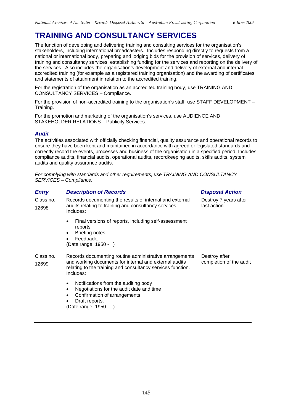Destroy 7 years after

last action

## **TRAINING AND CONSULTANCY SERVICES**

The function of developing and delivering training and consulting services for the organisation's stakeholders, including international broadcasters. Includes responding directly to requests from a national or international body, preparing and lodging bids for the provision of services, delivery of training and consultancy services, establishing funding for the services and reporting on the delivery of the services. Also includes the organisation's development and delivery of external and internal accredited training (for example as a registered training organisation) and the awarding of certificates and statements of attainment in relation to the accredited training.

For the registration of the organisation as an accredited training body, use TRAINING AND CONSULTANCY SERVICES – Compliance.

For the provision of non-accredited training to the organisation's staff, use STAFF DEVELOPMENT – Training.

For the promotion and marketing of the organisation's services, use AUDIENCE AND STAKEHOLDER RELATIONS – Publicity Services.

#### *Audit*

The activities associated with officially checking financial, quality assurance and operational records to ensure they have been kept and maintained in accordance with agreed or legislated standards and correctly record the events, processes and business of the organisation in a specified period. Includes compliance audits, financial audits, operational audits, recordkeeping audits, skills audits, system audits and quality assurance audits.

*For complying with standards and other requirements, use TRAINING AND CONSULTANCY SERVICES – Compliance.* 

#### *Entry Description of Records Disposal Action*

Class no. 12698 Records documenting the results of internal and external audits relating to training and consultancy services. Includes:

- Final versions of reports, including self-assessment reports
- **Briefing notes**
- Feedback.
- (Date range: 1950 )

Class no. 12699 Records documenting routine administrative arrangements and working documents for internal and external audits relating to the training and consultancy services function. Includes: Destroy after completion of the audit

- Notifications from the auditing body
- Negotiations for the audit date and time
- Confirmation of arrangements
- Draft reports.
- (Date range: 1950 )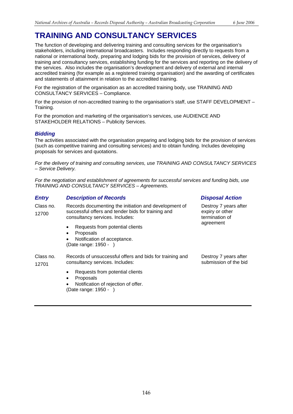The function of developing and delivering training and consulting services for the organisation's stakeholders, including international broadcasters. Includes responding directly to requests from a national or international body, preparing and lodging bids for the provision of services, delivery of training and consultancy services, establishing funding for the services and reporting on the delivery of the services. Also includes the organisation's development and delivery of external and internal accredited training (for example as a registered training organisation) and the awarding of certificates and statements of attainment in relation to the accredited training.

For the registration of the organisation as an accredited training body, use TRAINING AND CONSULTANCY SERVICES – Compliance.

For the provision of non-accredited training to the organisation's staff, use STAFF DEVELOPMENT – Training.

For the promotion and marketing of the organisation's services, use AUDIENCE AND STAKEHOLDER RELATIONS – Publicity Services.

### *Bidding*

The activities associated with the organisation preparing and lodging bids for the provision of services (such as competitive training and consulting services) and to obtain funding. Includes developing proposals for services and quotations.

*For the delivery of training and consulting services, use TRAINING AND CONSULTANCY SERVICES – Service Delivery.* 

*For the negotiation and establishment of agreements for successful services and funding bids, use TRAINING AND CONSULTANCY SERVICES – Agreements.* 

## *Entry Description of Records Disposal Action*

| Class no.<br>12700 | Records documenting the initiation and development of<br>successful offers and tender bids for training and<br>consultancy services. Includes: |
|--------------------|------------------------------------------------------------------------------------------------------------------------------------------------|
|                    | Requests from potential clients<br>$\bullet$<br>Proposals<br>Notification of acceptance.<br>$\bullet$<br>(Date range: 1950 - )                 |
| Class no.<br>12701 | Records of unsuccessful offers and bids for training and<br>consultancy services. Includes:                                                    |
|                    | Requests from potential clients<br>$\bullet$                                                                                                   |

**Proposals** 

• Notification of rejection of offer. (Date range: 1950 - )

Destroy 7 years after expiry or other termination of agreement

Destroy 7 years after submission of the bid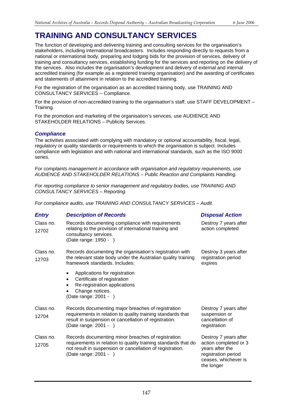The function of developing and delivering training and consulting services for the organisation's stakeholders, including international broadcasters. Includes responding directly to requests from a national or international body, preparing and lodging bids for the provision of services, delivery of training and consultancy services, establishing funding for the services and reporting on the delivery of the services. Also includes the organisation's development and delivery of external and internal accredited training (for example as a registered training organisation) and the awarding of certificates and statements of attainment in relation to the accredited training.

For the registration of the organisation as an accredited training body, use TRAINING AND CONSULTANCY SERVICES – Compliance.

For the provision of non-accredited training to the organisation's staff, use STAFF DEVELOPMENT – Training.

For the promotion and marketing of the organisation's services, use AUDIENCE AND STAKEHOLDER RELATIONS – Publicity Services.

### *Compliance*

The activities associated with complying with mandatory or optional accountability, fiscal, legal, regulatory or quality standards or requirements to which the organisation is subject. Includes compliance with legislation and with national and international standards, such as the ISO 9000 series.

*For complaints management in accordance with organisation and regulatory requirements, use AUDIENCE AND STAKEHOLDER RELATIONS – Public Reaction and Complaints Handling.* 

*For reporting compliance to senior management and regulatory bodies, use TRAINING AND CONSULTANCY SERVICES – Reporting.* 

*For compliance audits, use TRAINING AND CONSULTANCY SERVICES – Audit.* 

#### *Entry Description of Records Disposal Action*

| Class no.<br>12702 | Records documenting compliance with requirements<br>relating to the provision of international training and<br>consultancy services.<br>(Date range: 1950 - )                                                                                                                                                        | Destroy 7 years after<br>action completed                                                                                      |
|--------------------|----------------------------------------------------------------------------------------------------------------------------------------------------------------------------------------------------------------------------------------------------------------------------------------------------------------------|--------------------------------------------------------------------------------------------------------------------------------|
| Class no.<br>12703 | Records documenting the organisation's registration with<br>the relevant state body under the Australian quality training<br>framework standards, Includes:<br>Applications for registration<br>Certificate of registration<br>$\bullet$<br>Re-registration applications<br>Change notices.<br>(Date range: 2001 - ) | Destroy 3 years after<br>registration period<br>expires                                                                        |
| Class no.<br>12704 | Records documenting major breaches of registration<br>requirements in relation to quality training standards that<br>result in suspension or cancellation of registration.<br>(Date range: 2001 - )                                                                                                                  | Destroy 7 years after<br>suspension or<br>cancellation of<br>registration                                                      |
| Class no.<br>12705 | Records documenting minor breaches of registration<br>requirements in relation to quality training standards that do<br>not result in suspension or cancellation of registration.<br>(Date range: 2001 - )                                                                                                           | Destroy 7 years after<br>action completed or 3<br>years after the<br>registration period<br>ceases, whichever is<br>the longer |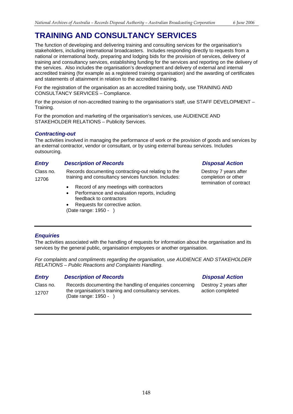The function of developing and delivering training and consulting services for the organisation's stakeholders, including international broadcasters. Includes responding directly to requests from a national or international body, preparing and lodging bids for the provision of services, delivery of training and consultancy services, establishing funding for the services and reporting on the delivery of the services. Also includes the organisation's development and delivery of external and internal accredited training (for example as a registered training organisation) and the awarding of certificates and statements of attainment in relation to the accredited training.

For the registration of the organisation as an accredited training body, use TRAINING AND CONSULTANCY SERVICES – Compliance.

For the provision of non-accredited training to the organisation's staff, use STAFF DEVELOPMENT – Training.

For the promotion and marketing of the organisation's services, use AUDIENCE AND STAKEHOLDER RELATIONS – Publicity Services.

### *Contracting-out*

The activities involved in managing the performance of work or the provision of goods and services by an external contractor, vendor or consultant, or by using external bureau services. Includes outsourcing.

### *Entry Description of Records Disposal Action*

Class no. 12706 Records documenting contracting-out relating to the training and consultancy services function. Includes:

- Record of any meetings with contractors
- Performance and evaluation reports, including feedback to contractors
- Requests for corrective action. (Date range: 1950 - )

Destroy 7 years after completion or other termination of contract

#### *Enquiries*

The activities associated with the handling of requests for information about the organisation and its services by the general public, organisation employees or another organisation.

*For complaints and compliments regarding the organisation, use AUDIENCE AND STAKEHOLDER RELATIONS – Public Reactions and Complaints Handling.* 

#### *Entry Description of Records Disposal Action*

Class no. 12707 Records documenting the handling of enquiries concerning the organisation's training and consultancy services. (Date range: 1950 - )

Destroy 2 years after action completed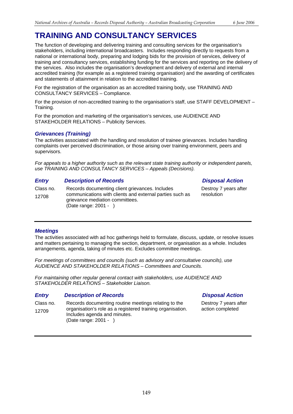The function of developing and delivering training and consulting services for the organisation's stakeholders, including international broadcasters. Includes responding directly to requests from a national or international body, preparing and lodging bids for the provision of services, delivery of training and consultancy services, establishing funding for the services and reporting on the delivery of the services. Also includes the organisation's development and delivery of external and internal accredited training (for example as a registered training organisation) and the awarding of certificates and statements of attainment in relation to the accredited training.

For the registration of the organisation as an accredited training body, use TRAINING AND CONSULTANCY SERVICES – Compliance.

For the provision of non-accredited training to the organisation's staff, use STAFF DEVELOPMENT – Training.

For the promotion and marketing of the organisation's services, use AUDIENCE AND STAKEHOLDER RELATIONS – Publicity Services.

### *Grievances (Training)*

The activities associated with the handling and resolution of trainee grievances. Includes handling complaints over perceived discrimination, or those arising over training environment, peers and supervisors.

*For appeals to a higher authority such as the relevant state training authority or independent panels, use TRAINING AND CONSULTANCY SERVICES – Appeals (Decisions).* 

### *Entry Description of Records Disposal Action*

Class no. 12708 Records documenting client grievances. Includes communications with clients and external parties such as grievance mediation committees. (Date range: 2001 - )

Destroy 7 years after resolution

#### *Meetings*

The activities associated with ad hoc gatherings held to formulate, discuss, update, or resolve issues and matters pertaining to managing the section, department, or organisation as a whole. Includes arrangements, agenda, taking of minutes etc. Excludes committee meetings.

*For meetings of committees and councils (such as advisory and consultative councils), use AUDIENCE AND STAKEHOLDER RELATIONS – Committees and Councils.* 

*For maintaining other regular general contact with stakeholders, use AUDIENCE AND STAKEHOLDER RELATIONS – Stakeholder Liaison.* 

#### *Entry Description of Records Disposal Action*

| Class no. | Records documenting routine meetings relating to the       |
|-----------|------------------------------------------------------------|
| 12709     | organisation's role as a registered training organisation. |
|           | Includes agenda and minutes.                               |
|           | (Date range: 2001 - )                                      |

Destroy 7 years after action completed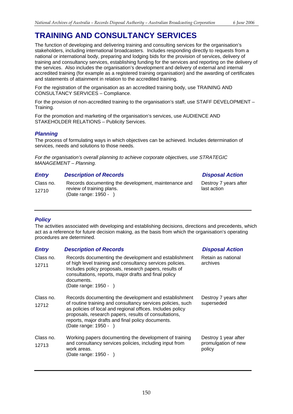The function of developing and delivering training and consulting services for the organisation's stakeholders, including international broadcasters. Includes responding directly to requests from a national or international body, preparing and lodging bids for the provision of services, delivery of training and consultancy services, establishing funding for the services and reporting on the delivery of the services. Also includes the organisation's development and delivery of external and internal accredited training (for example as a registered training organisation) and the awarding of certificates and statements of attainment in relation to the accredited training.

For the registration of the organisation as an accredited training body, use TRAINING AND CONSULTANCY SERVICES – Compliance.

For the provision of non-accredited training to the organisation's staff, use STAFF DEVELOPMENT – Training.

For the promotion and marketing of the organisation's services, use AUDIENCE AND STAKEHOLDER RELATIONS – Publicity Services.

### *Planning*

The process of formulating ways in which objectives can be achieved. Includes determination of services, needs and solutions to those needs.

*For the organisation's overall planning to achieve corporate objectives, use STRATEGIC MANAGEMENT – Planning.* 

Class no. 12710 Records documenting the development, maintenance and review of training plans. (Date range: 1950 - )

### *Disposal Action*

Destroy 7 years after last action

## *Policy*

The activities associated with developing and establishing decisions, directions and precedents, which act as a reference for future decision making, as the basis from which the organisation's operating procedures are determined.

| <b>Entry</b>       | <b>Description of Records</b>                                                                                                                                                                                                                                                                                             | <b>Disposal Action</b>                                |
|--------------------|---------------------------------------------------------------------------------------------------------------------------------------------------------------------------------------------------------------------------------------------------------------------------------------------------------------------------|-------------------------------------------------------|
| Class no.<br>12711 | Records documenting the development and establishment<br>of high level training and consultancy services policies.<br>Includes policy proposals, research papers, results of<br>consultations, reports, major drafts and final policy<br>documents.<br>(Date range: 1950 - )                                              | Retain as national<br>archives                        |
| Class no.<br>12712 | Records documenting the development and establishment<br>of routine training and consultancy services policies, such<br>as policies of local and regional offices. Includes policy<br>proposals, research papers, results of consultations,<br>reports, major drafts and final policy documents.<br>(Date range: 1950 - ) | Destroy 7 years after<br>superseded                   |
| Class no.<br>12713 | Working papers documenting the development of training<br>and consultancy services policies, including input from<br>work areas.<br>(Date range: 1950 - )                                                                                                                                                                 | Destroy 1 year after<br>promulgation of new<br>policy |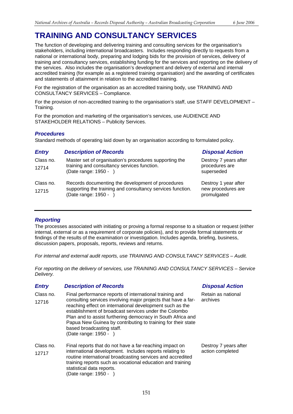The function of developing and delivering training and consulting services for the organisation's stakeholders, including international broadcasters. Includes responding directly to requests from a national or international body, preparing and lodging bids for the provision of services, delivery of training and consultancy services, establishing funding for the services and reporting on the delivery of the services. Also includes the organisation's development and delivery of external and internal accredited training (for example as a registered training organisation) and the awarding of certificates and statements of attainment in relation to the accredited training.

For the registration of the organisation as an accredited training body, use TRAINING AND CONSULTANCY SERVICES – Compliance.

For the provision of non-accredited training to the organisation's staff, use STAFF DEVELOPMENT – Training.

For the promotion and marketing of the organisation's services, use AUDIENCE AND STAKEHOLDER RELATIONS – Publicity Services.

### *Procedures*

Standard methods of operating laid down by an organisation according to formulated policy.

### *Entry Description of Records Disposal Action*

| Class no.<br>12714 | Master set of organisation's procedures supporting the<br>training and consultancy services function.<br>(Date range: 1950 -           | Destroy 7 years after<br>procedures are<br>superseded     |
|--------------------|----------------------------------------------------------------------------------------------------------------------------------------|-----------------------------------------------------------|
| Class no.<br>12715 | Records documenting the development of procedures<br>supporting the training and consultancy services function.<br>(Date range: 1950 - | Destroy 1 year after<br>new procedures are<br>promulgated |

## *Reporting*

The processes associated with initiating or proving a formal response to a situation or request (either internal, external or as a requirement of corporate policies), and to provide formal statements or findings of the results of the examination or investigation. Includes agenda, briefing, business, discussion papers, proposals, reports, reviews and returns.

*For internal and external audit reports, use TRAINING AND CONSULTANCY SERVICES – Audit.* 

*For reporting on the delivery of services, use TRAINING AND CONSULTANCY SERVICES – Service Delivery.* 

#### *Entry Description of Records Disposal Action*

- Class no. 12716 Final performance reports of international training and consulting services involving major projects that have a farreaching effect on international development such as the establishment of broadcast services under the Colombo Plan and to assist furthering democracy in South Africa and Papua New Guinea by contributing to training for their state based broadcasting staff. (Date range: 1950 - )
- Class no. 12717 Final reports that do not have a far-reaching impact on international development. Includes reports relating to routine international broadcasting services and accredited training reports such as vocational education and training statistical data reports. (Date range: 1950 - )

Retain as national archives

Destroy 7 years after action completed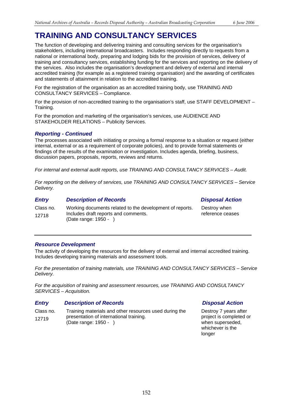The function of developing and delivering training and consulting services for the organisation's stakeholders, including international broadcasters. Includes responding directly to requests from a national or international body, preparing and lodging bids for the provision of services, delivery of training and consultancy services, establishing funding for the services and reporting on the delivery of the services. Also includes the organisation's development and delivery of external and internal accredited training (for example as a registered training organisation) and the awarding of certificates and statements of attainment in relation to the accredited training.

For the registration of the organisation as an accredited training body, use TRAINING AND CONSULTANCY SERVICES – Compliance.

For the provision of non-accredited training to the organisation's staff, use STAFF DEVELOPMENT – Training.

For the promotion and marketing of the organisation's services, use AUDIENCE AND STAKEHOLDER RELATIONS – Publicity Services.

### *Reporting - Continued*

The processes associated with initiating or proving a formal response to a situation or request (either internal, external or as a requirement of corporate policies), and to provide formal statements or findings of the results of the examination or investigation. Includes agenda, briefing, business, discussion papers, proposals, reports, reviews and returns.

*For internal and external audit reports, use TRAINING AND CONSULTANCY SERVICES – Audit.* 

*For reporting on the delivery of services, use TRAINING AND CONSULTANCY SERVICES – Service Delivery.* 

| <b>Entry</b>       | <b>Description of Records</b>                                                                                           | <b>Disposal Action</b>           |
|--------------------|-------------------------------------------------------------------------------------------------------------------------|----------------------------------|
| Class no.<br>12718 | Working documents related to the development of reports.<br>Includes draft reports and comments.<br>(Date range: 1950 - | Destroy when<br>reference ceases |

#### *Resource Development*

The activity of developing the resources for the delivery of external and internal accredited training. Includes developing training materials and assessment tools.

*For the presentation of training materials, use TRAINING AND CONSULTANCY SERVICES – Service Delivery.* 

*For the acquisition of training and assessment resources, use TRAINING AND CONSULTANCY SERVICES – Acquisition.* 

#### *Entry Description of Records Disposal Action*

| Class no. | Training materials and other resources used during the |
|-----------|--------------------------------------------------------|
| 12719     | presentation of international training.                |
|           | (Date range: 1950 - )                                  |

Destroy 7 years after project is completed or when superseded, whichever is the longer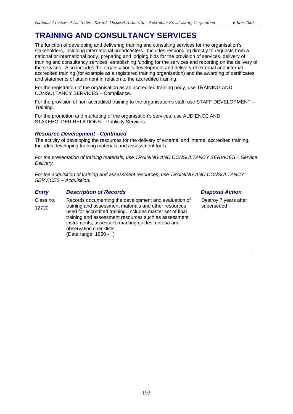The function of developing and delivering training and consulting services for the organisation's stakeholders, including international broadcasters. Includes responding directly to requests from a national or international body, preparing and lodging bids for the provision of services, delivery of training and consultancy services, establishing funding for the services and reporting on the delivery of the services. Also includes the organisation's development and delivery of external and internal accredited training (for example as a registered training organisation) and the awarding of certificates and statements of attainment in relation to the accredited training.

For the registration of the organisation as an accredited training body, use TRAINING AND CONSULTANCY SERVICES – Compliance.

For the provision of non-accredited training to the organisation's staff, use STAFF DEVELOPMENT – Training.

For the promotion and marketing of the organisation's services, use AUDIENCE AND STAKEHOLDER RELATIONS – Publicity Services.

### *Resource Development - Continued*

The activity of developing the resources for the delivery of external and internal accredited training. Includes developing training materials and assessment tools.

*For the presentation of training materials, use TRAINING AND CONSULTANCY SERVICES – Service Delivery.* 

*For the acquisition of training and assessment resources, use TRAINING AND CONSULTANCY SERVICES – Acquisition.* 

#### *Entry Description of Records Disposal Action*

Class no. 12720 Records documenting the development and evaluation of training and assessment materials and other resources used for accredited training. Includes master set of final training and assessment resources such as assessment instruments, assessor's marking guides, criteria and observation checklists. (Date range: 1950 - )

Destroy 7 years after superseded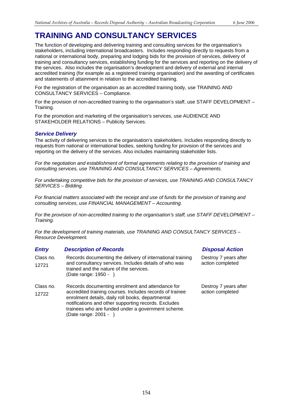The function of developing and delivering training and consulting services for the organisation's stakeholders, including international broadcasters. Includes responding directly to requests from a national or international body, preparing and lodging bids for the provision of services, delivery of training and consultancy services, establishing funding for the services and reporting on the delivery of the services. Also includes the organisation's development and delivery of external and internal accredited training (for example as a registered training organisation) and the awarding of certificates and statements of attainment in relation to the accredited training.

For the registration of the organisation as an accredited training body, use TRAINING AND CONSULTANCY SERVICES – Compliance.

For the provision of non-accredited training to the organisation's staff, use STAFF DEVELOPMENT – Training.

For the promotion and marketing of the organisation's services, use AUDIENCE AND STAKEHOLDER RELATIONS – Publicity Services.

### *Service Delivery*

The activity of delivering services to the organisation's stakeholders. Includes responding directly to requests from national or international bodies, seeking funding for provision of the services and reporting on the delivery of the services. Also includes maintaining stakeholder lists.

*For the negotiation and establishment of formal agreements relating to the provision of training and consulting services, use TRAINING AND CONSULTANCY SERVICES – Agreements.* 

*For undertaking competitive bids for the provision of services, use TRAINING AND CONSULTANCY SERVICES – Bidding.* 

*For financial matters associated with the receipt and use of funds for the provision of training and consulting services, use FINANCIAL MANAGEMENT – Accounting.* 

*For the provision of non-accredited training to the organisation's staff, use STAFF DEVELOPMENT – Training.* 

*For the development of training materials, use TRAINING AND CONSULTANCY SERVICES – Resource Development.* 

#### *Entry Description of Records Disposal Action*

| Class no. | Records documenting the delivery of international training |
|-----------|------------------------------------------------------------|
| 12721     | and consultancy services. Includes details of who was      |
|           | trained and the nature of the services.                    |
|           | (Date range: 1950 - )                                      |

Class no. 12722 Records documenting enrolment and attendance for accredited training courses. Includes records of trainee enrolment details, daily roll books, departmental notifications and other supporting records. Excludes trainees who are funded under a government scheme. (Date range: 2001 - )

Destroy 7 years after action completed

Destroy 7 years after action completed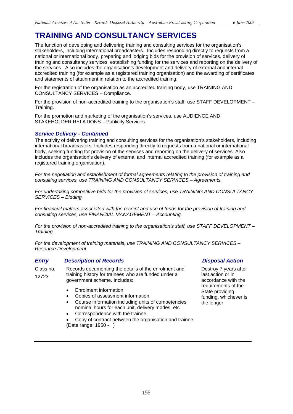The function of developing and delivering training and consulting services for the organisation's stakeholders, including international broadcasters. Includes responding directly to requests from a national or international body, preparing and lodging bids for the provision of services, delivery of training and consultancy services, establishing funding for the services and reporting on the delivery of the services. Also includes the organisation's development and delivery of external and internal accredited training (for example as a registered training organisation) and the awarding of certificates and statements of attainment in relation to the accredited training.

For the registration of the organisation as an accredited training body, use TRAINING AND CONSULTANCY SERVICES – Compliance.

For the provision of non-accredited training to the organisation's staff, use STAFF DEVELOPMENT – Training.

For the promotion and marketing of the organisation's services, use AUDIENCE AND STAKEHOLDER RELATIONS – Publicity Services.

### *Service Delivery - Continued*

The activity of delivering training and consulting services for the organisation's stakeholders, including international broadcasters. Includes responding directly to requests from a national or international body, seeking funding for provision of the services and reporting on the delivery of services. Also includes the organisation's delivery of external and internal accredited training (for example as a registered training organisation).

*For the negotiation and establishment of formal agreements relating to the provision of training and consulting services, use TRAINING AND CONSULTANCY SERVICES – Agreements.* 

*For undertaking competitive bids for the provision of services, use TRAINING AND CONSULTANCY SERVICES – Bidding.* 

*For financial matters associated with the receipt and use of funds for the provision of training and consulting services, use FINANCIAL MANAGEMENT – Accounting.* 

*For the provision of non-accredited training to the organisation's staff, use STAFF DEVELOPMENT – Training.* 

*For the development of training materials, use TRAINING AND CONSULTANCY SERVICES – Resource Development.* 

#### *Entry Description of Records Disposal Action*

Class no. 12723 Records documenting the details of the enrolment and training history for trainees who are funded under a government scheme. Includes:

- Enrolment information
- Copies of assessment information
- Course information including units of competencies nominal hours for each unit, delivery modes, etc
- Correspondence with the trainee

• Copy of contract between the organisation and trainee. (Date range: 1950 - )

Destroy 7 years after last action or in accordance with the requirements of the State providing funding, whichever is the longer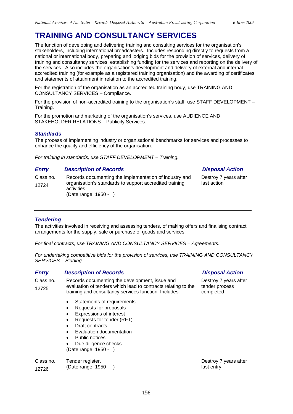The function of developing and delivering training and consulting services for the organisation's stakeholders, including international broadcasters. Includes responding directly to requests from a national or international body, preparing and lodging bids for the provision of services, delivery of training and consultancy services, establishing funding for the services and reporting on the delivery of the services. Also includes the organisation's development and delivery of external and internal accredited training (for example as a registered training organisation) and the awarding of certificates and statements of attainment in relation to the accredited training.

For the registration of the organisation as an accredited training body, use TRAINING AND CONSULTANCY SERVICES – Compliance.

For the provision of non-accredited training to the organisation's staff, use STAFF DEVELOPMENT – Training.

For the promotion and marketing of the organisation's services, use AUDIENCE AND STAKEHOLDER RELATIONS – Publicity Services.

### *Standards*

The process of implementing industry or organisational benchmarks for services and processes to enhance the quality and efficiency of the organisation.

*For training in standards, use STAFF DEVELOPMENT – Training.* 

### *Entry Description of Records Disposal Action*

Class no. 12724 Records documenting the implementation of industry and organisation's standards to support accredited training activities. (Date range: 1950 - )

Destroy 7 years after last action

## *Tendering*

The activities involved in receiving and assessing tenders, of making offers and finalising contract arrangements for the supply, sale or purchase of goods and services.

*For final contracts, use TRAINING AND CONSULTANCY SERVICES – Agreements.* 

*For undertaking competitive bids for the provision of services, use TRAINING AND CONSULTANCY SERVICES – Bidding.* 

#### *Entry Description of Records Disposal Action*

Class no. 12725 Records documenting the development, issue and evaluation of tenders which lead to contracts relating to the training and consultancy services function. Includes:

- Statements of requirements
- Requests for proposals
- Expressions of interest
- Requests for tender (RFT)
- Draft contracts
- Evaluation documentation
- Public notices
- Due diligence checks.
- (Date range: 1950 )

Class no. 12726 Tender register. (Date range: 1950 - )

Destroy 7 years after tender process completed

Destroy 7 years after last entry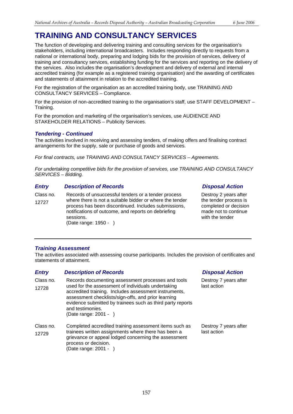The function of developing and delivering training and consulting services for the organisation's stakeholders, including international broadcasters. Includes responding directly to requests from a national or international body, preparing and lodging bids for the provision of services, delivery of training and consultancy services, establishing funding for the services and reporting on the delivery of the services. Also includes the organisation's development and delivery of external and internal accredited training (for example as a registered training organisation) and the awarding of certificates and statements of attainment in relation to the accredited training.

For the registration of the organisation as an accredited training body, use TRAINING AND CONSULTANCY SERVICES – Compliance.

For the provision of non-accredited training to the organisation's staff, use STAFF DEVELOPMENT – Training.

For the promotion and marketing of the organisation's services, use AUDIENCE AND STAKEHOLDER RELATIONS – Publicity Services.

## *Tendering - Continued*

The activities involved in receiving and assessing tenders, of making offers and finalising contract arrangements for the supply, sale or purchase of goods and services.

*For final contracts, use TRAINING AND CONSULTANCY SERVICES – Agreements.* 

*For undertaking competitive bids for the provision of services, use TRAINING AND CONSULTANCY SERVICES – Bidding.* 

### *Entry Description of Records Disposal Action*

Class no. 12727 Records of unsuccessful tenders or a tender process where there is not a suitable bidder or where the tender process has been discontinued. Includes submissions, notifications of outcome, and reports on debriefing sessions. (Date range: 1950 - )

Destroy 2 years after the tender process is completed or decision made not to continue with the tender

#### *Training Assessment*

The activities associated with assessing course participants. Includes the provision of certificates and statements of attainment.

#### *Entry Description of Records Disposal Action*  Class no. 12728 Records documenting assessment processes and tools used for the assessment of individuals undertaking accredited training. Includes assessment instruments, assessment checklists/sign-offs, and prior learning evidence submitted by trainees such as third party reports and testimonies. (Date range: 2001 - ) Destroy 7 years after last action Class no. 12729 Completed accredited training assessment items such as trainees written assignments where there has been a grievance or appeal lodged concerning the assessment process or decision. (Date range: 2001 - ) Destroy 7 years after last action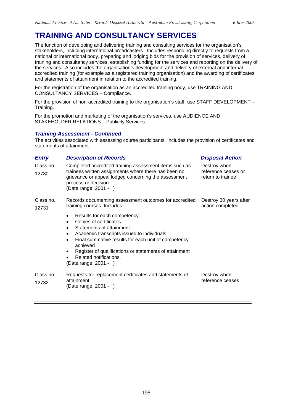The function of developing and delivering training and consulting services for the organisation's stakeholders, including international broadcasters. Includes responding directly to requests from a national or international body, preparing and lodging bids for the provision of services, delivery of training and consultancy services, establishing funding for the services and reporting on the delivery of the services. Also includes the organisation's development and delivery of external and internal accredited training (for example as a registered training organisation) and the awarding of certificates and statements of attainment in relation to the accredited training.

For the registration of the organisation as an accredited training body, use TRAINING AND CONSULTANCY SERVICES – Compliance.

For the provision of non-accredited training to the organisation's staff, use STAFF DEVELOPMENT – Training.

For the promotion and marketing of the organisation's services, use AUDIENCE AND STAKEHOLDER RELATIONS – Publicity Services.

### *Training Assessment - Continued*

The activities associated with assessing course participants. Includes the provision of certificates and statements of attainment.

#### *Entry Description of Records Disposal Action*

| Class no.<br>12730 | Completed accredited training assessment items such as<br>trainees written assignments where there has been no<br>grievance or appeal lodged concerning the assessment<br>process or decision.<br>(Date range: 2001 - )                                                                                                                                                   | Destroy when<br>reference ceases or<br>return to trainee |
|--------------------|---------------------------------------------------------------------------------------------------------------------------------------------------------------------------------------------------------------------------------------------------------------------------------------------------------------------------------------------------------------------------|----------------------------------------------------------|
| Class no.<br>12731 | Records documenting assessment outcomes for accredited<br>training courses. Includes:                                                                                                                                                                                                                                                                                     | Destroy 30 years after<br>action completed               |
|                    | Results for each competency<br>$\bullet$<br>Copies of certificates<br>٠<br>Statements of attainment<br>$\bullet$<br>Academic transcripts issued to individuals<br>٠<br>Final summative results for each unit of competency<br>$\bullet$<br>achieved<br>Register of qualifications or statements of attainment<br>٠<br>Related notifications.<br>(Date range: $2001 - 1$ ) |                                                          |
| Class no.<br>12732 | Requests for replacement certificates and statements of<br>attainment.<br>(Date range: 2001 - )                                                                                                                                                                                                                                                                           | Destroy when<br>reference ceases                         |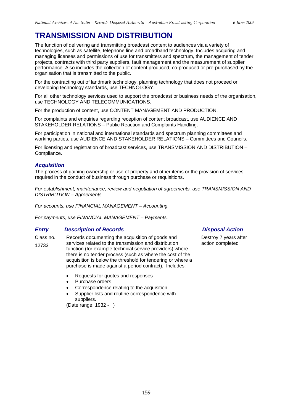The function of delivering and transmitting broadcast content to audiences via a variety of technologies, such as satellite, telephone line and broadband technology. Includes acquiring and managing licenses and permissions of use for transmitters and spectrum, the management of tender projects, contracts with third party suppliers, fault management and the measurement of supplier performance. Also includes the collection of content produced, co-produced or pre-purchased by the organisation that is transmitted to the public.

For the contracting out of landmark technology, planning technology that does not proceed or developing technology standards, use TECHNOLOGY.

For all other technology services used to support the broadcast or business needs of the organisation, use TECHNOLOGY AND TELECOMMUNICATIONS.

For the production of content, use CONTENT MANAGEMENT AND PRODUCTION.

For complaints and enquiries regarding reception of content broadcast, use AUDIENCE AND STAKEHOLDER RELATIONS – Public Reaction and Complaints Handling.

For participation in national and international standards and spectrum planning committees and working parties, use AUDIENCE AND STAKEHOLDER RELATIONS – Committees and Councils.

For licensing and registration of broadcast services, use TRANSMISSION AND DISTRIBUTION – Compliance.

## *Acquisition*

The process of gaining ownership or use of property and other items or the provision of services required in the conduct of business through purchase or requisitions.

*For establishment, maintenance, review and negotiation of agreements, use TRANSMISSION AND DISTRIBUTION – Agreements.* 

*For accounts, use FINANCIAL MANAGEMENT – Accounting.* 

*For payments, use FINANCIAL MANAGEMENT – Payments.* 

## *Entry Description of Records Disposal Action*

- Class no. 12733 Records documenting the acquisition of goods and services related to the transmission and distribution function (for example technical service providers) where there is no tender process (such as where the cost of the acquisition is below the threshold for tendering or where a purchase is made against a period contract). Includes:
	- Requests for quotes and responses
	- Purchase orders
	- Correspondence relating to the acquisition
	- Supplier lists and routine correspondence with suppliers.

(Date range: 1932 - )

Destroy 7 years after action completed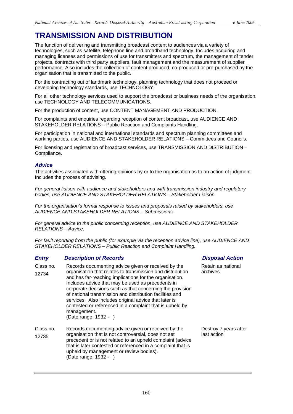The function of delivering and transmitting broadcast content to audiences via a variety of technologies, such as satellite, telephone line and broadband technology. Includes acquiring and managing licenses and permissions of use for transmitters and spectrum, the management of tender projects, contracts with third party suppliers, fault management and the measurement of supplier performance. Also includes the collection of content produced, co-produced or pre-purchased by the organisation that is transmitted to the public.

For the contracting out of landmark technology, planning technology that does not proceed or developing technology standards, use TECHNOLOGY.

For all other technology services used to support the broadcast or business needs of the organisation, use TECHNOLOGY AND TELECOMMUNICATIONS.

For the production of content, use CONTENT MANAGEMENT AND PRODUCTION.

For complaints and enquiries regarding reception of content broadcast, use AUDIENCE AND STAKEHOLDER RELATIONS – Public Reaction and Complaints Handling.

For participation in national and international standards and spectrum planning committees and working parties, use AUDIENCE AND STAKEHOLDER RELATIONS – Committees and Councils.

For licensing and registration of broadcast services, use TRANSMISSION AND DISTRIBUTION – Compliance.

### *Advice*

The activities associated with offering opinions by or to the organisation as to an action of judgment. Includes the process of advising.

*For general liaison with audience and stakeholders and with transmission industry and regulatory bodies, use AUDIENCE AND STAKEHOLDER RELATIONS – Stakeholder Liaison.* 

*For the organisation's formal response to issues and proposals raised by stakeholders, use AUDIENCE AND STAKEHOLDER RELATIONS – Submissions.* 

*For general advice to the public concerning reception, use AUDIENCE AND STAKEHOLDER RELATIONS – Advice.* 

*For fault reporting from the public (for example via the reception advice line), use AUDIENCE AND STAKEHOLDER RELATIONS – Public Reaction and Complaint Handling.* 

#### *Entry Description of Records Disposal Action*

- Class no. 12734 Records documenting advice given or received by the organisation that relates to transmission and distribution and has far-reaching implications for the organisation. Includes advice that may be used as precedents in corporate decisions such as that concerning the provision of national transmission and distribution facilities and services. Also includes original advice that later is contested or referenced in a complaint that is upheld by management. (Date range: 1932 - )
- Class no. 12735 Records documenting advice given or received by the organisation that is not controversial, does not set precedent or is not related to an upheld complaint (advice that is later contested or referenced in a complaint that is upheld by management or review bodies). (Date range: 1932 - )

Retain as national archives

Destroy 7 years after last action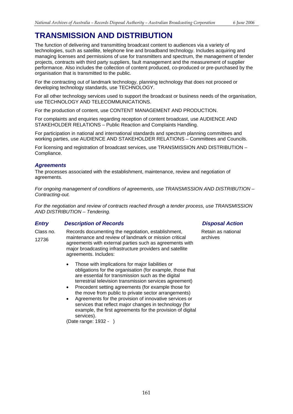The function of delivering and transmitting broadcast content to audiences via a variety of technologies, such as satellite, telephone line and broadband technology. Includes acquiring and managing licenses and permissions of use for transmitters and spectrum, the management of tender projects, contracts with third party suppliers, fault management and the measurement of supplier performance. Also includes the collection of content produced, co-produced or pre-purchased by the organisation that is transmitted to the public.

For the contracting out of landmark technology, planning technology that does not proceed or developing technology standards, use TECHNOLOGY.

For all other technology services used to support the broadcast or business needs of the organisation, use TECHNOLOGY AND TELECOMMUNICATIONS.

For the production of content, use CONTENT MANAGEMENT AND PRODUCTION.

For complaints and enquiries regarding reception of content broadcast, use AUDIENCE AND STAKEHOLDER RELATIONS – Public Reaction and Complaints Handling.

For participation in national and international standards and spectrum planning committees and working parties, use AUDIENCE AND STAKEHOLDER RELATIONS – Committees and Councils.

For licensing and registration of broadcast services, use TRANSMISSION AND DISTRIBUTION – Compliance.

### *Agreements*

The processes associated with the establishment, maintenance, review and negotiation of agreements.

*For ongoing management of conditions of agreements, use TRANSMISSION AND DISTRIBUTION – Contracting-out.* 

*For the negotiation and review of contracts reached through a tender process, use TRANSMISSION AND DISTRIBUTION – Tendering.* 

## *Entry Description of Records Disposal Action*

- Class no. 12736 Records documenting the negotiation, establishment, maintenance and review of landmark or mission critical agreements with external parties such as agreements with major broadcasting infrastructure providers and satellite agreements. Includes:
	- Those with implications for major liabilities or obligations for the organisation (for example, those that are essential for transmission such as the digital terrestrial television transmission services agreement)
	- Precedent setting agreements (for example those for the move from public to private sector arrangements)
	- Agreements for the provision of innovative services or services that reflect major changes in technology (for example, the first agreements for the provision of digital services).

(Date range: 1932 - )

Retain as national archives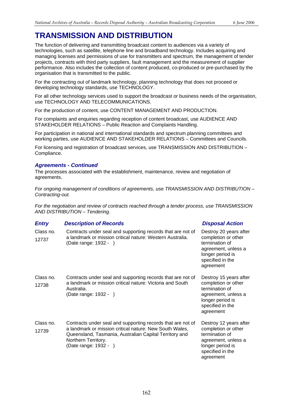The function of delivering and transmitting broadcast content to audiences via a variety of technologies, such as satellite, telephone line and broadband technology. Includes acquiring and managing licenses and permissions of use for transmitters and spectrum, the management of tender projects, contracts with third party suppliers, fault management and the measurement of supplier performance. Also includes the collection of content produced, co-produced or pre-purchased by the organisation that is transmitted to the public.

For the contracting out of landmark technology, planning technology that does not proceed or developing technology standards, use TECHNOLOGY.

For all other technology services used to support the broadcast or business needs of the organisation, use TECHNOLOGY AND TELECOMMUNICATIONS.

For the production of content, use CONTENT MANAGEMENT AND PRODUCTION.

For complaints and enquiries regarding reception of content broadcast, use AUDIENCE AND STAKEHOLDER RELATIONS – Public Reaction and Complaints Handling.

For participation in national and international standards and spectrum planning committees and working parties, use AUDIENCE AND STAKEHOLDER RELATIONS – Committees and Councils.

For licensing and registration of broadcast services, use TRANSMISSION AND DISTRIBUTION – Compliance.

### *Agreements - Continued*

The processes associated with the establishment, maintenance, review and negotiation of agreements.

*For ongoing management of conditions of agreements, use TRANSMISSION AND DISTRIBUTION – Contracting-out.* 

*For the negotiation and review of contracts reached through a tender process, use TRANSMISSION AND DISTRIBUTION – Tendering.* 

#### *Entry Description of Records Disposal Action*

| Class no.<br>12737 | Contracts under seal and supporting records that are not of<br>a landmark or mission critical nature: Western Australia.<br>(Date range: 1932 - )                                                                                | Destroy 20 years after<br>completion or other<br>termination of<br>agreement, unless a<br>longer period is<br>specified in the<br>agreement |
|--------------------|----------------------------------------------------------------------------------------------------------------------------------------------------------------------------------------------------------------------------------|---------------------------------------------------------------------------------------------------------------------------------------------|
| Class no.<br>12738 | Contracts under seal and supporting records that are not of<br>a landmark or mission critical nature: Victoria and South<br>Australia.<br>(Date range: 1932 - )                                                                  | Destroy 15 years after<br>completion or other<br>termination of<br>agreement, unless a<br>longer period is<br>specified in the<br>agreement |
| Class no.<br>12739 | Contracts under seal and supporting records that are not of<br>a landmark or mission critical nature: New South Wales,<br>Queensland, Tasmania, Australian Capital Territory and<br>Northern Territory.<br>(Date range: 1932 - ) | Destroy 12 years after<br>completion or other<br>termination of<br>agreement, unless a<br>longer period is<br>specified in the<br>agreement |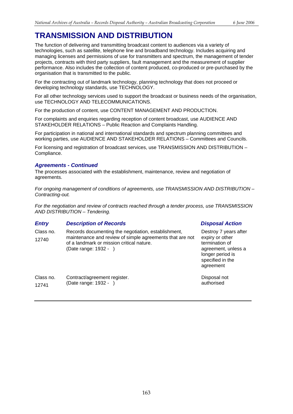The function of delivering and transmitting broadcast content to audiences via a variety of technologies, such as satellite, telephone line and broadband technology. Includes acquiring and managing licenses and permissions of use for transmitters and spectrum, the management of tender projects, contracts with third party suppliers, fault management and the measurement of supplier performance. Also includes the collection of content produced, co-produced or pre-purchased by the organisation that is transmitted to the public.

For the contracting out of landmark technology, planning technology that does not proceed or developing technology standards, use TECHNOLOGY.

For all other technology services used to support the broadcast or business needs of the organisation, use TECHNOLOGY AND TELECOMMUNICATIONS.

For the production of content, use CONTENT MANAGEMENT AND PRODUCTION.

For complaints and enquiries regarding reception of content broadcast, use AUDIENCE AND STAKEHOLDER RELATIONS – Public Reaction and Complaints Handling.

For participation in national and international standards and spectrum planning committees and working parties, use AUDIENCE AND STAKEHOLDER RELATIONS – Committees and Councils.

For licensing and registration of broadcast services, use TRANSMISSION AND DISTRIBUTION – Compliance.

### *Agreements - Continued*

The processes associated with the establishment, maintenance, review and negotiation of agreements.

*For ongoing management of conditions of agreements, use TRANSMISSION AND DISTRIBUTION – Contracting-out.* 

*For the negotiation and review of contracts reached through a tender process, use TRANSMISSION AND DISTRIBUTION – Tendering.* 

## *Entry Description of Records Disposal Action*

| Class no. | Records documenting the negotiation, establishment,      |
|-----------|----------------------------------------------------------|
| 12740     | maintenance and review of simple agreements that are not |
|           | of a landmark or mission critical nature.                |
|           | (Date range: 1932 - )                                    |

Destroy 7 years after expiry or other termination of agreement, unless a longer period is specified in the agreement

Disposal not authorised

Class no. 12741 Contract/agreement register. (Date range: 1932 - )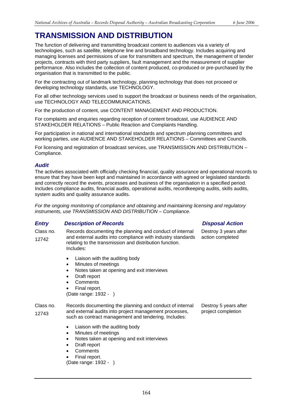The function of delivering and transmitting broadcast content to audiences via a variety of technologies, such as satellite, telephone line and broadband technology. Includes acquiring and managing licenses and permissions of use for transmitters and spectrum, the management of tender projects, contracts with third party suppliers, fault management and the measurement of supplier performance. Also includes the collection of content produced, co-produced or pre-purchased by the organisation that is transmitted to the public.

For the contracting out of landmark technology, planning technology that does not proceed or developing technology standards, use TECHNOLOGY.

For all other technology services used to support the broadcast or business needs of the organisation, use TECHNOLOGY AND TELECOMMUNICATIONS.

For the production of content, use CONTENT MANAGEMENT AND PRODUCTION.

For complaints and enquiries regarding reception of content broadcast, use AUDIENCE AND STAKEHOLDER RELATIONS – Public Reaction and Complaints Handling.

For participation in national and international standards and spectrum planning committees and working parties, use AUDIENCE AND STAKEHOLDER RELATIONS – Committees and Councils.

For licensing and registration of broadcast services, use TRANSMISSION AND DISTRIBUTION – Compliance.

### *Audit*

The activities associated with officially checking financial, quality assurance and operational records to ensure that they have been kept and maintained in accordance with agreed or legislated standards and correctly record the events, processes and business of the organisation in a specified period. Includes compliance audits, financial audits, operational audits, recordkeeping audits, skills audits, system audits and quality assurance audits.

*For the ongoing monitoring of compliance and obtaining and maintaining licensing and regulatory instruments, use TRANSMISSION AND DISTRIBUTION – Compliance.* 

## *Entry Description of Records Disposal Action*

Destroy 3 years after action completed

- Class no. 12742 Records documenting the planning and conduct of internal and external audits into compliance with industry standards relating to the transmission and distribution function. Includes:
	- Liaison with the auditing body
	- Minutes of meetings
	- Notes taken at opening and exit interviews
	- Draft report
	- Comments
	- Final report.

(Date range: 1932 - )

#### Class no. 12743 Records documenting the planning and conduct of internal and external audits into project management processes, such as contract management and tendering. Includes:

• Liaison with the auditing body

- 
- Minutes of meetings
- Notes taken at opening and exit interviews
- Draft report
- **Comments**
- Final report.

(Date range: 1932 - )

Destroy 5 years after project completion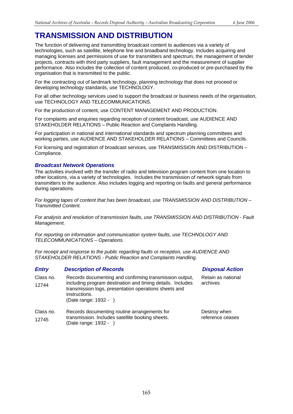The function of delivering and transmitting broadcast content to audiences via a variety of technologies, such as satellite, telephone line and broadband technology. Includes acquiring and managing licenses and permissions of use for transmitters and spectrum, the management of tender projects, contracts with third party suppliers, fault management and the measurement of supplier performance. Also includes the collection of content produced, co-produced or pre-purchased by the organisation that is transmitted to the public.

For the contracting out of landmark technology, planning technology that does not proceed or developing technology standards, use TECHNOLOGY.

For all other technology services used to support the broadcast or business needs of the organisation, use TECHNOLOGY AND TELECOMMUNICATIONS.

For the production of content, use CONTENT MANAGEMENT AND PRODUCTION.

For complaints and enquiries regarding reception of content broadcast, use AUDIENCE AND STAKEHOLDER RELATIONS – Public Reaction and Complaints Handling.

For participation in national and international standards and spectrum planning committees and working parties, use AUDIENCE AND STAKEHOLDER RELATIONS – Committees and Councils.

For licensing and registration of broadcast services, use TRANSMISSION AND DISTRIBUTION – Compliance.

#### *Broadcast Network Operations*

The activities involved with the transfer of radio and television program content from one location to other locations, via a variety of technologies. Includes the transmission of network signals from transmitters to the audience. Also includes logging and reporting on faults and general performance during operations.

*For logging tapes of content that has been broadcast, use TRANSMISSION AND DISTRIBUTION – Transmitted Content.* 

*For analysis and resolution of transmission faults, use TRANSMISSION AND DISTRIBUTION - Fault Management.* 

*For reporting on information and communication system faults, use TECHNOLOGY AND TELECOMMUNICATIONS – Operations.* 

*For receipt and response to the public regarding faults or reception, use AUDIENCE AND STAKEHOLDER RELATIONS - Public Reaction and Complaints Handling.* 

#### *Entry Description of Records Disposal Action*

Class no. 12744 Records documenting and confirming transmission output, including program destination and timing details. Includes transmission logs, presentation operations sheets and instructions. (Date range: 1932 - )

| <b>Disposal Action</b> |  |
|------------------------|--|
|------------------------|--|

Retain as national archives

| Class no. | Records documenting routine arrangements for     | Destroy when     |
|-----------|--------------------------------------------------|------------------|
| 12745     | transmission. Includes satellite booking sheets. | reference ceases |
|           | (Date range: $1932 - 1$                          |                  |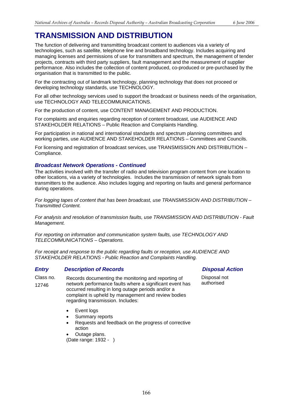The function of delivering and transmitting broadcast content to audiences via a variety of technologies, such as satellite, telephone line and broadband technology. Includes acquiring and managing licenses and permissions of use for transmitters and spectrum, the management of tender projects, contracts with third party suppliers, fault management and the measurement of supplier performance. Also includes the collection of content produced, co-produced or pre-purchased by the organisation that is transmitted to the public.

For the contracting out of landmark technology, planning technology that does not proceed or developing technology standards, use TECHNOLOGY.

For all other technology services used to support the broadcast or business needs of the organisation, use TECHNOLOGY AND TELECOMMUNICATIONS.

For the production of content, use CONTENT MANAGEMENT AND PRODUCTION.

For complaints and enquiries regarding reception of content broadcast, use AUDIENCE AND STAKEHOLDER RELATIONS – Public Reaction and Complaints Handling.

For participation in national and international standards and spectrum planning committees and working parties, use AUDIENCE AND STAKEHOLDER RELATIONS – Committees and Councils.

For licensing and registration of broadcast services, use TRANSMISSION AND DISTRIBUTION – Compliance.

#### *Broadcast Network Operations - Continued*

The activities involved with the transfer of radio and television program content from one location to other locations, via a variety of technologies. Includes the transmission of network signals from transmitters to the audience. Also includes logging and reporting on faults and general performance during operations.

*For logging tapes of content that has been broadcast, use TRANSMISSION AND DISTRIBUTION – Transmitted Content.* 

*For analysis and resolution of transmission faults, use TRANSMISSION AND DISTRIBUTION - Fault Management.* 

*For reporting on information and communication system faults, use TECHNOLOGY AND TELECOMMUNICATIONS – Operations.* 

*For receipt and response to the public regarding faults or reception, use AUDIENCE AND STAKEHOLDER RELATIONS - Public Reaction and Complaints Handling.* 

#### *Entry Description of Records Disposal Action*

Class no. 12746 Records documenting the monitoring and reporting of network performance faults where a significant event has occurred resulting in long outage periods and/or a complaint is upheld by management and review bodies regarding transmission. Includes:

- Event logs
- Summary reports
- Requests and feedback on the progress of corrective action

Outage plans. (Date range: 1932 - )

Disposal not authorised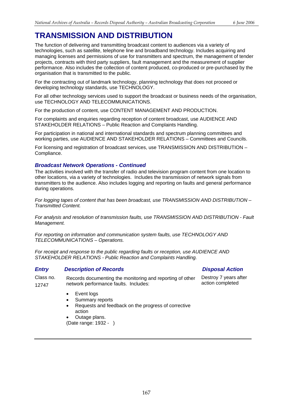The function of delivering and transmitting broadcast content to audiences via a variety of technologies, such as satellite, telephone line and broadband technology. Includes acquiring and managing licenses and permissions of use for transmitters and spectrum, the management of tender projects, contracts with third party suppliers, fault management and the measurement of supplier performance. Also includes the collection of content produced, co-produced or pre-purchased by the organisation that is transmitted to the public.

For the contracting out of landmark technology, planning technology that does not proceed or developing technology standards, use TECHNOLOGY.

For all other technology services used to support the broadcast or business needs of the organisation, use TECHNOLOGY AND TELECOMMUNICATIONS.

For the production of content, use CONTENT MANAGEMENT AND PRODUCTION.

For complaints and enquiries regarding reception of content broadcast, use AUDIENCE AND STAKEHOLDER RELATIONS – Public Reaction and Complaints Handling.

For participation in national and international standards and spectrum planning committees and working parties, use AUDIENCE AND STAKEHOLDER RELATIONS – Committees and Councils.

For licensing and registration of broadcast services, use TRANSMISSION AND DISTRIBUTION – Compliance.

#### *Broadcast Network Operations - Continued*

The activities involved with the transfer of radio and television program content from one location to other locations, via a variety of technologies. Includes the transmission of network signals from transmitters to the audience. Also includes logging and reporting on faults and general performance during operations.

*For logging tapes of content that has been broadcast, use TRANSMISSION AND DISTRIBUTION – Transmitted Content.* 

*For analysis and resolution of transmission faults, use TRANSMISSION AND DISTRIBUTION - Fault Management.* 

*For reporting on information and communication system faults, use TECHNOLOGY AND TELECOMMUNICATIONS – Operations.* 

*For receipt and response to the public regarding faults or reception, use AUDIENCE AND STAKEHOLDER RELATIONS - Public Reaction and Complaints Handling.* 

#### *Entry Description of Records Disposal Action*

Class no. 12747 Records documenting the monitoring and reporting of other network performance faults. Includes:

- Event logs
- Summary reports
- Requests and feedback on the progress of corrective action
- Outage plans.

(Date range: 1932 - )

Destroy 7 years after action completed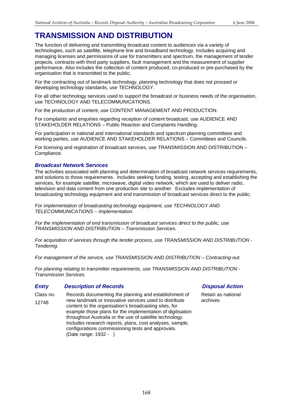The function of delivering and transmitting broadcast content to audiences via a variety of technologies, such as satellite, telephone line and broadband technology. Includes acquiring and managing licenses and permissions of use for transmitters and spectrum, the management of tender projects, contracts with third party suppliers, fault management and the measurement of supplier performance. Also includes the collection of content produced, co-produced or pre-purchased by the organisation that is transmitted to the public.

For the contracting out of landmark technology, planning technology that does not proceed or developing technology standards, use TECHNOLOGY.

For all other technology services used to support the broadcast or business needs of the organisation, use TECHNOLOGY AND TELECOMMUNICATIONS.

For the production of content, use CONTENT MANAGEMENT AND PRODUCTION.

For complaints and enquiries regarding reception of content broadcast, use AUDIENCE AND STAKEHOLDER RELATIONS – Public Reaction and Complaints Handling.

For participation in national and international standards and spectrum planning committees and working parties, use AUDIENCE AND STAKEHOLDER RELATIONS – Committees and Councils.

For licensing and registration of broadcast services, use TRANSMISSION AND DISTRIBUTION – Compliance.

### *Broadcast Network Services*

The activities associated with planning and determination of broadcast network services requirements, and solutions to those requirements. Includes seeking funding, testing, accepting and establishing the services, for example satellite, microwave, digital video network, which are used to deliver radio, television and data content from one production site to another. Excludes implementation of broadcasting technology equipment and end transmission of broadcast services direct to the public.

*For implementation of broadcasting technology equipment, use TECHNOLOGY AND TELECOMMUNICATIONS – Implementation.* 

*For the implementation of end transmission of broadcast services direct to the public, use TRANSMISSION AND DISTRIBUTION – Transmission Services.* 

*For acquisition of services through the tender process, use TRANSMISSION AND DISTRIBUTION - Tendering.* 

*For management of the service, use TRANSMISSION AND DISTRIBUTION – Contracting-out.* 

*For planning relating to transmitter requirements, use TRANSMISSION AND DISTRIBUTION - Transmission Services.* 

## *Entry Description of Records Disposal Action*

Class no. 12748 Records documenting the planning and establishment of new landmark or innovative services used to distribute content to the organisation's broadcasting sites, for example those plans for the implementation of digitisation throughout Australia or the use of satellite technology. Includes research reports, plans, cost analyses, sample, configurations commissioning tests and approvals. (Date range: 1932 - )

Retain as national archives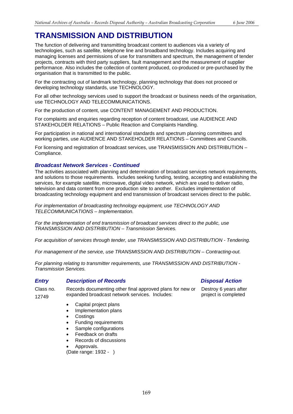The function of delivering and transmitting broadcast content to audiences via a variety of technologies, such as satellite, telephone line and broadband technology. Includes acquiring and managing licenses and permissions of use for transmitters and spectrum, the management of tender projects, contracts with third party suppliers, fault management and the measurement of supplier performance. Also includes the collection of content produced, co-produced or pre-purchased by the organisation that is transmitted to the public.

For the contracting out of landmark technology, planning technology that does not proceed or developing technology standards, use TECHNOLOGY.

For all other technology services used to support the broadcast or business needs of the organisation, use TECHNOLOGY AND TELECOMMUNICATIONS.

For the production of content, use CONTENT MANAGEMENT AND PRODUCTION.

For complaints and enquiries regarding reception of content broadcast, use AUDIENCE AND STAKEHOLDER RELATIONS – Public Reaction and Complaints Handling.

For participation in national and international standards and spectrum planning committees and working parties, use AUDIENCE AND STAKEHOLDER RELATIONS – Committees and Councils.

For licensing and registration of broadcast services, use TRANSMISSION AND DISTRIBUTION – Compliance.

#### *Broadcast Network Services - Continued*

The activities associated with planning and determination of broadcast services network requirements, and solutions to those requirements. Includes seeking funding, testing, accepting and establishing the services, for example satellite, microwave, digital video network, which are used to deliver radio, television and data content from one production site to another. Excludes implementation of broadcasting technology equipment and end transmission of broadcast services direct to the public.

*For implementation of broadcasting technology equipment, use TECHNOLOGY AND TELECOMMUNICATIONS – Implementation.* 

*For the implementation of end transmission of broadcast services direct to the public, use TRANSMISSION AND DISTRIBUTION – Transmission Services.* 

*For acquisition of services through tender, use TRANSMISSION AND DISTRIBUTION - Tendering.* 

*For management of the service, use TRANSMISSION AND DISTRIBUTION – Contracting-out.* 

*For planning relating to transmitter requirements, use TRANSMISSION AND DISTRIBUTION - Transmission Services.* 

#### *Entry Description of Records Disposal Action*

Class no.

12749 Records documenting other final approved plans for new or expanded broadcast network services. Includes:

- Capital project plans
- Implementation plans
- Costings
- Funding requirements
- Sample configurations
- Feedback on drafts
- Records of discussions
- Approvals.

(Date range: 1932 - )

Destroy 6 years after project is completed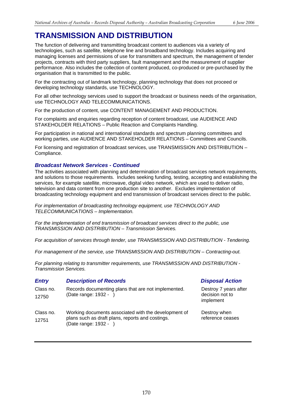The function of delivering and transmitting broadcast content to audiences via a variety of technologies, such as satellite, telephone line and broadband technology. Includes acquiring and managing licenses and permissions of use for transmitters and spectrum, the management of tender projects, contracts with third party suppliers, fault management and the measurement of supplier performance. Also includes the collection of content produced, co-produced or pre-purchased by the organisation that is transmitted to the public.

For the contracting out of landmark technology, planning technology that does not proceed or developing technology standards, use TECHNOLOGY.

For all other technology services used to support the broadcast or business needs of the organisation, use TECHNOLOGY AND TELECOMMUNICATIONS.

For the production of content, use CONTENT MANAGEMENT AND PRODUCTION.

For complaints and enquiries regarding reception of content broadcast, use AUDIENCE AND STAKEHOLDER RELATIONS – Public Reaction and Complaints Handling.

For participation in national and international standards and spectrum planning committees and working parties, use AUDIENCE AND STAKEHOLDER RELATIONS – Committees and Councils.

For licensing and registration of broadcast services, use TRANSMISSION AND DISTRIBUTION – Compliance.

### *Broadcast Network Services - Continued*

The activities associated with planning and determination of broadcast services network requirements, and solutions to those requirements. Includes seeking funding, testing, accepting and establishing the services, for example satellite, microwave, digital video network, which are used to deliver radio, television and data content from one production site to another. Excludes implementation of broadcasting technology equipment and end transmission of broadcast services direct to the public.

*For implementation of broadcasting technology equipment, use TECHNOLOGY AND TELECOMMUNICATIONS – Implementation.* 

*For the implementation of end transmission of broadcast services direct to the public, use TRANSMISSION AND DISTRIBUTION – Transmission Services.* 

*For acquisition of services through tender, use TRANSMISSION AND DISTRIBUTION - Tendering.* 

*For management of the service, use TRANSMISSION AND DISTRIBUTION – Contracting-out.* 

*For planning relating to transmitter requirements, use TRANSMISSION AND DISTRIBUTION - Transmission Services.* 

#### *Entry Description of Records Disposal Action*

| Class no. | Records documenting plans that are not implemented. | Destroy 7 y |
|-----------|-----------------------------------------------------|-------------|
| 12750     | (Date range: 1932 - )                               | decision no |
|           |                                                     | implement   |

Class no. 12751 Working documents associated with the development of plans such as draft plans, reports and costings. (Date range: 1932 - )

| Destroy 7 years after |
|-----------------------|
| decision not to       |
| implement             |

Destroy when reference ceases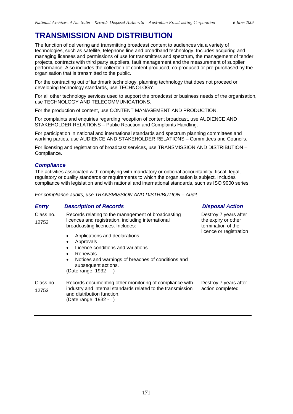The function of delivering and transmitting broadcast content to audiences via a variety of technologies, such as satellite, telephone line and broadband technology. Includes acquiring and managing licenses and permissions of use for transmitters and spectrum, the management of tender projects, contracts with third party suppliers, fault management and the measurement of supplier performance. Also includes the collection of content produced, co-produced or pre-purchased by the organisation that is transmitted to the public.

For the contracting out of landmark technology, planning technology that does not proceed or developing technology standards, use TECHNOLOGY.

For all other technology services used to support the broadcast or business needs of the organisation, use TECHNOLOGY AND TELECOMMUNICATIONS.

For the production of content, use CONTENT MANAGEMENT AND PRODUCTION.

For complaints and enquiries regarding reception of content broadcast, use AUDIENCE AND STAKEHOLDER RELATIONS – Public Reaction and Complaints Handling.

For participation in national and international standards and spectrum planning committees and working parties, use AUDIENCE AND STAKEHOLDER RELATIONS – Committees and Councils.

For licensing and registration of broadcast services, use TRANSMISSION AND DISTRIBUTION – Compliance.

### *Compliance*

Class no.

The activities associated with complying with mandatory or optional accountability, fiscal, legal, regulatory or quality standards or requirements to which the organisation is subject. Includes compliance with legislation and with national and international standards, such as ISO 9000 series.

*For compliance audits, use TRANSMISSION AND DISTRIBUTION – Audit.* 

Records relating to the management of broadcasting

### *Entry Description of Records Disposal Action*

| 12752              | licences and registration, including international<br>broadcasting licences. Includes:<br>Applications and declarations<br>$\bullet$<br>Approvals<br>$\bullet$<br>Licence conditions and variations<br>$\bullet$<br>Renewals<br>$\bullet$<br>Notices and warnings of breaches of conditions and<br>$\bullet$<br>subsequent actions.<br>(Date range: 1932 - ) | the expiry or other<br>termination of the<br>licence or registration |
|--------------------|--------------------------------------------------------------------------------------------------------------------------------------------------------------------------------------------------------------------------------------------------------------------------------------------------------------------------------------------------------------|----------------------------------------------------------------------|
| Class no.<br>12753 | Records documenting other monitoring of compliance with<br>industry and internal standards related to the transmission<br>and distribution function.<br>(Date range: 1932 - )                                                                                                                                                                                | Destroy 7 years after<br>action completed                            |

Destroy 7 years after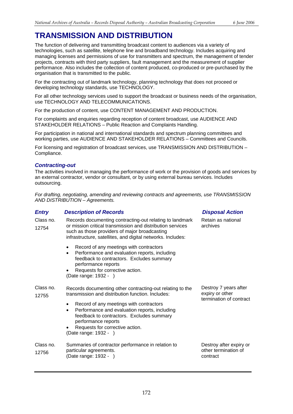The function of delivering and transmitting broadcast content to audiences via a variety of technologies, such as satellite, telephone line and broadband technology. Includes acquiring and managing licenses and permissions of use for transmitters and spectrum, the management of tender projects, contracts with third party suppliers, fault management and the measurement of supplier performance. Also includes the collection of content produced, co-produced or pre-purchased by the organisation that is transmitted to the public.

For the contracting out of landmark technology, planning technology that does not proceed or developing technology standards, use TECHNOLOGY.

For all other technology services used to support the broadcast or business needs of the organisation, use TECHNOLOGY AND TELECOMMUNICATIONS.

For the production of content, use CONTENT MANAGEMENT AND PRODUCTION.

For complaints and enquiries regarding reception of content broadcast, use AUDIENCE AND STAKEHOLDER RELATIONS – Public Reaction and Complaints Handling.

For participation in national and international standards and spectrum planning committees and working parties, use AUDIENCE AND STAKEHOLDER RELATIONS – Committees and Councils.

For licensing and registration of broadcast services, use TRANSMISSION AND DISTRIBUTION – Compliance.

### *Contracting-out*

12754

12755

The activities involved in managing the performance of work or the provision of goods and services by an external contractor, vendor or consultant, or by using external bureau services. Includes outsourcing.

*For drafting, negotiating, amending and reviewing contracts and agreements, use TRANSMISSION AND DISTRIBUTION – Agreements.* 

#### *Entry Description of Records Disposal Action*  Class no. Records documenting contracting-out relating to landmark or mission critical transmission and distribution services such as those providers of major broadcasting infrastructure, satellites, and digital networks. Includes: • Record of any meetings with contractors • Performance and evaluation reports, including feedback to contractors. Excludes summary performance reports Requests for corrective action. (Date range: 1932 - ) Retain as national archives Class no. Records documenting other contracting-out relating to the transmission and distribution function. Includes: • Record of any meetings with contractors • Performance and evaluation reports, including feedback to contractors. Excludes summary performance reports Requests for corrective action. (Date range: 1932 - ) Destroy 7 years after expiry or other termination of contract

Class no. 12756 Summaries of contractor performance in relation to particular agreements. (Date range: 1932 - ) Destroy after expiry or other termination of contract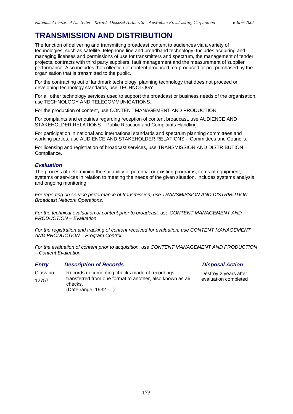The function of delivering and transmitting broadcast content to audiences via a variety of technologies, such as satellite, telephone line and broadband technology. Includes acquiring and managing licenses and permissions of use for transmitters and spectrum, the management of tender projects, contracts with third party suppliers, fault management and the measurement of supplier performance. Also includes the collection of content produced, co-produced or pre-purchased by the organisation that is transmitted to the public.

For the contracting out of landmark technology, planning technology that does not proceed or developing technology standards, use TECHNOLOGY.

For all other technology services used to support the broadcast or business needs of the organisation, use TECHNOLOGY AND TELECOMMUNICATIONS.

For the production of content, use CONTENT MANAGEMENT AND PRODUCTION.

For complaints and enquiries regarding reception of content broadcast, use AUDIENCE AND STAKEHOLDER RELATIONS – Public Reaction and Complaints Handling.

For participation in national and international standards and spectrum planning committees and working parties, use AUDIENCE AND STAKEHOLDER RELATIONS – Committees and Councils.

For licensing and registration of broadcast services, use TRANSMISSION AND DISTRIBUTION – Compliance.

### *Evaluation*

The process of determining the suitability of potential or existing programs, items of equipment, systems or services in relation to meeting the needs of the given situation. Includes systems analysis and ongoing monitoring.

*For reporting on service performance of transmission, use TRANSMISSION AND DISTRIBUTION – Broadcast Network Operations.* 

*For the technical evaluation of content prior to broadcast, use CONTENT MANAGEMENT AND PRODUCTION – Evaluation.* 

*For the registration and tracking of content received for evaluation, use CONTENT MANAGEMENT AND PRODUCTION – Program Control.* 

*For the evaluation of content prior to acquisition, use CONTENT MANAGEMENT AND PRODUCTION – Content Evaluation.* 

#### *Entry Description of Records Disposal Action*

Class no. 12757 Records documenting checks made of recordings transferred from one format to another, also known as air checks. (Date range: 1932 - )

Destroy 2 years after evaluation completed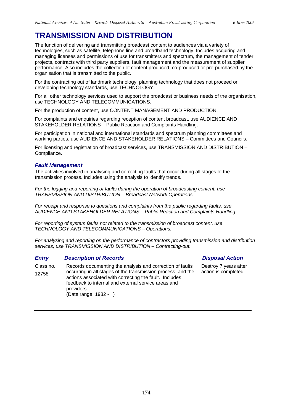The function of delivering and transmitting broadcast content to audiences via a variety of technologies, such as satellite, telephone line and broadband technology. Includes acquiring and managing licenses and permissions of use for transmitters and spectrum, the management of tender projects, contracts with third party suppliers, fault management and the measurement of supplier performance. Also includes the collection of content produced, co-produced or pre-purchased by the organisation that is transmitted to the public.

For the contracting out of landmark technology, planning technology that does not proceed or developing technology standards, use TECHNOLOGY.

For all other technology services used to support the broadcast or business needs of the organisation, use TECHNOLOGY AND TELECOMMUNICATIONS.

For the production of content, use CONTENT MANAGEMENT AND PRODUCTION.

For complaints and enquiries regarding reception of content broadcast, use AUDIENCE AND STAKEHOLDER RELATIONS – Public Reaction and Complaints Handling.

For participation in national and international standards and spectrum planning committees and working parties, use AUDIENCE AND STAKEHOLDER RELATIONS – Committees and Councils.

For licensing and registration of broadcast services, use TRANSMISSION AND DISTRIBUTION – Compliance.

## *Fault Management*

The activities involved in analysing and correcting faults that occur during all stages of the transmission process. Includes using the analysis to identify trends.

*For the logging and reporting of faults during the operation of broadcasting content, use TRANSMISSION AND DISTRIBUTION – Broadcast Network Operations.* 

*For receipt and response to questions and complaints from the public regarding faults, use AUDIENCE AND STAKEHOLDER RELATIONS – Public Reaction and Complaints Handling.* 

*For reporting of system faults not related to the transmission of broadcast content, use TECHNOLOGY AND TELECOMMUNICATIONS – Operations.* 

*For analysing and reporting on the performance of contractors providing transmission and distribution services, use TRANSMISSION AND DISTRIBUTION – Contracting-out.* 

#### *Entry Description of Records Disposal Action*

Class no. 12758 Records documenting the analysis and correction of faults occurring in all stages of the transmission process, and the actions associated with correcting the fault. Includes feedback to internal and external service areas and providers. (Date range: 1932 - )

Destroy 7 years after action is completed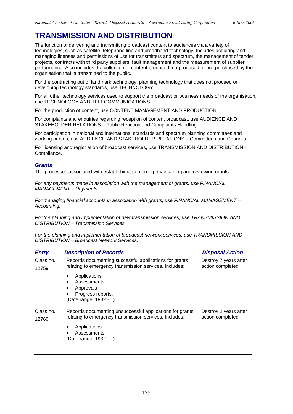The function of delivering and transmitting broadcast content to audiences via a variety of technologies, such as satellite, telephone line and broadband technology. Includes acquiring and managing licenses and permissions of use for transmitters and spectrum, the management of tender projects, contracts with third party suppliers, fault management and the measurement of supplier performance. Also includes the collection of content produced, co-produced or pre-purchased by the organisation that is transmitted to the public.

For the contracting out of landmark technology, planning technology that does not proceed or developing technology standards, use TECHNOLOGY.

For all other technology services used to support the broadcast or business needs of the organisation, use TECHNOLOGY AND TELECOMMUNICATIONS.

For the production of content, use CONTENT MANAGEMENT AND PRODUCTION.

For complaints and enquiries regarding reception of content broadcast, use AUDIENCE AND STAKEHOLDER RELATIONS – Public Reaction and Complaints Handling.

For participation in national and international standards and spectrum planning committees and working parties, use AUDIENCE AND STAKEHOLDER RELATIONS – Committees and Councils.

For licensing and registration of broadcast services, use TRANSMISSION AND DISTRIBUTION – Compliance.

#### *Grants*

The processes associated with establishing, conferring, maintaining and reviewing grants.

*For any payments made in association with the management of grants, use FINANCIAL MANAGEMENT – Payments.* 

*For managing financial accounts in association with grants, use FINANCIAL MANAGEMENT – Accounting.* 

*For the planning and implementation of new transmission services, use TRANSMISSION AND DISTRIBUTION – Transmission Services.* 

*For the planning and implementation of broadcast network services, use TRANSMISSION AND DISTRIBUTION – Broadcast Network Services.* 

#### *Entry Description of Records Disposal Action*

- Class no. 12759 Records documenting successful applications for grants relating to emergency transmission services. Includes:
	- **Applications**
	- **Assessments**
	- **Approvals**
	- Progress reports.
	- (Date range: 1932 )
- Class no. 12760 Records documenting unsuccessful applications for grants relating to emergency transmission services. Includes:
	-
- **Applications**
- Assessments.
- (Date range: 1932 )

Destroy 7 years after action completed

Destroy 2 years after action completed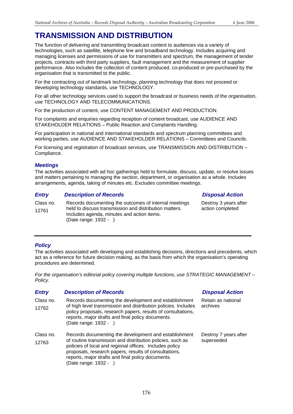The function of delivering and transmitting broadcast content to audiences via a variety of technologies, such as satellite, telephone line and broadband technology. Includes acquiring and managing licenses and permissions of use for transmitters and spectrum, the management of tender projects, contracts with third party suppliers, fault management and the measurement of supplier performance. Also includes the collection of content produced, co-produced or pre-purchased by the organisation that is transmitted to the public.

For the contracting out of landmark technology, planning technology that does not proceed or developing technology standards, use TECHNOLOGY.

For all other technology services used to support the broadcast or business needs of the organisation, use TECHNOLOGY AND TELECOMMUNICATIONS.

For the production of content, use CONTENT MANAGEMENT AND PRODUCTION.

For complaints and enquiries regarding reception of content broadcast, use AUDIENCE AND STAKEHOLDER RELATIONS – Public Reaction and Complaints Handling.

For participation in national and international standards and spectrum planning committees and working parties, use AUDIENCE AND STAKEHOLDER RELATIONS – Committees and Councils.

For licensing and registration of broadcast services, use TRANSMISSION AND DISTRIBUTION – Compliance.

### *Meetings*

The activities associated with ad hoc gatherings held to formulate, discuss, update, or resolve issues and matters pertaining to managing the section, department, or organisation as a whole. Includes arrangements, agenda, taking of minutes etc. Excludes committee meetings.

#### *Entry Description of Records Disposal Action*

Class no. 12761 Records documenting the outcomes of internal meetings held to discuss transmission and distribution matters. Includes agenda, minutes and action items. (Date range: 1932 - )

Destroy 3 years after action completed

### *Policy*

The activities associated with developing and establishing decisions, directions and precedents, which act as a reference for future decision making, as the basis from which the organisation's operating procedures are determined.

*For the organisation's editorial policy covering multiple functions, use STRATEGIC MANAGEMENT – Policy.* 

#### *Entry Description of Records Disposal Action*

(Date range: 1932 - )

| Class no. | Records documenting the development and establishment                                                                                                                                                        | Retain as national    |
|-----------|--------------------------------------------------------------------------------------------------------------------------------------------------------------------------------------------------------------|-----------------------|
| 12762     | of high level transmission and distribution policies. Includes<br>policy proposals, research papers, results of consultations,<br>reports, major drafts and final policy documents.<br>(Date range: 1932 - ) | archives              |
| Class no. | Records documenting the development and establishment                                                                                                                                                        | Destroy 7 years after |
| 12763     | of routine transmission and distribution policies, such as<br>policies of local and regional offices. Includes policy<br>proposals, research papers, results of consultations,                               | superseded            |

reports, major drafts and final policy documents.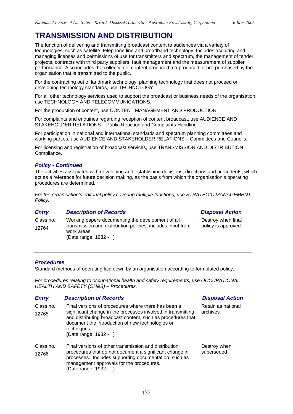The function of delivering and transmitting broadcast content to audiences via a variety of technologies, such as satellite, telephone line and broadband technology. Includes acquiring and managing licenses and permissions of use for transmitters and spectrum, the management of tender projects, contracts with third party suppliers, fault management and the measurement of supplier performance. Also includes the collection of content produced, co-produced or pre-purchased by the organisation that is transmitted to the public.

For the contracting out of landmark technology, planning technology that does not proceed or developing technology standards, use TECHNOLOGY.

For all other technology services used to support the broadcast or business needs of the organisation, use TECHNOLOGY AND TELECOMMUNICATIONS.

For the production of content, use CONTENT MANAGEMENT AND PRODUCTION.

For complaints and enquiries regarding reception of content broadcast, use AUDIENCE AND STAKEHOLDER RELATIONS – Public Reaction and Complaints Handling.

For participation in national and international standards and spectrum planning committees and working parties, use AUDIENCE AND STAKEHOLDER RELATIONS – Committees and Councils.

For licensing and registration of broadcast services, use TRANSMISSION AND DISTRIBUTION – Compliance.

## *Policy - Continued*

The activities associated with developing and establishing decisions, directions and precedents, which act as a reference for future decision making, as the basis from which the organisation's operating procedures are determined.

*For the organisation's editorial policy covering multiple functions, use STRATEGIC MANAGEMENT – Policy.* 

#### *Entry Description of Records Disposal Action*  Class no. 12764 Working papers documenting the development of all transmission and distribution policies, includes input from work areas. (Date range: 1932 - )

Destroy when final policy is approved

#### *Procedures*

Standard methods of operating laid down by an organisation according to formulated policy.

*For procedures relating to occupational health and safety requirements, use OCCUPATIONAL HEALTH AND SAFETY (OH&S) – Procedures.* 

| <b>Entry</b> | <b>Description of Records</b>                                                                                                                                                                                           | <b>Disposal Action</b>         |
|--------------|-------------------------------------------------------------------------------------------------------------------------------------------------------------------------------------------------------------------------|--------------------------------|
| Class no.    | Final versions of procedures where there has been a                                                                                                                                                                     | Retain as national<br>archives |
| 12765        | significant change in the processes involved in transmitting<br>and distributing broadcast content, such as procedures that<br>document the introduction of new technologies or<br>techniques.<br>(Date range: 1932 - ) |                                |
| Class no.    | Final versions of other transmission and distribution                                                                                                                                                                   | Destroy when                   |
| 12766        | procedures that do not document a significant change in<br>processes. Includes supporting documentation, such as<br>management approvals for the procedures.<br>(Date range: 1932 -                                     | superseded                     |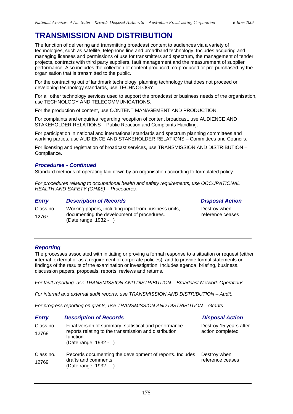The function of delivering and transmitting broadcast content to audiences via a variety of technologies, such as satellite, telephone line and broadband technology. Includes acquiring and managing licenses and permissions of use for transmitters and spectrum, the management of tender projects, contracts with third party suppliers, fault management and the measurement of supplier performance. Also includes the collection of content produced, co-produced or pre-purchased by the organisation that is transmitted to the public.

For the contracting out of landmark technology, planning technology that does not proceed or developing technology standards, use TECHNOLOGY.

For all other technology services used to support the broadcast or business needs of the organisation, use TECHNOLOGY AND TELECOMMUNICATIONS.

For the production of content, use CONTENT MANAGEMENT AND PRODUCTION.

For complaints and enquiries regarding reception of content broadcast, use AUDIENCE AND STAKEHOLDER RELATIONS – Public Reaction and Complaints Handling.

For participation in national and international standards and spectrum planning committees and working parties, use AUDIENCE AND STAKEHOLDER RELATIONS – Committees and Councils.

For licensing and registration of broadcast services, use TRANSMISSION AND DISTRIBUTION – Compliance.

## *Procedures - Continued*

Standard methods of operating laid down by an organisation according to formulated policy.

*For procedures relating to occupational health and safety requirements, use OCCUPATIONAL HEALTH AND SAFETY (OH&S) – Procedures.* 

#### *Entry Description of Records Disposal Action*  Class no.

Working papers, including input from business units, documenting the development of procedures. (Date range: 1932 - ) Destroy when reference ceases

## *Reporting*

12767

The processes associated with initiating or proving a formal response to a situation or request (either internal, external or as a requirement of corporate policies), and to provide formal statements or findings of the results of the examination or investigation. Includes agenda, briefing, business, discussion papers, proposals, reports, reviews and returns.

*For fault reporting, use TRANSMISSION AND DISTRIBUTION – Broadcast Network Operations.* 

*For internal and external audit reports, use TRANSMISSION AND DISTRIBUTION – Audit.* 

*For progress reporting on grants, use TRANSMISSION AND DISTRIBUTION – Grants.* 

| <b>Entry</b>       | <b>Description of Records</b>                                                                                                                        | <b>Disposal Action</b>                     |
|--------------------|------------------------------------------------------------------------------------------------------------------------------------------------------|--------------------------------------------|
| Class no.<br>12768 | Final version of summary, statistical and performance<br>reports relating to the transmission and distribution<br>function.<br>(Date range: 1932 - ) | Destroy 15 years after<br>action completed |
| Class no.<br>12769 | Records documenting the development of reports. Includes<br>drafts and comments.<br>(Date range: 1932 - )                                            | Destroy when<br>reference ceases           |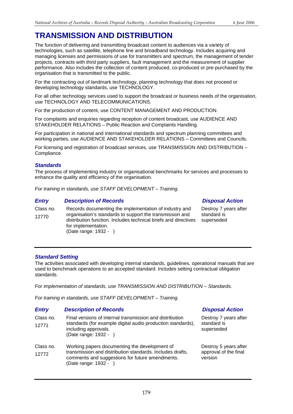The function of delivering and transmitting broadcast content to audiences via a variety of technologies, such as satellite, telephone line and broadband technology. Includes acquiring and managing licenses and permissions of use for transmitters and spectrum, the management of tender projects, contracts with third party suppliers, fault management and the measurement of supplier performance. Also includes the collection of content produced, co-produced or pre-purchased by the organisation that is transmitted to the public.

For the contracting out of landmark technology, planning technology that does not proceed or developing technology standards, use TECHNOLOGY.

For all other technology services used to support the broadcast or business needs of the organisation, use TECHNOLOGY AND TELECOMMUNICATIONS.

For the production of content, use CONTENT MANAGEMENT AND PRODUCTION.

For complaints and enquiries regarding reception of content broadcast, use AUDIENCE AND STAKEHOLDER RELATIONS – Public Reaction and Complaints Handling.

For participation in national and international standards and spectrum planning committees and working parties, use AUDIENCE AND STAKEHOLDER RELATIONS – Committees and Councils.

For licensing and registration of broadcast services, use TRANSMISSION AND DISTRIBUTION – Compliance.

### *Standards*

The process of implementing industry or organisational benchmarks for services and processes to enhance the quality and efficiency of the organisation.

*For training in standards, use STAFF DEVELOPMENT – Training.* 

#### *Entry Description of Records Disposal Action*

Class no. 12770 Records documenting the implementation of industry and organisation's standards to support the transmission and distribution function. Includes technical briefs and directives for implementation. (Date range: 1932 - )

Destroy 7 years after standard is superseded

#### *Standard Setting*

The activities associated with developing internal standards, guidelines, operational manuals that are used to benchmark operations to an accepted standard. Includes setting contractual obligation standards.

*For implementation of standards, use TRANSMISSION AND DISTRIBUTION – Standards.* 

*For training in standards, use STAFF DEVELOPMENT – Training.* 

| <b>Entry</b>       | <b>Description of Records</b>                                                                                                                                                          | <b>Disposal Action</b>                                    |
|--------------------|----------------------------------------------------------------------------------------------------------------------------------------------------------------------------------------|-----------------------------------------------------------|
| Class no.<br>12771 | Final versions of internal transmission and distribution<br>standards (for example digital audio production standards),<br>including approvals.<br>(Date range: 1932 - )               | Destroy 7 years after<br>standard is<br>superseded        |
| Class no.<br>12772 | Working papers documenting the development of<br>transmission and distribution standards. Includes drafts,<br>comments and suggestions for future amendments.<br>(Date range: 1932 - ) | Destroy 5 years after<br>approval of the final<br>version |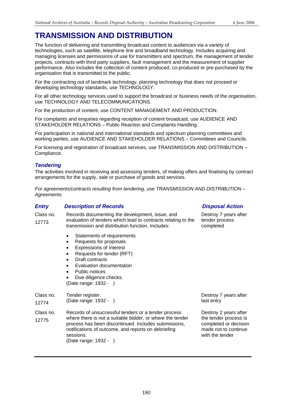The function of delivering and transmitting broadcast content to audiences via a variety of technologies, such as satellite, telephone line and broadband technology. Includes acquiring and managing licenses and permissions of use for transmitters and spectrum, the management of tender projects, contracts with third party suppliers, fault management and the measurement of supplier performance. Also includes the collection of content produced, co-produced or pre-purchased by the organisation that is transmitted to the public.

For the contracting out of landmark technology, planning technology that does not proceed or developing technology standards, use TECHNOLOGY.

For all other technology services used to support the broadcast or business needs of the organisation, use TECHNOLOGY AND TELECOMMUNICATIONS.

For the production of content, use CONTENT MANAGEMENT AND PRODUCTION.

For complaints and enquiries regarding reception of content broadcast, use AUDIENCE AND STAKEHOLDER RELATIONS – Public Reaction and Complaints Handling.

For participation in national and international standards and spectrum planning committees and working parties, use AUDIENCE AND STAKEHOLDER RELATIONS – Committees and Councils.

For licensing and registration of broadcast services, use TRANSMISSION AND DISTRIBUTION – Compliance.

## *Tendering*

The activities involved in receiving and assessing tenders, of making offers and finalising by contract arrangements for the supply, sale or purchase of goods and services.

*For agreements/contracts resulting from tendering, use TRANSMISSION AND DISTRIBUTION – Agreements.* 

### *Entry Description of Records Disposal Action*

| Class no.<br>12773 | Records documenting the development, issue, and<br>evaluation of tenders which lead to contracts relating to the<br>transmission and distribution function. Includes:                                                                                                                             | Destroy 7 years after<br>tender process<br>completed                                                               |
|--------------------|---------------------------------------------------------------------------------------------------------------------------------------------------------------------------------------------------------------------------------------------------------------------------------------------------|--------------------------------------------------------------------------------------------------------------------|
|                    | Statements of requirements<br>٠<br>Requests for proposals<br>٠<br>Expressions of interest<br>٠<br>Requests for tender (RFT)<br>٠<br>Draft contracts<br>$\bullet$<br>Evaluation documentation<br>$\bullet$<br><b>Public notices</b><br>$\bullet$<br>Due diligence checks.<br>(Date range: 1932 - ) |                                                                                                                    |
| Class no.<br>12774 | Tender register.<br>(Date range: 1932 - )                                                                                                                                                                                                                                                         | Destroy 7 years after<br>last entry                                                                                |
| Class no.<br>12775 | Records of unsuccessful tenders or a tender process<br>where there is not a suitable bidder, or where the tender<br>process has been discontinued. Includes submissions,<br>notifications of outcome, and reports on debriefing<br>sessions.<br>(Date range: 1932 - )                             | Destroy 2 years after<br>the tender process is<br>completed or decision<br>made not to continue<br>with the tender |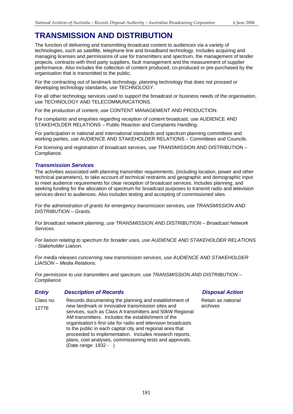The function of delivering and transmitting broadcast content to audiences via a variety of technologies, such as satellite, telephone line and broadband technology. Includes acquiring and managing licenses and permissions of use for transmitters and spectrum, the management of tender projects, contracts with third party suppliers, fault management and the measurement of supplier performance. Also includes the collection of content produced, co-produced or pre-purchased by the organisation that is transmitted to the public.

For the contracting out of landmark technology, planning technology that does not proceed or developing technology standards, use TECHNOLOGY.

For all other technology services used to support the broadcast or business needs of the organisation, use TECHNOLOGY AND TELECOMMUNICATIONS.

For the production of content, use CONTENT MANAGEMENT AND PRODUCTION.

For complaints and enquiries regarding reception of content broadcast, use AUDIENCE AND STAKEHOLDER RELATIONS – Public Reaction and Complaints Handling.

For participation in national and international standards and spectrum planning committees and working parties, use AUDIENCE AND STAKEHOLDER RELATIONS – Committees and Councils.

For licensing and registration of broadcast services, use TRANSMISSION AND DISTRIBUTION – Compliance.

## *Transmission Services*

The activities associated with planning transmitter requirements, (including location, power and other technical parameters), to take account of technical restraints and geographic and demographic input to meet audience requirements for clear reception of broadcast services. Includes planning, and seeking funding for the allocation of spectrum for broadcast purposes to transmit radio and television services direct to audiences. Also includes testing and accepting of commissioned sites.

*For the administration of grants for emergency transmission services, use TRANSMISSION AND DISTRIBUTION – Grants.* 

*For broadcast network planning, use TRANSMISSION AND DISTRIBUTION – Broadcast Network Services.* 

*For liaison relating to spectrum for broader uses, use AUDIENCE AND STAKEHOLDER RELATIONS - Stakeholder Liaison.* 

*For media releases concerning new transmission services, use AUDIENCE AND STAKEHOLDER LIAISON – Media Relations.* 

*For permission to use transmitters and spectrum, use TRANSMISSION AND DISTRIBUTION – Compliance.* 

## *Entry Description of Records Disposal Action*

Class no. 12776 Records documenting the planning and establishment of new landmark or innovative transmission sites and services, such as Class A transmitters and 50kW Regional AM transmitters. Includes the establishment of the organisation's first site for radio and television broadcasts to the public in each capital city and regional area that proceeded to implementation. Includes research reports, plans, cost analyses, commissioning tests and approvals. (Date range: 1932 - )

Retain as national archives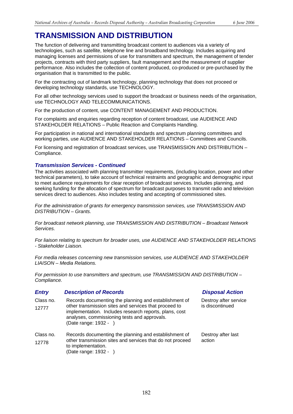after service

after last

# **TRANSMISSION AND DISTRIBUTION**

The function of delivering and transmitting broadcast content to audiences via a variety of technologies, such as satellite, telephone line and broadband technology. Includes acquiring and managing licenses and permissions of use for transmitters and spectrum, the management of tender projects, contracts with third party suppliers, fault management and the measurement of supplier performance. Also includes the collection of content produced, co-produced or pre-purchased by the organisation that is transmitted to the public.

For the contracting out of landmark technology, planning technology that does not proceed or developing technology standards, use TECHNOLOGY.

For all other technology services used to support the broadcast or business needs of the organisation, use TECHNOLOGY AND TELECOMMUNICATIONS.

For the production of content, use CONTENT MANAGEMENT AND PRODUCTION.

For complaints and enquiries regarding reception of content broadcast, use AUDIENCE AND STAKEHOLDER RELATIONS – Public Reaction and Complaints Handling.

For participation in national and international standards and spectrum planning committees and working parties, use AUDIENCE AND STAKEHOLDER RELATIONS – Committees and Councils.

For licensing and registration of broadcast services, use TRANSMISSION AND DISTRIBUTION – Compliance.

#### *Transmission Services - Continued*

The activities associated with planning transmitter requirements, (including location, power and other technical parameters), to take account of technical restraints and geographic and demographic input to meet audience requirements for clear reception of broadcast services. Includes planning, and seeking funding for the allocation of spectrum for broadcast purposes to transmit radio and television services direct to audiences. Also includes testing and accepting of commissioned sites.

*For the administration of grants for emergency transmission services, use TRANSMISSION AND DISTRIBUTION – Grants.* 

*For broadcast network planning, use TRANSMISSION AND DISTRIBUTION – Broadcast Network Services.* 

*For liaison relating to spectrum for broader uses, use AUDIENCE AND STAKEHOLDER RELATIONS - Stakeholder Liaison.* 

*For media releases concerning new transmission services, use AUDIENCE AND STAKEHOLDER LIAISON – Media Relations.* 

*For permission to use transmitters and spectrum, use TRANSMISSION AND DISTRIBUTION – Compliance.* 

#### *Entry Description of Records Disposal Action*

| Class no.<br>12777 | Records documenting the planning and establishment of<br>other transmission sites and services that proceed to<br>implementation. Includes research reports, plans, cost<br>analyses, commissioning tests and approvals.<br>(Date range: 1932 - ) | Destroy after se<br>is discontinued |
|--------------------|---------------------------------------------------------------------------------------------------------------------------------------------------------------------------------------------------------------------------------------------------|-------------------------------------|
| Class no.          | Records documenting the planning and establishment of<br>other transmission sites and services that do not proceed                                                                                                                                | Destroy after la<br>action          |
| 12778              |                                                                                                                                                                                                                                                   |                                     |

12778 to implementation. (Date range: 1932 - )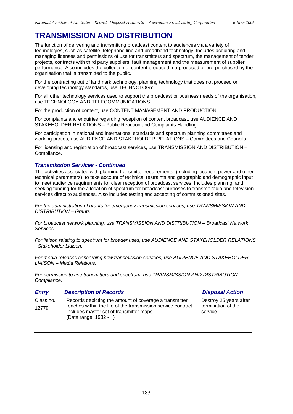The function of delivering and transmitting broadcast content to audiences via a variety of technologies, such as satellite, telephone line and broadband technology. Includes acquiring and managing licenses and permissions of use for transmitters and spectrum, the management of tender projects, contracts with third party suppliers, fault management and the measurement of supplier performance. Also includes the collection of content produced, co-produced or pre-purchased by the organisation that is transmitted to the public.

For the contracting out of landmark technology, planning technology that does not proceed or developing technology standards, use TECHNOLOGY.

For all other technology services used to support the broadcast or business needs of the organisation, use TECHNOLOGY AND TELECOMMUNICATIONS.

For the production of content, use CONTENT MANAGEMENT AND PRODUCTION.

For complaints and enquiries regarding reception of content broadcast, use AUDIENCE AND STAKEHOLDER RELATIONS – Public Reaction and Complaints Handling.

For participation in national and international standards and spectrum planning committees and working parties, use AUDIENCE AND STAKEHOLDER RELATIONS – Committees and Councils.

For licensing and registration of broadcast services, use TRANSMISSION AND DISTRIBUTION – Compliance.

## *Transmission Services - Continued*

The activities associated with planning transmitter requirements, (including location, power and other technical parameters), to take account of technical restraints and geographic and demographic input to meet audience requirements for clear reception of broadcast services. Includes planning, and seeking funding for the allocation of spectrum for broadcast purposes to transmit radio and television services direct to audiences. Also includes testing and accepting of commissioned sites.

*For the administration of grants for emergency transmission services, use TRANSMISSION AND DISTRIBUTION – Grants.* 

*For broadcast network planning, use TRANSMISSION AND DISTRIBUTION – Broadcast Network Services.* 

*For liaison relating to spectrum for broader uses, use AUDIENCE AND STAKEHOLDER RELATIONS - Stakeholder Liaison.* 

*For media releases concerning new transmission services, use AUDIENCE AND STAKEHOLDER LIAISON – Media Relations.* 

*For permission to use transmitters and spectrum, use TRANSMISSION AND DISTRIBUTION – Compliance.* 

#### *Entry Description of Records Disposal Action*

```
Class no. 
12779 
              Records depicting the amount of coverage a transmitter 
               reaches within the life of the transmission service contract. 
               Includes master set of transmitter maps. 
               (Date range: 1932 - )
```
Destroy 25 years after termination of the service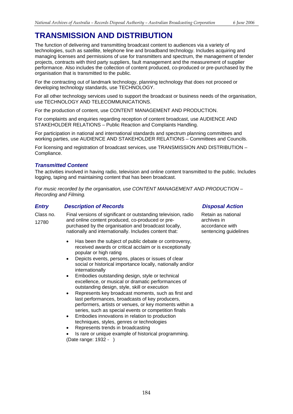The function of delivering and transmitting broadcast content to audiences via a variety of technologies, such as satellite, telephone line and broadband technology. Includes acquiring and managing licenses and permissions of use for transmitters and spectrum, the management of tender projects, contracts with third party suppliers, fault management and the measurement of supplier performance. Also includes the collection of content produced, co-produced or pre-purchased by the organisation that is transmitted to the public.

For the contracting out of landmark technology, planning technology that does not proceed or developing technology standards, use TECHNOLOGY.

For all other technology services used to support the broadcast or business needs of the organisation, use TECHNOLOGY AND TELECOMMUNICATIONS.

For the production of content, use CONTENT MANAGEMENT AND PRODUCTION.

For complaints and enquiries regarding reception of content broadcast, use AUDIENCE AND STAKEHOLDER RELATIONS – Public Reaction and Complaints Handling.

For participation in national and international standards and spectrum planning committees and working parties, use AUDIENCE AND STAKEHOLDER RELATIONS – Committees and Councils.

For licensing and registration of broadcast services, use TRANSMISSION AND DISTRIBUTION – Compliance.

## *Transmitted Content*

The activities involved in having radio, television and online content transmitted to the public. Includes logging, taping and maintaining content that has been broadcast.

*For music recorded by the organisation, use CONTENT MANAGEMENT AND PRODUCTION – Recording and Filming.* 

## *Entry Description of Records Disposal Action*

Class no.

12780

Final versions of significant or outstanding television, radio and online content produced, co-produced or prepurchased by the organisation and broadcast locally, nationally and internationally. Includes content that:

- Has been the subject of public debate or controversy. received awards or critical acclaim or is exceptionally popular or high rating
- Depicts events, persons, places or issues of clear social or historical importance locally, nationally and/or internationally
- Embodies outstanding design, style or technical excellence, or musical or dramatic performances of outstanding design, style, skill or execution
- Represents key broadcast moments, such as first and last performances, broadcasts of key producers, performers, artists or venues, or key moments within a series, such as special events or competition finals
- Embodies innovations in relation to production techniques, styles, genres or technologies
- Represents trends in broadcasting

Is rare or unique example of historical programming. (Date range: 1932 - )

Retain as national archives in accordance with sentencing guidelines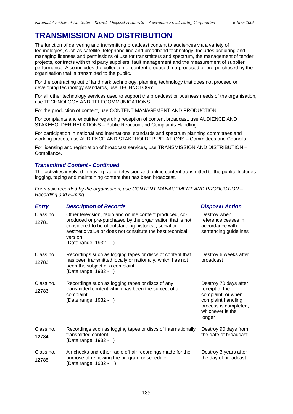The function of delivering and transmitting broadcast content to audiences via a variety of technologies, such as satellite, telephone line and broadband technology. Includes acquiring and managing licenses and permissions of use for transmitters and spectrum, the management of tender projects, contracts with third party suppliers, fault management and the measurement of supplier performance. Also includes the collection of content produced, co-produced or pre-purchased by the organisation that is transmitted to the public.

For the contracting out of landmark technology, planning technology that does not proceed or developing technology standards, use TECHNOLOGY.

For all other technology services used to support the broadcast or business needs of the organisation, use TECHNOLOGY AND TELECOMMUNICATIONS.

For the production of content, use CONTENT MANAGEMENT AND PRODUCTION.

For complaints and enquiries regarding reception of content broadcast, use AUDIENCE AND STAKEHOLDER RELATIONS – Public Reaction and Complaints Handling.

For participation in national and international standards and spectrum planning committees and working parties, use AUDIENCE AND STAKEHOLDER RELATIONS – Committees and Councils.

For licensing and registration of broadcast services, use TRANSMISSION AND DISTRIBUTION – Compliance.

## *Transmitted Content - Continued*

The activities involved in having radio, television and online content transmitted to the public. Includes logging, taping and maintaining content that has been broadcast.

*For music recorded by the organisation, use CONTENT MANAGEMENT AND PRODUCTION – Recording and Filming.* 

#### *Entry Description of Records Disposal Action*

| Class no.<br>12781 | Other television, radio and online content produced, co-<br>produced or pre-purchased by the organisation that is not<br>considered to be of outstanding historical, social or<br>aesthetic value or does not constitute the best technical<br>version.<br>(Date range: 1932 - ) | Destroy when<br>reference ceases in<br>accordance with<br>sentencing guidelines                                                            |
|--------------------|----------------------------------------------------------------------------------------------------------------------------------------------------------------------------------------------------------------------------------------------------------------------------------|--------------------------------------------------------------------------------------------------------------------------------------------|
| Class no.<br>12782 | Recordings such as logging tapes or discs of content that<br>has been transmitted locally or nationally, which has not<br>been the subject of a complaint.<br>(Date range: 1932 - )                                                                                              | Destroy 6 weeks after<br>broadcast                                                                                                         |
| Class no.<br>12783 | Recordings such as logging tapes or discs of any<br>transmitted content which has been the subject of a<br>complaint.<br>(Date range: 1932 - )                                                                                                                                   | Destroy 70 days after<br>receipt of the<br>complaint, or when<br>complaint handling<br>process is completed,<br>whichever is the<br>longer |
| Class no.<br>12784 | Recordings such as logging tapes or discs of internationally<br>transmitted content.<br>(Date range: 1932 - )                                                                                                                                                                    | Destroy 90 days from<br>the date of broadcast                                                                                              |
| Class no.<br>12785 | Air checks and other radio off air recordings made for the<br>purpose of reviewing the program or schedule.<br>(Date range: 1932 -                                                                                                                                               | Destroy 3 years after<br>the day of broadcast                                                                                              |